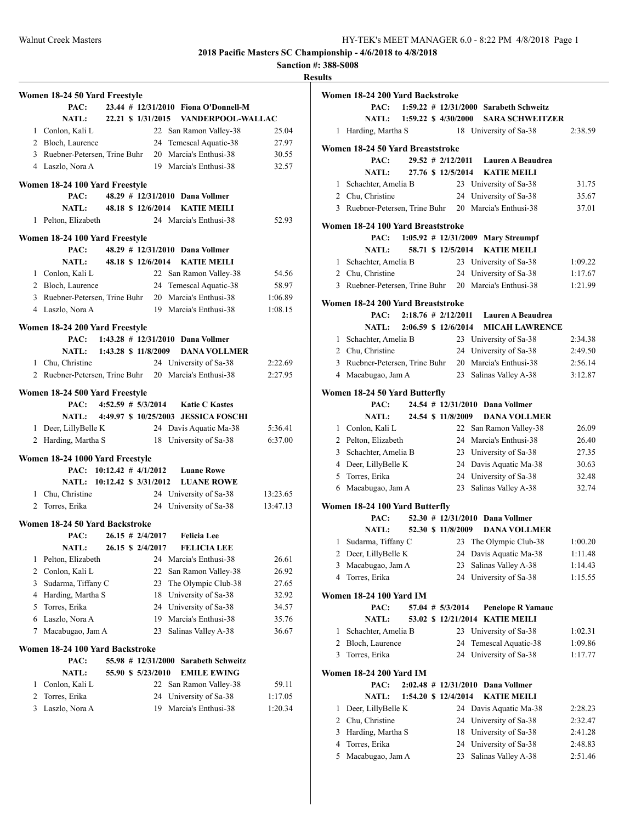**Sanction #: 388-S008**

|   | Women 18-24 50 Yard Freestyle                         |  |                      |                                      |          |
|---|-------------------------------------------------------|--|----------------------|--------------------------------------|----------|
|   | PAC:                                                  |  |                      | 23.44 # 12/31/2010 Fiona O'Donnell-M |          |
|   | <b>NATL:</b>                                          |  | 22.21 \$ 1/31/2015   | VANDERPOOL-WALLAC                    |          |
|   | 1 Conlon, Kali L                                      |  |                      | 22 San Ramon Valley-38               | 25.04    |
|   | 2 Bloch, Laurence                                     |  |                      | 24 Temescal Aquatic-38               | 27.97    |
|   | 3 Ruebner-Petersen, Trine Buhr                        |  |                      | 20 Marcia's Enthusi-38               | 30.55    |
|   | 4 Laszlo, Nora A                                      |  |                      | 19 Marcia's Enthusi-38               | 32.57    |
|   |                                                       |  |                      |                                      |          |
|   | Women 18-24 100 Yard Freestyle                        |  |                      |                                      |          |
|   | PAC:                                                  |  |                      | 48.29 # 12/31/2010 Dana Vollmer      |          |
|   | <b>NATL:</b>                                          |  | 48.18 \$ 12/6/2014   | <b>KATIE MEILI</b>                   |          |
|   | 1 Pelton, Elizabeth                                   |  |                      | 24 Marcia's Enthusi-38               | 52.93    |
|   | Women 18-24 100 Yard Freestyle                        |  |                      |                                      |          |
|   | PAC:                                                  |  |                      | 48.29 # 12/31/2010 Dana Vollmer      |          |
|   | <b>NATL:</b>                                          |  | 48.18 \$ 12/6/2014   | <b>KATIE MEILI</b>                   |          |
|   | 1 Conlon, Kali L                                      |  |                      | 22 San Ramon Valley-38               | 54.56    |
|   | 2 Bloch, Laurence                                     |  |                      | 24 Temescal Aquatic-38               | 58.97    |
|   | 3 Ruebner-Petersen, Trine Buhr                        |  |                      | 20 Marcia's Enthusi-38               | 1:06.89  |
|   | 4 Laszlo, Nora A                                      |  |                      | 19 Marcia's Enthusi-38               | 1:08.15  |
|   |                                                       |  |                      |                                      |          |
|   | Women 18-24 200 Yard Freestyle                        |  |                      |                                      |          |
|   | PAC:                                                  |  |                      | 1:43.28 $\#$ 12/31/2010 Dana Vollmer |          |
|   | <b>NATL:</b>                                          |  | 1:43.28 \$ 11/8/2009 | <b>DANA VOLLMER</b>                  |          |
|   | 1 Chu, Christine                                      |  |                      | 24 University of Sa-38               | 2:22.69  |
|   | 2 Ruebner-Petersen, Trine Buhr 20 Marcia's Enthusi-38 |  |                      |                                      | 2:27.95  |
|   | Women 18-24 500 Yard Freestyle                        |  |                      |                                      |          |
|   | PAC:                                                  |  |                      | 4:52.59 # 5/3/2014 Katie C Kastes    |          |
|   | NATL:                                                 |  |                      | 4:49.97 \$10/25/2003 JESSICA FOSCHI  |          |
|   | 1 Deer, LillyBelle K                                  |  |                      | 24 Davis Aquatic Ma-38               | 5:36.41  |
|   | 2 Harding, Martha S                                   |  |                      | 18 University of Sa-38               | 6:37.00  |
|   |                                                       |  |                      |                                      |          |
|   | Women 18-24 1000 Yard Freestyle                       |  |                      |                                      |          |
|   | PAC: $10:12.42 \# 4/1/2012$                           |  |                      | <b>Luane Rowe</b>                    |          |
|   | NATL: 10:12.42 \$ 3/31/2012                           |  |                      | <b>LUANE ROWE</b>                    |          |
|   | 1 Chu, Christine                                      |  |                      | 24 University of Sa-38               | 13:23.65 |
|   | 2 Torres, Erika                                       |  |                      | 24 University of Sa-38               | 13:47.13 |
|   | Women 18-24 50 Yard Backstroke                        |  |                      |                                      |          |
|   | PAC:                                                  |  | $26.15$ # 2/4/2017   | <b>Felicia</b> Lee                   |          |
|   | <b>NATL:</b>                                          |  | 26.15 \$ 2/4/2017    | <b>FELICIA LEE</b>                   |          |
| 1 | Pelton, Elizabeth                                     |  |                      | 24 Marcia's Enthusi-38               | 26.61    |
| 2 | Conlon, Kali L                                        |  | 22                   | San Ramon Valley-38                  | 26.92    |
| 3 | Sudarma, Tiffany C                                    |  | 23                   | The Olympic Club-38                  | 27.65    |
|   | 4 Harding, Martha S                                   |  | 18                   | University of Sa-38                  | 32.92    |
| 5 | Torres, Erika                                         |  | 24                   | University of Sa-38                  | 34.57    |
| 6 | Laszlo, Nora A                                        |  | 19                   | Marcia's Enthusi-38                  | 35.76    |
| 7 | Macabugao, Jam A                                      |  | 23                   | Salinas Valley A-38                  | 36.67    |
|   |                                                       |  |                      |                                      |          |
|   | Women 18-24 100 Yard Backstroke                       |  |                      |                                      |          |
|   | PAC:                                                  |  | 55.98 # 12/31/2000   | <b>Sarabeth Schweitz</b>             |          |
|   | <b>NATL:</b>                                          |  | 55.90 \$ 5/23/2010   | <b>EMILE EWING</b>                   |          |
| 1 | Conlon, Kali L                                        |  | 22                   | San Ramon Valley-38                  | 59.11    |
| 2 | Torres, Erika                                         |  | 24                   | University of Sa-38                  | 1:17.05  |
| 3 | Laszlo, Nora A                                        |  | 19                   | Marcia's Enthusi-38                  | 1:20.34  |
|   |                                                       |  |                      |                                      |          |
|   |                                                       |  |                      |                                      |          |

|   | Women 18-24 200 Yard Backstroke           |  |                               |                                                       |         |
|---|-------------------------------------------|--|-------------------------------|-------------------------------------------------------|---------|
|   | PAC:                                      |  |                               | 1:59.22 # 12/31/2000 Sarabeth Schweitz                |         |
|   | NATL:                                     |  | $1:59.22 \text{ } $4/30/2000$ | <b>SARA SCHWEITZER</b>                                |         |
| 1 | Harding, Martha S                         |  |                               | 18 University of Sa-38                                | 2:38.59 |
|   | Women 18-24 50 Yard Breaststroke          |  |                               |                                                       |         |
|   | PAC:                                      |  | $29.52$ # $2/12/2011$         | Lauren A Beaudrea                                     |         |
|   | <b>NATL:</b>                              |  | 27.76 \$ 12/5/2014            | <b>KATIE MEILI</b>                                    |         |
|   | 1 Schachter, Amelia B                     |  |                               | 23 University of Sa-38                                | 31.75   |
|   | 2 Chu, Christine                          |  |                               | 24 University of Sa-38                                | 35.67   |
|   |                                           |  |                               | 3 Ruebner-Petersen, Trine Buhr 20 Marcia's Enthusi-38 | 37.01   |
|   |                                           |  |                               |                                                       |         |
|   | Women 18-24 100 Yard Breaststroke<br>PAC: |  |                               | $1:05.92$ # $12/31/2009$ Mary Streumpf                |         |
|   | <b>NATL:</b>                              |  | 58.71 \$ 12/5/2014            | <b>KATIE MEILI</b>                                    |         |
|   | 1 Schachter, Amelia B                     |  |                               | 23 University of Sa-38                                | 1:09.22 |
|   | 2 Chu, Christine                          |  |                               | 24 University of Sa-38                                | 1:17.67 |
|   |                                           |  |                               | 3 Ruebner-Petersen, Trine Buhr 20 Marcia's Enthusi-38 | 1:21.99 |
|   |                                           |  |                               |                                                       |         |
|   | Women 18-24 200 Yard Breaststroke         |  |                               |                                                       |         |
|   | PAC:                                      |  | $2:18.76 \# 2/12/2011$        | Lauren A Beaudrea                                     |         |
|   | NATL: 2:06.59 \$ 12/6/2014                |  |                               | <b>MICAH LAWRENCE</b>                                 |         |
|   | 1 Schachter, Amelia B                     |  |                               | 23 University of Sa-38                                | 2:34.38 |
|   | 2 Chu, Christine                          |  |                               | 24 University of Sa-38                                | 2:49.50 |
|   |                                           |  |                               | 3 Ruebner-Petersen, Trine Buhr 20 Marcia's Enthusi-38 | 2:56.14 |
|   | 4 Macabugao, Jam A                        |  |                               | 23 Salinas Valley A-38                                | 3:12.87 |
|   | Women 18-24 50 Yard Butterfly             |  |                               |                                                       |         |
|   | PAC:                                      |  |                               | 24.54 # 12/31/2010 Dana Vollmer                       |         |
|   | <b>NATL:</b>                              |  | 24.54 \$ 11/8/2009            | <b>DANA VOLLMER</b>                                   |         |
|   | 1 Conlon, Kali L                          |  |                               | 22 San Ramon Valley-38                                | 26.09   |
|   | 2 Pelton, Elizabeth                       |  |                               | 24 Marcia's Enthusi-38                                | 26.40   |
|   | 3 Schachter, Amelia B                     |  |                               | 23 University of Sa-38                                | 27.35   |
|   | 4 Deer, LillyBelle K                      |  |                               | 24 Davis Aquatic Ma-38                                | 30.63   |
|   | 5 Torres, Erika                           |  |                               | 24 University of Sa-38                                | 32.48   |
| 6 | Macabugao, Jam A                          |  | 23                            | Salinas Valley A-38                                   | 32.74   |
|   | Women 18-24 100 Yard Butterfly            |  |                               |                                                       |         |
|   | PAC:                                      |  |                               | 52.30 # 12/31/2010 Dana Vollmer                       |         |
|   | <b>NATL:</b>                              |  | 52.30 \$ 11/8/2009            | <b>DANA VOLLMER</b>                                   |         |
|   | 1 Sudarma, Tiffany C                      |  |                               | 23 The Olympic Club-38                                | 1:00.20 |
|   |                                           |  |                               | 2 Deer, LillyBelle K 24 Davis Aquatic Ma-38           | 1:11.48 |
| 3 | Macabugao, Jam A                          |  | 23                            | Salinas Valley A-38                                   | 1:14.43 |
| 4 | Torres, Erika                             |  |                               | 24 University of Sa-38                                | 1:15.55 |
|   | <b>Women 18-24 100 Yard IM</b>            |  |                               |                                                       |         |
|   | PAC:                                      |  | 57.04 # 5/3/2014              | <b>Penelope R Yamauc</b>                              |         |
|   | <b>NATL:</b>                              |  |                               | 53.02 \$ 12/21/2014 KATIE MEILI                       |         |
| 1 | Schachter, Amelia B                       |  |                               | 23 University of Sa-38                                | 1:02.31 |
|   | 2 Bloch, Laurence                         |  | 24                            | Temescal Aquatic-38                                   | 1:09.86 |
| 3 | Torres, Erika                             |  | 24                            | University of Sa-38                                   | 1:17.77 |
|   |                                           |  |                               |                                                       |         |
|   | <b>Women 18-24 200 Yard IM</b>            |  |                               |                                                       |         |
|   | PAC:                                      |  |                               | 2:02.48 # 12/31/2010 Dana Vollmer                     |         |
|   | <b>NATL:</b>                              |  | 1:54.20 \$ 12/4/2014          | <b>KATIE MEILI</b>                                    |         |
| 1 | Deer, LillyBelle K                        |  | 24                            | Davis Aquatic Ma-38                                   | 2:28.23 |
|   | 2 Chu, Christine                          |  |                               | 24 University of Sa-38                                | 2:32.47 |
| 3 | Harding, Martha S                         |  |                               | 18 University of Sa-38                                | 2:41.28 |
|   | 4 Torres, Erika                           |  |                               | 24 University of Sa-38                                | 2:48.83 |
|   | 5 Macabugao, Jam A                        |  |                               | 23 Salinas Valley A-38                                | 2:51.46 |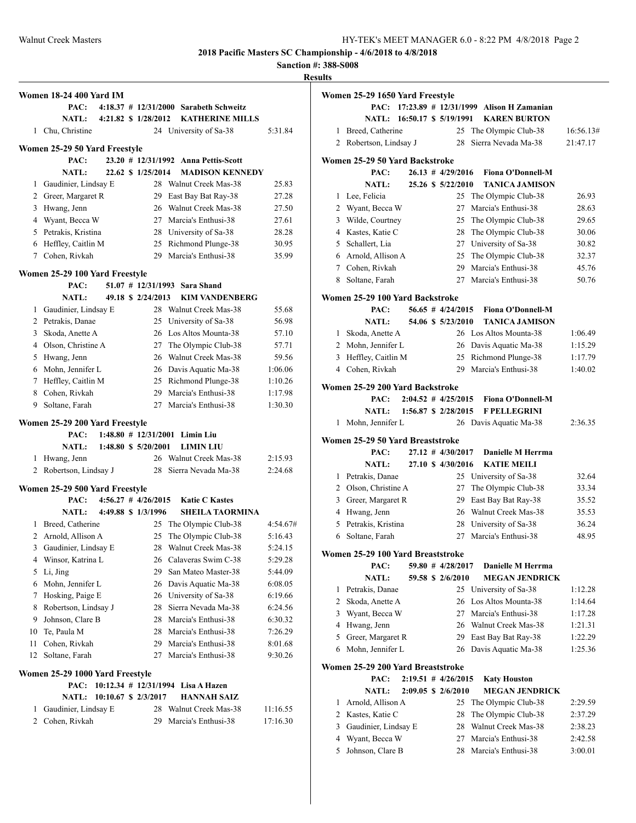**Sanction #: 388-S008**

|             | <b>Women 18-24 400 Yard IM</b>         |  |                         |                                            |                    |
|-------------|----------------------------------------|--|-------------------------|--------------------------------------------|--------------------|
|             | PAC:                                   |  |                         | $4:18.37$ # 12/31/2000 Sarabeth Schweitz   |                    |
|             | <b>NATL:</b>                           |  | 4:21.82 \$ 1/28/2012    | <b>KATHERINE MILLS</b>                     |                    |
|             | 1 Chu, Christine                       |  |                         | 24 University of Sa-38                     | 5:31.84            |
|             | Women 25-29 50 Yard Freestyle          |  |                         |                                            |                    |
|             | PAC:                                   |  |                         | 23.20 # 12/31/1992 Anna Pettis-Scott       |                    |
|             | <b>NATL:</b>                           |  | 22.62 \$ 1/25/2014      | <b>MADISON KENNEDY</b>                     |                    |
| 1           | Gaudinier, Lindsay E                   |  |                         | 28 Walnut Creek Mas-38                     | 25.83              |
|             | 2 Greer, Margaret R                    |  |                         | 29 East Bay Bat Ray-38                     | 27.28              |
|             | 3 Hwang, Jenn                          |  |                         | 26 Walnut Creek Mas-38                     | 27.50              |
|             | 4 Wyant, Becca W                       |  |                         | 27 Marcia's Enthusi-38                     | 27.61              |
|             | 5 Petrakis, Kristina                   |  |                         | 28 University of Sa-38                     | 28.28              |
|             | 6 Heffley, Caitlin M                   |  |                         | 25 Richmond Plunge-38                      | 30.95              |
| $7^{\circ}$ | Cohen, Rivkah                          |  |                         | 29 Marcia's Enthusi-38                     | 35.99              |
|             |                                        |  |                         |                                            |                    |
|             | Women 25-29 100 Yard Freestyle<br>PAC: |  |                         | 51.07 # 12/31/1993 Sara Shand              |                    |
|             | NATL:                                  |  | 49.18 \$ 2/24/2013      | <b>KIM VANDENBERG</b>                      |                    |
| 1           | Gaudinier, Lindsay E                   |  |                         | 28 Walnut Creek Mas-38                     | 55.68              |
|             | 2 Petrakis, Danae                      |  |                         | 25 University of Sa-38                     | 56.98              |
|             | 3 Skoda, Anette A                      |  |                         | 26 Los Altos Mounta-38                     | 57.10              |
|             | 4 Olson, Christine A                   |  |                         | 27 The Olympic Club-38                     | 57.71              |
|             | 5 Hwang, Jenn                          |  |                         | 26 Walnut Creek Mas-38                     | 59.56              |
|             | 6 Mohn, Jennifer L                     |  |                         | 26 Davis Aquatic Ma-38                     | 1:06.06            |
|             | 7 Heffley, Caitlin M                   |  |                         | 25 Richmond Plunge-38                      | 1:10.26            |
|             | 8 Cohen, Rivkah                        |  |                         | 29 Marcia's Enthusi-38                     | 1:17.98            |
| 9           | Soltane, Farah                         |  |                         | 27 Marcia's Enthusi-38                     | 1:30.30            |
|             |                                        |  |                         |                                            |                    |
|             | Women 25-29 200 Yard Freestyle         |  |                         | $1:48.80$ # $12/31/2001$ Limin Liu         |                    |
|             | PAC:                                   |  |                         |                                            |                    |
| 1           | <b>NATL:</b>                           |  | 1:48.80 \$ 5/20/2001    | <b>LIMIN LIU</b><br>26 Walnut Creek Mas-38 |                    |
|             | Hwang, Jenn<br>2 Robertson, Lindsay J  |  | 28                      | Sierra Nevada Ma-38                        | 2:15.93<br>2:24.68 |
|             |                                        |  |                         |                                            |                    |
|             | Women 25-29 500 Yard Freestyle         |  |                         |                                            |                    |
|             | PAC:                                   |  | $4:56.27$ # $4/26/2015$ | <b>Katie C Kastes</b>                      |                    |
|             | <b>NATL:</b>                           |  | 4:49.88 \$ 1/3/1996     | <b>SHEILA TAORMINA</b>                     |                    |
| 1           | Breed, Catherine                       |  |                         | 25 The Olympic Club-38                     | 4:54.67#           |
|             | 2 Arnold, Allison A                    |  | 25                      | The Olympic Club-38                        | 5:16.43            |
|             | 3 Gaudinier, Lindsay E                 |  |                         | 28 Walnut Creek Mas-38                     | 5:24.15            |
| 4           | Winsor, Katrina L                      |  |                         | 26 Calaveras Swim C-38                     | 5:29.28            |
| 5           | Li, Jing                               |  | 29                      | San Mateo Master-38                        | 5:44.09            |
| 6           | Mohn, Jennifer L                       |  |                         | 26 Davis Aquatic Ma-38                     | 6:08.05            |
| 7           | Hosking, Paige E                       |  |                         | 26 University of Sa-38                     | 6:19.66            |
| 8           | Robertson, Lindsay J                   |  | 28                      | Sierra Nevada Ma-38                        | 6:24.56            |
| 9           | Johnson, Clare B                       |  |                         | 28 Marcia's Enthusi-38                     | 6:30.32            |
| 10          | Te, Paula M                            |  |                         | 28 Marcia's Enthusi-38                     | 7:26.29            |
| 11          | Cohen, Rivkah                          |  | 29                      | Marcia's Enthusi-38                        | 8:01.68            |
| 12          | Soltane, Farah                         |  | 27                      | Marcia's Enthusi-38                        | 9:30.26            |
|             | Women 25-29 1000 Yard Freestyle        |  |                         |                                            |                    |
|             | PAC:                                   |  |                         | 10:12.34 # 12/31/1994 Lisa A Hazen         |                    |
|             | <b>NATL:</b>                           |  | 10:10.67 \$ 2/3/2017    | <b>HANNAH SAIZ</b>                         |                    |
| 1           | Gaudinier, Lindsay E                   |  | 28                      | Walnut Creek Mas-38                        | 11:16.55           |
| 2           | Cohen, Rivkah                          |  | 29                      | Marcia's Enthusi-38                        | 17:16.30           |
|             |                                        |  |                         |                                            |                    |

|              | Women 25-29 1650 Yard Freestyle          |  |                         |                                             |                       |
|--------------|------------------------------------------|--|-------------------------|---------------------------------------------|-----------------------|
|              | PAC:                                     |  |                         | $17:23.89$ # $12/31/1999$ Alison H Zamanian |                       |
|              | NATL: 16:50.17 \$ 5/19/1991              |  |                         | <b>KAREN BURTON</b>                         |                       |
| 1<br>2       | Breed, Catherine<br>Robertson, Lindsay J |  | 25<br>28                | The Olympic Club-38<br>Sierra Nevada Ma-38  | 16:56.13#<br>21:47.17 |
|              |                                          |  |                         |                                             |                       |
|              | Women 25-29 50 Yard Backstroke           |  |                         |                                             |                       |
|              | PAC:                                     |  | $26.13 \# 4/29/2016$    | <b>Fiona O'Donnell-M</b>                    |                       |
|              | <b>NATL:</b>                             |  | 25.26 \$ 5/22/2010      | <b>TANICA JAMISON</b>                       |                       |
| 1            | Lee, Felicia                             |  | 25                      | The Olympic Club-38                         | 26.93                 |
| 2            | Wyant, Becca W                           |  | 27                      | Marcia's Enthusi-38                         | 28.63                 |
| 3            | Wilde, Courtney                          |  | 25                      | The Olympic Club-38                         | 29.65                 |
|              | 4 Kastes, Katie C                        |  | 28                      | The Olympic Club-38                         | 30.06                 |
|              | 5 Schallert, Lia                         |  | 27                      | University of Sa-38                         | 30.82                 |
|              | 6 Arnold, Allison A                      |  | 25                      | The Olympic Club-38                         | 32.37                 |
|              | 7 Cohen, Rivkah                          |  | 29                      | Marcia's Enthusi-38                         | 45.76                 |
| 8            | Soltane, Farah                           |  | 27                      | Marcia's Enthusi-38                         | 50.76                 |
|              | Women 25-29 100 Yard Backstroke          |  |                         |                                             |                       |
|              | PAC:                                     |  | $56.65$ # $4/24/2015$   | <b>Fiona O'Donnell-M</b>                    |                       |
|              | <b>NATL:</b>                             |  | 54.06 \$ 5/23/2010      | <b>TANICA JAMISON</b>                       |                       |
| 1            | Skoda, Anette A                          |  |                         | 26 Los Altos Mounta-38                      | 1:06.49               |
|              | 2 Mohn, Jennifer L                       |  | 26                      | Davis Aquatic Ma-38                         | 1:15.29               |
| 3            | Heffley, Caitlin M                       |  | 25                      | Richmond Plunge-38                          | 1:17.79               |
| 4            | Cohen, Rivkah                            |  | 29                      | Marcia's Enthusi-38                         | 1:40.02               |
|              | Women 25-29 200 Yard Backstroke          |  |                         |                                             |                       |
|              | PAC:                                     |  | $2:04.52$ # $4/25/2015$ | <b>Fiona O'Donnell-M</b>                    |                       |
|              | <b>NATL:</b>                             |  | 1:56.87 \$ 2/28/2015    | <b>F PELLEGRINI</b>                         |                       |
| 1            | Mohn, Jennifer L                         |  |                         | 26 Davis Aquatic Ma-38                      | 2:36.35               |
|              |                                          |  |                         |                                             |                       |
|              | Women 25-29 50 Yard Breaststroke         |  |                         |                                             |                       |
|              | PAC:                                     |  | $27.12$ # $4/30/2017$   | Danielle M Herrma                           |                       |
|              | <b>NATL:</b>                             |  | 27.10 \$4/30/2016       | <b>KATIE MEILI</b>                          |                       |
| $\mathbf{1}$ | Petrakis, Danae                          |  | 25                      | University of Sa-38                         | 32.64                 |
| 2            | Olson, Christine A                       |  | 27                      | The Olympic Club-38                         | 33.34                 |
| 3            | Greer, Margaret R                        |  | 29                      | East Bay Bat Ray-38                         | 35.52                 |
| 4            | Hwang, Jenn                              |  | 26                      | Walnut Creek Mas-38                         | 35.53                 |
| 5            | Petrakis, Kristina                       |  | 28                      | University of Sa-38                         | 36.24                 |
| 6            | Soltane, Farah                           |  | 27                      | Marcia's Enthusi-38                         | 48.95                 |
|              | Women 25-29 100 Yard Breaststroke        |  |                         |                                             |                       |
|              | PAC:                                     |  | $59.80$ # $4/28/2017$   | Danielle M Herrma                           |                       |
|              | <b>NATL:</b>                             |  | 59.58 \$ 2/6/2010       | <b>MEGAN JENDRICK</b>                       |                       |
| 1            | Petrakis, Danae                          |  | 25                      | University of Sa-38                         | 1:12.28               |
| 2            | Skoda, Anette A                          |  | 26                      | Los Altos Mounta-38                         | 1:14.64               |
| 3            | Wyant, Becca W                           |  | 27                      | Marcia's Enthusi-38                         | 1:17.28               |
|              | 4 Hwang, Jenn                            |  | 26                      | Walnut Creek Mas-38                         | 1:21.31               |
| 5            | Greer, Margaret R                        |  | 29                      | East Bay Bat Ray-38                         | 1:22.29               |
| 6            | Mohn, Jennifer L                         |  | 26                      | Davis Aquatic Ma-38                         | 1:25.36               |
|              | Women 25-29 200 Yard Breaststroke        |  |                         |                                             |                       |
|              | PAC:                                     |  | $2:19.51$ # $4/26/2015$ | <b>Katy Houston</b>                         |                       |
|              | <b>NATL:</b>                             |  | 2:09.05 \$ 2/6/2010     | <b>MEGAN JENDRICK</b>                       |                       |
| 1            | Arnold, Allison A                        |  | 25                      | The Olympic Club-38                         | 2:29.59               |
|              | 2 Kastes, Katie C                        |  | 28                      | The Olympic Club-38                         | 2:37.29               |
| 3            | Gaudinier, Lindsay E                     |  | 28                      | Walnut Creek Mas-38                         | 2:38.23               |
| 4            | Wyant, Becca W                           |  | 27                      | Marcia's Enthusi-38                         | 2:42.58               |
| 5            | Johnson, Clare B                         |  | 28                      | Marcia's Enthusi-38                         | 3:00.01               |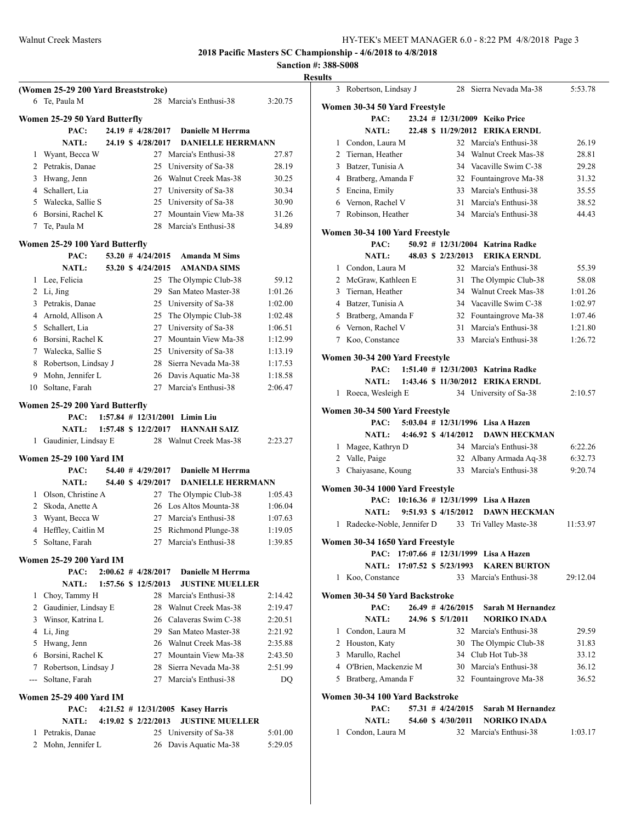|                |                                                      |  |                         |                                     | Sanction #: |      |
|----------------|------------------------------------------------------|--|-------------------------|-------------------------------------|-------------|------|
|                |                                                      |  |                         |                                     |             | Rest |
|                | (Women 25-29 200 Yard Breaststroke)<br>6 Te, Paula M |  |                         | 28 Marcia's Enthusi-38              |             |      |
|                |                                                      |  |                         |                                     | 3:20.75     |      |
|                | Women 25-29 50 Yard Butterfly                        |  |                         |                                     |             |      |
|                | PAC:                                                 |  |                         | 24.19 # 4/28/2017 Danielle M Herrma |             |      |
|                | <b>NATL:</b>                                         |  | 24.19 \$ 4/28/2017      | <b>DANIELLE HERRMANN</b>            |             |      |
| 1              | Wyant, Becca W                                       |  |                         | 27 Marcia's Enthusi-38              | 27.87       |      |
|                | 2 Petrakis, Danae                                    |  |                         | 25 University of Sa-38              | 28.19       |      |
|                | 3 Hwang, Jenn                                        |  |                         | 26 Walnut Creek Mas-38              | 30.25       |      |
|                | 4 Schallert, Lia                                     |  |                         | 27 University of Sa-38              | 30.34       |      |
|                | 5 Walecka, Sallie S                                  |  |                         | 25 University of Sa-38              | 30.90       |      |
|                | 6 Borsini, Rachel K                                  |  |                         | 27 Mountain View Ma-38              | 31.26       |      |
| 7              | Te, Paula M                                          |  |                         | 28 Marcia's Enthusi-38              | 34.89       |      |
|                | Women 25-29 100 Yard Butterfly                       |  |                         |                                     |             |      |
|                | PAC:                                                 |  | $53.20$ # $4/24/2015$   | <b>Amanda M Sims</b>                |             |      |
|                | <b>NATL:</b>                                         |  | 53.20 \$ 4/24/2015      | <b>AMANDA SIMS</b>                  |             |      |
| 1              | Lee, Felicia                                         |  |                         | 25 The Olympic Club-38              | 59.12       |      |
|                | 2 Li, Jing                                           |  | 29                      | San Mateo Master-38                 | 1:01.26     |      |
| 3              | Petrakis, Danae                                      |  |                         | 25 University of Sa-38              | 1:02.00     |      |
|                | 4 Arnold, Allison A                                  |  |                         | 25 The Olympic Club-38              | 1:02.48     |      |
|                | 5 Schallert, Lia                                     |  |                         | 27 University of Sa-38              | 1:06.51     |      |
|                | 6 Borsini, Rachel K                                  |  |                         | 27 Mountain View Ma-38              | 1:12.99     |      |
|                | 7 Walecka, Sallie S                                  |  |                         | 25 University of Sa-38              | 1:13.19     |      |
| 8              | Robertson, Lindsay J                                 |  |                         | 28 Sierra Nevada Ma-38              | 1:17.53     |      |
| 9              | Mohn, Jennifer L                                     |  |                         | 26 Davis Aquatic Ma-38              | 1:18.58     |      |
|                | 10 Soltane, Farah                                    |  |                         | 27 Marcia's Enthusi-38              | 2:06.47     |      |
|                |                                                      |  |                         |                                     |             |      |
|                | Women 25-29 200 Yard Butterfly                       |  |                         |                                     |             |      |
|                | PAC:                                                 |  |                         | 1:57.84 # 12/31/2001 Limin Liu      |             |      |
|                | <b>NATL:</b>                                         |  | 1:57.48 \$ 12/2/2017    | <b>HANNAH SAIZ</b>                  |             |      |
|                | 1 Gaudinier, Lindsay E                               |  |                         | 28 Walnut Creek Mas-38              | 2:23.27     |      |
|                | <b>Women 25-29 100 Yard IM</b>                       |  |                         |                                     |             |      |
|                | PAC:                                                 |  | $54.40$ # $4/29/2017$   | Danielle M Herrma                   |             |      |
|                | NATL:                                                |  | 54.40 \$ 4/29/2017      | <b>DANIELLE HERRMANN</b>            |             |      |
|                | 1 Olson, Christine A                                 |  |                         | 27 The Olympic Club-38              | 1:05.43     |      |
| $\overline{2}$ | Skoda, Anette A                                      |  |                         | 26 Los Altos Mounta-38              | 1:06.04     |      |
| 3              | Wyant, Becca W                                       |  |                         | 27 Marcia's Enthusi-38              | 1:07.63     |      |
|                | 4 Heffley, Caitlin M                                 |  |                         | 25 Richmond Plunge-38               | 1:19.05     |      |
|                | 5 Soltane, Farah                                     |  |                         | 27 Marcia's Enthusi-38              | 1:39.85     |      |
|                |                                                      |  |                         |                                     |             |      |
|                | <b>Women 25-29 200 Yard IM</b>                       |  |                         |                                     |             |      |
|                | PAC:                                                 |  | $2:00.62$ # $4/28/2017$ | Danielle M Herrma                   |             |      |
|                | <b>NATL:</b>                                         |  | 1:57.56 \$ 12/5/2013    | <b>JUSTINE MUELLER</b>              |             |      |
| 1              | Choy, Tammy H                                        |  |                         | 28 Marcia's Enthusi-38              | 2:14.42     |      |
|                | 2 Gaudinier, Lindsay E                               |  |                         | 28 Walnut Creek Mas-38              | 2:19.47     |      |
| 3              | Winsor, Katrina L                                    |  |                         | 26 Calaveras Swim C-38              | 2:20.51     |      |
| 4              | Li, Jing                                             |  |                         | 29 San Mateo Master-38              | 2:21.92     |      |
| 5              | Hwang, Jenn                                          |  |                         | 26 Walnut Creek Mas-38              | 2:35.88     |      |
| 6              | Borsini, Rachel K                                    |  |                         | 27 Mountain View Ma-38              | 2:43.50     |      |
| 7              | Robertson, Lindsay J                                 |  |                         | 28 Sierra Nevada Ma-38              | 2:51.99     |      |
| $ -$           | Soltane, Farah                                       |  |                         | 27 Marcia's Enthusi-38              | DQ          |      |
|                | <b>Women 25-29 400 Yard IM</b>                       |  |                         |                                     |             |      |
|                | PAC:                                                 |  |                         | 4:21.52 # 12/31/2005 Kasey Harris   |             |      |
|                | <b>NATL:</b>                                         |  | 4:19.02 \$ 2/22/2013    | <b>JUSTINE MUELLER</b>              |             |      |
| 1              | Petrakis, Danae                                      |  |                         | 25 University of Sa-38              | 5:01.00     |      |
| 2              | Mohn, Jennifer L                                     |  | 26                      | Davis Aquatic Ma-38                 | 5:29.05     |      |
|                |                                                      |  |                         |                                     |             |      |

| ılts         |                                 |                               |                                         |          |
|--------------|---------------------------------|-------------------------------|-----------------------------------------|----------|
| 3            | Robertson, Lindsay J            |                               | 28 Sierra Nevada Ma-38                  | 5:53.78  |
|              | Women 30-34 50 Yard Freestyle   |                               |                                         |          |
|              | PAC:                            |                               | 23.24 # 12/31/2009 Keiko Price          |          |
|              | <b>NATL:</b>                    |                               | 22.48 \$11/29/2012 ERIKA ERNDL          |          |
|              | 1 Condon, Laura M               |                               | 32 Marcia's Enthusi-38                  | 26.19    |
|              | 2 Tiernan, Heather              |                               | 34 Walnut Creek Mas-38                  | 28.81    |
|              | 3 Batzer, Tunisia A             |                               | 34 Vacaville Swim C-38                  | 29.28    |
|              | 4 Bratberg, Amanda F            |                               | 32 Fountaingrove Ma-38                  | 31.32    |
|              | 5 Encina, Emily                 |                               | 33 Marcia's Enthusi-38                  | 35.55    |
|              | 6 Vernon, Rachel V              |                               | 31 Marcia's Enthusi-38                  | 38.52    |
|              | 7 Robinson, Heather             |                               | 34 Marcia's Enthusi-38                  | 44.43    |
|              | Women 30-34 100 Yard Freestyle  |                               |                                         |          |
|              | PAC:                            |                               | 50.92 # 12/31/2004 Katrina Radke        |          |
|              | <b>NATL:</b>                    | 48.03 \$ 2/23/2013            | <b>ERIKA ERNDL</b>                      |          |
|              | 1 Condon, Laura M               |                               | 32 Marcia's Enthusi-38                  | 55.39    |
|              | 2 McGraw, Kathleen E            | 31                            | The Olympic Club-38                     | 58.08    |
|              | 3 Tiernan, Heather              |                               | 34 Walnut Creek Mas-38                  | 1:01.26  |
|              | 4 Batzer, Tunisia A             |                               | 34 Vacaville Swim C-38                  | 1:02.97  |
|              | 5 Bratberg, Amanda F            |                               | 32 Fountaingrove Ma-38                  | 1:07.46  |
|              | 6 Vernon, Rachel V              |                               | 31 Marcia's Enthusi-38                  | 1:21.80  |
|              | 7 Koo, Constance                |                               | 33 Marcia's Enthusi-38                  | 1:26.72  |
|              | Women 30-34 200 Yard Freestyle  |                               |                                         |          |
|              | PAC:                            |                               | 1:51.40 # 12/31/2003 Katrina Radke      |          |
|              | NATL:                           |                               | 1:43.46 \$11/30/2012 ERIKA ERNDL        |          |
|              | 1 Roeca, Wesleigh E             |                               | 34 University of Sa-38                  | 2:10.57  |
|              |                                 |                               |                                         |          |
|              | Women 30-34 500 Yard Freestyle  |                               |                                         |          |
|              | PAC:                            |                               | 5:03.04 $\#$ 12/31/1996 Lisa A Hazen    |          |
|              | <b>NATL:</b>                    | 4:46.92 \$ 4/14/2012          | <b>DAWN HECKMAN</b>                     |          |
|              | 1 Magee, Kathryn D              |                               | 34 Marcia's Enthusi-38                  | 6:22.26  |
|              | 2 Valle, Paige                  |                               | 32 Albany Armada Aq-38                  | 6:32.73  |
|              | 3 Chaiyasane, Koung             |                               | 33 Marcia's Enthusi-38                  | 9:20.74  |
|              | Women 30-34 1000 Yard Freestyle |                               |                                         |          |
|              |                                 |                               | PAC: 10:16.36 # 12/31/1999 Lisa A Hazen |          |
|              | NATL:                           | $9:51.93 \text{ s}$ 4/15/2012 | <b>DAWN HECKMAN</b>                     |          |
|              | 1 Radecke-Noble, Jennifer D     | 33                            | Tri Valley Maste-38                     | 11:53.97 |
|              | Women 30-34 1650 Yard Freestyle |                               |                                         |          |
|              |                                 |                               | PAC: 17:07.66 # 12/31/1999 Lisa A Hazen |          |
|              | NATL: 17:07.52 \$ 5/23/1993     |                               | <b>KAREN BURTON</b>                     |          |
|              | 1 Koo, Constance                |                               | 33 Marcia's Enthusi-38                  | 29:12.04 |
|              | Women 30-34 50 Yard Backstroke  |                               |                                         |          |
|              | PAC:                            | $26.49$ # $4/26/2015$         | <b>Sarah M Hernandez</b>                |          |
|              | NATL:                           | 24.96 \$ 5/1/2011             | <b>NORIKO INADA</b>                     |          |
| $\mathbf{1}$ | Condon, Laura M                 |                               | 32 Marcia's Enthusi-38                  | 29.59    |
|              | 2 Houston, Katy                 |                               | 30 The Olympic Club-38                  | 31.83    |
|              | 3 Marullo, Rachel               |                               | 34 Club Hot Tub-38                      | 33.12    |
|              | 4 O'Brien, Mackenzie M          |                               | 30 Marcia's Enthusi-38                  | 36.12    |
| 5            | Bratberg, Amanda F              |                               | 32 Fountaingrove Ma-38                  | 36.52    |
|              | Women 30-34 100 Yard Backstroke |                               |                                         |          |
|              | PAC:                            | $57.31$ # $4/24/2015$         | Sarah M Hernandez                       |          |
|              | <b>NATL:</b>                    | 54.60 \$ 4/30/2011            | <b>NORIKO INADA</b>                     |          |
| 1            | Condon, Laura M                 |                               | 32 Marcia's Enthusi-38                  | 1:03.17  |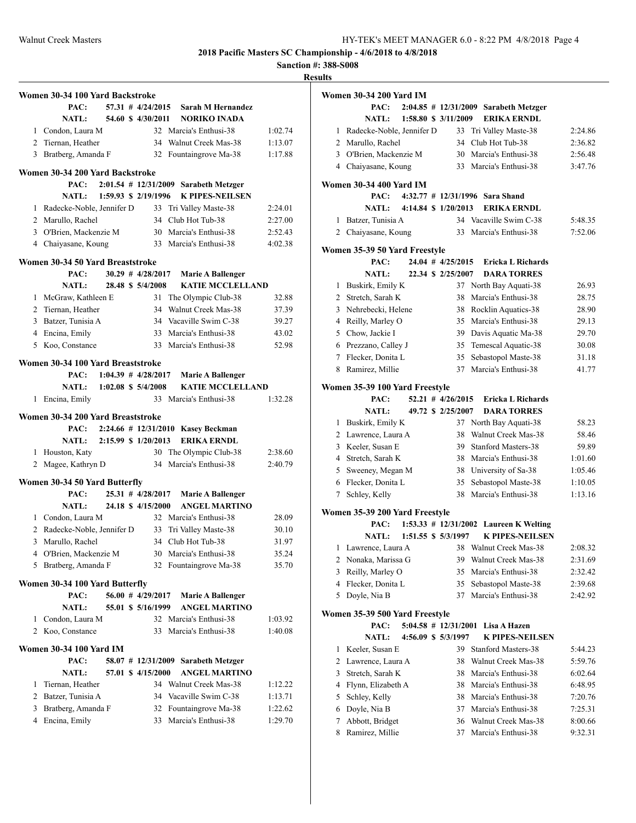**Sanction #: 388-S008**

|                | Women 30-34 100 Yard Backstroke   |  |                         |                                         |         |
|----------------|-----------------------------------|--|-------------------------|-----------------------------------------|---------|
|                | PAC:                              |  | $57.31$ # $4/24/2015$   | Sarah M Hernandez                       |         |
|                | <b>NATL:</b>                      |  | 54.60 \$4/30/2011       | <b>NORIKO INADA</b>                     |         |
|                | 1 Condon, Laura M                 |  |                         | 32 Marcia's Enthusi-38                  | 1:02.74 |
|                | 2 Tiernan, Heather                |  |                         | 34 Walnut Creek Mas-38                  | 1:13.07 |
| 3              | Bratberg, Amanda F                |  | 32                      | Fountaingrove Ma-38                     | 1:17.88 |
|                |                                   |  |                         |                                         |         |
|                | Women 30-34 200 Yard Backstroke   |  |                         |                                         |         |
|                | PAC:                              |  |                         | 2:01.54 # 12/31/2009 Sarabeth Metzger   |         |
|                | NATL:                             |  | 1:59.93 \$ 2/19/1996    | <b>K PIPES-NEILSEN</b>                  |         |
|                | 1 Radecke-Noble, Jennifer D       |  |                         | 33 Tri Valley Maste-38                  | 2:24.01 |
|                | 2 Marullo, Rachel                 |  | 34                      | Club Hot Tub-38                         | 2:27.00 |
|                | 3 O'Brien, Mackenzie M            |  |                         | 30 Marcia's Enthusi-38                  | 2:52.43 |
|                | 4 Chaiyasane, Koung               |  |                         | 33 Marcia's Enthusi-38                  | 4:02.38 |
|                | Women 30-34 50 Yard Breaststroke  |  |                         |                                         |         |
|                | PAC:                              |  | $30.29$ # $4/28/2017$   | <b>Marie A Ballenger</b>                |         |
|                | <b>NATL:</b>                      |  | 28.48 \$ 5/4/2008       | <b>KATIE MCCLELLAND</b>                 |         |
| 1              | McGraw, Kathleen E                |  |                         | 31 The Olympic Club-38                  | 32.88   |
|                | 2 Tiernan, Heather                |  | 34                      | Walnut Creek Mas-38                     | 37.39   |
|                | 3 Batzer, Tunisia A               |  |                         | 34 Vacaville Swim C-38                  | 39.27   |
|                | 4 Encina, Emily                   |  | 33                      | Marcia's Enthusi-38                     | 43.02   |
|                | 5 Koo, Constance                  |  | 33                      | Marcia's Enthusi-38                     | 52.98   |
|                |                                   |  |                         |                                         |         |
|                | Women 30-34 100 Yard Breaststroke |  |                         |                                         |         |
|                | PAC:                              |  | $1:04.39$ # $4/28/2017$ | <b>Marie A Ballenger</b>                |         |
|                | NATL: 1:02.08 \$ 5/4/2008         |  |                         | <b>KATIE MCCLELLAND</b>                 |         |
| 1              | Encina, Emily                     |  |                         | 33 Marcia's Enthusi-38                  | 1:32.28 |
|                | Women 30-34 200 Yard Breaststroke |  |                         |                                         |         |
|                |                                   |  |                         | PAC: 2:24.66 # 12/31/2010 Kasey Beckman |         |
|                | NATL: 2:15.99 \$ 1/20/2013        |  |                         | <b>ERIKA ERNDL</b>                      |         |
| 1              | Houston, Katy                     |  | 30                      | The Olympic Club-38                     | 2:38.60 |
| $\overline{2}$ | Magee, Kathryn D                  |  | 34                      | Marcia's Enthusi-38                     | 2:40.79 |
|                |                                   |  |                         |                                         |         |
|                | Women 30-34 50 Yard Butterfly     |  |                         |                                         |         |
|                | PAC:                              |  | 25.31 # 4/28/2017       | <b>Marie A Ballenger</b>                |         |
|                | <b>NATL:</b>                      |  | 24.18 \$4/15/2000       | <b>ANGEL MARTINO</b>                    |         |
|                | 1 Condon, Laura M                 |  |                         | 32 Marcia's Enthusi-38                  | 28.09   |
|                | 2 Radecke-Noble, Jennifer D       |  | 33                      | Tri Valley Maste-38                     | 30.10   |
| 3              | Marullo, Rachel                   |  | 34                      | Club Hot Tub-38                         | 31.97   |
|                | 4 O'Brien, Mackenzie M            |  |                         | 30 Marcia's Enthusi-38                  | 35.24   |
| 5              | Bratberg, Amanda F                |  | 32                      | Fountaingrove Ma-38                     | 35.70   |
|                |                                   |  |                         |                                         |         |
|                | Women 30-34 100 Yard Butterfly    |  |                         |                                         |         |
|                | PAC:                              |  | $56.00$ # $4/29/2017$   | <b>Marie A Ballenger</b>                |         |
|                | <b>NATL:</b>                      |  | 55.01 \$ 5/16/1999      | <b>ANGEL MARTINO</b>                    |         |
| 1              | Condon, Laura M                   |  |                         | 32 Marcia's Enthusi-38                  | 1:03.92 |
| $\overline{2}$ | Koo, Constance                    |  | 33                      | Marcia's Enthusi-38                     | 1:40.08 |
|                | <b>Women 30-34 100 Yard IM</b>    |  |                         |                                         |         |
|                | PAC:                              |  | 58.07 # 12/31/2009      | <b>Sarabeth Metzger</b>                 |         |
|                | <b>NATL:</b>                      |  | 57.01 \$ 4/15/2000      | <b>ANGEL MARTINO</b>                    |         |
| 1              | Tiernan, Heather                  |  |                         | 34 Walnut Creek Mas-38                  | 1:12.22 |
|                | 2 Batzer, Tunisia A               |  |                         | 34 Vacaville Swim C-38                  | 1:13.71 |
| 3              | Bratberg, Amanda F                |  |                         | 32 Fountaingrove Ma-38                  | 1:22.62 |
| 4              | Encina, Emily                     |  |                         | 33 Marcia's Enthusi-38                  | 1:29.70 |
|                |                                   |  |                         |                                         |         |
|                |                                   |  |                         |                                         |         |

|        | Women 30-34 200 Yard IM               |  |                        |                                        |         |
|--------|---------------------------------------|--|------------------------|----------------------------------------|---------|
|        | PAC:                                  |  |                        | 2:04.85 # 12/31/2009 Sarabeth Metzger  |         |
|        | NATL:                                 |  | 1:58.80 \$ 3/11/2009   | <b>ERIKA ERNDL</b>                     |         |
|        | 1 Radecke-Noble, Jennifer D           |  | 33                     | Tri Valley Maste-38                    | 2:24.86 |
|        | 2 Marullo, Rachel                     |  |                        | 34 Club Hot Tub-38                     | 2:36.82 |
|        | 3 O'Brien, Mackenzie M                |  |                        | 30 Marcia's Enthusi-38                 | 2:56.48 |
|        | 4 Chaiyasane, Koung                   |  |                        | 33 Marcia's Enthusi-38                 | 3:47.76 |
|        | Women 30-34 400 Yard IM               |  |                        |                                        |         |
|        | PAC:                                  |  |                        | 4:32.77 # 12/31/1996 Sara Shand        |         |
|        | <b>NATL:</b>                          |  | 4:14.84 \$ 1/20/2013   | <b>ERIKA ERNDL</b>                     |         |
| 1      | Batzer, Tunisia A                     |  |                        | 34 Vacaville Swim C-38                 | 5:48.35 |
|        | 2 Chaiyasane, Koung                   |  |                        | 33 Marcia's Enthusi-38                 | 7:52.06 |
|        | Women 35-39 50 Yard Freestyle<br>PAC: |  | 24.04 # 4/25/2015      | Ericka L Richards                      |         |
|        | <b>NATL:</b>                          |  | 22.34 \$ 2/25/2007     | <b>DARA TORRES</b>                     |         |
| 1      | Buskirk, Emily K                      |  | 37                     | North Bay Aquati-38                    | 26.93   |
|        | 2 Stretch, Sarah K                    |  | 38                     | Marcia's Enthusi-38                    | 28.75   |
|        | 3 Nehrebecki, Helene                  |  |                        | 38 Rocklin Aquatics-38                 | 28.90   |
|        | 4 Reilly, Marley O                    |  |                        | 35 Marcia's Enthusi-38                 | 29.13   |
|        | 5 Chow, Jackie I                      |  |                        | 39 Davis Aquatic Ma-38                 | 29.70   |
|        | 6 Prezzano, Calley J                  |  |                        | 35 Temescal Aquatic-38                 | 30.08   |
|        | 7 Flecker, Donita L                   |  | 35                     | Sebastopol Maste-38                    | 31.18   |
|        | 8 Ramirez, Millie                     |  |                        | 37 Marcia's Enthusi-38                 | 41.77   |
|        | Women 35-39 100 Yard Freestyle        |  |                        |                                        |         |
|        | PAC:                                  |  | $52.21$ # $4/26/2015$  | <b>Ericka L Richards</b>               |         |
|        | <b>NATL:</b>                          |  | 49.72 \$ 2/25/2007     | <b>DARA TORRES</b>                     |         |
| 1      | Buskirk, Emily K                      |  | 37                     | North Bay Aquati-38                    | 58.23   |
|        | 2 Lawrence, Laura A                   |  |                        | 38 Walnut Creek Mas-38                 | 58.46   |
|        | 3 Keeler, Susan E                     |  |                        | 39 Stanford Masters-38                 | 59.89   |
|        | 4 Stretch, Sarah K                    |  |                        | 38 Marcia's Enthusi-38                 | 1:01.60 |
|        | 5 Sweeney, Megan M                    |  |                        | 38 University of Sa-38                 | 1:05.46 |
|        | 6 Flecker, Donita L                   |  | 35                     | Sebastopol Maste-38                    | 1:10.05 |
| $\tau$ | Schley, Kelly                         |  |                        | 38 Marcia's Enthusi-38                 | 1:13.16 |
|        | Women 35-39 200 Yard Freestyle        |  |                        |                                        |         |
|        | PAC:                                  |  |                        | 1:53.33 # 12/31/2002 Laureen K Welting |         |
|        | <b>NATL:</b>                          |  | 1:51.55 \$ 5/3/1997    | <b>K PIPES-NEILSEN</b>                 |         |
| 1      | Lawrence, Laura A                     |  |                        | 38 Walnut Creek Mas-38                 | 2:08.32 |
| 2      | Nonaka, Marissa G                     |  | 39                     | Walnut Creek Mas-38                    | 2:31.69 |
| 3      | Reilly, Marley O                      |  | 35                     | Marcia's Enthusi-38                    | 2:32.42 |
| 4      | Flecker, Donita L                     |  | 35                     | Sebastopol Maste-38                    | 2:39.68 |
| 5      | Doyle, Nia B                          |  | 37                     | Marcia's Enthusi-38                    | 2:42.92 |
|        | Women 35-39 500 Yard Freestyle        |  |                        |                                        |         |
|        | PAC:                                  |  | $5:04.58$ # 12/31/2001 | Lisa A Hazen                           |         |
|        | <b>NATL:</b>                          |  | 4:56.09 \$ 5/3/1997    | <b>K PIPES-NEILSEN</b>                 |         |
| 1      | Keeler, Susan E                       |  | 39                     | Stanford Masters-38                    | 5:44.23 |
| 2      | Lawrence, Laura A                     |  | 38                     | Walnut Creek Mas-38                    | 5:59.76 |
| 3      | Stretch, Sarah K                      |  | 38                     | Marcia's Enthusi-38                    | 6:02.64 |
| 4      | Flynn, Elizabeth A                    |  | 38                     | Marcia's Enthusi-38                    | 6:48.95 |
| 5      | Schley, Kelly                         |  | 38                     | Marcia's Enthusi-38                    | 7:20.76 |
| 6      | Doyle, Nia B                          |  | 37                     | Marcia's Enthusi-38                    | 7:25.31 |
| 7      | Abbott, Bridget                       |  | 36                     | Walnut Creek Mas-38                    | 8:00.66 |
| 8      | Ramirez, Millie                       |  | 37                     | Marcia's Enthusi-38                    | 9:32.31 |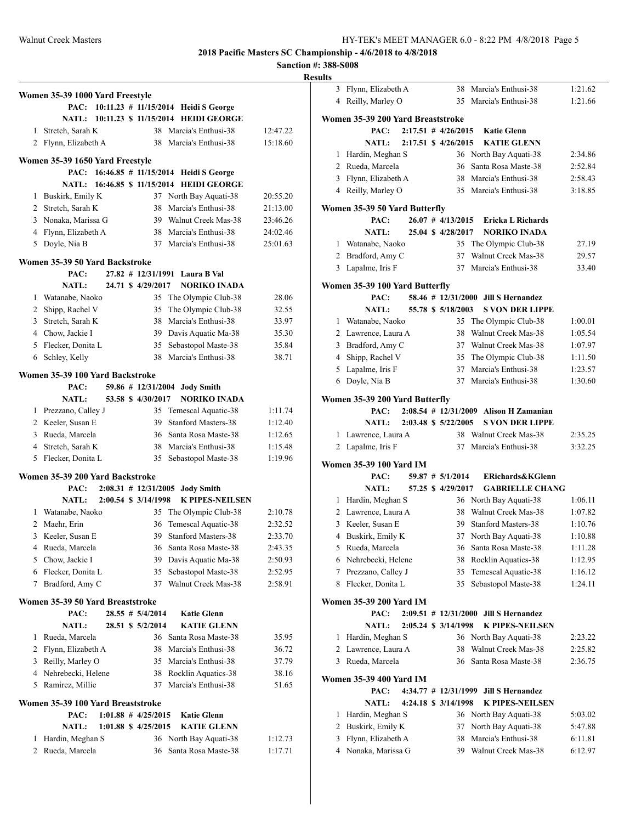|                |                                         |  |                                                 |                                             |                    | $\bf{R}$ |
|----------------|-----------------------------------------|--|-------------------------------------------------|---------------------------------------------|--------------------|----------|
|                | Women 35-39 1000 Yard Freestyle         |  |                                                 |                                             |                    |          |
|                | PAC:                                    |  |                                                 | 10:11.23 # 11/15/2014 Heidi S George        |                    |          |
|                | <b>NATL:</b>                            |  |                                                 | 10:11.23 \$ 11/15/2014 HEIDI GEORGE         |                    |          |
| 1              | Stretch, Sarah K                        |  |                                                 | 38 Marcia's Enthusi-38                      | 12:47.22           |          |
|                | 2 Flynn, Elizabeth A                    |  |                                                 | 38 Marcia's Enthusi-38                      | 15:18.60           |          |
|                | Women 35-39 1650 Yard Freestyle         |  |                                                 |                                             |                    |          |
|                | PAC:                                    |  | $16:46.85 \# 11/15/2014$                        | <b>Heidi S George</b>                       |                    |          |
|                | NATL:                                   |  |                                                 | 16:46.85 \$ 11/15/2014 HEIDI GEORGE         |                    |          |
|                | 1 Buskirk, Emily K                      |  |                                                 | 37 North Bay Aquati-38                      | 20:55.20           |          |
|                | 2 Stretch, Sarah K                      |  |                                                 | 38 Marcia's Enthusi-38                      | 21:13.00           |          |
|                | 3 Nonaka, Marissa G                     |  |                                                 | 39 Walnut Creek Mas-38                      | 23:46.26           |          |
|                | 4 Flynn, Elizabeth A                    |  |                                                 | 38 Marcia's Enthusi-38                      | 24:02.46           |          |
| 5              | Doyle, Nia B                            |  |                                                 | 37 Marcia's Enthusi-38                      | 25:01.63           |          |
|                | Women 35-39 50 Yard Backstroke          |  |                                                 |                                             |                    |          |
|                | PAC:                                    |  |                                                 | 27.82 # 12/31/1991 Laura B Val              |                    |          |
|                | NATL:                                   |  | 24.71 \$4/29/2017                               | <b>NORIKO INADA</b>                         |                    |          |
| 1              | Watanabe, Naoko                         |  | 35                                              | The Olympic Club-38                         | 28.06              |          |
|                | 2 Shipp, Rachel V                       |  | 35                                              | The Olympic Club-38                         | 32.55              |          |
|                | 3 Stretch, Sarah K                      |  |                                                 | 38 Marcia's Enthusi-38                      | 33.97              |          |
|                | 4 Chow, Jackie I                        |  |                                                 | 39 Davis Aquatic Ma-38                      | 35.30              |          |
|                | 5 Flecker, Donita L                     |  | 35                                              | Sebastopol Maste-38                         | 35.84              |          |
| 6              | Schley, Kelly                           |  | 38                                              | Marcia's Enthusi-38                         | 38.71              |          |
|                |                                         |  |                                                 |                                             |                    |          |
|                | Women 35-39 100 Yard Backstroke<br>PAC: |  |                                                 | 59.86 # 12/31/2004 Jody Smith               |                    |          |
|                | <b>NATL:</b>                            |  | 53.58 \$ 4/30/2017                              | <b>NORIKO INADA</b>                         |                    |          |
| 1              | Prezzano, Calley J                      |  |                                                 | 35 Temescal Aquatic-38                      | 1:11.74            |          |
|                | 2 Keeler, Susan E                       |  | 39                                              | <b>Stanford Masters-38</b>                  | 1:12.40            |          |
|                | 3 Rueda, Marcela                        |  |                                                 | 36 Santa Rosa Maste-38                      | 1:12.65            |          |
|                | 4 Stretch, Sarah K                      |  |                                                 | 38 Marcia's Enthusi-38                      | 1:15.48            |          |
|                | 5 Flecker, Donita L                     |  | 35                                              | Sebastopol Maste-38                         | 1:19.96            |          |
|                |                                         |  |                                                 |                                             |                    |          |
|                | Women 35-39 200 Yard Backstroke         |  |                                                 |                                             |                    |          |
|                | PAC:<br><b>NATL:</b>                    |  | $2:08.31 \# 12/31/2005$<br>2:00.54 \$ 3/14/1998 | <b>Jody Smith</b><br><b>K PIPES-NEILSEN</b> |                    |          |
| 1              | Watanabe, Naoko                         |  | 35                                              | The Olympic Club-38                         | 2:10.78            |          |
| $\overline{2}$ | Maehr, Erin                             |  | 36                                              | Temescal Aquatic-38                         | 2:32.52            |          |
|                | 3 Keeler, Susan E                       |  |                                                 | 39 Stanford Masters-38                      | 2:33.70            |          |
|                | 4 Rueda, Marcela                        |  |                                                 | 36 Santa Rosa Maste-38                      | 2:43.35            |          |
|                | 5 Chow, Jackie I                        |  |                                                 | 39 Davis Aquatic Ma-38                      | 2:50.93            |          |
|                | 6 Flecker, Donita L                     |  | 35                                              | Sebastopol Maste-38                         | 2:52.95            |          |
| 7              | Bradford, Amy C                         |  | 37                                              | Walnut Creek Mas-38                         | 2:58.91            |          |
|                |                                         |  |                                                 |                                             |                    |          |
|                | Women 35-39 50 Yard Breaststroke        |  |                                                 |                                             |                    |          |
|                | PAC:<br><b>NATL:</b>                    |  | 28.55 # 5/4/2014<br>28.51 \$ 5/2/2014           | <b>Katie Glenn</b><br><b>KATIE GLENN</b>    |                    |          |
| 1              | Rueda, Marcela                          |  |                                                 | 36 Santa Rosa Maste-38                      |                    |          |
| 2              | Flynn, Elizabeth A                      |  | 38                                              | Marcia's Enthusi-38                         | 35.95<br>36.72     |          |
|                | 3 Reilly, Marley O                      |  |                                                 | 35 Marcia's Enthusi-38                      | 37.79              |          |
|                | 4 Nehrebecki, Helene                    |  | 38                                              | Rocklin Aquatics-38                         | 38.16              |          |
| 5              | Ramirez, Millie                         |  | 37                                              | Marcia's Enthusi-38                         | 51.65              |          |
|                |                                         |  |                                                 |                                             |                    |          |
|                | Women 35-39 100 Yard Breaststroke       |  |                                                 |                                             |                    |          |
|                | PAC:                                    |  | $1:01.88$ # $4/25/2015$                         | <b>Katie Glenn</b>                          |                    |          |
|                | <b>NATL:</b>                            |  | 1:01.88 \$ 4/25/2015                            | <b>KATIE GLENN</b>                          |                    |          |
| 1<br>2         | Hardin, Meghan S<br>Rueda, Marcela      |  | 36<br>36                                        | North Bay Aquati-38<br>Santa Rosa Maste-38  | 1:12.73<br>1:17.71 |          |
|                |                                         |  |                                                 |                                             |                    |          |
|                |                                         |  |                                                 |                                             |                    |          |

| <b>desults</b> |                                          |  |                                                      |                                            |                    |
|----------------|------------------------------------------|--|------------------------------------------------------|--------------------------------------------|--------------------|
|                | 3 Flynn, Elizabeth A                     |  |                                                      | 38 Marcia's Enthusi-38                     | 1:21.62            |
|                | 4 Reilly, Marley O                       |  |                                                      | 35 Marcia's Enthusi-38                     | 1:21.66            |
|                |                                          |  |                                                      |                                            |                    |
|                | Women 35-39 200 Yard Breaststroke        |  |                                                      |                                            |                    |
|                | PAC:                                     |  | $2:17.51$ # $4/26/2015$                              | <b>Katie Glenn</b>                         |                    |
|                | <b>NATL:</b>                             |  | 2:17.51 \$ 4/26/2015                                 | <b>KATIE GLENN</b>                         |                    |
|                | 1 Hardin, Meghan S                       |  |                                                      | 36 North Bay Aquati-38                     | 2:34.86            |
|                | 2 Rueda, Marcela                         |  | 36                                                   | Santa Rosa Maste-38                        | 2:52.84            |
|                | 3 Flynn, Elizabeth A                     |  |                                                      | 38 Marcia's Enthusi-38                     | 2:58.43            |
|                | 4 Reilly, Marley O                       |  |                                                      | 35 Marcia's Enthusi-38                     | 3:18.85            |
|                | Women 35-39 50 Yard Butterfly            |  |                                                      |                                            |                    |
|                | PAC:                                     |  | $26.07$ # $4/13/2015$                                | Ericka L Richards                          |                    |
|                | <b>NATL:</b>                             |  | 25.04 \$ 4/28/2017                                   | <b>NORIKO INADA</b>                        |                    |
|                | 1 Watanabe, Naoko                        |  | 35                                                   | The Olympic Club-38                        | 27.19              |
|                | 2 Bradford, Amy C                        |  | 37                                                   | Walnut Creek Mas-38                        | 29.57              |
|                | 3 Lapalme, Iris F                        |  |                                                      | 37 Marcia's Enthusi-38                     | 33.40              |
|                |                                          |  |                                                      |                                            |                    |
|                | Women 35-39 100 Yard Butterfly           |  |                                                      |                                            |                    |
|                | PAC:                                     |  |                                                      | 58.46 # 12/31/2000 Jill S Hernandez        |                    |
|                | <b>NATL:</b>                             |  | 55.78 \$ 5/18/2003                                   | <b>S VON DER LIPPE</b>                     |                    |
|                | 1 Watanabe, Naoko                        |  |                                                      | 35 The Olympic Club-38                     | 1:00.01            |
|                | 2 Lawrence, Laura A                      |  |                                                      | 38 Walnut Creek Mas-38                     | 1:05.54            |
|                | 3 Bradford, Amy C                        |  |                                                      | 37 Walnut Creek Mas-38                     | 1:07.97            |
|                | 4 Shipp, Rachel V                        |  |                                                      | 35 The Olympic Club-38                     | 1:11.50            |
|                | 5 Lapalme, Iris F                        |  |                                                      | 37 Marcia's Enthusi-38                     | 1:23.57            |
|                | 6 Doyle, Nia B                           |  |                                                      | 37 Marcia's Enthusi-38                     | 1:30.60            |
|                | Women 35-39 200 Yard Butterfly           |  |                                                      |                                            |                    |
|                | PAC:                                     |  |                                                      | $2:08.54$ # $12/31/2009$ Alison H Zamanian |                    |
|                | <b>NATL:</b>                             |  | $2:03.48 \text{ } \frac{\text{}}{\text{}} 5/22/2005$ | <b>S VON DER LIPPE</b>                     |                    |
|                |                                          |  |                                                      | 38 Walnut Creek Mas-38                     |                    |
|                | 1 Lawrence, Laura A<br>2 Lapalme, Iris F |  |                                                      | 37 Marcia's Enthusi-38                     | 2:35.25<br>3:32.25 |
|                |                                          |  |                                                      |                                            |                    |
|                | Women 35-39 100 Yard IM                  |  |                                                      |                                            |                    |
|                | PAC:                                     |  | $59.87$ # $5/1/2014$                                 | ERichards&KGlenn                           |                    |
|                | <b>NATL:</b>                             |  | 57.25 \$ 4/29/2017                                   | <b>GABRIELLE CHANG</b>                     |                    |
|                | 1 Hardin, Meghan S                       |  |                                                      | 36 North Bay Aquati-38                     | 1:06.11            |
|                | 2 Lawrence, Laura A                      |  |                                                      | 38 Walnut Creek Mas-38                     | 1:07.82            |
|                | 3 Keeler, Susan E                        |  | 39                                                   | <b>Stanford Masters-38</b>                 | 1:10.76            |
|                | 4 Buskirk, Emily K                       |  |                                                      | 37 North Bay Aquati-38                     | 1:10.88            |
|                | 5 Rueda, Marcela                         |  | 36                                                   | Santa Rosa Maste-38                        | 1:11.28            |
|                | 6 Nehrebecki, Helene                     |  | 38                                                   | Rocklin Aquatics-38                        | 1:12.95            |
|                | 7 Prezzano, Calley J                     |  | 35                                                   | Temescal Aquatic-38                        | 1:16.12            |
| 8              | Flecker, Donita L                        |  | 35                                                   | Sebastopol Maste-38                        | 1:24.11            |
|                | <b>Women 35-39 200 Yard IM</b>           |  |                                                      |                                            |                    |
|                | PAC:                                     |  | $2:09.51$ # $12/31/2000$                             | <b>Jill S Hernandez</b>                    |                    |
|                | <b>NATL:</b>                             |  | 2:05.24 \$ 3/14/1998                                 | <b>K PIPES-NEILSEN</b>                     |                    |
|                | Hardin, Meghan S                         |  |                                                      | 36 North Bay Aquati-38                     | 2:23.22            |
| 1              | 2 Lawrence, Laura A                      |  | 38                                                   | Walnut Creek Mas-38                        | 2:25.82            |
|                |                                          |  |                                                      | Santa Rosa Maste-38                        |                    |
|                | 3 Rueda, Marcela                         |  | 36                                                   |                                            | 2:36.75            |
|                | <b>Women 35-39 400 Yard IM</b>           |  |                                                      |                                            |                    |
|                | PAC:                                     |  | 4:34.77 # 12/31/1999                                 | <b>Jill S Hernandez</b>                    |                    |
|                | <b>NATL:</b>                             |  | 4:24.18 \$ 3/14/1998                                 | <b>K PIPES-NEILSEN</b>                     |                    |
| 1              | Hardin, Meghan S                         |  |                                                      | 36 North Bay Aquati-38                     | 5:03.02            |
|                | 2 Buskirk, Emily K                       |  | 37                                                   | North Bay Aquati-38                        | 5:47.88            |
| 3              | Flynn, Elizabeth A                       |  | 38                                                   | Marcia's Enthusi-38                        | 6:11.81            |
| 4              | Nonaka, Marissa G                        |  | 39                                                   | Walnut Creek Mas-38                        | 6:12.97            |
|                |                                          |  |                                                      |                                            |                    |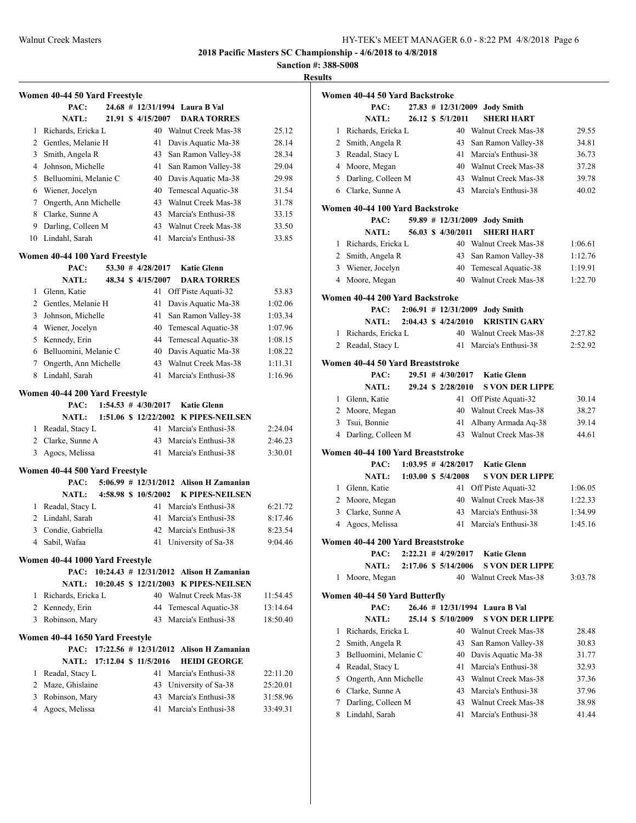**Sanction #: 388-S008**

**Results**

|             | Women 40-44 50 Yard Freestyle       |                         |                                               |                      |
|-------------|-------------------------------------|-------------------------|-----------------------------------------------|----------------------|
|             | PAC:                                |                         | 24.68 # 12/31/1994 Laura B Val                |                      |
|             | NATL:                               | 21.91 \$4/15/2007       | <b>DARA TORRES</b>                            |                      |
| 1           | Richards, Ericka L                  |                         | 40 Walnut Creek Mas-38                        | 25.12                |
|             | 2 Gentles, Melanie H                | 41                      | Davis Aquatic Ma-38                           | 28.14                |
| 3           | Smith, Angela R                     | 43                      | San Ramon Valley-38                           | 28.34                |
| 4           | Johnson, Michelle                   | 41                      | San Ramon Valley-38                           | 29.04                |
| 5           | Belluomini, Melanie C               | 40                      | Davis Aquatic Ma-38                           | 29.98                |
| 6           | Wiener, Jocelyn                     | 40                      | Temescal Aquatic-38                           | 31.54                |
| $7^{\circ}$ | Ongerth, Ann Michelle               | 43                      | Walnut Creek Mas-38                           | 31.78                |
| 8           | Clarke, Sunne A                     | 43                      | Marcia's Enthusi-38                           | 33.15                |
|             | 9 Darling, Colleen M                | 43                      | Walnut Creek Mas-38                           | 33.50                |
|             | 10 Lindahl, Sarah                   | 41                      | Marcia's Enthusi-38                           | 33.85                |
|             | Women 40-44 100 Yard Freestyle      |                         |                                               |                      |
|             | PAC:                                | 53.30 $\#$ 4/28/2017    | <b>Katie Glenn</b>                            |                      |
|             | <b>NATL:</b>                        | 48.34 \$4/15/2007       | <b>DARA TORRES</b>                            |                      |
| 1           | Glenn, Katie                        | 41                      | Off Piste Aquati-32                           | 53.83                |
|             | 2 Gentles, Melanie H                | 41                      | Davis Aquatic Ma-38                           | 1:02.06              |
| 3           | Johnson, Michelle                   | 41                      | San Ramon Valley-38                           | 1:03.34              |
|             | 4 Wiener, Jocelyn                   | 40                      | Temescal Aquatic-38                           | 1:07.96              |
|             | 5 Kennedy, Erin                     | 44                      | Temescal Aquatic-38                           | 1:08.15              |
| 6           | Belluomini, Melanie C               | 40                      | Davis Aquatic Ma-38                           | 1:08.22              |
| 7           | Ongerth, Ann Michelle               | 43                      | Walnut Creek Mas-38                           | 1:11.31              |
| 8           | Lindahl, Sarah                      | 41                      | Marcia's Enthusi-38                           | 1:16.96              |
|             |                                     |                         |                                               |                      |
|             | Women 40-44 200 Yard Freestyle      |                         |                                               |                      |
|             |                                     |                         |                                               |                      |
|             | PAC:                                | $1:54.53$ # $4/30/2017$ | <b>Katie Glenn</b>                            |                      |
|             |                                     |                         | NATL: 1:51.06 \$ 12/22/2002 K PIPES-NEILSEN   |                      |
|             | 1 Readal, Stacy L                   |                         | 41 Marcia's Enthusi-38                        | 2:24.04              |
|             | 2 Clarke, Sunne A                   | 43                      | Marcia's Enthusi-38                           | 2:46.23              |
| 3           | Agocs, Melissa                      | 41                      | Marcia's Enthusi-38                           | 3:30.01              |
|             | Women 40-44 500 Yard Freestyle      |                         |                                               |                      |
|             | PAC:                                |                         | 5:06.99 # 12/31/2012 Alison H Zamanian        |                      |
|             | <b>NATL:</b>                        | 4:58.98 \$ 10/5/2002    | <b>K PIPES-NEILSEN</b>                        |                      |
| 1           | Readal, Stacy L                     | 41                      | Marcia's Enthusi-38                           | 6:21.72              |
|             | 2 Lindahl, Sarah                    | 41                      | Marcia's Enthusi-38                           | 8:17.46              |
| 3           | Condie, Gabriella                   | 42                      | Marcia's Enthusi-38                           | 8:23.54              |
| 4           | Sabil, Wafaa                        | 41                      | University of Sa-38                           | 9:04.46              |
|             |                                     |                         |                                               |                      |
|             | Women 40-44 1000 Yard Freestyle     |                         | PAC: 10:24.43 # 12/31/2012 Alison H Zamanian  |                      |
|             |                                     |                         | NATL: 10:20.45 \$ 12/21/2003 K PIPES-NEILSEN  |                      |
| 1           |                                     |                         |                                               |                      |
|             | Richards, Ericka L                  | 44                      | 40 Walnut Creek Mas-38                        | 11:54.45             |
|             | 2 Kennedy, Erin<br>3 Robinson, Mary | 43                      | Temescal Aquatic-38<br>Marcia's Enthusi-38    | 13:14.64<br>18:50.40 |
|             |                                     |                         |                                               |                      |
|             | Women 40-44 1650 Yard Freestyle     |                         |                                               |                      |
|             |                                     |                         | PAC: 17:22.56 # 12/31/2012 Alison H Zamanian  |                      |
|             | NATL: 17:12.04 \$ 11/5/2016         |                         | <b>HEIDI GEORGE</b>                           |                      |
| 1           | Readal, Stacy L                     | 41                      | Marcia's Enthusi-38                           | 22:11.20             |
|             | 2 Maze, Ghislaine                   |                         | 43 University of Sa-38                        | 25:20.01             |
| 3<br>4      | Robinson, Mary<br>Agocs, Melissa    | 41                      | 43 Marcia's Enthusi-38<br>Marcia's Enthusi-38 | 31:58.96<br>33:49.31 |

|   | Women 40-44 50 Yard Backstroke    |  |                                |                                 |         |
|---|-----------------------------------|--|--------------------------------|---------------------------------|---------|
|   | PAC:                              |  |                                | 27.83 # 12/31/2009 Jody Smith   |         |
|   | <b>NATL:</b>                      |  | 26.12 \$ 5/1/2011              | <b>SHERI HART</b>               |         |
| 1 | Richards, Ericka L                |  |                                | 40 Walnut Creek Mas-38          | 29.55   |
|   | 2 Smith, Angela R                 |  | 43                             | San Ramon Valley-38             | 34.81   |
|   | 3 Readal, Stacy L                 |  |                                | 41 Marcia's Enthusi-38          | 36.73   |
|   | 4 Moore, Megan                    |  |                                | 40 Walnut Creek Mas-38          | 37.28   |
|   | 5 Darling, Colleen M              |  |                                | 43 Walnut Creek Mas-38          | 39.78   |
|   | 6 Clarke, Sunne A                 |  |                                | 43 Marcia's Enthusi-38          | 40.02   |
|   | Women 40-44 100 Yard Backstroke   |  |                                |                                 |         |
|   | PAC:                              |  | 59.89 # 12/31/2009             | <b>Jody Smith</b>               |         |
|   | NATL:                             |  | 56.03 \$ 4/30/2011             | <b>SHERI HART</b>               |         |
|   | 1 Richards, Ericka L              |  |                                | 40 Walnut Creek Mas-38          | 1:06.61 |
|   | 2 Smith, Angela R                 |  |                                | 43 San Ramon Valley-38          | 1:12.76 |
| 3 | Wiener, Jocelyn                   |  |                                | 40 Temescal Aquatic-38          | 1:19.91 |
|   | 4 Moore, Megan                    |  |                                | 40 Walnut Creek Mas-38          | 1:22.70 |
|   |                                   |  |                                |                                 |         |
|   | Women 40-44 200 Yard Backstroke   |  |                                |                                 |         |
|   | PAC:                              |  |                                | 2:06.91 # 12/31/2009 Jody Smith |         |
|   | <b>NATL:</b>                      |  | $2:04.43 \text{ } $4/24/2010$  | <b>KRISTIN GARY</b>             |         |
| 1 | Richards, Ericka L                |  |                                | 40 Walnut Creek Mas-38          | 2:27.82 |
| 2 | Readal, Stacy L                   |  | 41                             | Marcia's Enthusi-38             | 2:52.92 |
|   | Women 40-44 50 Yard Breaststroke  |  |                                |                                 |         |
|   | PAC:                              |  | $29.51$ # $4/30/2017$          | <b>Katie Glenn</b>              |         |
|   | <b>NATL:</b>                      |  | 29.24 \$ 2/28/2010             | <b>S VON DER LIPPE</b>          |         |
|   | 1 Glenn, Katie                    |  |                                | 41 Off Piste Aquati-32          | 30.14   |
|   | 2 Moore, Megan                    |  |                                | 40 Walnut Creek Mas-38          | 38.27   |
| 3 | Tsui, Bonnie                      |  |                                | 41 Albany Armada Aq-38          | 39.14   |
|   | 4 Darling, Colleen M              |  |                                | 43 Walnut Creek Mas-38          | 44.61   |
|   |                                   |  |                                |                                 |         |
|   | Women 40-44 100 Yard Breaststroke |  |                                |                                 |         |
|   | PAC:                              |  | $1:03.95 \# 4/28/2017$         | <b>Katie Glenn</b>              |         |
|   | <b>NATL:</b>                      |  | $1:03.00 \text{ }$ \$ 5/4/2008 | <b>S VON DER LIPPE</b>          |         |
|   | 1 Glenn, Katie                    |  | 41                             | Off Piste Aquati-32             | 1:06.05 |
|   | 2 Moore, Megan                    |  | 40                             | Walnut Creek Mas-38             | 1:22.33 |
|   | 3 Clarke, Sunne A                 |  | 43                             | Marcia's Enthusi-38             | 1:34.99 |
|   | 4 Agocs, Melissa                  |  |                                | 41 Marcia's Enthusi-38          | 1:45.16 |
|   | Women 40-44 200 Yard Breaststroke |  |                                |                                 |         |
|   | PAC:                              |  | $2:22.21$ # $4/29/2017$        | <b>Katie Glenn</b>              |         |
|   | <b>NATL:</b>                      |  | 2:17.06 \$ 5/14/2006           | <b>S VON DER LIPPE</b>          |         |
| 1 | Moore, Megan                      |  |                                | 40 Walnut Creek Mas-38          | 3:03.78 |
|   |                                   |  |                                |                                 |         |
|   | Women 40-44 50 Yard Butterfly     |  |                                |                                 |         |
|   | PAC:                              |  | 26.46 # 12/31/1994             | Laura B Val                     |         |
|   | <b>NATL:</b>                      |  | 25.14 \$ 5/10/2009             | <b>S VON DER LIPPE</b>          |         |
| 1 | Richards, Ericka L                |  |                                | 40 Walnut Creek Mas-38          | 28.48   |
| 2 | Smith, Angela R                   |  | 43                             | San Ramon Valley-38             | 30.83   |
| 3 | Belluomini, Melanie C             |  | 40                             | Davis Aquatic Ma-38             | 31.77   |
|   | 4 Readal, Stacy L                 |  |                                | 41 Marcia's Enthusi-38          | 32.93   |
| 5 | Ongerth, Ann Michelle             |  |                                | 43 Walnut Creek Mas-38          | 37.36   |
| 6 | Clarke, Sunne A                   |  |                                | 43 Marcia's Enthusi-38          | 37.96   |
| 7 | Darling, Colleen M                |  |                                | 43 Walnut Creek Mas-38          | 38.98   |

8 Lindahl, Sarah 41 Marcia's Enthusi-38 41.44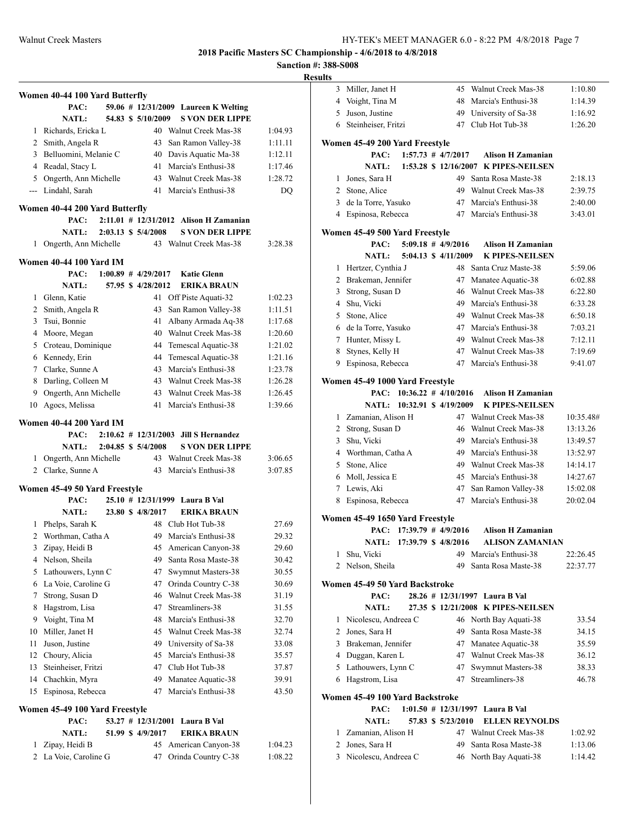|    |                                |                       |                    |    |                                            | эансион $\pi$ . Эо | <b>Results</b> |
|----|--------------------------------|-----------------------|--------------------|----|--------------------------------------------|--------------------|----------------|
|    | Women 40-44 100 Yard Butterfly |                       |                    |    |                                            |                    |                |
|    | PAC:                           |                       |                    |    | 59.06 # 12/31/2009 Laureen K Welting       |                    |                |
|    | <b>NATL:</b>                   |                       | 54.83 \$ 5/10/2009 |    | <b>S VON DER LIPPE</b>                     |                    |                |
|    | 1 Richards, Ericka L           |                       |                    |    | 40 Walnut Creek Mas-38                     | 1:04.93            |                |
|    | 2 Smith, Angela R              |                       |                    |    | 43 San Ramon Valley-38                     | 1:11.11            | W.             |
|    | 3 Belluomini, Melanie C        |                       |                    |    | 40 Davis Aquatic Ma-38                     | 1:12.11            |                |
|    | 4 Readal, Stacy L              |                       |                    |    | 41 Marcia's Enthusi-38                     | 1:17.46            |                |
|    | 5 Ongerth, Ann Michelle        |                       |                    |    | 43 Walnut Creek Mas-38                     | 1:28.72            |                |
|    | --- Lindahl, Sarah             |                       |                    |    | 41 Marcia's Enthusi-38                     | DQ                 |                |
|    | Women 40-44 200 Yard Butterfly |                       |                    |    |                                            |                    |                |
|    | PAC:                           |                       |                    |    | $2:11.01$ # $12/31/2012$ Alison H Zamanian |                    |                |
|    | <b>NATL:</b>                   | 2:03.13 \$ 5/4/2008   |                    |    | <b>S VON DER LIPPE</b>                     |                    | W.             |
| 1  | Ongerth, Ann Michelle          |                       |                    |    | 43 Walnut Creek Mas-38                     | 3:28.38            |                |
|    | <b>Women 40-44 100 Yard IM</b> |                       |                    |    |                                            |                    |                |
|    | PAC:                           | $1:00.89$ # 4/29/2017 |                    |    | <b>Katie Glenn</b>                         |                    |                |
|    | NATL:                          |                       | 57.95 \$4/28/2012  |    | <b>ERIKA BRAUN</b>                         |                    |                |
|    | 1 Glenn, Katie                 |                       |                    |    | 41 Off Piste Aquati-32                     | 1:02.23            |                |
|    | 2 Smith, Angela R              |                       |                    |    | 43 San Ramon Valley-38                     | 1:11.51            |                |
|    | 3 Tsui, Bonnie                 |                       |                    | 41 | Albany Armada Aq-38                        | 1:17.68            |                |
|    | 4 Moore, Megan                 |                       |                    |    | 40 Walnut Creek Mas-38                     | 1:20.60            |                |
|    | 5 Croteau, Dominique           |                       |                    |    | 44 Temescal Aquatic-38                     | 1:21.02            |                |
|    | 6 Kennedy, Erin                |                       |                    |    | 44 Temescal Aquatic-38                     | 1:21.16            |                |
|    | 7 Clarke, Sunne A              |                       |                    |    | 43 Marcia's Enthusi-38                     | 1:23.78            |                |
|    | 8 Darling, Colleen M           |                       |                    |    | 43 Walnut Creek Mas-38                     | 1:26.28            | W.             |
|    | 9 Ongerth, Ann Michelle        |                       |                    |    | 43 Walnut Creek Mas-38                     | 1:26.45            |                |
| 10 | Agocs, Melissa                 |                       |                    |    | 41 Marcia's Enthusi-38                     | 1:39.66            |                |
|    | <b>Women 40-44 200 Yard IM</b> |                       |                    |    |                                            |                    |                |
|    | PAC:                           |                       |                    |    | $2:10.62$ # $12/31/2003$ Jill S Hernandez  |                    |                |
|    | <b>NATL:</b>                   | 2:04.85 \$ 5/4/2008   |                    |    | <b>S VON DER LIPPE</b>                     |                    |                |
|    | 1 Ongerth, Ann Michelle        |                       |                    |    | 43 Walnut Creek Mas-38                     | 3:06.65            |                |
|    | 2 Clarke, Sunne A              |                       |                    |    | 43 Marcia's Enthusi-38                     | 3:07.85            |                |
|    | Women 45-49 50 Yard Freestyle  |                       |                    |    |                                            |                    |                |
|    | PAC:                           |                       |                    |    | 25.10 # 12/31/1999 Laura B Val             |                    |                |
|    | <b>NATL:</b>                   |                       | 23.80 \$4/8/2017   |    | ERIKA BRAUN                                |                    | W.             |
|    | 1 Phelps, Sarah K              |                       |                    |    | 48 Club Hot Tub-38                         | 27.69              |                |
| 2  | Worthman, Catha A              |                       |                    | 49 | Marcia's Enthusi-38                        | 29.32              |                |
| 3  | Zipay, Heidi B                 |                       |                    | 45 | American Canyon-38                         | 29.60              |                |
|    | 4 Nelson, Sheila               |                       |                    | 49 | Santa Rosa Maste-38                        | 30.42              |                |
|    | 5 Lathouwers, Lynn C           |                       |                    | 47 | Swymnut Masters-38                         | 30.55              |                |
|    | 6 La Voie, Caroline G          |                       |                    | 47 | Orinda Country C-38                        | 30.69              | W.             |
| 7  | Strong, Susan D                |                       |                    | 46 | Walnut Creek Mas-38                        | 31.19              |                |
| 8  | Hagstrom, Lisa                 |                       |                    | 47 | Streamliners-38                            | 31.55              |                |
| 9  | Voight, Tina M                 |                       |                    | 48 | Marcia's Enthusi-38                        | 32.70              |                |
| 10 | Miller, Janet H                |                       |                    | 45 | Walnut Creek Mas-38                        | 32.74              |                |
| 11 | Juson, Justine                 |                       |                    | 49 | University of Sa-38                        | 33.08              |                |
| 12 | Choury, Alicia                 |                       |                    | 45 | Marcia's Enthusi-38                        | 35.57              |                |
| 13 | Steinheiser, Fritzi            |                       |                    | 47 | Club Hot Tub-38                            | 37.87              |                |
| 14 | Chachkin, Myra                 |                       |                    | 49 | Manatee Aquatic-38                         | 39.91              |                |
| 15 | Espinosa, Rebecca              |                       |                    | 47 | Marcia's Enthusi-38                        | 43.50              | W.             |
|    | Women 45-49 100 Yard Freestyle |                       |                    |    |                                            |                    |                |
|    | PAC:                           |                       |                    |    | 53.27 # 12/31/2001 Laura B Val             |                    |                |
|    | NATL:                          |                       | 51.99 \$ 4/9/2017  |    | ERIKA BRAUN                                |                    |                |
| 1  | Zipay, Heidi B                 |                       |                    |    | 45 American Canyon-38                      | 1:04.23            |                |
|    | 2 La Voie, Caroline G          |                       |                    | 47 | Orinda Country C-38                        | 1:08.22            |                |

| ЦĶ             |                                                   |                          |                                                    |                      |
|----------------|---------------------------------------------------|--------------------------|----------------------------------------------------|----------------------|
| 3              | Miller, Janet H                                   | 45                       | Walnut Creek Mas-38                                | 1:10.80              |
| $\overline{4}$ | Voight, Tina M                                    | 48                       | Marcia's Enthusi-38                                | 1:14.39              |
| 5              | Juson, Justine                                    |                          | 49 University of Sa-38                             | 1:16.92              |
|                | 6 Steinheiser, Fritzi                             | 47                       | Club Hot Tub-38                                    | 1:26.20              |
|                | Women 45-49 200 Yard Freestyle                    |                          |                                                    |                      |
|                | PAC:                                              | $1:57.73$ # $4/7/2017$   | <b>Alison H Zamanian</b>                           |                      |
|                | <b>NATL:</b>                                      |                          | 1:53.28 \$ 12/16/2007 K PIPES-NEILSEN              |                      |
| 1              | Jones, Sara H                                     |                          | 49 Santa Rosa Maste-38                             | 2:18.13              |
|                | 2 Stone, Alice                                    |                          | 49 Walnut Creek Mas-38                             | 2:39.75              |
| 3              | de la Torre, Yasuko                               | 47                       | Marcia's Enthusi-38                                | 2:40.00              |
|                | 4 Espinosa, Rebecca                               | 47                       | Marcia's Enthusi-38                                | 3:43.01              |
|                |                                                   |                          |                                                    |                      |
|                | Women 45-49 500 Yard Freestyle                    | $5:09.18$ # 4/9/2016     |                                                    |                      |
|                | PAC:<br><b>NATL:</b>                              | 5:04.13 \$ 4/11/2009     | <b>Alison H Zamanian</b><br><b>K PIPES-NEILSEN</b> |                      |
| 1              | Hertzer, Cynthia J                                |                          | 48 Santa Cruz Maste-38                             | 5:59.06              |
| 2              | Brakeman, Jennifer                                | 47                       | Manatee Aquatic-38                                 | 6:02.88              |
| 3              | Strong, Susan D                                   | 46                       | Walnut Creek Mas-38                                | 6:22.80              |
| 4              | Shu, Vicki                                        | 49                       | Marcia's Enthusi-38                                | 6:33.28              |
| 5              | Stone, Alice                                      | 49                       | Walnut Creek Mas-38                                | 6:50.18              |
|                | 6 de la Torre, Yasuko                             | 47                       | Marcia's Enthusi-38                                | 7:03.21              |
| 7              | Hunter, Missy L                                   | 49                       | Walnut Creek Mas-38                                | 7:12.11              |
| 8              | Stynes, Kelly H                                   | 47                       | Walnut Creek Mas-38                                | 7:19.69              |
| 9              | Espinosa, Rebecca                                 | 47                       | Marcia's Enthusi-38                                | 9:41.07              |
|                |                                                   |                          |                                                    |                      |
|                | Women 45-49 1000 Yard Freestyle                   |                          |                                                    |                      |
|                | PAC: 10:36.22 # 4/10/2016                         |                          | <b>Alison H Zamanian</b>                           |                      |
| 1              | NATL: 10:32.91 \$ 4/19/2009<br>Zamanian, Alison H |                          | <b>K PIPES-NEILSEN</b><br>47 Walnut Creek Mas-38   | 10:35.48#            |
| $\overline{2}$ | Strong, Susan D                                   | 46                       | Walnut Creek Mas-38                                | 13:13.26             |
| 3              | Shu, Vicki                                        | 49                       | Marcia's Enthusi-38                                | 13:49.57             |
|                | 4 Worthman, Catha A                               | 49                       | Marcia's Enthusi-38                                | 13:52.97             |
| 5              | Stone, Alice                                      | 49                       | Walnut Creek Mas-38                                | 14:14.17             |
| 6              | Moll, Jessica E                                   | 45                       | Marcia's Enthusi-38                                | 14:27.67             |
| 7              | Lewis, Aki                                        | 47                       | San Ramon Valley-38                                | 15:02.08             |
| 8              | Espinosa, Rebecca                                 | 47                       | Marcia's Enthusi-38                                | 20:02.04             |
|                |                                                   |                          |                                                    |                      |
|                | Women 45-49 1650 Yard Freestyle                   |                          |                                                    |                      |
|                | PAC: 17:39.79 # 4/9/2016                          |                          | <b>Alison H Zamanian</b>                           |                      |
| 1              | NATL: 17:39.79 \$ 4/8/2016                        |                          | ALISON ZAMANIAN<br>49 Marcia's Enthusi-38          |                      |
| 2              | Shu, Vicki<br>Nelson, Sheila                      | 49                       | Santa Rosa Maste-38                                | 22:26.45<br>22:37.77 |
|                |                                                   |                          |                                                    |                      |
|                | Women 45-49 50 Yard Backstroke                    |                          |                                                    |                      |
|                | PAC:                                              |                          | 28.26 # 12/31/1997 Laura B Val                     |                      |
|                | <b>NATL:</b>                                      |                          | 27.35 \$ 12/21/2008 K PIPES-NEILSEN                |                      |
| 1              | Nicolescu, Andreea C                              |                          | 46 North Bay Aquati-38                             | 33.54                |
| 2              | Jones, Sara H                                     | 49                       | Santa Rosa Maste-38                                | 34.15                |
| 3              | Brakeman, Jennifer                                | 47                       | Manatee Aquatic-38                                 | 35.59                |
|                | 4 Duggan, Karen L                                 | 47                       | Walnut Creek Mas-38                                | 36.12                |
|                | 5 Lathouwers, Lynn C                              | 47                       | Swymnut Masters-38                                 | 38.33                |
|                | 6 Hagstrom, Lisa                                  | 47                       | Streamliners-38                                    | 46.78                |
|                | Women 45-49 100 Yard Backstroke                   |                          |                                                    |                      |
|                | PAC:                                              | $1:01.50$ # $12/31/1997$ | Laura B Val                                        |                      |
|                | <b>NATL:</b>                                      | 57.83 \$ 5/23/2010       | <b>ELLEN REYNOLDS</b>                              |                      |
| 1              | Zamanian, Alison H                                | 47                       | Walnut Creek Mas-38                                | 1:02.92              |
| 2              | Jones, Sara H                                     | 49                       | Santa Rosa Maste-38                                | 1:13.06              |
| 3              | Nicolescu, Andreea C                              | 46                       | North Bay Aquati-38                                | 1:14.42              |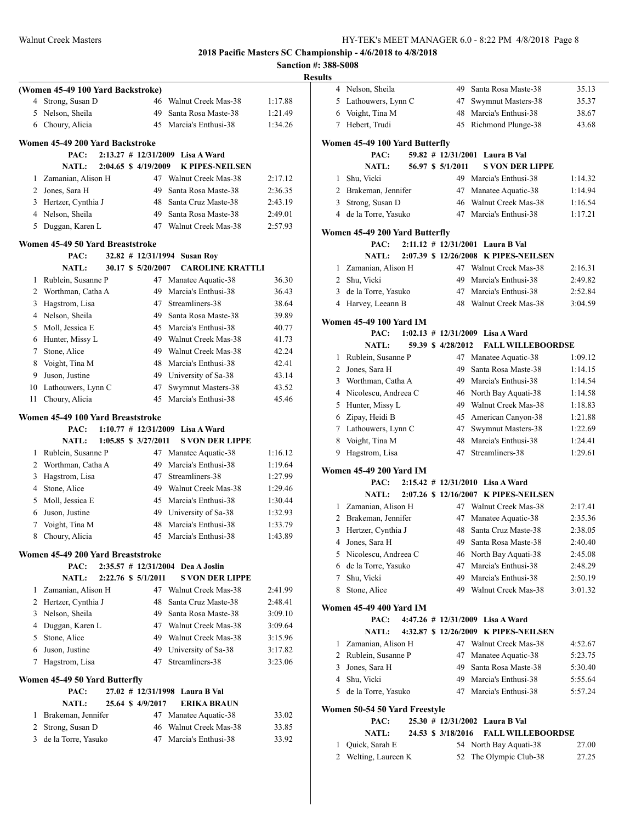|   |                                   |                          |                                    |         | <b>Sanction #: 388-S008</b> |
|---|-----------------------------------|--------------------------|------------------------------------|---------|-----------------------------|
|   |                                   |                          |                                    |         | <b>Results</b>              |
|   | (Women 45-49 100 Yard Backstroke) |                          |                                    |         | Nels<br>4                   |
|   | 4 Strong, Susan D                 |                          | 46 Walnut Creek Mas-38             | 1:17.88 | 5 Lath                      |
|   | 5 Nelson, Sheila                  |                          | 49 Santa Rosa Maste-38             | 1:21.49 | 6 Voig                      |
|   | 6 Choury, Alicia                  |                          | 45 Marcia's Enthusi-38             | 1:34.26 | Heb<br>7                    |
|   | Women 45-49 200 Yard Backstroke   |                          |                                    |         | Women 45                    |
|   | PAC:                              |                          | 2:13.27 # 12/31/2009 Lisa A Ward   |         |                             |
|   | <b>NATL:</b>                      | 2:04.65 \$4/19/2009      | <b>K PIPES-NEILSEN</b>             |         |                             |
|   | 1 Zamanian, Alison H              |                          | 47 Walnut Creek Mas-38             | 2:17.12 | Shu.<br>1                   |
|   | 2 Jones, Sara H                   | 49                       | Santa Rosa Maste-38                | 2:36.35 | 2<br>Bral                   |
|   | 3 Hertzer, Cynthia J              |                          | 48 Santa Cruz Maste-38             | 2:43.19 | 3<br>Stro                   |
|   | 4 Nelson, Sheila                  |                          | 49 Santa Rosa Maste-38             | 2:49.01 | $\overline{4}$<br>de la     |
|   | 5 Duggan, Karen L                 |                          | 47 Walnut Creek Mas-38             | 2:57.93 | Women 45                    |
|   | Women 45-49 50 Yard Breaststroke  |                          |                                    |         |                             |
|   | PAC:                              |                          | $32.82$ # 12/31/1994 Susan Roy     |         |                             |
|   | <b>NATL:</b>                      | 30.17 \$ 5/20/2007       | <b>CAROLINE KRATTLI</b>            |         | Zam<br>$\mathbf{1}$         |
|   | 1 Rublein, Susanne P              |                          | 47 Manatee Aquatic-38              | 36.30   | $\overline{2}$<br>Shu.      |
|   | 2 Worthman, Catha A               |                          | 49 Marcia's Enthusi-38             | 36.43   | 3<br>de la                  |
|   | 3 Hagstrom, Lisa                  | 47                       | Streamliners-38                    | 38.64   | 4 Har                       |
|   | 4 Nelson, Sheila                  |                          | 49 Santa Rosa Maste-38             | 39.89   | Women 45                    |
|   | 5 Moll, Jessica E                 |                          | 45 Marcia's Enthusi-38             | 40.77   |                             |
|   | 6 Hunter, Missy L                 |                          | 49 Walnut Creek Mas-38             | 41.73   |                             |
|   | 7 Stone, Alice                    |                          | 49 Walnut Creek Mas-38             | 42.24   | Rub<br>1                    |
|   | 8 Voight, Tina M                  |                          | 48 Marcia's Enthusi-38             | 42.41   | $\overline{2}$<br>Jone      |
|   | 9 Juson, Justine                  |                          | 49 University of Sa-38             | 43.14   | 3<br>Wor                    |
|   | 10 Lathouwers, Lynn C             |                          | 47 Swymnut Masters-38              | 43.52   | 4 Nice                      |
|   | 11 Choury, Alicia                 |                          | 45 Marcia's Enthusi-38             | 45.46   | 5.<br>Hun                   |
|   | Women 45-49 100 Yard Breaststroke |                          |                                    |         | 6<br>Zipa                   |
|   | PAC:                              |                          | $1:10.77$ # 12/31/2009 Lisa A Ward |         | 7<br>Lath                   |
|   | <b>NATL:</b>                      | $1:05.85$ \$ $3/27/2011$ | <b>S VON DER LIPPE</b>             |         | 8<br>Voig                   |
|   | 1 Rublein, Susanne P              |                          | 47 Manatee Aquatic-38              | 1:16.12 | 9<br>Hag                    |
|   | 2 Worthman, Catha A               |                          | 49 Marcia's Enthusi-38             | 1:19.64 |                             |
|   | 3 Hagstrom, Lisa                  | 47                       | Streamliners-38                    | 1:27.99 | Women 45                    |
|   | 4 Stone, Alice                    |                          | 49 Walnut Creek Mas-38             | 1:29.46 |                             |
|   | 5 Moll, Jessica E                 |                          | 45 Marcia's Enthusi-38             | 1:30.44 |                             |
|   | 6 Juson, Justine                  |                          | 49 University of Sa-38             | 1:32.93 | 1 Zam                       |
|   | 7 Voight, Tina M                  |                          | 48 Marcia's Enthusi-38             | 1:33.79 | 2<br>Bral                   |
|   | 8 Choury, Alicia                  |                          | 45 Marcia's Enthusi-38             | 1:43.89 | Hert<br>3                   |
|   |                                   |                          |                                    |         | 4<br>Jone                   |
|   | Women 45-49 200 Yard Breaststroke |                          |                                    |         | 5<br>Nico                   |
|   | PAC:                              |                          | 2:35.57 # 12/31/2004 Dea A Joslin  |         | de la<br>6                  |
|   | <b>NATL:</b>                      | 2:22.76 \$ 5/1/2011      | <b>S VON DER LIPPE</b>             |         | Shu,<br>7                   |
| 1 | Zamanian, Alison H                |                          | 47 Walnut Creek Mas-38             | 2:41.99 | Stor<br>8                   |
|   | 2 Hertzer, Cynthia J              |                          | 48 Santa Cruz Maste-38             | 2:48.41 | Women 45                    |
|   | 3 Nelson, Sheila                  |                          | 49 Santa Rosa Maste-38             | 3:09.10 |                             |
|   | 4 Duggan, Karen L                 |                          | 47 Walnut Creek Mas-38             | 3:09.64 |                             |
|   | 5 Stone, Alice                    |                          | 49 Walnut Creek Mas-38             | 3:15.96 | 1<br>Zam                    |
|   | 6 Juson, Justine                  |                          | 49 University of Sa-38             | 3:17.82 | 2<br>Rub                    |
|   | 7 Hagstrom, Lisa                  | 47                       | Streamliners-38                    | 3:23.06 | 3<br>Jone                   |
|   | Women 45-49 50 Yard Butterfly     |                          |                                    |         | $\overline{4}$<br>Shu.      |
|   | PAC:                              |                          | 27.02 # 12/31/1998 Laura B Val     |         | 5<br>de la                  |
|   | <b>NATL:</b>                      | 25.64 \$ 4/9/2017        | <b>ERIKA BRAUN</b>                 |         |                             |
|   | Brakeman, Jennifer                |                          | 47 Manatee Aquatic-38              | 33.02   | Women 50                    |
| 1 | 2 Strong, Susan D                 |                          | 46 Walnut Creek Mas-38             | 33.85   |                             |
| 3 | de la Torre, Yasuko               |                          | 47 Marcia's Enthusi-38             | 33.92   |                             |
|   |                                   |                          |                                    |         | Quio<br>1                   |
|   |                                   |                          |                                    |         | Wel<br>2                    |

| .      |                                |                         |                                       |                |
|--------|--------------------------------|-------------------------|---------------------------------------|----------------|
|        | 4 Nelson, Sheila               | 49                      | Santa Rosa Maste-38                   | 35.13          |
| 5      | Lathouwers, Lynn C             | 47                      | Swymnut Masters-38                    | 35.37          |
| 6      | Voight, Tina M                 | 48                      | Marcia's Enthusi-38                   | 38.67          |
|        | 7 Hebert, Trudi                | 45                      | Richmond Plunge-38                    | 43.68          |
|        |                                |                         |                                       |                |
|        | Women 45-49 100 Yard Butterfly |                         |                                       |                |
|        | PAC:                           |                         | 59.82 # 12/31/2001 Laura B Val        |                |
|        | <b>NATL:</b>                   | 56.97 \$ 5/1/2011       | <b>S VON DER LIPPE</b>                |                |
| 1      | Shu, Vicki                     |                         | 49 Marcia's Enthusi-38                | 1:14.32        |
|        | 2 Brakeman, Jennifer           | 47                      | Manatee Aquatic-38                    | 1:14.94        |
| 3      | Strong, Susan D                | 46                      | Walnut Creek Mas-38                   | 1:16.54        |
|        | 4 de la Torre, Yasuko          | 47                      | Marcia's Enthusi-38                   | 1:17.21        |
|        | Women 45-49 200 Yard Butterfly |                         |                                       |                |
|        | PAC:                           | $2:11.12 \# 12/31/2001$ | Laura B Val                           |                |
|        | <b>NATL:</b>                   |                         | 2:07.39 \$ 12/26/2008 K PIPES-NEILSEN |                |
|        | 1 Zamanian, Alison H           |                         | 47 Walnut Creek Mas-38                | 2:16.31        |
|        | 2 Shu, Vicki                   | 49                      | Marcia's Enthusi-38                   | 2:49.82        |
| 3      | de la Torre, Yasuko            |                         | 47 Marcia's Enthusi-38                | 2:52.84        |
|        | 4 Harvey, Leeann B             | 48                      | Walnut Creek Mas-38                   | 3:04.59        |
|        |                                |                         |                                       |                |
|        | Women 45-49 100 Yard IM        |                         |                                       |                |
|        | PAC:                           |                         | $1:02.13$ # $12/31/2009$ Lisa A Ward  |                |
|        | <b>NATL:</b>                   | 59.39 \$ 4/28/2012      | <b>FALL WILLEBOORDSE</b>              |                |
| 1      | Rublein, Susanne P             | 47                      | Manatee Aquatic-38                    | 1:09.12        |
|        | 2 Jones, Sara H                | 49                      | Santa Rosa Maste-38                   | 1:14.15        |
|        | 3 Worthman, Catha A            | 49                      | Marcia's Enthusi-38                   | 1:14.54        |
|        | 4 Nicolescu, Andreea C         | 46                      | North Bay Aquati-38                   | 1:14.58        |
|        | 5 Hunter, Missy L              | 49                      | Walnut Creek Mas-38                   | 1:18.83        |
| 6      | Zipay, Heidi B                 | 45                      | American Canyon-38                    | 1:21.88        |
|        | 7 Lathouwers, Lynn C           | 47                      | Swymnut Masters-38                    | 1:22.69        |
| 8      | Voight, Tina M                 | 48                      | Marcia's Enthusi-38                   | 1:24.41        |
| 9      | Hagstrom, Lisa                 | 47                      | Streamliners-38                       | 1:29.61        |
|        | <b>Women 45-49 200 Yard IM</b> |                         |                                       |                |
|        | PAC:                           |                         | $2:15.42 \# 12/31/2010$ Lisa A Ward   |                |
|        | <b>NATL:</b>                   |                         | 2:07.26 \$ 12/16/2007 K PIPES-NEILSEN |                |
| 1      | Zamanian, Alison H             |                         | 47 Walnut Creek Mas-38                | 2:17.41        |
|        | 2 Brakeman, Jennifer           | 47                      | Manatee Aquatic-38                    | 2:35.36        |
| 3      | Hertzer, Cynthia J             | 48                      | Santa Cruz Maste-38                   | 2:38.05        |
| 4      | Jones, Sara H                  | 49                      | Santa Rosa Maste-38                   | 2:40.40        |
|        | 5 Nicolescu, Andreea C         |                         | 46 North Bay Aquati-38                | 2:45.08        |
| 6      | de la Torre, Yasuko            | 47                      | Marcia's Enthusi-38                   | 2:48.29        |
|        | 7 Shu, Vicki                   |                         | 49 Marcia's Enthusi-38                | 2:50.19        |
| 8      | Stone, Alice                   |                         | 49 Walnut Creek Mas-38                | 3:01.32        |
|        |                                |                         |                                       |                |
|        | Women 45-49 400 Yard IM        |                         |                                       |                |
|        | PAC:                           |                         | 4:47.26 # 12/31/2009 Lisa A Ward      |                |
|        | <b>NATL:</b>                   |                         | 4:32.87 \$ 12/26/2009 K PIPES-NEILSEN |                |
| 1      | Zamanian, Alison H             |                         | 47 Walnut Creek Mas-38                | 4:52.67        |
|        | 2 Rublein, Susanne P           | 47                      | Manatee Aquatic-38                    | 5:23.75        |
| 3      | Jones, Sara H                  | 49                      | Santa Rosa Maste-38                   | 5:30.40        |
| 4      | Shu, Vicki                     |                         | 49 Marcia's Enthusi-38                | 5:55.64        |
| 5      | de la Torre, Yasuko            |                         | 47 Marcia's Enthusi-38                | 5:57.24        |
|        | Women 50-54 50 Yard Freestyle  |                         |                                       |                |
|        | PAC:                           |                         | 25.30 # 12/31/2002 Laura B Val        |                |
|        | <b>NATL:</b>                   | 24.53 \$ 3/18/2016      | <b>FALL WILLEBOORDSE</b>              |                |
|        | Quick, Sarah E                 |                         | 54 North Bay Aquati-38                |                |
| 1<br>2 |                                | 52                      | The Olympic Club-38                   | 27.00<br>27.25 |
|        | Welting, Laureen K             |                         |                                       |                |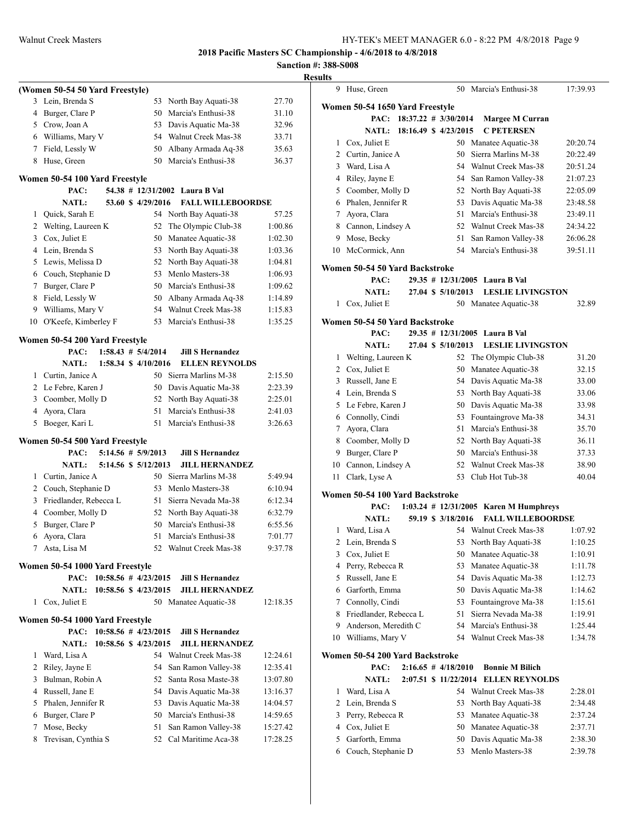## **Sanction #: 388-S008 Results**

|    | (Women 50-54 50 Yard Freestyle) |                          |                          |          |
|----|---------------------------------|--------------------------|--------------------------|----------|
| 3  | Lein, Brenda S                  | 53                       | North Bay Aquati-38      | 27.70    |
| 4  | Burger, Clare P                 |                          | 50 Marcia's Enthusi-38   | 31.10    |
|    | 5 Crow, Joan A                  |                          | 53 Davis Aquatic Ma-38   | 32.96    |
|    | 6 Williams, Mary V              |                          | 54 Walnut Creek Mas-38   | 33.71    |
| 7  | Field, Lessly W                 | 50                       | Albany Armada Aq-38      | 35.63    |
| 8  | Huse, Green                     | 50                       | Marcia's Enthusi-38      | 36.37    |
|    | Women 50-54 100 Yard Freestyle  |                          |                          |          |
|    | PAC:                            | 54.38 # 12/31/2002       | Laura B Val              |          |
|    | <b>NATL:</b>                    | 53.60 \$4/29/2016        | <b>FALL WILLEBOORDSE</b> |          |
| 1  | Quick, Sarah E                  | 54                       | North Bay Aquati-38      | 57.25    |
| 2  | Welting, Laureen K              | 52                       | The Olympic Club-38      | 1:00.86  |
| 3  | Cox, Juliet E                   | 50                       | Manatee Aquatic-38       | 1:02.30  |
| 4  | Lein, Brenda S                  |                          | 53 North Bay Aquati-38   | 1:03.36  |
| 5  | Lewis, Melissa D                |                          | 52 North Bay Aquati-38   | 1:04.81  |
|    | 6 Couch, Stephanie D            |                          | 53 Menlo Masters-38      | 1:06.93  |
| 7  | Burger, Clare P                 |                          | 50 Marcia's Enthusi-38   | 1:09.62  |
| 8  | Field, Lessly W                 |                          | 50 Albany Armada Aq-38   | 1:14.89  |
| 9  | Williams, Mary V                | 54                       | Walnut Creek Mas-38      | 1:15.83  |
| 10 | O'Keefe, Kimberley F            | 53                       | Marcia's Enthusi-38      | 1:35.25  |
|    | Women 50-54 200 Yard Freestyle  |                          |                          |          |
|    | PAC:                            | $1:58.43 \# 5/4/2014$    | <b>Jill S Hernandez</b>  |          |
|    | NATL:                           | 1:58.34 \$ 4/10/2016     | <b>ELLEN REYNOLDS</b>    |          |
| 1  | Curtin, Janice A                | 50                       | Sierra Marlins M-38      | 2:15.50  |
| 2  | Le Febre, Karen J               |                          | 50 Davis Aquatic Ma-38   | 2:23.39  |
| 3  | Coomber, Molly D                |                          | 52 North Bay Aquati-38   | 2:25.01  |
| 4  | Ayora, Clara                    | 51                       | Marcia's Enthusi-38      | 2:41.03  |
|    | 5 Boeger, Kari L                | 51                       | Marcia's Enthusi-38      | 3:26.63  |
|    | Women 50-54 500 Yard Freestyle  |                          |                          |          |
|    | PAC:                            | $5:14.56$ # $5/9/2013$   | <b>Jill S Hernandez</b>  |          |
|    | <b>NATL:</b>                    | 5:14.56 \$ 5/12/2013     | <b>JILL HERNANDEZ</b>    |          |
| 1  | Curtin, Janice A                | 50                       | Sierra Marlins M-38      | 5:49.94  |
| 2  | Couch, Stephanie D              | 53                       | Menlo Masters-38         | 6:10.94  |
| 3  | Friedlander, Rebecca L          | 51                       | Sierra Nevada Ma-38      | 6:12.34  |
| 4  | Coomber, Molly D                |                          | 52 North Bay Aquati-38   | 6:32.79  |
| 5  | Burger, Clare P                 |                          | 50 Marcia's Enthusi-38   | 6:55.56  |
|    | 6 Ayora, Clara                  |                          | 51 Marcia's Enthusi-38   | 7:01.77  |
|    | 7 Asta, Lisa M                  |                          | 52 Walnut Creek Mas-38   | 9:37.78  |
|    | Women 50-54 1000 Yard Freestyle |                          |                          |          |
|    | PAC:                            | $10:58.56$ # $4/23/2015$ | <b>Jill S Hernandez</b>  |          |
|    | NATL:                           | 10:58.56 \$ 4/23/2015    | <b>JILL HERNANDEZ</b>    |          |
| 1  | Cox, Juliet E                   |                          | 50 Manatee Aquatic-38    | 12:18.35 |
|    | Women 50-54 1000 Yard Freestyle |                          |                          |          |
|    | PAC:                            | $10:58.56$ # $4/23/2015$ | <b>Jill S Hernandez</b>  |          |
|    | <b>NATL:</b>                    | 10:58.56 \$ 4/23/2015    | <b>JILL HERNANDEZ</b>    |          |
| 1  | Ward, Lisa A                    |                          | 54 Walnut Creek Mas-38   | 12:24.61 |
| 2  | Riley, Jayne E                  | 54                       | San Ramon Valley-38      | 12:35.41 |
|    | 3 Bulman, Robin A               |                          | 52 Santa Rosa Maste-38   | 13:07.80 |
|    | 4 Russell, Jane E               |                          | 54 Davis Aquatic Ma-38   | 13:16.37 |
| 5  | Phalen, Jennifer R              |                          | 53 Davis Aquatic Ma-38   | 14:04.57 |
| 6  | Burger, Clare P                 |                          | 50 Marcia's Enthusi-38   | 14:59.65 |
| 7  | Mose, Becky                     | 51                       | San Ramon Valley-38      | 15:27.42 |
| 8  | Trevisan, Cynthia S             |                          | 52 Cal Maritime Aca-38   | 17:28.25 |
|    |                                 |                          |                          |          |

| 11 L.J              |                                         |                        |                                                    |                    |
|---------------------|-----------------------------------------|------------------------|----------------------------------------------------|--------------------|
| 9                   | Huse, Green                             |                        | 50 Marcia's Enthusi-38                             | 17:39.93           |
|                     | Women 50-54 1650 Yard Freestyle         |                        |                                                    |                    |
|                     | PAC:<br>$18:37.22 \# 3/30/2014$         |                        | Margee M Curran                                    |                    |
|                     | <b>NATL:</b>                            | 18:16.49 \$ 4/23/2015  | <b>C PETERSEN</b>                                  |                    |
| 1                   | Cox, Juliet E                           |                        | 50 Manatee Aquatic-38                              | 20:20.74           |
|                     | 2 Curtin, Janice A                      | 50                     | Sierra Marlins M-38                                | 20:22.49           |
| 3                   | Ward, Lisa A                            | 54                     | Walnut Creek Mas-38                                | 20:51.24           |
|                     | 4 Riley, Jayne E                        | 54                     | San Ramon Valley-38                                | 21:07.23           |
|                     | 5 Coomber, Molly D                      | 52                     | North Bay Aquati-38                                | 22:05.09           |
|                     | 6 Phalen, Jennifer R                    | 53                     | Davis Aquatic Ma-38                                | 23:48.58           |
|                     | 7 Ayora, Clara                          | 51                     | Marcia's Enthusi-38                                | 23:49.11           |
| 8                   | Cannon, Lindsey A                       | 52                     | Walnut Creek Mas-38                                | 24:34.22           |
| 9                   | Mose, Becky                             | 51                     | San Ramon Valley-38                                | 26:06.28           |
|                     | 10 McCormick, Ann                       | 54                     | Marcia's Enthusi-38                                | 39:51.11           |
|                     | Women 50-54 50 Yard Backstroke          |                        |                                                    |                    |
|                     | PAC:                                    |                        | 29.35 # 12/31/2005 Laura B Val                     |                    |
|                     | <b>NATL:</b>                            | 27.04 \$ 5/10/2013     | <b>LESLIE LIVINGSTON</b>                           |                    |
| 1                   | Cox, Juliet E                           |                        | 50 Manatee Aquatic-38                              | 32.89              |
|                     |                                         |                        |                                                    |                    |
|                     | Women 50-54 50 Yard Backstroke<br>PAC:  |                        | 29.35 # 12/31/2005 Laura B Val                     |                    |
|                     | <b>NATL:</b>                            | 27.04 \$ 5/10/2013     | <b>LESLIE LIVINGSTON</b>                           |                    |
| 1                   | Welting, Laureen K                      | 52                     | The Olympic Club-38                                | 31.20              |
|                     | 2 Cox, Juliet E                         | 50                     | Manatee Aquatic-38                                 | 32.15              |
|                     | 3 Russell, Jane E                       | 54                     | Davis Aquatic Ma-38                                | 33.00              |
|                     | 4 Lein, Brenda S                        | 53                     | North Bay Aquati-38                                | 33.06              |
|                     | 5 Le Febre, Karen J                     | 50                     | Davis Aquatic Ma-38                                | 33.98              |
|                     | 6 Connolly, Cindi                       | 53                     | Fountaingrove Ma-38                                | 34.31              |
|                     | 7 Ayora, Clara                          | 51                     | Marcia's Enthusi-38                                | 35.70              |
| 8                   | Coomber, Molly D                        | 52                     | North Bay Aquati-38                                | 36.11              |
| 9                   | Burger, Clare P                         |                        | 50 Marcia's Enthusi-38                             | 37.33              |
|                     | 10 Cannon, Lindsey A                    |                        | 52 Walnut Creek Mas-38                             | 38.90              |
| 11                  | Clark, Lyse A                           | 53                     | Club Hot Tub-38                                    | 40.04              |
|                     |                                         |                        |                                                    |                    |
|                     | Women 50-54 100 Yard Backstroke         |                        |                                                    |                    |
|                     | PAC:                                    |                        | $1:03.24$ # $12/31/2005$ Karen M Humphreys         |                    |
|                     | <b>NATL:</b>                            | 59.19 \$ 3/18/2016     | <b>FALL WILLEBOORDSE</b><br>54 Walnut Creek Mas-38 |                    |
| 1                   | Ward, Lisa A                            |                        |                                                    | 1:07.92            |
| $\overline{2}$<br>3 | Lein, Brenda S<br>Cox, Juliet E         | 50                     | 53 North Bay Aquati-38<br>Manatee Aquatic-38       | 1:10.25<br>1:10.91 |
| 4                   | Perry, Rebecca R                        | 53                     | Manatee Aquatic-38                                 | 1:11.78            |
| 5                   | Russell, Jane E                         | 54                     | Davis Aquatic Ma-38                                | 1:12.73            |
| 6                   | Garforth, Emma                          | 50                     | Davis Aquatic Ma-38                                | 1:14.62            |
| 7                   | Connolly, Cindi                         | 53                     | Fountaingrove Ma-38                                | 1:15.61            |
| 8                   | Friedlander, Rebecca L                  | 51                     | Sierra Nevada Ma-38                                | 1:19.91            |
| 9                   | Anderson, Meredith C                    | 54                     | Marcia's Enthusi-38                                | 1:25.44            |
| 10                  | Williams, Mary V                        | 54                     | Walnut Creek Mas-38                                | 1:34.78            |
|                     |                                         |                        |                                                    |                    |
|                     | Women 50-54 200 Yard Backstroke<br>PAC: | $2:16.65 \# 4/18/2010$ | <b>Bonnie M Bilich</b>                             |                    |
|                     | <b>NATL:</b>                            | 2:07.51 \$ 11/22/2014  | <b>ELLEN REYNOLDS</b>                              |                    |
| 1                   | Ward, Lisa A                            | 54                     | Walnut Creek Mas-38                                | 2:28.01            |
| 2                   | Lein, Brenda S                          | 53                     | North Bay Aquati-38                                | 2:34.48            |
| 3                   | Perry, Rebecca R                        | 53                     | Manatee Aquatic-38                                 | 2:37.24            |
| 4                   | Cox, Juliet E                           | 50                     | Manatee Aquatic-38                                 | 2:37.71            |
| 5                   | Garforth, Emma                          | 50                     | Davis Aquatic Ma-38                                | 2:38.30            |
| 6                   | Couch, Stephanie D                      | 53                     | Menlo Masters-38                                   | 2:39.78            |
|                     |                                         |                        |                                                    |                    |
|                     |                                         |                        |                                                    |                    |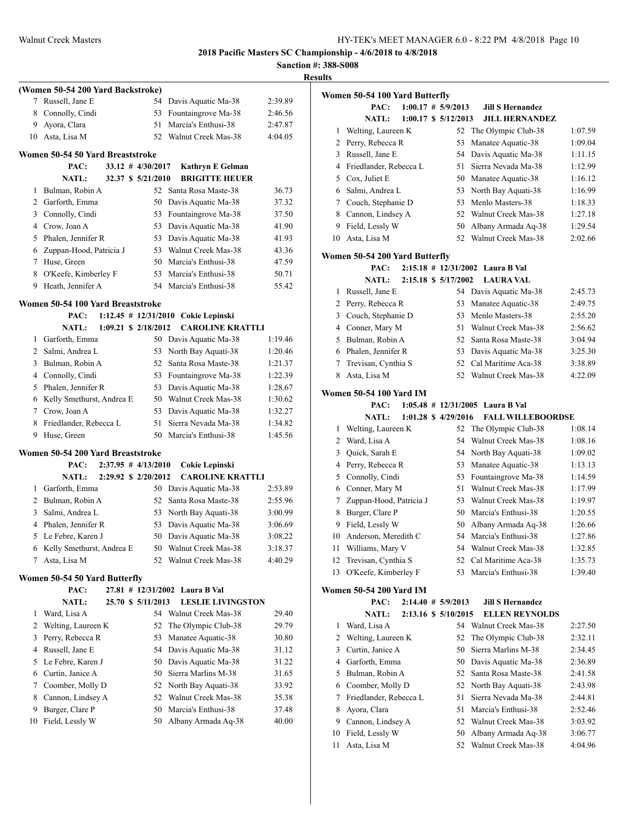|         | <b>Results</b> |
|---------|----------------|
| 2.20.80 | Wor            |

|                | (Women 50-54 200 Yard Backstroke)         |          |                                            |                    |
|----------------|-------------------------------------------|----------|--------------------------------------------|--------------------|
| 7              | Russell, Jane E                           | 54       | Davis Aquatic Ma-38                        | 2:39.89            |
| 8              | Connolly, Cindi                           | 53       | Fountaingrove Ma-38                        | 2:46.56            |
| 9              | Ayora, Clara                              | 51       | Marcia's Enthusi-38                        | 2:47.87            |
| 10             | Asta, Lisa M                              | 52       | Walnut Creek Mas-38                        | 4:04.05            |
|                | Women 50-54 50 Yard Breaststroke          |          |                                            |                    |
|                | $33.12$ # $4/30/2017$<br>PAC:             |          | Kathryn E Gelman                           |                    |
|                | 32.37 \$ 5/21/2010<br><b>NATL:</b>        |          | <b>BRIGITTE HEUER</b>                      |                    |
| 1              | Bulman, Robin A                           | 52       | Santa Rosa Maste-38                        | 36.73              |
|                | 2 Garforth, Emma                          | 50       | Davis Aquatic Ma-38                        | 37.32              |
| 3              | Connolly, Cindi                           | 53       | Fountaingrove Ma-38                        | 37.50              |
| 4              | Crow, Joan A                              | 53       | Davis Aquatic Ma-38                        | 41.90              |
| 5              | Phalen, Jennifer R                        | 53       | Davis Aquatic Ma-38                        | 41.93              |
| 6              | Zuppan-Hood, Patricia J                   | 53       | Walnut Creek Mas-38                        | 43.36              |
| 7              | Huse, Green                               | 50       | Marcia's Enthusi-38                        | 47.59              |
| 8              | O'Keefe, Kimberley F                      | 53       | Marcia's Enthusi-38                        | 50.71              |
| 9              | Heath, Jennifer A                         | 54       | Marcia's Enthusi-38                        | 55.42              |
|                | Women 50-54 100 Yard Breaststroke         |          |                                            |                    |
|                | PAC:                                      |          | 1:12.45 # 12/31/2010 Cokie Lepinski        |                    |
|                | 1:09.21 \$ 2/18/2012<br><b>NATL:</b>      |          | <b>CAROLINE KRATTLI</b>                    |                    |
| 1              | Garforth, Emma                            |          | 50 Davis Aquatic Ma-38                     | 1:19.46            |
| $\overline{2}$ | Salmi, Andrea L                           | 53       | North Bay Aquati-38                        | 1:20.46            |
| 3              | Bulman, Robin A                           | 52       | Santa Rosa Maste-38                        | 1:21.37            |
| 4              | Connolly, Cindi                           | 53       | Fountaingrove Ma-38                        | 1:22.39            |
| 5              | Phalen, Jennifer R                        | 53       | Davis Aquatic Ma-38                        | 1:28.67            |
| 6              | Kelly Smethurst, Andrea E                 | 50       | Walnut Creek Mas-38                        | 1:30.62            |
|                | 7 Crow, Joan A                            | 53       | Davis Aquatic Ma-38                        | 1:32.27            |
| 8              | Friedlander, Rebecca L                    | 51       | Sierra Nevada Ma-38                        | 1:34.82            |
| 9              | Huse, Green                               | 50       | Marcia's Enthusi-38                        | 1:45.56            |
|                | Women 50-54 200 Yard Breaststroke         |          |                                            |                    |
|                | $2:37.95$ # $4/13/2010$<br>PAC:           |          | Cokie Lepinski                             |                    |
|                | 2:29.92 \$ 2/20/2012<br><b>NATL:</b>      |          | <b>CAROLINE KRATTLI</b>                    |                    |
| 1              | Garforth, Emma<br>2 Bulman, Robin A       | 50       | Davis Aquatic Ma-38<br>Santa Rosa Maste-38 | 2:53.89            |
|                | Salmi, Andrea L                           | 52       |                                            | 2:55.96            |
| 3              | 4 Phalen, Jennifer R                      | 53<br>53 | North Bay Aquati-38<br>Davis Aquatic Ma-38 | 3:00.99            |
| 5              | Le Febre, Karen J                         | 50       |                                            | 3:06.69            |
|                |                                           |          | Davis Aquatic Ma-38                        | 3:08.22            |
| 6<br>7         | Kelly Smethurst, Andrea E<br>Asta, Lisa M | 50<br>52 | Walnut Creek Mas-38<br>Walnut Creek Mas-38 | 3:18.37<br>4:40.29 |
|                |                                           |          |                                            |                    |
|                | Women 50-54 50 Yard Butterfly             |          |                                            |                    |
|                | PAC:                                      |          | 27.81 # 12/31/2002 Laura B Val             |                    |
|                | NATL:<br>25.70 \$ 5/11/2013               |          | <b>LESLIE LIVINGSTON</b>                   |                    |
| 1<br>2         | Ward, Lisa A                              | 54       | Walnut Creek Mas-38                        | 29.40              |
|                | Welting, Laureen K                        | 52       | The Olympic Club-38                        | 29.79              |
| 3<br>4         | Perry, Rebecca R<br>Russell, Jane E       | 53<br>54 | Manatee Aquatic-38<br>Davis Aquatic Ma-38  | 30.80<br>31.12     |
| 5              | Le Febre, Karen J                         | 50       | Davis Aquatic Ma-38                        | 31.22              |
| 6              | Curtin, Janice A                          | 50       | Sierra Marlins M-38                        |                    |
| 7              | Coomber, Molly D                          | 52       | North Bay Aquati-38                        | 31.65<br>33.92     |
| 8              | Cannon, Lindsey A                         | 52       | Walnut Creek Mas-38                        | 35.38              |
| 9              | Burger, Clare P                           | 50       | Marcia's Enthusi-38                        | 37.48              |
| 10             | Field, Lessly W                           | 50       | Albany Armada Aq-38                        | 40.00              |
|                |                                           |          |                                            |                    |

|                | Women 50-54 100 Yard Butterfly |  |                               |                                      |         |
|----------------|--------------------------------|--|-------------------------------|--------------------------------------|---------|
|                | PAC:                           |  | $1:00.17$ # $5/9/2013$        | <b>Jill S Hernandez</b>              |         |
|                | <b>NATL:</b>                   |  | $1:00.17 \text{ } $5/12/2013$ | <b>JILL HERNANDEZ</b>                |         |
| 1              | Welting, Laureen K             |  | 52                            | The Olympic Club-38                  | 1:07.59 |
| $\overline{2}$ | Perry, Rebecca R               |  | 53                            | Manatee Aquatic-38                   | 1:09.04 |
| 3              | Russell, Jane E                |  | 54                            | Davis Aquatic Ma-38                  | 1:11.15 |
| 4              | Friedlander, Rebecca L         |  | 51                            | Sierra Nevada Ma-38                  | 1:12.99 |
| 5              | Cox, Juliet E                  |  | 50                            | Manatee Aquatic-38                   | 1:16.12 |
| 6              | Salmi, Andrea L                |  | 53                            | North Bay Aquati-38                  | 1:16.99 |
| 7              | Couch, Stephanie D             |  | 53                            | Menlo Masters-38                     | 1:18.33 |
| 8              | Cannon, Lindsey A              |  | 52                            | Walnut Creek Mas-38                  | 1:27.18 |
| 9              | Field, Lessly W                |  | 50                            | Albany Armada Aq-38                  | 1:29.54 |
| 10             | Asta, Lisa M                   |  | 52                            | Walnut Creek Mas-38                  | 2:02.66 |
|                |                                |  |                               |                                      |         |
|                | Women 50-54 200 Yard Butterfly |  |                               | 2:15.18 # 12/31/2002 Laura B Val     |         |
|                | PAC:                           |  |                               |                                      |         |
|                | <b>NATL:</b>                   |  | 2:15.18 \$ 5/17/2002          | <b>LAURA VAL</b>                     |         |
| 1              | Russell, Jane E                |  | 54                            | Davis Aquatic Ma-38                  | 2:45.73 |
| 2              | Perry, Rebecca R               |  | 53                            | Manatee Aquatic-38                   | 2:49.75 |
| 3              | Couch, Stephanie D             |  | 53                            | Menlo Masters-38                     | 2:55.20 |
| 4              | Conner, Mary M                 |  | 51                            | Walnut Creek Mas-38                  | 2:56.62 |
| 5              | Bulman, Robin A                |  | 52                            | Santa Rosa Maste-38                  | 3:04.94 |
| 6              | Phalen, Jennifer R             |  | 53                            | Davis Aquatic Ma-38                  | 3:25.30 |
| 7              | Trevisan, Cynthia S            |  | 52                            | Cal Maritime Aca-38                  | 3:38.89 |
| 8              | Asta. Lisa M                   |  | 52                            | Walnut Creek Mas-38                  | 4:22.09 |
|                | <b>Women 50-54 100 Yard IM</b> |  |                               |                                      |         |
|                | PAC:                           |  |                               | $1:05.48$ # $12/31/2005$ Laura B Val |         |
|                | <b>NATL:</b>                   |  | 1:01.28 \$ 4/29/2016          | <b>FALL WILLEBOORDSE</b>             |         |
| 1              | Welting, Laureen K             |  | 52                            | The Olympic Club-38                  | 1:08.14 |
| $\overline{2}$ | Ward, Lisa A                   |  | 54                            | Walnut Creek Mas-38                  | 1:08.16 |
| 3              | Quick, Sarah E                 |  | 54                            | North Bay Aquati-38                  | 1:09.02 |
| 4              | Perry, Rebecca R               |  | 53                            | Manatee Aquatic-38                   | 1:13.13 |
| 5              | Connolly, Cindi                |  | 53                            | Fountaingrove Ma-38                  | 1:14.59 |
| 6              | Conner, Mary M                 |  | 51                            | Walnut Creek Mas-38                  | 1:17.99 |
| 7              | Zuppan-Hood, Patricia J        |  | 53                            | Walnut Creek Mas-38                  | 1:19.97 |
| 8              | Burger, Clare P                |  | 50                            | Marcia's Enthusi-38                  | 1:20.55 |
| 9              | Field, Lessly W                |  | 50                            | Albany Armada Aq-38                  | 1:26.66 |
| 10             | Anderson, Meredith C           |  | 54                            | Marcia's Enthusi-38                  | 1:27.86 |
| 11             | Williams, Mary V               |  | 54                            | Walnut Creek Mas-38                  | 1:32.85 |
| 12             | Trevisan, Cynthia S            |  | 52                            | Cal Maritime Aca-38                  | 1:35.73 |
| 13             | O'Keefe, Kimberley F           |  | 53                            | Marcia's Enthusi-38                  | 1:39.40 |
|                | Women 50-54 200 Yard IM        |  |                               |                                      |         |
|                | PAC:                           |  | $2:14.40 \# 5/9/2013$         | <b>Jill S Hernandez</b>              |         |
|                | <b>NATL:</b>                   |  | 2:13.16 \$ 5/10/2015          | <b>ELLEN REYNOLDS</b>                |         |
| 1              | Ward, Lisa A                   |  |                               | 54 Walnut Creek Mas-38               | 2:27.50 |
| 2              | Welting, Laureen K             |  | 52                            | The Olympic Club-38                  | 2:32.11 |
| 3              | Curtin, Janice A               |  | 50                            | Sierra Marlins M-38                  | 2:34.45 |
| 4              | Garforth, Emma                 |  | 50                            | Davis Aquatic Ma-38                  | 2:36.89 |
| 5              | Bulman, Robin A                |  | 52                            | Santa Rosa Maste-38                  | 2:41.58 |
| 6              | Coomber, Molly D               |  | 52                            | North Bay Aquati-38                  | 2:43.98 |
| 7              | Friedlander, Rebecca L         |  | 51                            | Sierra Nevada Ma-38                  | 2:44.81 |
| 8              | Ayora, Clara                   |  | 51                            | Marcia's Enthusi-38                  | 2:52.46 |
| 9              | Cannon, Lindsey A              |  | 52                            | Walnut Creek Mas-38                  | 3:03.92 |
| 10             | Field, Lessly W                |  | 50                            | Albany Armada Aq-38                  | 3:06.77 |
| 11             | Asta, Lisa M                   |  | 52                            | Walnut Creek Mas-38                  | 4:04.96 |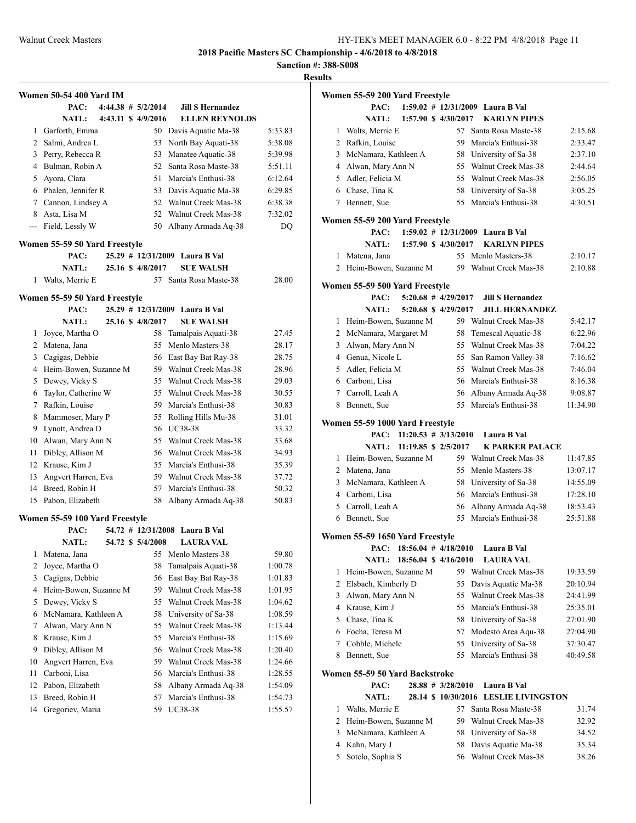**Sanction #: 388-S008**

**Results**

|              | Women 50-54 400 Yard IM        |  |                        |                                |         |
|--------------|--------------------------------|--|------------------------|--------------------------------|---------|
|              | PAC:                           |  | $4:44.38$ # $5/2/2014$ | <b>Jill S Hernandez</b>        |         |
|              | <b>NATL:</b>                   |  | 4:43.11 \$ 4/9/2016    | <b>ELLEN REYNOLDS</b>          |         |
| $\mathbf{1}$ | Garforth, Emma                 |  |                        | 50 Davis Aquatic Ma-38         | 5:33.83 |
|              | 2 Salmi, Andrea L              |  | 53                     | North Bay Aquati-38            | 5:38.08 |
| 3            | Perry, Rebecca R               |  | 53                     | Manatee Aquatic-38             | 5:39.98 |
|              | 4 Bulman, Robin A              |  | 52                     | Santa Rosa Maste-38            | 5:51.11 |
| 5            | Ayora, Clara                   |  | 51                     | Marcia's Enthusi-38            | 6:12.64 |
|              | 6 Phalen, Jennifer R           |  | 53                     | Davis Aquatic Ma-38            | 6:29.85 |
|              | 7 Cannon, Lindsey A            |  | 52                     | Walnut Creek Mas-38            | 6:38.38 |
| 8            | Asta, Lisa M                   |  | 52                     | Walnut Creek Mas-38            | 7:32.02 |
| $---$        | Field, Lessly W                |  | 50                     | Albany Armada Aq-38            | DQ      |
|              | Women 55-59 50 Yard Freestyle  |  |                        |                                |         |
|              | PAC:                           |  |                        | 25.29 # 12/31/2009 Laura B Val |         |
|              | <b>NATL:</b>                   |  | 25.16 \$ 4/8/2017      | <b>SUE WALSH</b>               |         |
| 1            | Walts, Merrie E                |  | 57                     | Santa Rosa Maste-38            | 28.00   |
|              |                                |  |                        |                                |         |
|              | Women 55-59 50 Yard Freestyle  |  |                        |                                |         |
|              | PAC:                           |  |                        | 25.29 # 12/31/2009 Laura B Val |         |
|              | <b>NATL:</b>                   |  | 25.16 \$ 4/8/2017      | <b>SUE WALSH</b>               |         |
| 1            | Joyce, Martha O                |  | 58                     | Tamalpais Aquati-38            | 27.45   |
|              | 2 Matena, Jana                 |  | 55                     | Menlo Masters-38               | 28.17   |
| 3            | Cagigas, Debbie                |  | 56                     | East Bay Bat Ray-38            | 28.75   |
|              | 4 Heim-Bowen, Suzanne M        |  | 59                     | Walnut Creek Mas-38            | 28.96   |
| 5            | Dewey, Vicky S                 |  | 55                     | Walnut Creek Mas-38            | 29.03   |
| 6            | Taylor, Catherine W            |  | 55                     | Walnut Creek Mas-38            | 30.55   |
| 7            | Rafkin, Louise                 |  | 59                     | Marcia's Enthusi-38            | 30.83   |
| 8            | Mammoser, Mary P               |  | 55                     | Rolling Hills Mu-38            | 31.01   |
| 9            | Lynott, Andrea D               |  | 56                     | UC38-38                        | 33.32   |
| 10           | Alwan, Mary Ann N              |  | 55                     | Walnut Creek Mas-38            | 33.68   |
| 11           | Dibley, Allison M              |  | 56                     | Walnut Creek Mas-38            | 34.93   |
|              | 12 Krause, Kim J               |  | 55                     | Marcia's Enthusi-38            | 35.39   |
| 13           | Angvert Harren, Eva            |  | 59                     | Walnut Creek Mas-38            | 37.72   |
|              | 14 Breed, Robin H              |  | 57                     | Marcia's Enthusi-38            | 50.32   |
| 15           | Pabon, Elizabeth               |  | 58                     | Albany Armada Aq-38            | 50.83   |
|              | Women 55-59 100 Yard Freestyle |  |                        |                                |         |
|              | PAC:                           |  | 54.72 # 12/31/2008     | Laura B Val                    |         |
|              | <b>NATL:</b>                   |  | 54.72 \$ 5/4/2008      | <b>LAURA VAL</b>               |         |
| 1            | Matena, Jana                   |  | 55                     | Menlo Masters-38               | 59.80   |
| 2            | Joyce, Martha O                |  | 58                     | Tamalpais Aquati-38            | 1:00.78 |
| 3            | Cagigas, Debbie                |  | 56                     | East Bay Bat Ray-38            | 1:01.83 |
| 4            | Heim-Bowen, Suzanne M          |  | 59                     | Walnut Creek Mas-38            | 1:01.95 |
| 5            | Dewey, Vicky S                 |  | 55                     | Walnut Creek Mas-38            | 1:04.62 |
| 6            | McNamara, Kathleen A           |  | 58                     | University of Sa-38            | 1:08.59 |
| 7            | Alwan, Mary Ann N              |  | 55                     | Walnut Creek Mas-38            | 1:13.44 |
| 8            | Krause, Kim J                  |  | 55                     | Marcia's Enthusi-38            | 1:15.69 |
| 9            | Dibley, Allison M              |  | 56                     | Walnut Creek Mas-38            | 1:20.40 |
| 10           | Angvert Harren, Eva            |  | 59                     | Walnut Creek Mas-38            | 1:24.66 |
| 11           | Carboni, Lisa                  |  | 56                     | Marcia's Enthusi-38            | 1:28.55 |
| 12           | Pabon, Elizabeth               |  | 58                     | Albany Armada Aq-38            | 1:54.09 |
| 13           | Breed, Robin H                 |  | 57                     | Marcia's Enthusi-38            | 1:54.73 |
| 14           | Gregoriev, Maria               |  | 59                     | UC38-38                        | 1:55.57 |
|              |                                |  |                        |                                |         |

|   | Women 55-59 200 Yard Freestyle           |  |                                 |                                                  |                      |
|---|------------------------------------------|--|---------------------------------|--------------------------------------------------|----------------------|
|   | PAC:                                     |  |                                 | 1:59.02 # 12/31/2009 Laura B Val                 |                      |
|   | <b>NATL:</b>                             |  | 1:57.90 \$ 4/30/2017            | <b>KARLYN PIPES</b>                              |                      |
| 1 | Walts, Merrie E                          |  | 57                              | Santa Rosa Maste-38                              | 2:15.68              |
|   | 2 Rafkin, Louise                         |  |                                 | 59 Marcia's Enthusi-38                           | 2:33.47              |
|   | 3 McNamara, Kathleen A                   |  |                                 | 58 University of Sa-38                           | 2:37.10              |
|   | 4 Alwan, Mary Ann N                      |  |                                 | 55 Walnut Creek Mas-38                           | 2:44.64              |
|   | 5 Adler, Felicia M                       |  |                                 | 55 Walnut Creek Mas-38                           | 2:56.05              |
|   | 6 Chase, Tina K                          |  |                                 | 58 University of Sa-38                           | 3:05.25              |
| 7 | Bennett, Sue                             |  | 55                              | Marcia's Enthusi-38                              | 4:30.51              |
|   |                                          |  |                                 |                                                  |                      |
|   | Women 55-59 200 Yard Freestyle           |  |                                 | 1:59.02 # 12/31/2009 Laura B Val                 |                      |
|   | PAC:                                     |  |                                 |                                                  |                      |
|   | <b>NATL:</b>                             |  | $1:57.90 \text{ }$ \$ 4/30/2017 | <b>KARLYN PIPES</b>                              |                      |
|   | 1 Matena, Jana                           |  |                                 | 55 Menlo Masters-38                              | 2:10.17              |
|   | 2 Heim-Bowen, Suzanne M                  |  |                                 | 59 Walnut Creek Mas-38                           | 2:10.88              |
|   | Women 55-59 500 Yard Freestyle           |  |                                 |                                                  |                      |
|   | PAC:                                     |  | $5:20.68$ # 4/29/2017           | <b>Jill S Hernandez</b>                          |                      |
|   | <b>NATL:</b>                             |  | 5:20.68 \$4/29/2017             | <b>JILL HERNANDEZ</b>                            |                      |
|   | 1 Heim-Bowen, Suzanne M                  |  |                                 | 59 Walnut Creek Mas-38                           | 5:42.17              |
|   | 2 McNamara, Margaret M                   |  | 58                              | Temescal Aquatic-38                              | 6:22.96              |
| 3 | Alwan, Mary Ann N                        |  |                                 | 55 Walnut Creek Mas-38                           | 7:04.22              |
|   | 4 Genua, Nicole L                        |  |                                 | 55 San Ramon Valley-38                           | 7:16.62              |
|   | 5 Adler, Felicia M                       |  |                                 | 55 Walnut Creek Mas-38                           | 7:46.04              |
|   | 6 Carboni, Lisa                          |  |                                 | 56 Marcia's Enthusi-38                           | 8:16.38              |
|   | 7 Carroll, Leah A                        |  |                                 | 56 Albany Armada Aq-38                           | 9:08.87              |
|   | 8 Bennett, Sue                           |  | 55                              | Marcia's Enthusi-38                              | 11:34.90             |
|   |                                          |  |                                 |                                                  |                      |
|   | Women 55-59 1000 Yard Freestyle          |  |                                 |                                                  |                      |
|   | PAC:                                     |  | $11:20.53 \# 3/13/2010$         | Laura B Val                                      |                      |
|   | <b>NATL:</b>                             |  | 11:19.85 \$ 2/5/2017            | <b>K PARKER PALACE</b>                           |                      |
|   | 1 Heim-Bowen, Suzanne M                  |  |                                 | 59 Walnut Creek Mas-38                           | 11:47.85             |
|   | 2 Matena, Jana<br>3 McNamara, Kathleen A |  |                                 | 55 Menlo Masters-38                              | 13:07.17             |
|   |                                          |  |                                 | 58 University of Sa-38                           | 14:55.09             |
|   | 4 Carboni, Lisa                          |  |                                 | 56 Marcia's Enthusi-38                           | 17:28.10             |
|   | 5 Carroll, Leah A                        |  |                                 | 56 Albany Armada Aq-38<br>55 Marcia's Enthusi-38 | 18:53.43<br>25:51.88 |
|   | 6 Bennett, Sue                           |  |                                 |                                                  |                      |
|   | Women 55-59 1650 Yard Freestyle          |  |                                 |                                                  |                      |
|   |                                          |  | PAC: $18:56.04 \# 4/18/2010$    | Laura B Val                                      |                      |
|   | <b>NATL:</b>                             |  | 18:56.04 \$ 4/16/2010           | <b>LAURA VAL</b>                                 |                      |
| 1 | Heim-Bowen, Suzanne M                    |  | 59                              | Walnut Creek Mas-38                              | 19:33.59             |
| 2 | Elsbach, Kimberly D                      |  | 55                              | Davis Aquatic Ma-38                              | 20:10.94             |
| 3 | Alwan, Mary Ann N                        |  | 55                              | Walnut Creek Mas-38                              | 24:41.99             |
| 4 | Krause, Kim J                            |  | 55                              | Marcia's Enthusi-38                              | 25:35.01             |
| 5 | Chase, Tina K                            |  | 58                              | University of Sa-38                              | 27:01.90             |
| 6 | Focha, Teresa M                          |  | 57                              | Modesto Area Aqu-38                              | 27:04.90             |
| 7 | Cobble, Michele                          |  | 55                              | University of Sa-38                              | 37:30.47             |
| 8 | Bennett, Sue                             |  | 55                              | Marcia's Enthusi-38                              | 40:49.58             |
|   |                                          |  |                                 |                                                  |                      |
|   | Women 55-59 50 Yard Backstroke           |  |                                 |                                                  |                      |
|   | PAC:                                     |  | $28.88 \# 3/28/2010$            | Laura B Val                                      |                      |
|   | <b>NATL:</b>                             |  |                                 | 28.14 \$ 10/30/2016 LESLIE LIVINGSTON            |                      |
| 1 | Walts, Merrie E                          |  | 57                              | Santa Rosa Maste-38                              | 31.74                |
| 2 | Heim-Bowen, Suzanne M                    |  |                                 | 59 Walnut Creek Mas-38                           | 32.92                |
| 3 | McNamara, Kathleen A                     |  | 58                              | University of Sa-38                              | 34.52                |
| 4 | Kahn, Mary J                             |  | 58                              | Davis Aquatic Ma-38                              | 35.34                |

5 Sotelo, Sophia S 56 Walnut Creek Mas-38 38.26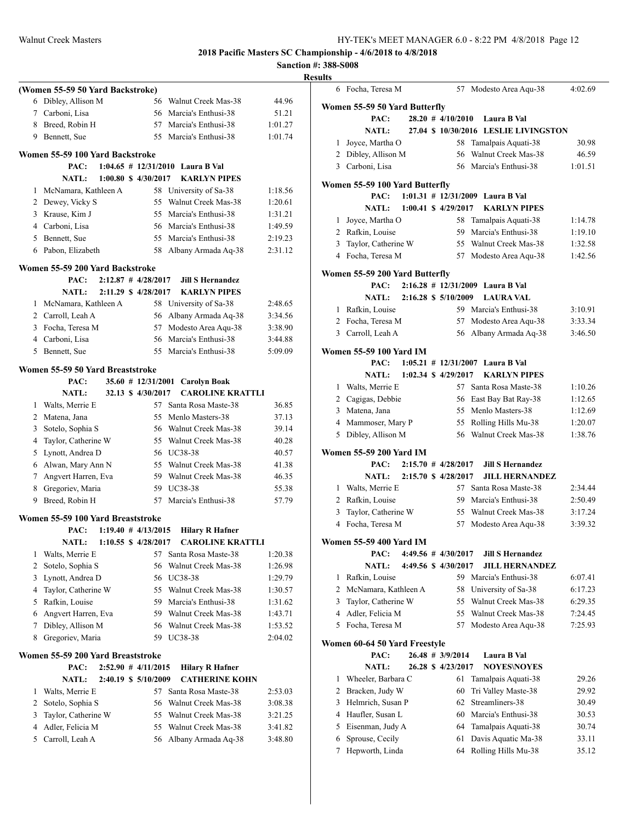**Sanction #: 388-S008 Results**

|                | (Women 55-59 50 Yard Backstroke)  |                         |                                  |         |
|----------------|-----------------------------------|-------------------------|----------------------------------|---------|
| 6              | Dibley, Allison M                 | 56                      | Walnut Creek Mas-38              | 44.96   |
|                | 7 Carboni, Lisa                   |                         | 56 Marcia's Enthusi-38           | 51.21   |
|                | 8 Breed, Robin H                  |                         | 57 Marcia's Enthusi-38           | 1:01.27 |
|                | 9 Bennett, Sue                    |                         | 55 Marcia's Enthusi-38           | 1:01.74 |
|                | Women 55-59 100 Yard Backstroke   |                         |                                  |         |
|                | PAC:                              |                         | 1:04.65 # 12/31/2010 Laura B Val |         |
|                | <b>NATL:</b>                      | 1:00.80 \$ 4/30/2017    | <b>KARLYN PIPES</b>              |         |
| 1              | McNamara, Kathleen A              | 58                      | University of Sa-38              | 1:18.56 |
| 2              | Dewey, Vicky S                    | 55                      | Walnut Creek Mas-38              | 1:20.61 |
|                | 3 Krause, Kim J                   |                         | 55 Marcia's Enthusi-38           | 1:31.21 |
|                | 4 Carboni, Lisa                   |                         | 56 Marcia's Enthusi-38           | 1:49.59 |
|                | 5 Bennett, Sue                    |                         | 55 Marcia's Enthusi-38           | 2:19.23 |
|                | 6 Pabon, Elizabeth                |                         | 58 Albany Armada Aq-38           | 2:31.12 |
|                | Women 55-59 200 Yard Backstroke   |                         |                                  |         |
|                | PAC:                              | $2:12.87$ # 4/28/2017   | <b>Jill S Hernandez</b>          |         |
|                | <b>NATL:</b>                      | 2:11.29 \$ 4/28/2017    | <b>KARLYN PIPES</b>              |         |
| 1              | McNamara, Kathleen A              |                         | 58 University of Sa-38           | 2:48.65 |
|                | 2 Carroll, Leah A                 |                         | 56 Albany Armada Aq-38           | 3:34.56 |
| 3              | Focha, Teresa M                   | 57                      | Modesto Area Aqu-38              | 3:38.90 |
|                | 4 Carboni, Lisa                   |                         | 56 Marcia's Enthusi-38           | 3:44.88 |
| 5              | Bennett, Sue                      | 55                      | Marcia's Enthusi-38              | 5:09.09 |
|                | Women 55-59 50 Yard Breaststroke  |                         |                                  |         |
|                | PAC:                              | $35.60$ # 12/31/2001    | Carolyn Boak                     |         |
|                | <b>NATL:</b>                      | 32.13 \$ 4/30/2017      | <b>CAROLINE KRATTLI</b>          |         |
| 1              | Walts, Merrie E                   |                         | 57 Santa Rosa Maste-38           | 36.85   |
|                | 2 Matena, Jana                    | 55                      | Menlo Masters-38                 | 37.13   |
| 3              | Sotelo, Sophia S                  |                         | 56 Walnut Creek Mas-38           | 39.14   |
| 4              | Taylor, Catherine W               |                         | 55 Walnut Creek Mas-38           | 40.28   |
| 5              | Lynott, Andrea D                  |                         | 56 UC38-38                       | 40.57   |
|                | 6 Alwan, Mary Ann N               |                         | 55 Walnut Creek Mas-38           | 41.38   |
| 7              | Angvert Harren, Eva               |                         | 59 Walnut Creek Mas-38           | 46.35   |
|                | 8 Gregoriev, Maria                |                         | 59 UC38-38                       | 55.38   |
| 9              | Breed, Robin H                    | 57                      | Marcia's Enthusi-38              | 57.79   |
|                | Women 55-59 100 Yard Breaststroke |                         |                                  |         |
|                | PAC:                              | $1:19.40 \# 4/13/2015$  | <b>Hilary R Hafner</b>           |         |
|                | <b>NATL:</b>                      | 1:10.55 \$ 4/28/2017    | <b>CAROLINE KRATTLI</b>          |         |
| 1              | Walts, Merrie E                   | 57                      | Santa Rosa Maste-38              | 1:20.38 |
| $\overline{c}$ | Sotelo, Sophia S                  | 56                      | Walnut Creek Mas-38              | 1:26.98 |
| 3              | Lynott, Andrea D                  | 56                      | <b>UC38-38</b>                   | 1:29.79 |
| 4              | Taylor, Catherine W               | 55                      | Walnut Creek Mas-38              | 1:30.57 |
| 5              | Rafkin, Louise                    | 59                      | Marcia's Enthusi-38              | 1:31.62 |
| 6              | Angvert Harren, Eva               |                         | 59 Walnut Creek Mas-38           | 1:43.71 |
| 7              | Dibley, Allison M                 |                         | 56 Walnut Creek Mas-38           | 1:53.52 |
| 8              | Gregoriev, Maria                  | 59                      | UC38-38                          | 2:04.02 |
|                | Women 55-59 200 Yard Breaststroke |                         |                                  |         |
|                | PAC:                              | $2:52.90$ # $4/11/2015$ | <b>Hilary R Hafner</b>           |         |
|                | <b>NATL:</b>                      | 2:40.19 \$ 5/10/2009    | <b>CATHERINE KOHN</b>            |         |
| 1              | Walts, Merrie E                   | 57                      | Santa Rosa Maste-38              | 2:53.03 |
| 2              | Sotelo, Sophia S                  | 56                      | Walnut Creek Mas-38              | 3:08.38 |
| 3              | Taylor, Catherine W               | 55                      | Walnut Creek Mas-38              | 3:21.25 |
| 4              | Adler, Felicia M                  | 55                      | Walnut Creek Mas-38              | 3:41.82 |
| 5              | Carroll, Leah A                   | 56                      | Albany Armada Aq-38              | 3:48.80 |
|                |                                   |                         |                                  |         |

|                | 6 Focha, Teresa M                     |  | 57                      | Modesto Area Aqu-38                  | 4:02.69 |
|----------------|---------------------------------------|--|-------------------------|--------------------------------------|---------|
|                |                                       |  |                         |                                      |         |
|                | Women 55-59 50 Yard Butterfly         |  |                         |                                      |         |
|                | PAC:                                  |  | $28.20$ # $4/10/2010$   | Laura B Val                          |         |
|                | <b>NATL:</b>                          |  |                         | 27.04 \$10/30/2016 LESLIE LIVINGSTON |         |
| $\mathbf{1}$   | Joyce, Martha O                       |  | 58                      | Tamalpais Aquati-38                  | 30.98   |
|                | 2 Dibley, Allison M                   |  | 56                      | Walnut Creek Mas-38                  | 46.59   |
|                | 3 Carboni, Lisa                       |  |                         | 56 Marcia's Enthusi-38               | 1:01.51 |
|                | Women 55-59 100 Yard Butterfly        |  |                         |                                      |         |
|                | PAC:                                  |  |                         | 1:01.31 # 12/31/2009 Laura B Val     |         |
|                | NATL: 1:00.41 \$ 4/29/2017            |  |                         | <b>KARLYN PIPES</b>                  |         |
| 1              | Joyce, Martha O                       |  | 58                      | Tamalpais Aquati-38                  | 1:14.78 |
|                | 2 Rafkin, Louise                      |  |                         | 59 Marcia's Enthusi-38               | 1:19.10 |
| 3              | Taylor, Catherine W                   |  |                         | 55 Walnut Creek Mas-38               | 1:32.58 |
|                | 4 Focha, Teresa M                     |  | 57                      | Modesto Area Aqu-38                  | 1:42.56 |
|                |                                       |  |                         |                                      |         |
|                | Women 55-59 200 Yard Butterfly        |  |                         |                                      |         |
|                | PAC:                                  |  |                         | 2:16.28 # 12/31/2009 Laura B Val     |         |
|                | <b>NATL:</b>                          |  | 2:16.28 \$ 5/10/2009    | <b>LAURA VAL</b>                     |         |
|                | 1 Rafkin, Louise                      |  |                         | 59 Marcia's Enthusi-38               | 3:10.91 |
|                | 2 Focha, Teresa M                     |  |                         | 57 Modesto Area Aqu-38               | 3:33.34 |
|                | 3 Carroll, Leah A                     |  | 56                      | Albany Armada Aq-38                  | 3:46.50 |
|                | Women 55-59 100 Yard IM               |  |                         |                                      |         |
|                | PAC:                                  |  |                         | 1:05.21 # $12/31/2007$ Laura B Val   |         |
|                | <b>NATL:</b>                          |  | 1:02.34 \$ 4/29/2017    | <b>KARLYN PIPES</b>                  |         |
| 1              | Walts, Merrie E                       |  |                         | 57 Santa Rosa Maste-38               | 1:10.26 |
|                | 2 Cagigas, Debbie                     |  |                         | 56 East Bay Bat Ray-38               | 1:12.65 |
|                | 3 Matena, Jana                        |  |                         | 55 Menlo Masters-38                  | 1:12.69 |
|                | 4 Mammoser, Mary P                    |  |                         | 55 Rolling Hills Mu-38               | 1:20.07 |
|                | 5 Dibley, Allison M                   |  |                         | 56 Walnut Creek Mas-38               | 1:38.76 |
|                |                                       |  |                         |                                      |         |
|                | Women 55-59 200 Yard IM               |  |                         |                                      |         |
|                | PAC:                                  |  | $2:15.70$ # $4/28/2017$ | <b>Jill S Hernandez</b>              |         |
|                | <b>NATL:</b>                          |  | 2:15.70 \$ 4/28/2017    | <b>JILL HERNANDEZ</b>                |         |
|                | 1 Walts, Merrie E                     |  |                         | 57 Santa Rosa Maste-38               | 2:34.44 |
|                | 2 Rafkin, Louise                      |  |                         | 59 Marcia's Enthusi-38               | 2:50.49 |
| 3              | Taylor, Catherine W                   |  |                         | 55 Walnut Creek Mas-38               | 3:17.24 |
| $\overline{4}$ | Focha, Teresa M                       |  | 57                      | Modesto Area Aqu-38                  | 3:39.32 |
|                | <b>Women 55-59 400 Yard IM</b>        |  |                         |                                      |         |
|                | PAC:                                  |  | $4:49.56 \# 4/30/2017$  | <b>Jill S Hernandez</b>              |         |
|                | <b>NATL:</b>                          |  | 4:49.56 \$4/30/2017     | <b>JILL HERNANDEZ</b>                |         |
| 1              | Rafkin, Louise                        |  | 59                      | Marcia's Enthusi-38                  | 6:07.41 |
| 2              | McNamara, Kathleen A                  |  | 58                      | University of Sa-38                  | 6:17.23 |
| 3              | Taylor, Catherine W                   |  | 55                      | Walnut Creek Mas-38                  | 6:29.35 |
| 4              | Adler, Felicia M                      |  |                         | 55 Walnut Creek Mas-38               | 7:24.45 |
| 5              | Focha, Teresa M                       |  | 57                      | Modesto Area Aqu-38                  | 7:25.93 |
|                |                                       |  |                         |                                      |         |
|                | Women 60-64 50 Yard Freestyle<br>PAC: |  | $26.48$ # 3/9/2014      | Laura B Val                          |         |
|                |                                       |  | 26.28 \$ 4/23/2017      | <b>NOYES\NOYES</b>                   |         |
| 1              | <b>NATL:</b><br>Wheeler, Barbara C    |  | 61                      | Tamalpais Aquati-38                  | 29.26   |
| 2              |                                       |  |                         |                                      |         |
|                | Bracken, Judy W                       |  | 60                      | Tri Valley Maste-38                  | 29.92   |
| 3              | Helmrich, Susan P                     |  | 62                      | Streamliners-38                      | 30.49   |
| 4              | Haufler, Susan L                      |  |                         | 60 Marcia's Enthusi-38               | 30.53   |
| 5              | Eisenman, Judy A                      |  | 64                      | Tamalpais Aquati-38                  | 30.74   |
| 6              | Sprouse, Cecily                       |  | 61                      | Davis Aquatic Ma-38                  | 33.11   |
| 7              | Hepworth, Linda                       |  | 64                      | Rolling Hills Mu-38                  | 35.12   |
|                |                                       |  |                         |                                      |         |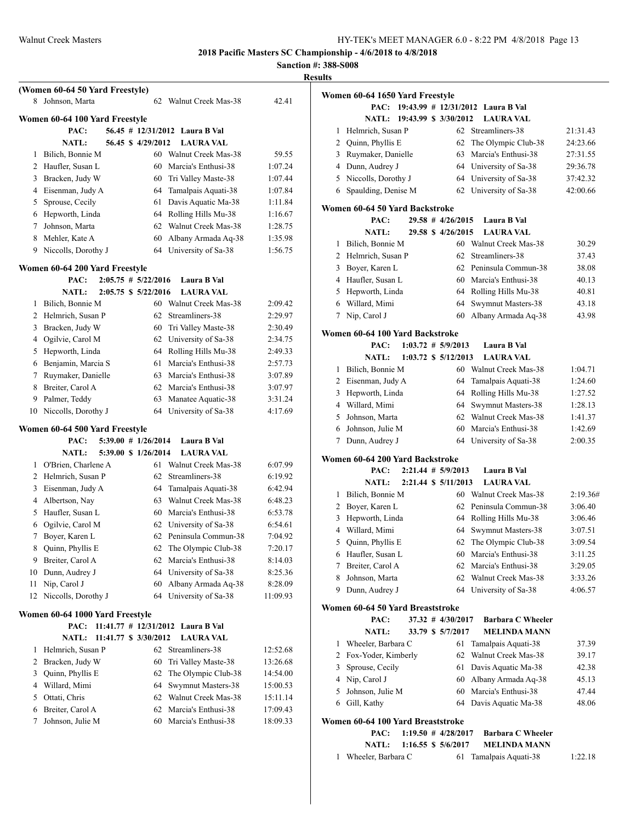**Sanction #: 388-S008**

|    |                                        |                   |                                            |          | Sanction #: 588<br><b>Results</b> |
|----|----------------------------------------|-------------------|--------------------------------------------|----------|-----------------------------------|
|    | (Women 60-64 50 Yard Freestyle)        |                   |                                            |          |                                   |
| 8  | Johnson, Marta                         |                   | 62 Walnut Creek Mas-38                     | 42.41    | Wo                                |
|    |                                        |                   |                                            |          |                                   |
|    | Women 60-64 100 Yard Freestyle         |                   |                                            |          |                                   |
|    | PAC:                                   | 56.45 \$4/29/2012 | 56.45 # 12/31/2012 Laura B Val             |          |                                   |
| 1  | <b>NATL:</b><br>Bilich, Bonnie M       |                   | <b>LAURA VAL</b><br>60 Walnut Creek Mas-38 | 59.55    |                                   |
|    | 2 Haufler, Susan L                     |                   | 60 Marcia's Enthusi-38                     | 1:07.24  |                                   |
|    | 3 Bracken, Judy W                      | 60                | Tri Valley Maste-38                        | 1:07.44  |                                   |
|    | 4 Eisenman, Judy A                     | 64                | Tamalpais Aquati-38                        | 1:07.84  |                                   |
|    | 5 Sprouse, Cecily                      | 61                | Davis Aquatic Ma-38                        | 1:11.84  |                                   |
|    | 6 Hepworth, Linda                      |                   | 64 Rolling Hills Mu-38                     | 1:16.67  | W <sub>0</sub>                    |
|    | 7 Johnson, Marta                       |                   | 62 Walnut Creek Mas-38                     | 1:28.75  |                                   |
|    | 8 Mehler, Kate A                       | 60                | Albany Armada Aq-38                        | 1:35.98  |                                   |
|    | 9 Niccolls, Dorothy J                  |                   | 64 University of Sa-38                     | 1:56.75  |                                   |
|    | Women 60-64 200 Yard Freestyle         |                   |                                            |          |                                   |
|    | $2:05.75 \# 5/22/2016$<br>PAC:         |                   | Laura B Val                                |          |                                   |
|    | <b>NATL:</b><br>2:05.75 \$ 5/22/2016   |                   | <b>LAURA VAL</b>                           |          |                                   |
| 1  | Bilich, Bonnie M                       |                   | 60 Walnut Creek Mas-38                     | 2:09.42  |                                   |
|    | 2 Helmrich, Susan P                    |                   | 62 Streamliners-38                         | 2:29.97  |                                   |
|    | 3 Bracken, Judy W                      | 60                | Tri Valley Maste-38                        | 2:30.49  |                                   |
|    | 4 Ogilvie, Carol M                     | 62                | University of Sa-38                        | 2:34.75  | W <sub>0</sub>                    |
|    | 5 Hepworth, Linda                      | 64                | Rolling Hills Mu-38                        | 2:49.33  |                                   |
|    | 6 Benjamin, Marcia S                   | 61                | Marcia's Enthusi-38                        | 2:57.73  |                                   |
|    | 7 Ruymaker, Danielle                   |                   | 63 Marcia's Enthusi-38                     | 3:07.89  |                                   |
|    | 8 Breiter, Carol A                     |                   | 62 Marcia's Enthusi-38                     | 3:07.97  |                                   |
|    | 9 Palmer, Teddy                        | 63                | Manatee Aquatic-38                         | 3:31.24  |                                   |
| 10 | Niccolls, Dorothy J                    | 64                | University of Sa-38                        | 4:17.69  |                                   |
|    | Women 60-64 500 Yard Freestyle         |                   |                                            |          |                                   |
|    | PAC:<br>$5:39.00$ # $1/26/2014$        |                   | Laura B Val                                |          |                                   |
|    | 5:39.00 \$ 1/26/2014<br><b>NATL:</b>   |                   | <b>LAURA VAL</b>                           |          | W <sub>0</sub>                    |
|    | 1 O'Brien, Charlene A                  |                   | 61 Walnut Creek Mas-38                     | 6:07.99  |                                   |
|    | 2 Helmrich, Susan P                    | 62                | Streamliners-38                            | 6:19.92  |                                   |
|    | 3 Eisenman, Judy A                     | 64                | Tamalpais Aquati-38                        | 6:42.94  |                                   |
|    | 4 Albertson, Nay                       | 63                | Walnut Creek Mas-38                        | 6:48.23  |                                   |
| 5  | Haufler, Susan L                       | 60                | Marcia's Enthusi-38                        | 6:53.78  |                                   |
| 6  | Ogilvie, Carol M                       | 62                | University of Sa-38                        | 6:54.61  |                                   |
| 7  | Boyer, Karen L                         |                   | 62 Peninsula Commun-38                     | 7:04.92  |                                   |
| 8  | Quinn, Phyllis E                       | 62                | The Olympic Club-38                        | 7:20.17  |                                   |
| 9  | Breiter, Carol A                       | 62                | Marcia's Enthusi-38                        | 8:14.03  |                                   |
| 10 | Dunn, Audrey J                         |                   | 64 University of Sa-38                     | 8:25.36  |                                   |
| 11 | Nip, Carol J                           | 60                | Albany Armada Aq-38                        | 8:28.09  |                                   |
| 12 | Niccolls, Dorothy J                    |                   | 64 University of Sa-38                     | 11:09.93 | Wo                                |
|    | Women 60-64 1000 Yard Freestyle        |                   |                                            |          |                                   |
|    | PAC:                                   |                   | 11:41.77 $\#$ 12/31/2012 Laura B Val       |          |                                   |
|    | <b>NATL:</b><br>11:41.77 \$ 3/30/2012  |                   | <b>LAURA VAL</b>                           |          |                                   |
| 1  | Helmrich, Susan P                      |                   | 62 Streamliners-38                         | 12:52.68 |                                   |
|    | 2 Bracken, Judy W                      | 60                | Tri Valley Maste-38                        | 13:26.68 |                                   |
|    | 3 Quinn, Phyllis E                     | 62                | The Olympic Club-38                        | 14:54.00 |                                   |
|    | 4 Willard, Mimi                        | 64                | Swymnut Masters-38                         | 15:00.53 |                                   |
| 5  | Ottati, Chris                          | 62                | Walnut Creek Mas-38                        | 15:11.14 |                                   |
| 7  | 6 Breiter, Carol A<br>Johnson, Julie M | 62                | Marcia's Enthusi-38<br>Marcia's Enthusi-38 | 17:09.43 | Wo                                |
|    |                                        | 60                |                                            | 18:09.33 |                                   |
|    |                                        |                   |                                            |          |                                   |
|    |                                        |                   |                                            |          |                                   |

|   | Women 60-64 1650 Yard Freestyle         |  |                        |                                   |          |
|---|-----------------------------------------|--|------------------------|-----------------------------------|----------|
|   | PAC:                                    |  |                        | 19:43.99 # 12/31/2012 Laura B Val |          |
|   | <b>NATL:</b>                            |  | 19:43.99 \$ 3/30/2012  | <b>LAURA VAL</b>                  |          |
| 1 | Helmrich, Susan P                       |  |                        | 62 Streamliners-38                | 21:31.43 |
| 2 | Quinn, Phyllis E                        |  | 62                     | The Olympic Club-38               | 24:23.66 |
| 3 | Ruymaker, Danielle                      |  | 63                     | Marcia's Enthusi-38               | 27:31.55 |
|   | 4 Dunn, Audrey J                        |  |                        | 64 University of Sa-38            | 29:36.78 |
| 5 | Niccolls, Dorothy J                     |  | 64                     | University of Sa-38               | 37:42.32 |
| 6 | Spaulding, Denise M                     |  | 62                     | University of Sa-38               | 42:00.66 |
|   | Women 60-64 50 Yard Backstroke<br>PAC:  |  | $29.58$ # $4/26/2015$  | Laura B Val                       |          |
|   | <b>NATL:</b>                            |  | 29.58 \$4/26/2015      | <b>LAURA VAL</b>                  |          |
| 1 |                                         |  |                        | 60 Walnut Creek Mas-38            |          |
|   | Bilich, Bonnie M                        |  |                        | Streamliners-38                   | 30.29    |
| 2 | Helmrich, Susan P                       |  | 62                     |                                   | 37.43    |
| 3 | Boyer, Karen L                          |  | 62                     | Peninsula Commun-38               | 38.08    |
|   | 4 Haufler, Susan L                      |  |                        | 60 Marcia's Enthusi-38            | 40.13    |
| 5 | Hepworth, Linda                         |  |                        | 64 Rolling Hills Mu-38            | 40.81    |
| 6 | Willard, Mimi                           |  | 64                     | Swymnut Masters-38                | 43.18    |
| 7 | Nip, Carol J                            |  | 60                     | Albany Armada Aq-38               | 43.98    |
|   | Women 60-64 100 Yard Backstroke<br>PAC: |  | $1:03.72 \# 5/9/2013$  | Laura B Val                       |          |
|   | <b>NATL:</b>                            |  | 1:03.72 \$ 5/12/2013   | <b>LAURA VAL</b>                  |          |
| 1 |                                         |  |                        | 60 Walnut Creek Mas-38            |          |
| 2 | Bilich, Bonnie M                        |  | 64                     |                                   | 1:04.71  |
|   | Eisenman, Judy A                        |  |                        | Tamalpais Aquati-38               | 1:24.60  |
| 3 | Hepworth, Linda                         |  | 64                     | Rolling Hills Mu-38               | 1:27.52  |
| 4 | Willard, Mimi                           |  | 64                     | Swymnut Masters-38                | 1:28.13  |
| 5 | Johnson, Marta                          |  | 62                     | Walnut Creek Mas-38               | 1:41.37  |
| 6 | Johnson, Julie M                        |  | 60                     | Marcia's Enthusi-38               | 1:42.69  |
| 7 | Dunn, Audrey J                          |  | 64                     | University of Sa-38               | 2:00.35  |
|   | Women 60-64 200 Yard Backstroke<br>PAC: |  | $2:21.44$ # $5/9/2013$ | Laura B Val                       |          |
|   | <b>NATL:</b>                            |  | 2:21.44 \$ 5/11/2013   | <b>LAURA VAL</b>                  |          |
| 1 | Bilich, Bonnie M                        |  |                        | 60 Walnut Creek Mas-38            | 2:19.36# |
| 2 | Boyer, Karen L                          |  | 62                     | Peninsula Commun-38               | 3:06.40  |
| 3 | Hepworth, Linda                         |  | 64                     | Rolling Hills Mu-38               | 3:06.46  |
| 4 | Willard, Mimi                           |  | 64                     | Swymnut Masters-38                | 3:07.51  |
| 5 | Quinn, Phyllis E                        |  | 62                     | The Olympic Club-38               | 3:09.54  |
| 6 |                                         |  |                        | 60 Marcia's Enthusi-38            | 3:11.25  |
| 7 | Haufler, Susan L<br>Breiter, Carol A    |  |                        | 62 Marcia's Enthusi-38            | 3:29.05  |
| 8 | Johnson, Marta                          |  | 62                     | Walnut Creek Mas-38               | 3:33.26  |
| 9 | Dunn, Audrey J                          |  | 64                     | University of Sa-38               | 4:06.57  |
|   |                                         |  |                        |                                   |          |
|   | Women 60-64 50 Yard Breaststroke        |  | 37.32 # 4/30/2017      | <b>Barbara C Wheeler</b>          |          |
|   | PAC:<br><b>NATL:</b>                    |  | 33.79 \$ 5/7/2017      | <b>MELINDA MANN</b>               |          |
|   |                                         |  |                        |                                   |          |
| 1 | Wheeler, Barbara C                      |  | 61                     | Tamalpais Aquati-38               | 37.39    |
| 2 | Fox-Yoder, Kimberly                     |  | 62                     | Walnut Creek Mas-38               | 39.17    |
| 3 | Sprouse, Cecily                         |  | 61                     | Davis Aquatic Ma-38               | 42.38    |
| 4 | Nip, Carol J                            |  | 60                     | Albany Armada Aq-38               | 45.13    |
| 5 | Johnson, Julie M                        |  | 60                     | Marcia's Enthusi-38               | 47.44    |
| 6 | Gill, Kathy                             |  | 64                     | Davis Aquatic Ma-38               | 48.06    |
|   | Women 60-64 100 Yard Breaststroke       |  |                        |                                   |          |
|   | PAC:                                    |  | $1:19.50 \# 4/28/2017$ | <b>Barbara C Wheeler</b>          |          |
|   | <b>NATL:</b>                            |  | 1:16.55 \$ 5/6/2017    | <b>MELINDA MANN</b>               |          |

Wheeler, Barbara C 61 Tamalpais Aquati-38 1:22.18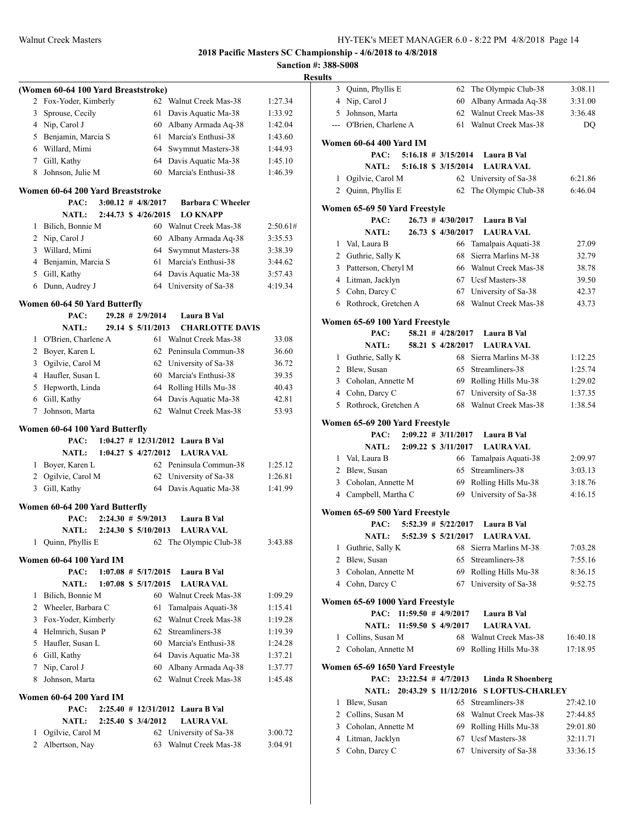**Sanction #: 388-S008 Results**

| (Women 60-64 100 Yard Breaststroke)<br>Fox-Yoder, Kimberly<br>62 Walnut Creek Mas-38<br>1:27.34<br>2<br>Sprouse, Cecily<br>61<br>Davis Aquatic Ma-38<br>3<br>1:33.92<br>4 Nip, Carol J<br>60<br>Albany Armada Aq-38<br>5 Benjamin, Marcia S<br>Marcia's Enthusi-38<br>61<br>6 Willard, Mimi<br>64<br>Swymnut Masters-38<br>7 Gill, Kathy<br>64<br>Davis Aquatic Ma-38<br>Johnson, Julie M<br>Marcia's Enthusi-38<br>60<br>8<br>Women 60-64 200 Yard Breaststroke<br>$3:00.12 \# 4/8/2017$<br>PAC:<br><b>Barbara C Wheeler</b><br>2:44.73 \$ 4/26/2015<br><b>NATL:</b><br><b>LO KNAPP</b><br>Bilich, Bonnie M<br>60<br>Walnut Creek Mas-38<br>2:50.61#<br>1<br>2<br>Nip, Carol J<br>60<br>Albany Armada Aq-38<br>3:35.53<br>3 Willard, Mimi<br>64<br>Swymnut Masters-38<br>3:38.39<br>4 Benjamin, Marcia S<br>Marcia's Enthusi-38<br>61<br>3:44.62<br>Gill, Kathy<br>64<br>5<br>Davis Aquatic Ma-38<br>3:57.43<br>Dunn, Audrey J<br>64 University of Sa-38<br>6<br>4:19.34<br>Women 60-64 50 Yard Butterfly<br>$29.28$ # 2/9/2014<br>PAC:<br>Laura B Val<br>29.14 \$ 5/11/2013<br><b>NATL:</b><br><b>CHARLOTTE DAVIS</b><br>O'Brien, Charlene A<br>61<br>Walnut Creek Mas-38<br>1<br>2 Boyer, Karen L<br>Peninsula Commun-38<br>62<br>36.60<br>Ogilvie, Carol M<br>University of Sa-38<br>3<br>62<br>36.72<br>4 Haufler, Susan L<br>Marcia's Enthusi-38<br>60<br>39.35<br>5<br>Hepworth, Linda<br>64<br>Rolling Hills Mu-38<br>40.43<br>Davis Aquatic Ma-38<br>6 Gill, Kathy<br>64<br>42.81<br>Walnut Creek Mas-38<br>7<br>Johnson, Marta<br>62<br>53.93<br>Women 60-64 100 Yard Butterfly<br>$1:04.27$ # $12/31/2012$ Laura B Val<br>PAC:<br><b>NATL:</b><br>1:04.27 \$ 4/27/2012<br><b>LAURA VAL</b><br>1 Boyer, Karen L<br>62 Peninsula Commun-38<br>1:25.12<br>2 Ogilvie, Carol M<br>62<br>University of Sa-38<br>Gill, Kathy<br>Davis Aquatic Ma-38<br>3<br>64<br>1:41.99<br>Women 60-64 200 Yard Butterfly<br>PAC:<br>$2:24.30$ # $5/9/2013$<br>Laura B Val<br>2:24.30 \$ 5/10/2013<br><b>NATL:</b><br><b>LAURA VAL</b><br>Quinn, Phyllis E<br>The Olympic Club-38<br>1<br>62<br>Women 60-64 100 Yard IM<br>PAC:<br>$1:07.08 \# 5/17/2015$<br>Laura B Val<br><b>NATL:</b><br><b>LAURA VAL</b><br>$1:07.08$ \$ $5/17/2015$<br>Bilich, Bonnie M<br>60 Walnut Creek Mas-38<br>1<br>1:09.29<br>Wheeler, Barbara C<br>2<br>61<br>Tamalpais Aquati-38<br>1:15.41<br>Fox-Yoder, Kimberly<br>Walnut Creek Mas-38<br>3<br>62<br>1:19.28<br>4 Helmrich, Susan P<br>62<br>Streamliners-38<br>5 Haufler, Susan L<br>60<br>Marcia's Enthusi-38<br>6 Gill, Kathy<br>64<br>Davis Aquatic Ma-38<br>7<br>Nip, Carol J<br>60<br>Albany Armada Aq-38<br>Johnson, Marta<br>Walnut Creek Mas-38<br>62<br>8<br><b>Women 60-64 200 Yard IM</b><br>PAC:<br>$2:25.40 \# 12/31/2012$ Laura B Val<br><b>NATL:</b><br>2:25.40 \$ 3/4/2012<br><b>LAURA VAL</b><br>Ogilvie, Carol M<br>62<br>University of Sa-38<br>1<br>3:00.72<br>Albertson, Nay<br>Walnut Creek Mas-38<br>2<br>63<br>3:04.91 |  |  |         |
|------------------------------------------------------------------------------------------------------------------------------------------------------------------------------------------------------------------------------------------------------------------------------------------------------------------------------------------------------------------------------------------------------------------------------------------------------------------------------------------------------------------------------------------------------------------------------------------------------------------------------------------------------------------------------------------------------------------------------------------------------------------------------------------------------------------------------------------------------------------------------------------------------------------------------------------------------------------------------------------------------------------------------------------------------------------------------------------------------------------------------------------------------------------------------------------------------------------------------------------------------------------------------------------------------------------------------------------------------------------------------------------------------------------------------------------------------------------------------------------------------------------------------------------------------------------------------------------------------------------------------------------------------------------------------------------------------------------------------------------------------------------------------------------------------------------------------------------------------------------------------------------------------------------------------------------------------------------------------------------------------------------------------------------------------------------------------------------------------------------------------------------------------------------------------------------------------------------------------------------------------------------------------------------------------------------------------------------------------------------------------------------------------------------------------------------------------------------------------------------------------------------------------------------------------------------------------------------------------------------------------------------------------------------------------------------------------------------------------------------------------------------------------------------------------------------------------------------------------------------------------------------------------------------------------------------------------------------------|--|--|---------|
|                                                                                                                                                                                                                                                                                                                                                                                                                                                                                                                                                                                                                                                                                                                                                                                                                                                                                                                                                                                                                                                                                                                                                                                                                                                                                                                                                                                                                                                                                                                                                                                                                                                                                                                                                                                                                                                                                                                                                                                                                                                                                                                                                                                                                                                                                                                                                                                                                                                                                                                                                                                                                                                                                                                                                                                                                                                                                                                                                                        |  |  |         |
|                                                                                                                                                                                                                                                                                                                                                                                                                                                                                                                                                                                                                                                                                                                                                                                                                                                                                                                                                                                                                                                                                                                                                                                                                                                                                                                                                                                                                                                                                                                                                                                                                                                                                                                                                                                                                                                                                                                                                                                                                                                                                                                                                                                                                                                                                                                                                                                                                                                                                                                                                                                                                                                                                                                                                                                                                                                                                                                                                                        |  |  |         |
|                                                                                                                                                                                                                                                                                                                                                                                                                                                                                                                                                                                                                                                                                                                                                                                                                                                                                                                                                                                                                                                                                                                                                                                                                                                                                                                                                                                                                                                                                                                                                                                                                                                                                                                                                                                                                                                                                                                                                                                                                                                                                                                                                                                                                                                                                                                                                                                                                                                                                                                                                                                                                                                                                                                                                                                                                                                                                                                                                                        |  |  |         |
|                                                                                                                                                                                                                                                                                                                                                                                                                                                                                                                                                                                                                                                                                                                                                                                                                                                                                                                                                                                                                                                                                                                                                                                                                                                                                                                                                                                                                                                                                                                                                                                                                                                                                                                                                                                                                                                                                                                                                                                                                                                                                                                                                                                                                                                                                                                                                                                                                                                                                                                                                                                                                                                                                                                                                                                                                                                                                                                                                                        |  |  | 1:42.04 |
|                                                                                                                                                                                                                                                                                                                                                                                                                                                                                                                                                                                                                                                                                                                                                                                                                                                                                                                                                                                                                                                                                                                                                                                                                                                                                                                                                                                                                                                                                                                                                                                                                                                                                                                                                                                                                                                                                                                                                                                                                                                                                                                                                                                                                                                                                                                                                                                                                                                                                                                                                                                                                                                                                                                                                                                                                                                                                                                                                                        |  |  | 1:43.60 |
|                                                                                                                                                                                                                                                                                                                                                                                                                                                                                                                                                                                                                                                                                                                                                                                                                                                                                                                                                                                                                                                                                                                                                                                                                                                                                                                                                                                                                                                                                                                                                                                                                                                                                                                                                                                                                                                                                                                                                                                                                                                                                                                                                                                                                                                                                                                                                                                                                                                                                                                                                                                                                                                                                                                                                                                                                                                                                                                                                                        |  |  | 1:44.93 |
|                                                                                                                                                                                                                                                                                                                                                                                                                                                                                                                                                                                                                                                                                                                                                                                                                                                                                                                                                                                                                                                                                                                                                                                                                                                                                                                                                                                                                                                                                                                                                                                                                                                                                                                                                                                                                                                                                                                                                                                                                                                                                                                                                                                                                                                                                                                                                                                                                                                                                                                                                                                                                                                                                                                                                                                                                                                                                                                                                                        |  |  | 1:45.10 |
|                                                                                                                                                                                                                                                                                                                                                                                                                                                                                                                                                                                                                                                                                                                                                                                                                                                                                                                                                                                                                                                                                                                                                                                                                                                                                                                                                                                                                                                                                                                                                                                                                                                                                                                                                                                                                                                                                                                                                                                                                                                                                                                                                                                                                                                                                                                                                                                                                                                                                                                                                                                                                                                                                                                                                                                                                                                                                                                                                                        |  |  | 1:46.39 |
|                                                                                                                                                                                                                                                                                                                                                                                                                                                                                                                                                                                                                                                                                                                                                                                                                                                                                                                                                                                                                                                                                                                                                                                                                                                                                                                                                                                                                                                                                                                                                                                                                                                                                                                                                                                                                                                                                                                                                                                                                                                                                                                                                                                                                                                                                                                                                                                                                                                                                                                                                                                                                                                                                                                                                                                                                                                                                                                                                                        |  |  |         |
|                                                                                                                                                                                                                                                                                                                                                                                                                                                                                                                                                                                                                                                                                                                                                                                                                                                                                                                                                                                                                                                                                                                                                                                                                                                                                                                                                                                                                                                                                                                                                                                                                                                                                                                                                                                                                                                                                                                                                                                                                                                                                                                                                                                                                                                                                                                                                                                                                                                                                                                                                                                                                                                                                                                                                                                                                                                                                                                                                                        |  |  |         |
|                                                                                                                                                                                                                                                                                                                                                                                                                                                                                                                                                                                                                                                                                                                                                                                                                                                                                                                                                                                                                                                                                                                                                                                                                                                                                                                                                                                                                                                                                                                                                                                                                                                                                                                                                                                                                                                                                                                                                                                                                                                                                                                                                                                                                                                                                                                                                                                                                                                                                                                                                                                                                                                                                                                                                                                                                                                                                                                                                                        |  |  |         |
|                                                                                                                                                                                                                                                                                                                                                                                                                                                                                                                                                                                                                                                                                                                                                                                                                                                                                                                                                                                                                                                                                                                                                                                                                                                                                                                                                                                                                                                                                                                                                                                                                                                                                                                                                                                                                                                                                                                                                                                                                                                                                                                                                                                                                                                                                                                                                                                                                                                                                                                                                                                                                                                                                                                                                                                                                                                                                                                                                                        |  |  |         |
|                                                                                                                                                                                                                                                                                                                                                                                                                                                                                                                                                                                                                                                                                                                                                                                                                                                                                                                                                                                                                                                                                                                                                                                                                                                                                                                                                                                                                                                                                                                                                                                                                                                                                                                                                                                                                                                                                                                                                                                                                                                                                                                                                                                                                                                                                                                                                                                                                                                                                                                                                                                                                                                                                                                                                                                                                                                                                                                                                                        |  |  |         |
|                                                                                                                                                                                                                                                                                                                                                                                                                                                                                                                                                                                                                                                                                                                                                                                                                                                                                                                                                                                                                                                                                                                                                                                                                                                                                                                                                                                                                                                                                                                                                                                                                                                                                                                                                                                                                                                                                                                                                                                                                                                                                                                                                                                                                                                                                                                                                                                                                                                                                                                                                                                                                                                                                                                                                                                                                                                                                                                                                                        |  |  |         |
|                                                                                                                                                                                                                                                                                                                                                                                                                                                                                                                                                                                                                                                                                                                                                                                                                                                                                                                                                                                                                                                                                                                                                                                                                                                                                                                                                                                                                                                                                                                                                                                                                                                                                                                                                                                                                                                                                                                                                                                                                                                                                                                                                                                                                                                                                                                                                                                                                                                                                                                                                                                                                                                                                                                                                                                                                                                                                                                                                                        |  |  |         |
|                                                                                                                                                                                                                                                                                                                                                                                                                                                                                                                                                                                                                                                                                                                                                                                                                                                                                                                                                                                                                                                                                                                                                                                                                                                                                                                                                                                                                                                                                                                                                                                                                                                                                                                                                                                                                                                                                                                                                                                                                                                                                                                                                                                                                                                                                                                                                                                                                                                                                                                                                                                                                                                                                                                                                                                                                                                                                                                                                                        |  |  |         |
|                                                                                                                                                                                                                                                                                                                                                                                                                                                                                                                                                                                                                                                                                                                                                                                                                                                                                                                                                                                                                                                                                                                                                                                                                                                                                                                                                                                                                                                                                                                                                                                                                                                                                                                                                                                                                                                                                                                                                                                                                                                                                                                                                                                                                                                                                                                                                                                                                                                                                                                                                                                                                                                                                                                                                                                                                                                                                                                                                                        |  |  |         |
|                                                                                                                                                                                                                                                                                                                                                                                                                                                                                                                                                                                                                                                                                                                                                                                                                                                                                                                                                                                                                                                                                                                                                                                                                                                                                                                                                                                                                                                                                                                                                                                                                                                                                                                                                                                                                                                                                                                                                                                                                                                                                                                                                                                                                                                                                                                                                                                                                                                                                                                                                                                                                                                                                                                                                                                                                                                                                                                                                                        |  |  |         |
|                                                                                                                                                                                                                                                                                                                                                                                                                                                                                                                                                                                                                                                                                                                                                                                                                                                                                                                                                                                                                                                                                                                                                                                                                                                                                                                                                                                                                                                                                                                                                                                                                                                                                                                                                                                                                                                                                                                                                                                                                                                                                                                                                                                                                                                                                                                                                                                                                                                                                                                                                                                                                                                                                                                                                                                                                                                                                                                                                                        |  |  |         |
|                                                                                                                                                                                                                                                                                                                                                                                                                                                                                                                                                                                                                                                                                                                                                                                                                                                                                                                                                                                                                                                                                                                                                                                                                                                                                                                                                                                                                                                                                                                                                                                                                                                                                                                                                                                                                                                                                                                                                                                                                                                                                                                                                                                                                                                                                                                                                                                                                                                                                                                                                                                                                                                                                                                                                                                                                                                                                                                                                                        |  |  |         |
|                                                                                                                                                                                                                                                                                                                                                                                                                                                                                                                                                                                                                                                                                                                                                                                                                                                                                                                                                                                                                                                                                                                                                                                                                                                                                                                                                                                                                                                                                                                                                                                                                                                                                                                                                                                                                                                                                                                                                                                                                                                                                                                                                                                                                                                                                                                                                                                                                                                                                                                                                                                                                                                                                                                                                                                                                                                                                                                                                                        |  |  |         |
|                                                                                                                                                                                                                                                                                                                                                                                                                                                                                                                                                                                                                                                                                                                                                                                                                                                                                                                                                                                                                                                                                                                                                                                                                                                                                                                                                                                                                                                                                                                                                                                                                                                                                                                                                                                                                                                                                                                                                                                                                                                                                                                                                                                                                                                                                                                                                                                                                                                                                                                                                                                                                                                                                                                                                                                                                                                                                                                                                                        |  |  | 33.08   |
|                                                                                                                                                                                                                                                                                                                                                                                                                                                                                                                                                                                                                                                                                                                                                                                                                                                                                                                                                                                                                                                                                                                                                                                                                                                                                                                                                                                                                                                                                                                                                                                                                                                                                                                                                                                                                                                                                                                                                                                                                                                                                                                                                                                                                                                                                                                                                                                                                                                                                                                                                                                                                                                                                                                                                                                                                                                                                                                                                                        |  |  |         |
|                                                                                                                                                                                                                                                                                                                                                                                                                                                                                                                                                                                                                                                                                                                                                                                                                                                                                                                                                                                                                                                                                                                                                                                                                                                                                                                                                                                                                                                                                                                                                                                                                                                                                                                                                                                                                                                                                                                                                                                                                                                                                                                                                                                                                                                                                                                                                                                                                                                                                                                                                                                                                                                                                                                                                                                                                                                                                                                                                                        |  |  |         |
|                                                                                                                                                                                                                                                                                                                                                                                                                                                                                                                                                                                                                                                                                                                                                                                                                                                                                                                                                                                                                                                                                                                                                                                                                                                                                                                                                                                                                                                                                                                                                                                                                                                                                                                                                                                                                                                                                                                                                                                                                                                                                                                                                                                                                                                                                                                                                                                                                                                                                                                                                                                                                                                                                                                                                                                                                                                                                                                                                                        |  |  |         |
|                                                                                                                                                                                                                                                                                                                                                                                                                                                                                                                                                                                                                                                                                                                                                                                                                                                                                                                                                                                                                                                                                                                                                                                                                                                                                                                                                                                                                                                                                                                                                                                                                                                                                                                                                                                                                                                                                                                                                                                                                                                                                                                                                                                                                                                                                                                                                                                                                                                                                                                                                                                                                                                                                                                                                                                                                                                                                                                                                                        |  |  |         |
|                                                                                                                                                                                                                                                                                                                                                                                                                                                                                                                                                                                                                                                                                                                                                                                                                                                                                                                                                                                                                                                                                                                                                                                                                                                                                                                                                                                                                                                                                                                                                                                                                                                                                                                                                                                                                                                                                                                                                                                                                                                                                                                                                                                                                                                                                                                                                                                                                                                                                                                                                                                                                                                                                                                                                                                                                                                                                                                                                                        |  |  |         |
|                                                                                                                                                                                                                                                                                                                                                                                                                                                                                                                                                                                                                                                                                                                                                                                                                                                                                                                                                                                                                                                                                                                                                                                                                                                                                                                                                                                                                                                                                                                                                                                                                                                                                                                                                                                                                                                                                                                                                                                                                                                                                                                                                                                                                                                                                                                                                                                                                                                                                                                                                                                                                                                                                                                                                                                                                                                                                                                                                                        |  |  |         |
|                                                                                                                                                                                                                                                                                                                                                                                                                                                                                                                                                                                                                                                                                                                                                                                                                                                                                                                                                                                                                                                                                                                                                                                                                                                                                                                                                                                                                                                                                                                                                                                                                                                                                                                                                                                                                                                                                                                                                                                                                                                                                                                                                                                                                                                                                                                                                                                                                                                                                                                                                                                                                                                                                                                                                                                                                                                                                                                                                                        |  |  |         |
|                                                                                                                                                                                                                                                                                                                                                                                                                                                                                                                                                                                                                                                                                                                                                                                                                                                                                                                                                                                                                                                                                                                                                                                                                                                                                                                                                                                                                                                                                                                                                                                                                                                                                                                                                                                                                                                                                                                                                                                                                                                                                                                                                                                                                                                                                                                                                                                                                                                                                                                                                                                                                                                                                                                                                                                                                                                                                                                                                                        |  |  |         |
|                                                                                                                                                                                                                                                                                                                                                                                                                                                                                                                                                                                                                                                                                                                                                                                                                                                                                                                                                                                                                                                                                                                                                                                                                                                                                                                                                                                                                                                                                                                                                                                                                                                                                                                                                                                                                                                                                                                                                                                                                                                                                                                                                                                                                                                                                                                                                                                                                                                                                                                                                                                                                                                                                                                                                                                                                                                                                                                                                                        |  |  |         |
|                                                                                                                                                                                                                                                                                                                                                                                                                                                                                                                                                                                                                                                                                                                                                                                                                                                                                                                                                                                                                                                                                                                                                                                                                                                                                                                                                                                                                                                                                                                                                                                                                                                                                                                                                                                                                                                                                                                                                                                                                                                                                                                                                                                                                                                                                                                                                                                                                                                                                                                                                                                                                                                                                                                                                                                                                                                                                                                                                                        |  |  |         |
|                                                                                                                                                                                                                                                                                                                                                                                                                                                                                                                                                                                                                                                                                                                                                                                                                                                                                                                                                                                                                                                                                                                                                                                                                                                                                                                                                                                                                                                                                                                                                                                                                                                                                                                                                                                                                                                                                                                                                                                                                                                                                                                                                                                                                                                                                                                                                                                                                                                                                                                                                                                                                                                                                                                                                                                                                                                                                                                                                                        |  |  | 1:26.81 |
|                                                                                                                                                                                                                                                                                                                                                                                                                                                                                                                                                                                                                                                                                                                                                                                                                                                                                                                                                                                                                                                                                                                                                                                                                                                                                                                                                                                                                                                                                                                                                                                                                                                                                                                                                                                                                                                                                                                                                                                                                                                                                                                                                                                                                                                                                                                                                                                                                                                                                                                                                                                                                                                                                                                                                                                                                                                                                                                                                                        |  |  |         |
|                                                                                                                                                                                                                                                                                                                                                                                                                                                                                                                                                                                                                                                                                                                                                                                                                                                                                                                                                                                                                                                                                                                                                                                                                                                                                                                                                                                                                                                                                                                                                                                                                                                                                                                                                                                                                                                                                                                                                                                                                                                                                                                                                                                                                                                                                                                                                                                                                                                                                                                                                                                                                                                                                                                                                                                                                                                                                                                                                                        |  |  |         |
|                                                                                                                                                                                                                                                                                                                                                                                                                                                                                                                                                                                                                                                                                                                                                                                                                                                                                                                                                                                                                                                                                                                                                                                                                                                                                                                                                                                                                                                                                                                                                                                                                                                                                                                                                                                                                                                                                                                                                                                                                                                                                                                                                                                                                                                                                                                                                                                                                                                                                                                                                                                                                                                                                                                                                                                                                                                                                                                                                                        |  |  |         |
|                                                                                                                                                                                                                                                                                                                                                                                                                                                                                                                                                                                                                                                                                                                                                                                                                                                                                                                                                                                                                                                                                                                                                                                                                                                                                                                                                                                                                                                                                                                                                                                                                                                                                                                                                                                                                                                                                                                                                                                                                                                                                                                                                                                                                                                                                                                                                                                                                                                                                                                                                                                                                                                                                                                                                                                                                                                                                                                                                                        |  |  |         |
|                                                                                                                                                                                                                                                                                                                                                                                                                                                                                                                                                                                                                                                                                                                                                                                                                                                                                                                                                                                                                                                                                                                                                                                                                                                                                                                                                                                                                                                                                                                                                                                                                                                                                                                                                                                                                                                                                                                                                                                                                                                                                                                                                                                                                                                                                                                                                                                                                                                                                                                                                                                                                                                                                                                                                                                                                                                                                                                                                                        |  |  | 3:43.88 |
|                                                                                                                                                                                                                                                                                                                                                                                                                                                                                                                                                                                                                                                                                                                                                                                                                                                                                                                                                                                                                                                                                                                                                                                                                                                                                                                                                                                                                                                                                                                                                                                                                                                                                                                                                                                                                                                                                                                                                                                                                                                                                                                                                                                                                                                                                                                                                                                                                                                                                                                                                                                                                                                                                                                                                                                                                                                                                                                                                                        |  |  |         |
|                                                                                                                                                                                                                                                                                                                                                                                                                                                                                                                                                                                                                                                                                                                                                                                                                                                                                                                                                                                                                                                                                                                                                                                                                                                                                                                                                                                                                                                                                                                                                                                                                                                                                                                                                                                                                                                                                                                                                                                                                                                                                                                                                                                                                                                                                                                                                                                                                                                                                                                                                                                                                                                                                                                                                                                                                                                                                                                                                                        |  |  |         |
|                                                                                                                                                                                                                                                                                                                                                                                                                                                                                                                                                                                                                                                                                                                                                                                                                                                                                                                                                                                                                                                                                                                                                                                                                                                                                                                                                                                                                                                                                                                                                                                                                                                                                                                                                                                                                                                                                                                                                                                                                                                                                                                                                                                                                                                                                                                                                                                                                                                                                                                                                                                                                                                                                                                                                                                                                                                                                                                                                                        |  |  |         |
|                                                                                                                                                                                                                                                                                                                                                                                                                                                                                                                                                                                                                                                                                                                                                                                                                                                                                                                                                                                                                                                                                                                                                                                                                                                                                                                                                                                                                                                                                                                                                                                                                                                                                                                                                                                                                                                                                                                                                                                                                                                                                                                                                                                                                                                                                                                                                                                                                                                                                                                                                                                                                                                                                                                                                                                                                                                                                                                                                                        |  |  |         |
|                                                                                                                                                                                                                                                                                                                                                                                                                                                                                                                                                                                                                                                                                                                                                                                                                                                                                                                                                                                                                                                                                                                                                                                                                                                                                                                                                                                                                                                                                                                                                                                                                                                                                                                                                                                                                                                                                                                                                                                                                                                                                                                                                                                                                                                                                                                                                                                                                                                                                                                                                                                                                                                                                                                                                                                                                                                                                                                                                                        |  |  |         |
|                                                                                                                                                                                                                                                                                                                                                                                                                                                                                                                                                                                                                                                                                                                                                                                                                                                                                                                                                                                                                                                                                                                                                                                                                                                                                                                                                                                                                                                                                                                                                                                                                                                                                                                                                                                                                                                                                                                                                                                                                                                                                                                                                                                                                                                                                                                                                                                                                                                                                                                                                                                                                                                                                                                                                                                                                                                                                                                                                                        |  |  |         |
|                                                                                                                                                                                                                                                                                                                                                                                                                                                                                                                                                                                                                                                                                                                                                                                                                                                                                                                                                                                                                                                                                                                                                                                                                                                                                                                                                                                                                                                                                                                                                                                                                                                                                                                                                                                                                                                                                                                                                                                                                                                                                                                                                                                                                                                                                                                                                                                                                                                                                                                                                                                                                                                                                                                                                                                                                                                                                                                                                                        |  |  | 1:19.39 |
|                                                                                                                                                                                                                                                                                                                                                                                                                                                                                                                                                                                                                                                                                                                                                                                                                                                                                                                                                                                                                                                                                                                                                                                                                                                                                                                                                                                                                                                                                                                                                                                                                                                                                                                                                                                                                                                                                                                                                                                                                                                                                                                                                                                                                                                                                                                                                                                                                                                                                                                                                                                                                                                                                                                                                                                                                                                                                                                                                                        |  |  | 1:24.28 |
|                                                                                                                                                                                                                                                                                                                                                                                                                                                                                                                                                                                                                                                                                                                                                                                                                                                                                                                                                                                                                                                                                                                                                                                                                                                                                                                                                                                                                                                                                                                                                                                                                                                                                                                                                                                                                                                                                                                                                                                                                                                                                                                                                                                                                                                                                                                                                                                                                                                                                                                                                                                                                                                                                                                                                                                                                                                                                                                                                                        |  |  | 1:37.21 |
|                                                                                                                                                                                                                                                                                                                                                                                                                                                                                                                                                                                                                                                                                                                                                                                                                                                                                                                                                                                                                                                                                                                                                                                                                                                                                                                                                                                                                                                                                                                                                                                                                                                                                                                                                                                                                                                                                                                                                                                                                                                                                                                                                                                                                                                                                                                                                                                                                                                                                                                                                                                                                                                                                                                                                                                                                                                                                                                                                                        |  |  | 1:37.77 |
|                                                                                                                                                                                                                                                                                                                                                                                                                                                                                                                                                                                                                                                                                                                                                                                                                                                                                                                                                                                                                                                                                                                                                                                                                                                                                                                                                                                                                                                                                                                                                                                                                                                                                                                                                                                                                                                                                                                                                                                                                                                                                                                                                                                                                                                                                                                                                                                                                                                                                                                                                                                                                                                                                                                                                                                                                                                                                                                                                                        |  |  | 1:45.48 |
|                                                                                                                                                                                                                                                                                                                                                                                                                                                                                                                                                                                                                                                                                                                                                                                                                                                                                                                                                                                                                                                                                                                                                                                                                                                                                                                                                                                                                                                                                                                                                                                                                                                                                                                                                                                                                                                                                                                                                                                                                                                                                                                                                                                                                                                                                                                                                                                                                                                                                                                                                                                                                                                                                                                                                                                                                                                                                                                                                                        |  |  |         |
|                                                                                                                                                                                                                                                                                                                                                                                                                                                                                                                                                                                                                                                                                                                                                                                                                                                                                                                                                                                                                                                                                                                                                                                                                                                                                                                                                                                                                                                                                                                                                                                                                                                                                                                                                                                                                                                                                                                                                                                                                                                                                                                                                                                                                                                                                                                                                                                                                                                                                                                                                                                                                                                                                                                                                                                                                                                                                                                                                                        |  |  |         |
|                                                                                                                                                                                                                                                                                                                                                                                                                                                                                                                                                                                                                                                                                                                                                                                                                                                                                                                                                                                                                                                                                                                                                                                                                                                                                                                                                                                                                                                                                                                                                                                                                                                                                                                                                                                                                                                                                                                                                                                                                                                                                                                                                                                                                                                                                                                                                                                                                                                                                                                                                                                                                                                                                                                                                                                                                                                                                                                                                                        |  |  |         |
|                                                                                                                                                                                                                                                                                                                                                                                                                                                                                                                                                                                                                                                                                                                                                                                                                                                                                                                                                                                                                                                                                                                                                                                                                                                                                                                                                                                                                                                                                                                                                                                                                                                                                                                                                                                                                                                                                                                                                                                                                                                                                                                                                                                                                                                                                                                                                                                                                                                                                                                                                                                                                                                                                                                                                                                                                                                                                                                                                                        |  |  |         |
|                                                                                                                                                                                                                                                                                                                                                                                                                                                                                                                                                                                                                                                                                                                                                                                                                                                                                                                                                                                                                                                                                                                                                                                                                                                                                                                                                                                                                                                                                                                                                                                                                                                                                                                                                                                                                                                                                                                                                                                                                                                                                                                                                                                                                                                                                                                                                                                                                                                                                                                                                                                                                                                                                                                                                                                                                                                                                                                                                                        |  |  |         |
|                                                                                                                                                                                                                                                                                                                                                                                                                                                                                                                                                                                                                                                                                                                                                                                                                                                                                                                                                                                                                                                                                                                                                                                                                                                                                                                                                                                                                                                                                                                                                                                                                                                                                                                                                                                                                                                                                                                                                                                                                                                                                                                                                                                                                                                                                                                                                                                                                                                                                                                                                                                                                                                                                                                                                                                                                                                                                                                                                                        |  |  |         |

| ILS            |                                 |  |                         |                          |          |
|----------------|---------------------------------|--|-------------------------|--------------------------|----------|
| 3              | Quinn, Phyllis E                |  | 62                      | The Olympic Club-38      | 3:08.11  |
|                | 4 Nip, Carol J                  |  | 60                      | Albany Armada Aq-38      | 3:31.00  |
|                | 5 Johnson, Marta                |  | 62                      | Walnut Creek Mas-38      | 3:36.48  |
| $---$          | O'Brien, Charlene A             |  | 61                      | Walnut Creek Mas-38      | DQ       |
|                |                                 |  |                         |                          |          |
|                | Women 60-64 400 Yard IM         |  | $5:16.18 \# 3/15/2014$  | Laura B Val              |          |
|                | PAC:<br><b>NATL:</b>            |  | 5:16.18 \$ 3/15/2014    | <b>LAURA VAL</b>         |          |
|                |                                 |  |                         |                          |          |
| 1              | Ogilvie, Carol M                |  | 62                      | University of Sa-38      | 6:21.86  |
| 2              | Quinn, Phyllis E                |  | 62                      | The Olympic Club-38      | 6:46.04  |
|                | Women 65-69 50 Yard Freestyle   |  |                         |                          |          |
|                | PAC:                            |  | $26.73$ # $4/30/2017$   | Laura B Val              |          |
|                | <b>NATL:</b>                    |  | 26.73 \$ 4/30/2017      | <b>LAURA VAL</b>         |          |
| 1              | Val, Laura B                    |  |                         | 66 Tamalpais Aquati-38   | 27.09    |
|                | 2 Guthrie, Sally K              |  | 68                      | Sierra Marlins M-38      | 32.79    |
| 3              | Patterson, Cheryl M             |  |                         | 66 Walnut Creek Mas-38   | 38.78    |
|                | 4 Litman, Jacklyn               |  |                         | 67 Ucsf Masters-38       | 39.50    |
|                | 5 Cohn, Darcy C                 |  | 67                      | University of Sa-38      | 42.37    |
| 6              | Rothrock, Gretchen A            |  | 68                      | Walnut Creek Mas-38      | 43.73    |
|                | Women 65-69 100 Yard Freestyle  |  |                         |                          |          |
|                | PAC:                            |  | 58.21 # 4/28/2017       | Laura B Val              |          |
|                | <b>NATL:</b>                    |  | 58.21 \$ 4/28/2017      | <b>LAURA VAL</b>         |          |
| 1              | Guthrie, Sally K                |  |                         | 68 Sierra Marlins M-38   | 1:12.25  |
|                | 2 Blew, Susan                   |  | 65                      | Streamliners-38          | 1:25.74  |
|                | 3 Coholan, Annette M            |  |                         | 69 Rolling Hills Mu-38   | 1:29.02  |
|                | 4 Cohn, Darcy C                 |  | 67                      | University of Sa-38      | 1:37.35  |
|                | 5 Rothrock, Gretchen A          |  | 68                      | Walnut Creek Mas-38      | 1:38.54  |
|                |                                 |  |                         |                          |          |
|                | Women 65-69 200 Yard Freestyle  |  |                         |                          |          |
|                | PAC:                            |  | $2:09.22$ # $3/11/2017$ | Laura B Val              |          |
|                | <b>NATL:</b>                    |  | 2:09.22 \$ 3/11/2017    | <b>LAURA VAL</b>         |          |
| 1              | Val, Laura B                    |  | 66                      | Tamalpais Aquati-38      | 2:09.97  |
|                | 2 Blew, Susan                   |  | 65                      | Streamliners-38          | 3:03.13  |
| 3              | Coholan, Annette M              |  | 69                      | Rolling Hills Mu-38      | 3:18.76  |
|                | 4 Campbell, Martha C            |  | 69                      | University of Sa-38      | 4:16.15  |
|                | Women 65-69 500 Yard Freestyle  |  |                         |                          |          |
|                | PAC:                            |  | $5:52.39$ # $5/22/2017$ | Laura B Val              |          |
|                | <b>NATL:</b>                    |  | 5:52.39 \$ 5/21/2017    | <b>LAURA VAL</b>         |          |
| 1              | Guthrie, Sally K                |  | 68                      | Sierra Marlins M-38      | 7:03.28  |
| 2              | Blew, Susan                     |  | 65                      | Streamliners-38          | 7:55.16  |
| 3              | Coholan, Annette M              |  | 69                      | Rolling Hills Mu-38      | 8:36.15  |
| $\overline{4}$ | Cohn, Darcy C                   |  | 67                      | University of Sa-38      | 9:52.75  |
|                | Women 65-69 1000 Yard Freestyle |  |                         |                          |          |
|                | PAC:                            |  | $11:59.50$ # 4/9/2017   | Laura B Val              |          |
|                | <b>NATL:</b>                    |  | 11:59.50 \$ 4/9/2017    | <b>LAURA VAL</b>         |          |
| 1              | Collins, Susan M                |  |                         | 68 Walnut Creek Mas-38   | 16:40.18 |
|                | 2 Coholan, Annette M            |  | 69                      | Rolling Hills Mu-38      | 17:18.95 |
|                |                                 |  |                         |                          |          |
|                | Women 65-69 1650 Yard Freestyle |  |                         |                          |          |
|                | PAC:                            |  | 23:22.54 # 4/7/2013     | <b>Linda R Shoenberg</b> |          |
|                | <b>NATL:</b>                    |  | 20:43.29 \$ 11/12/2016  | <b>S LOFTUS-CHARLEY</b>  |          |
| 1              | Blew, Susan                     |  | 65                      | Streamliners-38          | 27:42.10 |
| 2              | Collins, Susan M                |  | 68                      | Walnut Creek Mas-38      | 27:44.85 |
| 3              | Coholan, Annette M              |  | 69                      | Rolling Hills Mu-38      | 29:01.80 |
| $\overline{4}$ | Litman, Jacklyn                 |  | 67                      | <b>Ucsf Masters-38</b>   | 32:11.71 |
| 5              | Cohn, Darcy C                   |  | 67                      | University of Sa-38      | 33:36.15 |
|                |                                 |  |                         |                          |          |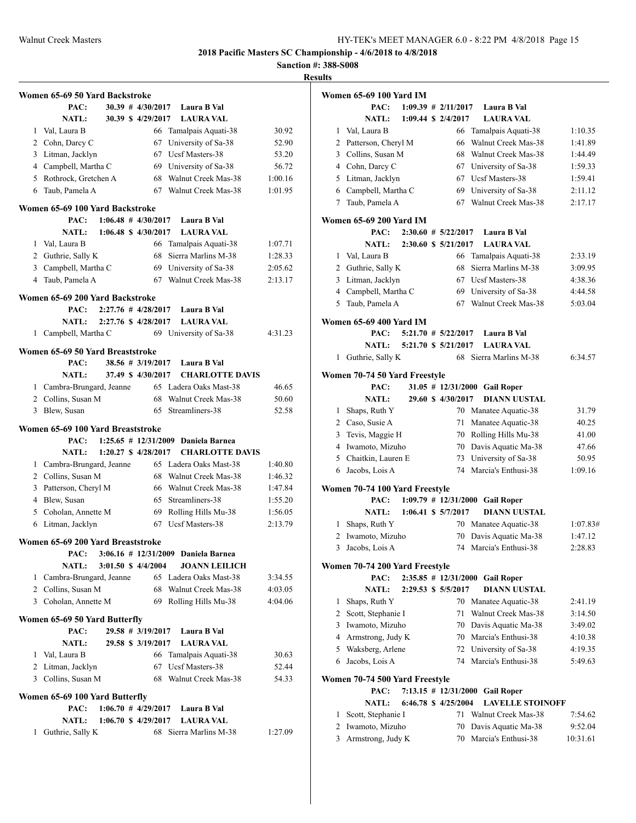**Sanction #: 388-S008**

|                                | Women 65-69 50 Yard Backstroke                  |  |  |                               |  |                                               |         |  |
|--------------------------------|-------------------------------------------------|--|--|-------------------------------|--|-----------------------------------------------|---------|--|
|                                | PAC:                                            |  |  | 30.39 # 4/30/2017             |  | Laura B Val                                   |         |  |
|                                | <b>NATL:</b>                                    |  |  | 30.39 \$4/29/2017             |  | <b>LAURA VAL</b>                              |         |  |
| 1                              | Val, Laura B                                    |  |  | 66                            |  | Tamalpais Aquati-38                           | 30.92   |  |
|                                | 2 Cohn, Darcy C                                 |  |  | 67                            |  | University of Sa-38                           | 52.90   |  |
|                                | 3 Litman, Jacklyn                               |  |  | 67                            |  | Ucsf Masters-38                               | 53.20   |  |
|                                | 4 Campbell, Martha C                            |  |  |                               |  | 69 University of Sa-38                        | 56.72   |  |
|                                | 5 Rothrock, Gretchen A                          |  |  |                               |  | 68 Walnut Creek Mas-38                        | 1:00.16 |  |
| 6                              | Taub, Pamela A                                  |  |  | 67                            |  | Walnut Creek Mas-38                           | 1:01.95 |  |
|                                | Women 65-69 100 Yard Backstroke                 |  |  |                               |  |                                               |         |  |
|                                | PAC:                                            |  |  | $1:06.48$ # $4/30/2017$       |  | Laura B Val                                   |         |  |
|                                | <b>NATL:</b>                                    |  |  | $1:06.48 \text{ S}$ 4/30/2017 |  | <b>LAURA VAL</b>                              |         |  |
| 1                              | Val, Laura B                                    |  |  | 66                            |  | Tamalpais Aquati-38                           | 1:07.71 |  |
|                                | 2 Guthrie, Sally K                              |  |  | 68                            |  | Sierra Marlins M-38                           | 1:28.33 |  |
|                                | 3 Campbell, Martha C                            |  |  | 69                            |  | University of Sa-38                           | 2:05.62 |  |
| 4                              | Taub, Pamela A                                  |  |  | 67                            |  | Walnut Creek Mas-38                           | 2:13.17 |  |
|                                | Women 65-69 200 Yard Backstroke                 |  |  |                               |  |                                               |         |  |
|                                | PAC:                                            |  |  | $2:27.76$ # $4/28/2017$       |  | Laura B Val                                   |         |  |
|                                | <b>NATL:</b>                                    |  |  | 2:27.76 \$4/28/2017           |  | <b>LAURA VAL</b>                              |         |  |
| 1                              | Campbell, Martha C                              |  |  |                               |  | 69 University of Sa-38                        | 4:31.23 |  |
|                                |                                                 |  |  |                               |  |                                               |         |  |
|                                | Women 65-69 50 Yard Breaststroke<br>PAC:        |  |  | $38.56 \# 3/19/2017$          |  | Laura B Val                                   |         |  |
|                                | <b>NATL:</b>                                    |  |  | 37.49 \$4/30/2017             |  | <b>CHARLOTTE DAVIS</b>                        |         |  |
|                                |                                                 |  |  |                               |  | 65 Ladera Oaks Mast-38                        | 46.65   |  |
|                                | 1 Cambra-Brungard, Jeanne                       |  |  | 68                            |  | Walnut Creek Mas-38                           |         |  |
| 3                              | 2 Collins, Susan M                              |  |  | 65                            |  | Streamliners-38                               | 50.60   |  |
|                                | Blew, Susan                                     |  |  |                               |  |                                               | 52.58   |  |
|                                | Women 65-69 100 Yard Breaststroke<br>PAC:       |  |  | $1:25.65$ # $12/31/2009$      |  | Daniela Barnea                                |         |  |
|                                | <b>NATL:</b>                                    |  |  | 1:20.27 \$ 4/28/2017          |  | <b>CHARLOTTE DAVIS</b>                        |         |  |
|                                |                                                 |  |  |                               |  | 65 Ladera Oaks Mast-38                        | 1:40.80 |  |
|                                | 1 Cambra-Brungard, Jeanne<br>2 Collins, Susan M |  |  | 68                            |  | Walnut Creek Mas-38                           | 1:46.32 |  |
| 3                              | Patterson, Cheryl M                             |  |  | 66                            |  | Walnut Creek Mas-38                           | 1:47.84 |  |
| $\overline{4}$                 | Blew, Susan                                     |  |  | 65                            |  | Streamliners-38                               |         |  |
|                                | 5 Coholan, Annette M                            |  |  | 69                            |  |                                               | 1:55.20 |  |
|                                |                                                 |  |  | 67                            |  | Rolling Hills Mu-38<br><b>Ucsf Masters-38</b> | 1:56.05 |  |
| 6                              | Litman, Jacklyn                                 |  |  |                               |  |                                               | 2:13.79 |  |
|                                | Women 65-69 200 Yard Breaststroke               |  |  |                               |  |                                               |         |  |
|                                | PAC:                                            |  |  |                               |  | 3:06.16 # 12/31/2009 Daniela Barnea           |         |  |
|                                | <b>NATL:</b>                                    |  |  | 3:01.50 \$ 4/4/2004           |  | <b>JOANN LEILICH</b>                          |         |  |
|                                | 1 Cambra-Brungard, Jeanne                       |  |  |                               |  | 65 Ladera Oaks Mast-38                        | 3:34.55 |  |
|                                | 2 Collins, Susan M                              |  |  | 68                            |  | Walnut Creek Mas-38                           | 4:03.05 |  |
|                                | 3 Coholan, Annette M                            |  |  | 69                            |  | Rolling Hills Mu-38                           | 4:04.06 |  |
|                                | Women 65-69 50 Yard Butterfly                   |  |  |                               |  |                                               |         |  |
|                                | PAC:                                            |  |  | 29.58 # 3/19/2017             |  | Laura B Val                                   |         |  |
|                                | <b>NATL:</b>                                    |  |  | 29.58 \$ 3/19/2017            |  | <b>LAURA VAL</b>                              |         |  |
|                                | 1 Val, Laura B                                  |  |  |                               |  | 66 Tamalpais Aquati-38                        | 30.63   |  |
|                                | 2 Litman, Jacklyn                               |  |  | 67                            |  | Ucsf Masters-38                               | 52.44   |  |
|                                | 3 Collins, Susan M                              |  |  |                               |  | 68 Walnut Creek Mas-38                        | 54.33   |  |
| Women 65-69 100 Yard Butterfly |                                                 |  |  |                               |  |                                               |         |  |
|                                | PAC:                                            |  |  | $1:06.70 \# 4/29/2017$        |  | Laura B Val                                   |         |  |
|                                | <b>NATL:</b>                                    |  |  | 1:06.70 \$ 4/29/2017          |  | <b>LAURA VAL</b>                              |         |  |
| 1                              | Guthrie, Sally K                                |  |  |                               |  | 68 Sierra Marlins M-38                        | 1:27.09 |  |

|   | Women 65-69 100 Yard IM                |  |                          |                         |          |
|---|----------------------------------------|--|--------------------------|-------------------------|----------|
|   | PAC:                                   |  | $1:09.39$ # 2/11/2017    | Laura B Val             |          |
|   | <b>NATL:</b>                           |  | 1:09.44 \$ 2/4/2017      | <b>LAURA VAL</b>        |          |
| 1 | Val, Laura B                           |  | 66                       | Tamalpais Aquati-38     | 1:10.35  |
|   | 2 Patterson, Cheryl M                  |  | 66                       | Walnut Creek Mas-38     | 1:41.89  |
| 3 | Collins, Susan M                       |  |                          | 68 Walnut Creek Mas-38  | 1:44.49  |
|   | 4 Cohn, Darcy C                        |  | 67                       | University of Sa-38     | 1:59.33  |
| 5 | Litman, Jacklyn                        |  | 67                       | <b>Ucsf Masters-38</b>  | 1:59.41  |
|   | 6 Campbell, Martha C                   |  | 69                       | University of Sa-38     | 2:11.12  |
| 7 | Taub, Pamela A                         |  | 67                       | Walnut Creek Mas-38     | 2:17.17  |
|   | <b>Women 65-69 200 Yard IM</b>         |  |                          |                         |          |
|   | PAC:                                   |  | $2:30.60 \# 5/22/2017$   | Laura B Val             |          |
|   | <b>NATL:</b>                           |  | 2:30.60 \$ 5/21/2017     | <b>LAURA VAL</b>        |          |
| 1 | Val, Laura B                           |  | 66                       | Tamalpais Aquati-38     | 2:33.19  |
|   | 2 Guthrie, Sally K                     |  | 68                       | Sierra Marlins M-38     | 3:09.95  |
|   | 3 Litman, Jacklyn                      |  |                          | 67 Ucsf Masters-38      | 4:38.36  |
| 4 | Campbell, Martha C                     |  |                          | 69 University of Sa-38  | 4:44.58  |
| 5 | Taub, Pamela A                         |  |                          | 67 Walnut Creek Mas-38  | 5:03.04  |
|   |                                        |  |                          |                         |          |
|   | <b>Women 65-69 400 Yard IM</b>         |  |                          |                         |          |
|   | PAC:                                   |  | $5:21.70$ # $5/22/2017$  | Laura B Val             |          |
|   | <b>NATL:</b>                           |  | 5:21.70 \$ 5/21/2017     | <b>LAURA VAL</b>        |          |
| 1 | Guthrie, Sally K                       |  | 68                       | Sierra Marlins M-38     | 6:34.57  |
|   | Women 70-74 50 Yard Freestyle          |  |                          |                         |          |
|   | PAC:                                   |  | $31.05$ # $12/31/2000$   | <b>Gail Roper</b>       |          |
|   | <b>NATL:</b>                           |  | 29.60 \$ 4/30/2017       | <b>DIANN UUSTAL</b>     |          |
| 1 | Shaps, Ruth Y                          |  |                          | 70 Manatee Aquatic-38   | 31.79    |
| 2 | Caso, Susie A                          |  | 71                       | Manatee Aquatic-38      | 40.25    |
| 3 | Tevis, Maggie H                        |  |                          | 70 Rolling Hills Mu-38  | 41.00    |
| 4 | Iwamoto, Mizuho                        |  |                          | 70 Davis Aquatic Ma-38  | 47.66    |
| 5 | Chaitkin, Lauren E                     |  | 73                       | University of Sa-38     | 50.95    |
| 6 | Jacobs, Lois A                         |  | 74                       | Marcia's Enthusi-38     | 1:09.16  |
|   |                                        |  |                          |                         |          |
|   | Women 70-74 100 Yard Freestyle<br>PAC: |  | $1:09.79$ # $12/31/2000$ | <b>Gail Roper</b>       |          |
|   | <b>NATL:</b>                           |  | 1:06.41 \$ 5/7/2017      | <b>DIANN UUSTAL</b>     |          |
| 1 | Shaps, Ruth Y                          |  |                          | 70 Manatee Aquatic-38   | 1:07.83# |
| 2 | Iwamoto, Mizuho                        |  | 70                       | Davis Aquatic Ma-38     | 1:47.12  |
| 3 | Jacobs, Lois A                         |  | 74                       | Marcia's Enthusi-38     | 2:28.83  |
|   |                                        |  |                          |                         |          |
|   | Women 70-74 200 Yard Freestyle         |  |                          |                         |          |
|   | PAC:                                   |  | $2:35.85$ # $12/31/2000$ | <b>Gail Roper</b>       |          |
|   | <b>NATL:</b>                           |  | 2:29.53 \$ 5/5/2017      | <b>DIANN UUSTAL</b>     |          |
| 1 | Shaps, Ruth Y                          |  |                          | 70 Manatee Aquatic-38   | 2:41.19  |
|   | 2 Scott, Stephanie I                   |  | 71                       | Walnut Creek Mas-38     | 3:14.50  |
|   | 3 Iwamoto, Mizuho                      |  |                          | 70 Davis Aquatic Ma-38  | 3:49.02  |
|   | 4 Armstrong, Judy K                    |  |                          | 70 Marcia's Enthusi-38  | 4:10.38  |
|   | 5 Waksberg, Arlene                     |  |                          | 72 University of Sa-38  | 4:19.35  |
| 6 | Jacobs, Lois A                         |  | 74                       | Marcia's Enthusi-38     | 5:49.63  |
|   | Women 70-74 500 Yard Freestyle         |  |                          |                         |          |
|   | PAC:                                   |  | $7:13.15$ # $12/31/2000$ | <b>Gail Roper</b>       |          |
|   | <b>NATL:</b>                           |  | 6:46.78 \$4/25/2004      | <b>LAVELLE STOINOFF</b> |          |
| 1 | Scott, Stephanie I                     |  | 71                       | Walnut Creek Mas-38     | 7:54.62  |
| 2 | Iwamoto, Mizuho                        |  | 70                       | Davis Aquatic Ma-38     | 9:52.04  |
| 3 | Armstrong, Judy K                      |  | 70                       | Marcia's Enthusi-38     | 10:31.61 |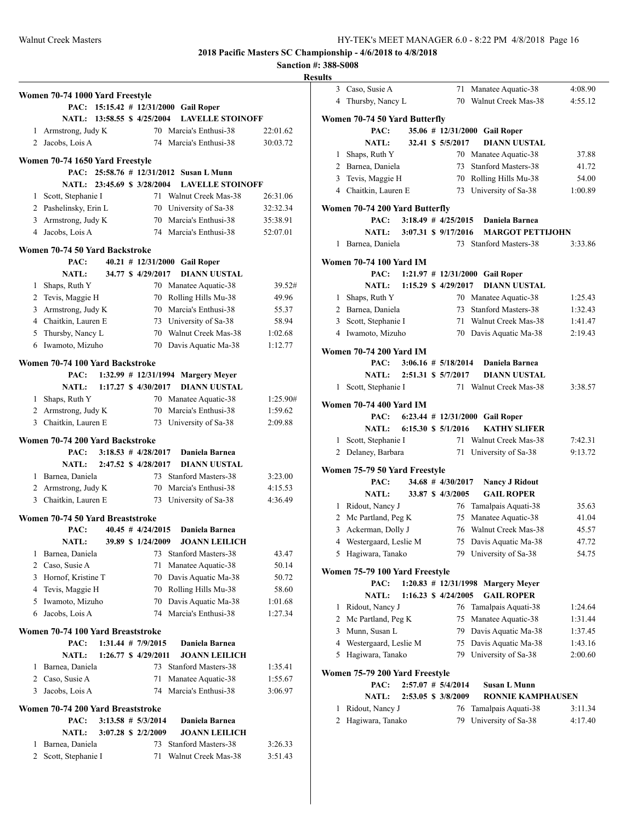|                | Women 70-74 1000 Yard Freestyle              |                             |                         |                                                  |                      |
|----------------|----------------------------------------------|-----------------------------|-------------------------|--------------------------------------------------|----------------------|
|                |                                              |                             |                         | PAC: 15:15.42 # 12/31/2000 Gail Roper            |                      |
|                |                                              | NATL: 13:58.55 \$ 4/25/2004 |                         | <b>LAVELLE STOINOFF</b>                          |                      |
|                | 1 Armstrong, Judy K                          |                             |                         | 70 Marcia's Enthusi-38                           | 22:01.62             |
| $\overline{2}$ | Jacobs, Lois A                               |                             |                         | 74 Marcia's Enthusi-38                           | 30:03.72             |
|                |                                              |                             |                         |                                                  |                      |
|                | Women 70-74 1650 Yard Freestyle              |                             |                         |                                                  |                      |
|                | PAC:                                         |                             |                         | 25:58.76 # 12/31/2012 Susan L Munn               |                      |
|                | NATL:                                        | 23:45.69 \$ 3/28/2004       |                         | <b>LAVELLE STOINOFF</b>                          |                      |
|                | 1 Scott, Stephanie I                         |                             |                         | 71 Walnut Creek Mas-38                           | 26:31.06<br>32:32.34 |
|                | 2 Pashelinsky, Erin L<br>3 Armstrong, Judy K |                             |                         | 70 University of Sa-38<br>70 Marcia's Enthusi-38 | 35:38.91             |
| 4              | Jacobs, Lois A                               |                             |                         | 74 Marcia's Enthusi-38                           | 52:07.01             |
|                |                                              |                             |                         |                                                  |                      |
|                | Women 70-74 50 Yard Backstroke               |                             |                         |                                                  |                      |
|                | PAC:                                         |                             |                         | 40.21 # 12/31/2000 Gail Roper                    |                      |
|                | NATL:                                        |                             | 34.77 \$4/29/2017       | <b>DIANN UUSTAL</b>                              |                      |
|                | 1 Shaps, Ruth Y                              |                             |                         | 70 Manatee Aquatic-38                            | 39.52#               |
|                | 2 Tevis, Maggie H                            |                             | 70                      | Rolling Hills Mu-38                              | 49.96                |
|                | 3 Armstrong, Judy K                          |                             |                         | 70 Marcia's Enthusi-38                           | 55.37                |
|                | 4 Chaitkin, Lauren E                         |                             |                         | 73 University of Sa-38                           | 58.94                |
|                | 5 Thursby, Nancy L                           |                             |                         | 70 Walnut Creek Mas-38                           | 1:02.68              |
| 6              | Iwamoto, Mizuho                              |                             |                         | 70 Davis Aquatic Ma-38                           | 1:12.77              |
|                | Women 70-74 100 Yard Backstroke              |                             |                         |                                                  |                      |
|                | PAC:                                         |                             |                         | 1:32.99 $\#$ 12/31/1994 Margery Meyer            |                      |
|                | <b>NATL:</b>                                 |                             | 1:17.27 \$ 4/30/2017    | <b>DIANN UUSTAL</b>                              |                      |
|                | 1 Shaps, Ruth Y                              |                             |                         | 70 Manatee Aquatic-38                            | 1:25.90#             |
|                | 2 Armstrong, Judy K                          |                             |                         | 70 Marcia's Enthusi-38                           | 1:59.62              |
|                | 3 Chaitkin, Lauren E                         |                             | 73                      | University of Sa-38                              | 2:09.88              |
|                |                                              |                             |                         |                                                  |                      |
|                | Women 70-74 200 Yard Backstroke<br>PAC:      |                             | $3:18.53$ # $4/28/2017$ | Daniela Barnea                                   |                      |
|                | NATL:                                        |                             | 2:47.52 \$ 4/28/2017    | <b>DIANN UUSTAL</b>                              |                      |
|                | 1 Barnea, Daniela                            |                             |                         | 73 Stanford Masters-38                           | 3:23.00              |
|                | 2 Armstrong, Judy K                          |                             |                         | 70 Marcia's Enthusi-38                           | 4:15.53              |
|                | 3 Chaitkin, Lauren E                         |                             |                         | 73 University of Sa-38                           | 4:36.49              |
|                |                                              |                             |                         |                                                  |                      |
|                | Women 70-74 50 Yard Breaststroke             |                             |                         |                                                  |                      |
|                | PAC:                                         |                             | $40.45$ # $4/24/2015$   | Daniela Barnea                                   |                      |
|                | <b>NATL:</b>                                 |                             | 39.89 \$ 1/24/2009      | <b>JOANN LEILICH</b>                             |                      |
| 1              | Barnea, Daniela                              |                             | 73                      | Stanford Masters-38                              | 43.47                |
| 2              | Caso, Susie A                                |                             | 71                      | Manatee Aquatic-38                               | 50.14                |
|                | 3 Hornof, Kristine T                         |                             | 70                      | Davis Aquatic Ma-38                              | 50.72                |
|                | 4 Tevis, Maggie H                            |                             | 70                      | Rolling Hills Mu-38                              | 58.60                |
| 5              | Iwamoto, Mizuho                              |                             | 70                      | Davis Aquatic Ma-38                              | 1:01.68              |
| 6              | Jacobs, Lois A                               |                             | 74                      | Marcia's Enthusi-38                              | 1:27.34              |
|                | Women 70-74 100 Yard Breaststroke            |                             |                         |                                                  |                      |
|                | PAC:                                         |                             | $1:31.44$ # $7/9/2015$  | Daniela Barnea                                   |                      |
|                | <b>NATL:</b>                                 |                             | 1:26.77 \$ 4/29/2011    | <b>JOANN LEILICH</b>                             |                      |
| 1              | Barnea, Daniela                              |                             | 73                      | <b>Stanford Masters-38</b>                       | 1:35.41              |
|                | 2 Caso, Susie A                              |                             | 71                      | Manatee Aquatic-38                               | 1:55.67              |
| 3              | Jacobs, Lois A                               |                             | 74                      | Marcia's Enthusi-38                              | 3:06.97              |
|                |                                              |                             |                         |                                                  |                      |
|                | Women 70-74 200 Yard Breaststroke<br>PAC:    |                             | $3:13.58$ # $5/3/2014$  | Daniela Barnea                                   |                      |
|                | <b>NATL:</b>                                 |                             | 3:07.28 \$ 2/2/2009     | <b>JOANN LEILICH</b>                             |                      |
| 1              | Barnea, Daniela                              |                             | 73                      | <b>Stanford Masters-38</b>                       | 3:26.33              |
| 2              | Scott, Stephanie I                           |                             | 71                      | Walnut Creek Mas-38                              | 3:51.43              |
|                |                                              |                             |                         |                                                  |                      |

| <b>Results</b> |                                |                               |                                 |                                     |         |
|----------------|--------------------------------|-------------------------------|---------------------------------|-------------------------------------|---------|
|                | 3 Caso, Susie A                |                               |                                 | 71 Manatee Aquatic-38               | 4:08.90 |
|                | 4 Thursby, Nancy L             |                               |                                 | 70 Walnut Creek Mas-38              | 4:55.12 |
|                |                                |                               |                                 |                                     |         |
|                | Women 70-74 50 Yard Butterfly  |                               |                                 |                                     |         |
|                | PAC:                           |                               |                                 | 35.06 # 12/31/2000 Gail Roper       |         |
|                | <b>NATL:</b>                   |                               | 32.41 \$ 5/5/2017               | <b>DIANN UUSTAL</b>                 |         |
|                | 1 Shaps, Ruth Y                |                               |                                 | 70 Manatee Aquatic-38               | 37.88   |
|                | 2 Barnea, Daniela              |                               |                                 | 73 Stanford Masters-38              | 41.72   |
|                | 3 Tevis, Maggie H              |                               |                                 | 70 Rolling Hills Mu-38              | 54.00   |
|                | 4 Chaitkin, Lauren E           |                               |                                 | 73 University of Sa-38              | 1:00.89 |
|                | Women 70-74 200 Yard Butterfly |                               |                                 |                                     |         |
|                |                                | PAC: $3:18.49 \# 4/25/2015$   |                                 | Daniela Barnea                      |         |
|                | NATL: 3:07.31 \$ 9/17/2016     |                               |                                 | <b>MARGOT PETTIJOHN</b>             |         |
|                | 1 Barnea, Daniela              |                               |                                 | 73 Stanford Masters-38              | 3:33.86 |
|                |                                |                               |                                 |                                     |         |
|                | <b>Women 70-74 100 Yard IM</b> |                               |                                 |                                     |         |
|                | PAC:                           |                               |                                 | $1:21.97$ # $12/31/2000$ Gail Roper |         |
|                | NATL: 1:15.29 \$ 4/29/2017     |                               |                                 | <b>DIANN UUSTAL</b>                 |         |
|                | 1 Shaps, Ruth Y                |                               |                                 | 70 Manatee Aquatic-38               | 1:25.43 |
|                | 2 Barnea, Daniela              |                               |                                 | 73 Stanford Masters-38              | 1:32.43 |
|                | 3 Scott, Stephanie I           |                               |                                 | 71 Walnut Creek Mas-38              | 1:41.47 |
|                | 4 Iwamoto, Mizuho              |                               |                                 | 70 Davis Aquatic Ma-38              | 2:19.43 |
|                | <b>Women 70-74 200 Yard IM</b> |                               |                                 |                                     |         |
|                | PAC:                           |                               | $3:06.16 \# 5/18/2014$          | Daniela Barnea                      |         |
|                | <b>NATL:</b>                   |                               | 2:51.31 \$ 5/7/2017             | <b>DIANN UUSTAL</b>                 |         |
|                | 1 Scott, Stephanie I           |                               |                                 | 71 Walnut Creek Mas-38              | 3:38.57 |
|                |                                |                               |                                 |                                     |         |
|                | <b>Women 70-74 400 Yard IM</b> |                               |                                 |                                     |         |
|                | PAC:                           |                               |                                 | 6:23.44 # 12/31/2000 Gail Roper     |         |
|                | <b>NATL:</b>                   | $6:15.30 \text{ s } 5/1/2016$ |                                 | <b>KATHY SLIFER</b>                 |         |
|                | 1 Scott, Stephanie I           |                               |                                 | 71 Walnut Creek Mas-38              | 7:42.31 |
|                | 2 Delaney, Barbara             |                               |                                 | 71 University of Sa-38              | 9:13.72 |
|                | Women 75-79 50 Yard Freestyle  |                               |                                 |                                     |         |
|                | PAC:                           |                               | 34.68 # 4/30/2017               | <b>Nancy J Ridout</b>               |         |
|                | NATL: 33.87 \$4/3/2005         |                               |                                 | <b>GAIL ROPER</b>                   |         |
|                | 1 Ridout, Nancy J              |                               |                                 | 76 Tamalpais Aquati-38              | 35.63   |
|                | 2 Mc Partland, Peg K           |                               |                                 | 75 Manatee Aquatic-38               | 41.04   |
|                | 3 Ackerman, Dolly J            |                               |                                 | 76 Walnut Creek Mas-38              | 45.57   |
|                | 4 Westergaard, Leslie M        |                               | 75                              | Davis Aquatic Ma-38                 | 47.72   |
| 5              | Hagiwara, Tanako               |                               | 79                              | University of Sa-38                 | 54.75   |
|                |                                |                               |                                 |                                     |         |
|                | Women 75-79 100 Yard Freestyle |                               |                                 |                                     |         |
|                | PAC:                           |                               |                                 | 1:20.83 # 12/31/1998 Margery Meyer  |         |
|                | <b>NATL:</b>                   |                               | $1:16.23 \text{ }$ \$ 4/24/2005 | <b>GAIL ROPER</b>                   |         |
|                | 1 Ridout, Nancy J              |                               |                                 | 76 Tamalpais Aquati-38              | 1:24.64 |
|                | 2 Mc Partland, Peg K           |                               | 75                              | Manatee Aquatic-38                  | 1:31.44 |
|                | 3 Munn, Susan L                |                               |                                 | 79 Davis Aquatic Ma-38              | 1:37.45 |
|                | 4 Westergaard, Leslie M        |                               |                                 | 75 Davis Aquatic Ma-38              | 1:43.16 |
|                | 5 Hagiwara, Tanako             |                               |                                 | 79 University of Sa-38              | 2:00.60 |
|                | Women 75-79 200 Yard Freestyle |                               |                                 |                                     |         |
|                | PAC:                           |                               | $2:57.07$ # $5/4/2014$          | Susan L Munn                        |         |
|                | <b>NATL:</b>                   |                               | 2:53.05 \$ 3/8/2009             | <b>RONNIE KAMPHAUSEN</b>            |         |
|                | 1 Ridout, Nancy J              |                               | 76                              | Tamalpais Aquati-38                 | 3:11.34 |
|                |                                |                               | 79                              |                                     |         |
|                | 2 Hagiwara, Tanako             |                               |                                 | University of Sa-38                 | 4:17.40 |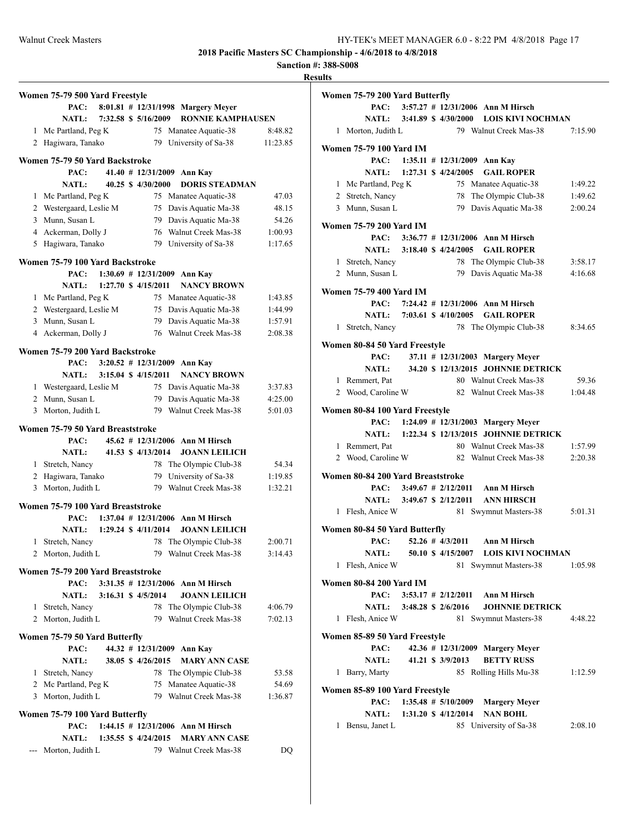**Sanction #: 388-S008 Results**

|   | Women 75-79 500 Yard Freestyle       |                     |                          |                                               |                                                                       |
|---|--------------------------------------|---------------------|--------------------------|-----------------------------------------------|-----------------------------------------------------------------------|
|   | PAC:                                 |                     |                          | 8:01.81 $# 12/31/1998$ Margery Meyer          |                                                                       |
|   | <b>NATL:</b>                         |                     | 7:32.58 \$ 5/16/2009     | <b>RONNIE KAMPHAUSEN</b>                      |                                                                       |
|   | 1 Mc Partland, Peg K                 |                     | 75                       | Manatee Aquatic-38                            | 8:48.82                                                               |
|   | 2 Hagiwara, Tanako                   |                     | 79                       | University of Sa-38                           | 11:23.85                                                              |
|   | Women 75-79 50 Yard Backstroke       |                     |                          |                                               |                                                                       |
|   | PAC:                                 |                     | $41.40$ # $12/31/2009$   | Ann Kay                                       |                                                                       |
|   | <b>NATL:</b>                         |                     | 40.25 \$ 4/30/2000       | <b>DORIS STEADMAN</b>                         |                                                                       |
|   | 1 Mc Partland, Peg K                 |                     |                          | 75 Manatee Aquatic-38                         | 47.03                                                                 |
|   | 2 Westergaard, Leslie M              |                     |                          | 75 Davis Aquatic Ma-38                        | 48.15                                                                 |
|   | 3 Munn. Susan L                      |                     |                          | 79 Davis Aquatic Ma-38                        | 54.26                                                                 |
|   | 4 Ackerman, Dolly J                  |                     |                          | 76 Walnut Creek Mas-38                        | 1:00.93                                                               |
|   | 5 Hagiwara, Tanako                   |                     |                          | 79 University of Sa-38                        | 1:17.65                                                               |
|   | Women 75-79 100 Yard Backstroke      |                     |                          |                                               |                                                                       |
|   | PAC:                                 |                     | $1:30.69$ # $12/31/2009$ | Ann Kay                                       |                                                                       |
|   | NATL:                                |                     | 1:27.70 \$ 4/15/2011     | <b>NANCY BROWN</b>                            |                                                                       |
|   | 1 Mc Partland, Peg K                 |                     | 75                       | Manatee Aquatic-38                            | 1:43.85                                                               |
|   | 2 Westergaard, Leslie M              |                     |                          | 75 Davis Aquatic Ma-38                        | 1:44.99                                                               |
|   | 3 Munn. Susan L                      |                     |                          | 79 Davis Aquatic Ma-38                        | 1:57.91                                                               |
|   | 4 Ackerman, Dolly J                  |                     |                          | 76 Walnut Creek Mas-38                        | 2:08.38                                                               |
|   | Women 75-79 200 Yard Backstroke      |                     |                          |                                               |                                                                       |
|   | PAC:                                 |                     |                          | $3:20.52$ # 12/31/2009 Ann Kay                |                                                                       |
|   | <b>NATL:</b>                         |                     | 3:15.04 \$ 4/15/2011     | <b>NANCY BROWN</b>                            |                                                                       |
|   | 1 Westergaard, Leslie M              |                     | 75                       | Davis Aquatic Ma-38                           | 3:37.83                                                               |
|   | 2 Munn, Susan L                      |                     | 79                       | Davis Aquatic Ma-38                           | 4:25.00                                                               |
|   | 3 Morton, Judith L                   |                     | 79                       | Walnut Creek Mas-38                           | 5:01.03                                                               |
|   | Women 75-79 50 Yard Breaststroke     |                     |                          |                                               |                                                                       |
|   | PAC:                                 |                     |                          | 45.62 # 12/31/2006 Ann M Hirsch               |                                                                       |
|   | <b>NATL:</b>                         |                     | 41.53 \$ 4/13/2014       | <b>JOANN LEILICH</b>                          |                                                                       |
|   | 1 Stretch, Nancy                     |                     | 78                       | The Olympic Club-38                           | 54.34                                                                 |
|   | 2 Hagiwara, Tanako                   |                     | 79                       | University of Sa-38                           | 1:19.85                                                               |
|   | 3 Morton, Judith L                   |                     |                          | 79 Walnut Creek Mas-38                        | 1:32.21                                                               |
|   | Women 75-79 100 Yard Breaststroke    |                     |                          |                                               |                                                                       |
|   |                                      |                     |                          |                                               |                                                                       |
|   |                                      |                     |                          | <b>Ann M Hirsch</b>                           |                                                                       |
|   | PAC:<br>NATL:                        |                     | $1:37.04$ # $12/31/2006$ |                                               |                                                                       |
|   |                                      |                     | 1:29.24 \$ 4/11/2014     | <b>JOANN LEILICH</b>                          |                                                                       |
| 1 | Stretch, Nancy<br>2 Morton, Judith L |                     | 79                       | 78 The Olympic Club-38<br>Walnut Creek Mas-38 |                                                                       |
|   |                                      |                     |                          |                                               |                                                                       |
|   | Women 75-79 200 Yard Breaststroke    |                     |                          |                                               |                                                                       |
|   | PAC:                                 |                     |                          | 3:31.35 # 12/31/2006 Ann M Hirsch             |                                                                       |
|   | <b>NATL:</b>                         | 3:16.31 \$ 4/5/2014 |                          | <b>JOANN LEILICH</b>                          |                                                                       |
|   | 1 Stretch, Nancy                     |                     | 78                       | The Olympic Club-38                           |                                                                       |
|   | 2 Morton, Judith L                   |                     | 79.                      | Walnut Creek Mas-38                           |                                                                       |
|   | Women 75-79 50 Yard Butterfly        |                     |                          |                                               |                                                                       |
|   | PAC:                                 |                     | $44.32$ # $12/31/2009$   | Ann Kay                                       |                                                                       |
|   | NATL:                                |                     | 38.05 \$ 4/26/2015       | <b>MARY ANN CASE</b>                          |                                                                       |
|   | 1 Stretch, Nancy                     |                     |                          | 78 The Olympic Club-38                        |                                                                       |
|   | 2 Mc Partland, Peg K                 |                     | 75                       | Manatee Aquatic-38                            |                                                                       |
|   | 3 Morton, Judith L                   |                     |                          | 79 Walnut Creek Mas-38                        |                                                                       |
|   | Women 75-79 100 Yard Butterfly       |                     |                          |                                               |                                                                       |
|   | PAC:                                 |                     |                          | 1:44.15 # 12/31/2006 Ann M Hirsch             | 2:00.71<br>3:14.43<br>4:06.79<br>7:02.13<br>53.58<br>54.69<br>1:36.87 |
|   | <b>NATL:</b>                         |                     | 1:35.55 \$ 4/24/2015     | <b>MARY ANN CASE</b>                          |                                                                       |

| Women 75-79 200 Yard Butterfly    |  |                          |                                             |         |
|-----------------------------------|--|--------------------------|---------------------------------------------|---------|
| PAC:                              |  |                          | 3:57.27 # 12/31/2006 Ann M Hirsch           |         |
| NATL:                             |  | $3:41.89$ \$ $4/30/2000$ | <b>LOIS KIVI NOCHMAN</b>                    |         |
| 1 Morton, Judith L                |  |                          | 79 Walnut Creek Mas-38                      | 7:15.90 |
| Women 75-79 100 Yard IM           |  |                          |                                             |         |
| PAC:                              |  |                          | 1:35.11 # 12/31/2009 Ann Kay                |         |
|                                   |  |                          |                                             |         |
| <b>NATL:</b>                      |  | 1:27.31 \$ 4/24/2005     | <b>GAIL ROPER</b>                           |         |
| 1 Mc Partland, Peg K              |  |                          | 75 Manatee Aquatic-38                       | 1:49.22 |
| 2 Stretch, Nancy                  |  |                          | 78 The Olympic Club-38                      | 1:49.62 |
| 3 Munn, Susan L                   |  |                          | 79 Davis Aquatic Ma-38                      | 2:00.24 |
| Women 75-79 200 Yard IM           |  |                          |                                             |         |
| PAC:                              |  |                          | 3:36.77 # 12/31/2006 Ann M Hirsch           |         |
| NATL: 3:18.40 \$ 4/24/2005        |  |                          | <b>GAIL ROPER</b>                           |         |
| 1 Stretch, Nancy                  |  |                          | 78 The Olympic Club-38                      | 3:58.17 |
| 2 Munn, Susan L                   |  |                          | 79 Davis Aquatic Ma-38                      | 4:16.68 |
|                                   |  |                          |                                             |         |
| <b>Women 75-79 400 Yard IM</b>    |  |                          |                                             |         |
| PAC:                              |  |                          | 7:24.42 # 12/31/2006 Ann M Hirsch           |         |
| NATL: 7:03.61 \$ 4/10/2005        |  |                          | <b>GAIL ROPER</b>                           |         |
| 1 Stretch, Nancy                  |  |                          | 78 The Olympic Club-38                      | 8:34.65 |
| Women 80-84 50 Yard Freestyle     |  |                          |                                             |         |
| PAC:                              |  |                          | 37.11 # 12/31/2003 Margery Meyer            |         |
| <b>NATL:</b>                      |  |                          | 34.20 \$12/13/2015 JOHNNIE DETRICK          |         |
| 1 Remmert, Pat                    |  |                          | 80 Walnut Creek Mas-38                      | 59.36   |
| 2 Wood, Caroline W                |  |                          | 82 Walnut Creek Mas-38                      | 1:04.48 |
|                                   |  |                          |                                             |         |
| Women 80-84 100 Yard Freestyle    |  |                          |                                             |         |
|                                   |  |                          | PAC: 1:24.09 # 12/31/2003 Margery Meyer     |         |
|                                   |  |                          | NATL: 1:22.34 \$ 12/13/2015 JOHNNIE DETRICK |         |
| 1 Remmert, Pat                    |  |                          | 80 Walnut Creek Mas-38                      | 1:57.99 |
| 2 Wood, Caroline W                |  |                          | 82 Walnut Creek Mas-38                      | 2:20.38 |
| Women 80-84 200 Yard Breaststroke |  |                          |                                             |         |
| PAC:                              |  |                          | $3:49.67$ # 2/12/2011 Ann M Hirsch          |         |
| NATL: 3:49.67 \$ 2/12/2011        |  |                          | <b>ANN HIRSCH</b>                           |         |
| 1 Flesh, Anice W                  |  |                          | 81 Swymnut Masters-38                       | 5:01.31 |
|                                   |  |                          |                                             |         |
| Women 80-84 50 Yard Butterfly     |  |                          |                                             |         |
| PAC:                              |  | $52.26$ # $4/3/2011$     | Ann M Hirsch                                |         |
|                                   |  |                          | NATL: 50.10 \$4/15/2007 LOIS KIVI NOCHMAN   |         |
| 1 Flesh, Anice W                  |  |                          | 81 Swymnut Masters-38                       | 1:05.98 |
|                                   |  |                          |                                             |         |
| Women 80-84 200 Yard IM           |  |                          |                                             |         |
|                                   |  |                          | PAC: 3:53.17 # 2/12/2011 Ann M Hirsch       |         |
| NATL: 3:48.28 \$ 2/6/2016         |  |                          | <b>JOHNNIE DETRICK</b>                      |         |
| 1 Flesh, Anice W                  |  |                          | 81 Swymnut Masters-38                       | 4:48.22 |
| Women 85-89 50 Yard Freestyle     |  |                          |                                             |         |
| PAC:                              |  |                          | 42.36 # 12/31/2009 Margery Meyer            |         |
| <b>NATL:</b>                      |  | 41.21 \$ 3/9/2013        | <b>BETTY RUSS</b>                           |         |
| 1 Barry, Marty                    |  |                          | 85 Rolling Hills Mu-38                      | 1:12.59 |
|                                   |  |                          |                                             |         |
| Women 85-89 100 Yard Freestyle    |  |                          |                                             |         |
| PAC:                              |  | $1:35.48 \# 5/10/2009$   | <b>Margery Meyer</b>                        |         |
| NATL: 1:31.20 \$ 4/12/2014        |  |                          | <b>NAN BOHL</b>                             |         |
| 1 Bensu, Janet L                  |  |                          | 85 University of Sa-38                      | 2:08.10 |
|                                   |  |                          |                                             |         |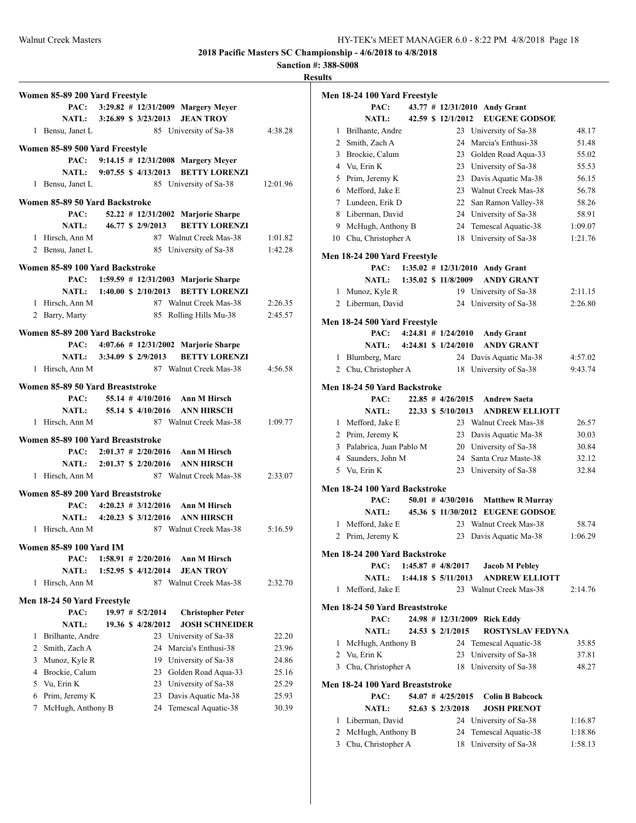**Sanction #: 388-S008**

| Women 85-89 200 Yard Freestyle    |                               |                       |                                           |          |
|-----------------------------------|-------------------------------|-----------------------|-------------------------------------------|----------|
|                                   |                               |                       | PAC: 3:29.82 # 12/31/2009 Margery Meyer   |          |
|                                   | NATL: 3:26.89 \$ 3/23/2013    |                       | <b>JEAN TROY</b>                          |          |
|                                   |                               |                       |                                           |          |
| 1 Bensu, Janet L                  |                               |                       | 85 University of Sa-38                    | 4:38.28  |
| Women 85-89 500 Yard Freestyle    |                               |                       |                                           |          |
|                                   |                               |                       | PAC: 9:14.15 # 12/31/2008 Margery Meyer   |          |
|                                   | NATL: 9:07.55 \$ 4/13/2013    |                       | <b>BETTY LORENZI</b>                      |          |
| 1 Bensu, Janet L                  |                               |                       | 85 University of Sa-38                    | 12:01.96 |
| Women 85-89 50 Yard Backstroke    |                               |                       |                                           |          |
| PAC:                              |                               |                       | 52.22 # 12/31/2002 Marjorie Sharpe        |          |
| NATL:                             |                               | 46.77 \$ 2/9/2013     | <b>BETTY LORENZI</b>                      |          |
| 1 Hirsch, Ann M                   |                               |                       | 87 Walnut Creek Mas-38                    | 1:01.82  |
| 2 Bensu, Janet L                  |                               |                       | 85 University of Sa-38                    | 1:42.28  |
|                                   |                               |                       |                                           |          |
| Women 85-89 100 Yard Backstroke   |                               |                       |                                           |          |
|                                   |                               |                       | PAC: 1:59.59 # 12/31/2003 Marjorie Sharpe |          |
|                                   | NATL: 1:40.00 \$ 2/10/2013    |                       | <b>BETTY LORENZI</b>                      |          |
| 1 Hirsch, Ann M                   |                               |                       | 87 Walnut Creek Mas-38                    | 2:26.35  |
| 2 Barry, Marty                    |                               |                       | 85 Rolling Hills Mu-38                    | 2:45.57  |
| Women 85-89 200 Yard Backstroke   |                               |                       |                                           |          |
|                                   |                               |                       | PAC: 4:07.66 # 12/31/2002 Marjorie Sharpe |          |
|                                   | NATL: 3:34.09 \$ 2/9/2013     |                       | <b>BETTY LORENZI</b>                      |          |
| 1 Hirsch, Ann M                   |                               |                       | 87 Walnut Creek Mas-38                    | 4:56.58  |
|                                   |                               |                       |                                           |          |
| Women 85-89 50 Yard Breaststroke  |                               |                       |                                           |          |
| PAC:                              |                               |                       | 55.14 $\#$ 4/10/2016 Ann M Hirsch         |          |
|                                   |                               |                       | NATL: 55.14 \$4/10/2016 ANN HIRSCH        |          |
| 1 Hirsch, Ann M                   |                               |                       | 87 Walnut Creek Mas-38                    | 1:09.77  |
| Women 85-89 100 Yard Breaststroke |                               |                       |                                           |          |
|                                   | PAC: $2:01.37 \neq 2/20/2016$ |                       | Ann M Hirsch                              |          |
|                                   | NATL: 2:01.37 \$ 2/20/2016    |                       | <b>ANN HIRSCH</b>                         |          |
| 1 Hirsch, Ann M                   |                               |                       | 87 Walnut Creek Mas-38                    | 2:33.07  |
|                                   |                               |                       |                                           |          |
| Women 85-89 200 Yard Breaststroke |                               |                       |                                           |          |
|                                   |                               |                       | PAC: $4:20.23 \# 3/12/2016$ Ann M Hirsch  |          |
|                                   |                               |                       | NATL: 4:20.23 \$ 3/12/2016 ANN HIRSCH     |          |
| 1 Hirsch, Ann M                   |                               |                       | 87 Walnut Creek Mas-38                    | 5:16.59  |
| <b>Women 85-89 100 Yard IM</b>    |                               |                       |                                           |          |
| PAC:                              |                               | $1:58.91$ # 2/20/2016 | Ann M Hirsch                              |          |
| NATL:                             |                               | 1:52.95 \$ 4/12/2014  | <b>JEAN TROY</b>                          |          |
| Hirsch, Ann M<br>1                |                               |                       | 87 Walnut Creek Mas-38                    | 2:32.70  |
|                                   |                               |                       |                                           |          |
| Men 18-24 50 Yard Freestyle       |                               |                       |                                           |          |
| PAC:                              |                               | $19.97$ # $5/2/2014$  | <b>Christopher Peter</b>                  |          |
| <b>NATL:</b>                      |                               | 19.36 \$ 4/28/2012    | <b>JOSH SCHNEIDER</b>                     |          |
| Brilhante, Andre<br>1             |                               |                       | 23 University of Sa-38                    | 22.20    |
| Smith, Zach A<br>2                |                               | 24                    | Marcia's Enthusi-38                       | 23.96    |
| 3<br>Munoz, Kyle R                |                               | 19                    | University of Sa-38                       | 24.86    |
| Brockie, Calum<br>4               |                               | 23                    | Golden Road Aqua-33                       | 25.16    |
| Vu, Erin K<br>5                   |                               | 23                    | University of Sa-38                       | 25.29    |
| Prim, Jeremy K<br>6               |                               | 23                    | Davis Aquatic Ma-38                       | 25.93    |
| 7<br>McHugh, Anthony B            |                               | 24                    | Temescal Aquatic-38                       | 30.39    |
|                                   |                               |                       |                                           |          |

|                | Men 18-24 100 Yard Freestyle    |  |                         |                                              |         |
|----------------|---------------------------------|--|-------------------------|----------------------------------------------|---------|
|                | PAC:                            |  |                         | 43.77 # 12/31/2010 Andy Grant                |         |
|                | <b>NATL:</b>                    |  | 42.59 \$ 12/1/2012      | <b>EUGENE GODSOE</b>                         |         |
| 1              | Brilhante, Andre                |  |                         | 23 University of Sa-38                       | 48.17   |
|                | 2 Smith, Zach A                 |  | 24                      | Marcia's Enthusi-38                          | 51.48   |
|                | 3 Brockie, Calum                |  |                         | 23 Golden Road Aqua-33                       | 55.02   |
| $\overline{4}$ | Vu, Erin K                      |  |                         | 23 University of Sa-38                       | 55.53   |
| 5              | Prim, Jeremy K                  |  |                         | 23 Davis Aquatic Ma-38                       | 56.15   |
|                | 6 Mefford, Jake E               |  |                         | 23 Walnut Creek Mas-38                       | 56.78   |
|                | 7 Lundeen, Erik D               |  |                         | 22 San Ramon Valley-38                       | 58.26   |
|                | 8 Liberman, David               |  |                         | 24 University of Sa-38                       | 58.91   |
| 9              | McHugh, Anthony B               |  |                         | 24 Temescal Aquatic-38                       | 1:09.07 |
| 10             | Chu, Christopher A              |  | 18                      | University of Sa-38                          | 1:21.76 |
|                |                                 |  |                         |                                              |         |
|                | Men 18-24 200 Yard Freestyle    |  |                         |                                              |         |
|                | PAC:                            |  |                         | 1:35.02 # 12/31/2010 Andy Grant              |         |
|                | <b>NATL:</b>                    |  | 1:35.02 \$ 11/8/2009    | <b>ANDY GRANT</b>                            |         |
| 1              | Munoz, Kyle R                   |  |                         | 19 University of Sa-38                       | 2:11.15 |
|                | 2 Liberman, David               |  |                         | 24 University of Sa-38                       | 2:26.80 |
|                | Men 18-24 500 Yard Freestyle    |  |                         |                                              |         |
|                | PAC:                            |  | $4:24.81$ # $1/24/2010$ | <b>Andy Grant</b>                            |         |
|                | <b>NATL:</b>                    |  | 4:24.81 \$ 1/24/2010    | <b>ANDY GRANT</b>                            |         |
| 1              | Blumberg, Marc                  |  |                         | 24 Davis Aquatic Ma-38                       | 4:57.02 |
|                | 2 Chu, Christopher A            |  | 18                      | University of Sa-38                          | 9:43.74 |
|                |                                 |  |                         |                                              |         |
|                | Men 18-24 50 Yard Backstroke    |  | $22.85$ # $4/26/2015$   |                                              |         |
|                | PAC:                            |  |                         | <b>Andrew Saeta</b><br><b>ANDREW ELLIOTT</b> |         |
|                | <b>NATL:</b>                    |  | 22.33 \$ 5/10/2013      |                                              |         |
|                | 1 Mefford, Jake E               |  |                         | 23 Walnut Creek Mas-38                       | 26.57   |
|                | 2 Prim, Jeremy K                |  |                         | 23 Davis Aquatic Ma-38                       | 30.03   |
| 3              | Palabrica, Juan Pablo M         |  |                         | 20 University of Sa-38                       | 30.84   |
|                | 4 Saunders, John M              |  |                         | 24 Santa Cruz Maste-38                       | 32.12   |
|                | 5 Vu, Erin K                    |  | 23                      | University of Sa-38                          | 32.84   |
|                | Men 18-24 100 Yard Backstroke   |  |                         |                                              |         |
|                | PAC:                            |  | $50.01$ # $4/30/2016$   | <b>Matthew R Murray</b>                      |         |
|                | <b>NATL:</b>                    |  |                         | 45.36 \$11/30/2012 EUGENE GODSOE             |         |
| 1              | Mefford, Jake E                 |  |                         | 23 Walnut Creek Mas-38                       | 58.74   |
| 2              | Prim, Jeremy K                  |  | 23                      | Davis Aquatic Ma-38                          | 1:06.29 |
|                |                                 |  |                         |                                              |         |
|                | Men 18-24 200 Yard Backstroke   |  |                         |                                              |         |
|                | PAC:                            |  | $1:45.87$ # $4/8/2017$  | <b>Jacob M Pebley</b>                        |         |
|                | <b>NATL:</b>                    |  | 1:44.18 \$ 5/11/2013    | <b>ANDREW ELLIOTT</b>                        |         |
| 1              | Mefford, Jake E                 |  |                         | 23 Walnut Creek Mas-38                       | 2:14.76 |
|                | Men 18-24 50 Yard Breaststroke  |  |                         |                                              |         |
|                | PAC:                            |  |                         | 24.98 # 12/31/2009 Rick Eddy                 |         |
|                | <b>NATL:</b>                    |  | 24.53 \$ 2/1/2015       | <b>ROSTYSLAV FEDYNA</b>                      |         |
| 1              | McHugh, Anthony B               |  |                         | 24 Temescal Aquatic-38                       | 35.85   |
| 2              | Vu, Erin K                      |  | 23                      | University of Sa-38                          | 37.81   |
| 3              | Chu, Christopher A              |  | 18                      | University of Sa-38                          | 48.27   |
|                |                                 |  |                         |                                              |         |
|                | Men 18-24 100 Yard Breaststroke |  |                         |                                              |         |
|                | PAC:                            |  | 54.07 # 4/25/2015       | <b>Colin B Babcock</b>                       |         |
|                | <b>NATL:</b>                    |  | 52.63 \$ 2/3/2018       | <b>JOSH PRENOT</b>                           |         |
| 1              | Liberman, David                 |  | 24                      | University of Sa-38                          | 1:16.87 |
| 2              | McHugh, Anthony B               |  | 24                      | Temescal Aquatic-38                          | 1:18.86 |
| 3              | Chu, Christopher A              |  | 18                      | University of Sa-38                          | 1:58.13 |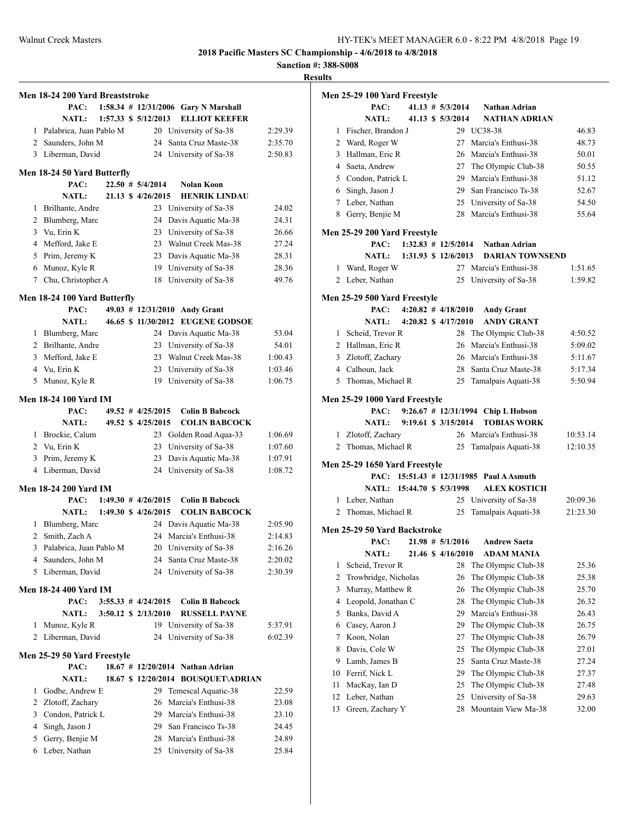**Sanction #: 388-S008**

|                     | Men 18-24 200 Yard Breaststroke          |  |                             |                                                       |                    |
|---------------------|------------------------------------------|--|-----------------------------|-------------------------------------------------------|--------------------|
|                     | PAC:                                     |  |                             | 1:58.34 # 12/31/2006 Gary N Marshall                  |                    |
|                     | <b>NATL:</b>                             |  | 1:57.33 \$ 5/12/2013        | <b>ELLIOT KEEFER</b>                                  |                    |
|                     | 1 Palabrica, Juan Pablo M                |  | 20                          | University of Sa-38                                   | 2:29.39            |
|                     | 2 Saunders, John M                       |  | 24                          | Santa Cruz Maste-38                                   | 2:35.70            |
|                     | 3 Liberman, David                        |  | 24                          | University of Sa-38                                   | 2:50.83            |
|                     |                                          |  |                             |                                                       |                    |
|                     | Men 18-24 50 Yard Butterfly<br>PAC:      |  | $22.50$ # $5/4/2014$        | <b>Nolan Koon</b>                                     |                    |
|                     | <b>NATL:</b>                             |  | 21.13 \$ 4/26/2015          | <b>HENRIK LINDAU</b>                                  |                    |
| 1                   | Brilhante, Andre                         |  |                             | 23 University of Sa-38                                | 24.02              |
|                     | 2 Blumberg, Marc                         |  | 24                          | Davis Aquatic Ma-38                                   | 24.31              |
| 3                   | Vu, Erin K                               |  |                             | 23 University of Sa-38                                | 26.66              |
|                     | 4 Mefford, Jake E                        |  |                             | 23 Walnut Creek Mas-38                                | 27.24              |
|                     | 5 Prim, Jeremy K                         |  |                             | 23 Davis Aquatic Ma-38                                | 28.31              |
|                     | 6 Munoz, Kyle R                          |  |                             | 19 University of Sa-38                                | 28.36              |
| $7^{\circ}$         | Chu, Christopher A                       |  | 18                          | University of Sa-38                                   | 49.76              |
|                     |                                          |  |                             |                                                       |                    |
|                     | Men 18-24 100 Yard Butterfly             |  |                             |                                                       |                    |
|                     | PAC:                                     |  |                             | 49.03 # 12/31/2010 Andy Grant<br><b>EUGENE GODSOE</b> |                    |
| 1                   | <b>NATL:</b><br>Blumberg, Marc           |  | 46.65 \$ 11/30/2012         | 24 Davis Aquatic Ma-38                                | 53.04              |
|                     | 2 Brilhante, Andre                       |  |                             | 23 University of Sa-38                                | 54.01              |
|                     | 3 Mefford, Jake E                        |  |                             | 23 Walnut Creek Mas-38                                | 1:00.43            |
| 4                   | Vu, Erin K                               |  | 23                          | University of Sa-38                                   | 1:03.46            |
| 5                   | Munoz, Kyle R                            |  | 19                          | University of Sa-38                                   | 1:06.75            |
|                     |                                          |  |                             |                                                       |                    |
|                     | Men 18-24 100 Yard IM                    |  |                             |                                                       |                    |
|                     | PAC:                                     |  | $49.52$ # $4/25/2015$       | <b>Colin B Babcock</b>                                |                    |
|                     | <b>NATL:</b>                             |  | 49.52 \$4/25/2015           | <b>COLIN BABCOCK</b>                                  |                    |
|                     | 1 Brockie, Calum                         |  |                             | 23 Golden Road Aqua-33                                | 1:06.69            |
|                     | 2 Vu, Erin K                             |  | 23                          | University of Sa-38                                   | 1:07.60            |
| 3                   | Prim, Jeremy K                           |  | 23                          | Davis Aquatic Ma-38                                   | 1:07.91            |
| 4                   | Liberman, David                          |  |                             | 24 University of Sa-38                                | 1:08.72            |
|                     | Men 18-24 200 Yard IM                    |  |                             |                                                       |                    |
|                     |                                          |  | PAC: $1:49.30 \# 4/26/2015$ | <b>Colin B Babcock</b>                                |                    |
|                     | NATL: 1:49.30 \$ 4/26/2015               |  |                             | <b>COLIN BABCOCK</b>                                  |                    |
| 1                   | Blumberg, Marc                           |  | 24                          | Davis Aquatic Ma-38                                   | 2:05.90            |
| $\overline{2}$<br>3 | Smith, Zach A<br>Palabrica, Juan Pablo M |  | 20                          | 24 Marcia's Enthusi-38<br>University of Sa-38         | 2:14.83<br>2:16.26 |
| 4                   | Saunders, John M                         |  | 24                          | Santa Cruz Maste-38                                   | 2:20.02            |
| 5                   | Liberman, David                          |  | 24                          | University of Sa-38                                   | 2:30.39            |
|                     |                                          |  |                             |                                                       |                    |
|                     | <b>Men 18-24 400 Yard IM</b>             |  |                             |                                                       |                    |
|                     | PAC:                                     |  | $3:55.33 \# 4/24/2015$      | <b>Colin B Babcock</b>                                |                    |
|                     | <b>NATL:</b>                             |  | 3:50.12 \$ 2/13/2010        | <b>RUSSELL PAYNE</b>                                  |                    |
| 1                   | Munoz, Kyle R                            |  |                             | 19 University of Sa-38                                | 5:37.91            |
| 2                   | Liberman, David                          |  | 24                          | University of Sa-38                                   | 6:02.39            |
|                     | Men 25-29 50 Yard Freestyle              |  |                             |                                                       |                    |
|                     | PAC:                                     |  |                             | 18.67 # 12/20/2014 Nathan Adrian                      |                    |
|                     | <b>NATL:</b>                             |  |                             | 18.67 \$12/20/2014 BOUSQUET\ADRIAN                    |                    |
| 1                   | Godbe, Andrew E                          |  | 29                          | Temescal Aquatic-38                                   | 22.59              |
| 2                   | Zlotoff, Zachary                         |  | 26                          | Marcia's Enthusi-38                                   | 23.08              |
| 3                   | Condon, Patrick L                        |  | 29                          | Marcia's Enthusi-38                                   | 23.10              |
| 4                   | Singh, Jason J                           |  | 29                          | San Francisco Ts-38                                   | 24.45              |
| 5                   | Gerry, Benjie M                          |  | 28                          | Marcia's Enthusi-38                                   | 24.89              |
| 6                   | Leber, Nathan                            |  | 25                          | University of Sa-38                                   | 25.84              |

|              | Men 25-29 100 Yard Freestyle  |  |                         |                                          |          |
|--------------|-------------------------------|--|-------------------------|------------------------------------------|----------|
|              | PAC:                          |  | $41.13 \# 5/3/2014$     | <b>Nathan Adrian</b>                     |          |
|              | <b>NATL:</b>                  |  | 41.13 \$ 5/3/2014       | <b>NATHAN ADRIAN</b>                     |          |
|              | 1 Fischer, Brandon J          |  |                         | 29 UC38-38                               | 46.83    |
|              | 2 Ward, Roger W               |  |                         | 27 Marcia's Enthusi-38                   | 48.73    |
|              | 3 Hallman, Eric R             |  |                         | 26 Marcia's Enthusi-38                   | 50.01    |
|              | 4 Saeta, Andrew               |  |                         | 27 The Olympic Club-38                   | 50.55    |
|              | 5 Condon, Patrick L           |  |                         | 29 Marcia's Enthusi-38                   | 51.12    |
|              | 6 Singh, Jason J              |  |                         | 29 San Francisco Ts-38                   | 52.67    |
|              | 7 Leber, Nathan               |  |                         | 25 University of Sa-38                   | 54.50    |
|              | 8 Gerry, Benjie M             |  | 28                      | Marcia's Enthusi-38                      | 55.64    |
|              | Men 25-29 200 Yard Freestyle  |  |                         |                                          |          |
|              | PAC:                          |  |                         | 1:32.83 # 12/5/2014 Nathan Adrian        |          |
|              | <b>NATL:</b>                  |  | 1:31.93 \$ 12/6/2013    | <b>DARIAN TOWNSEND</b>                   |          |
| 1            | Ward, Roger W                 |  |                         | 27 Marcia's Enthusi-38                   | 1:51.65  |
|              | 2 Leber, Nathan               |  |                         | 25 University of Sa-38                   | 1:59.82  |
|              | Men 25-29 500 Yard Freestyle  |  |                         |                                          |          |
|              | PAC:                          |  | $4:20.82$ # $4/18/2010$ | <b>Andy Grant</b>                        |          |
|              | <b>NATL:</b>                  |  | 4:20.82 \$ 4/17/2010    | <b>ANDY GRANT</b>                        |          |
|              | 1 Scheid, Trevor R            |  | 28                      | The Olympic Club-38                      | 4:50.52  |
|              | 2 Hallman, Eric R             |  | 26                      | Marcia's Enthusi-38                      | 5:09.02  |
|              | 3 Zlotoff, Zachary            |  |                         | 26 Marcia's Enthusi-38                   | 5:11.67  |
|              | 4 Calhoun, Jack               |  |                         | 28 Santa Cruz Maste-38                   | 5:17.34  |
|              | 5 Thomas, Michael R           |  |                         | 25 Tamalpais Aquati-38                   | 5:50.94  |
|              | Men 25-29 1000 Yard Freestyle |  |                         |                                          |          |
|              | PAC:                          |  |                         | 9:26.67 # 12/31/1994 Chip L Hobson       |          |
|              | <b>NATL:</b>                  |  | 9:19.61 \$ 3/15/2014    | <b>TOBIAS WORK</b>                       |          |
|              | 1 Zlotoff, Zachary            |  |                         | 26 Marcia's Enthusi-38                   | 10:53.14 |
| 2            | Thomas, Michael R             |  | 25                      | Tamalpais Aquati-38                      | 12:10.35 |
|              |                               |  |                         |                                          |          |
|              | Men 25-29 1650 Yard Freestyle |  |                         |                                          |          |
|              |                               |  |                         | PAC: 15:51.43 # 12/31/1985 Paul A Asmuth |          |
|              | NATL: 15:44.70 \$ 5/3/1998    |  |                         | <b>ALEX KOSTICH</b>                      |          |
|              | 1 Leber, Nathan               |  |                         | 25 University of Sa-38                   | 20:09.36 |
| 2            | Thomas, Michael R             |  | 25                      | Tamalpais Aquati-38                      | 21:23.30 |
|              | Men 25-29 50 Yard Backstroke  |  |                         |                                          |          |
|              | PAC:                          |  | $21.98 \# 5/1/2016$     | <b>Andrew Saeta</b>                      |          |
|              |                               |  |                         | NATL: 21.46 \$4/16/2010 ADAM MANIA       |          |
| 1            | Scheid, Trevor R              |  | 28                      | The Olympic Club-38                      | 25.36    |
| $\mathbf{2}$ | Trowbridge, Nicholas          |  | 26                      | The Olympic Club-38                      | 25.38    |
| 3            | Murray, Matthew R             |  | 26                      | The Olympic Club-38                      | 25.70    |
| 4            | Leopold, Jonathan C           |  | 28                      | The Olympic Club-38                      | 26.32    |
| 5            | Banks, David A                |  | 29                      | Marcia's Enthusi-38                      | 26.43    |
| 6            | Casey, Aaron J                |  | 29                      | The Olympic Club-38                      | 26.75    |
| 7            | Koon, Nolan                   |  | 27                      | The Olympic Club-38                      | 26.79    |
| 8            | Davis, Cole W                 |  | 25                      | The Olympic Club-38                      | 27.01    |
| 9            | Lamb, James B                 |  | 25                      | Santa Cruz Maste-38                      | 27.24    |
| 10           | Ferrif, Nick L                |  | 29                      | The Olympic Club-38                      | 27.37    |
| 11           | MacKay, Ian D                 |  | 25                      | The Olympic Club-38                      | 27.48    |
| 12           | Leber, Nathan                 |  | 25                      | University of Sa-38                      | 29.63    |
| 13           | Green, Zachary Y              |  | 28                      | Mountain View Ma-38                      | 32.00    |
|              |                               |  |                         |                                          |          |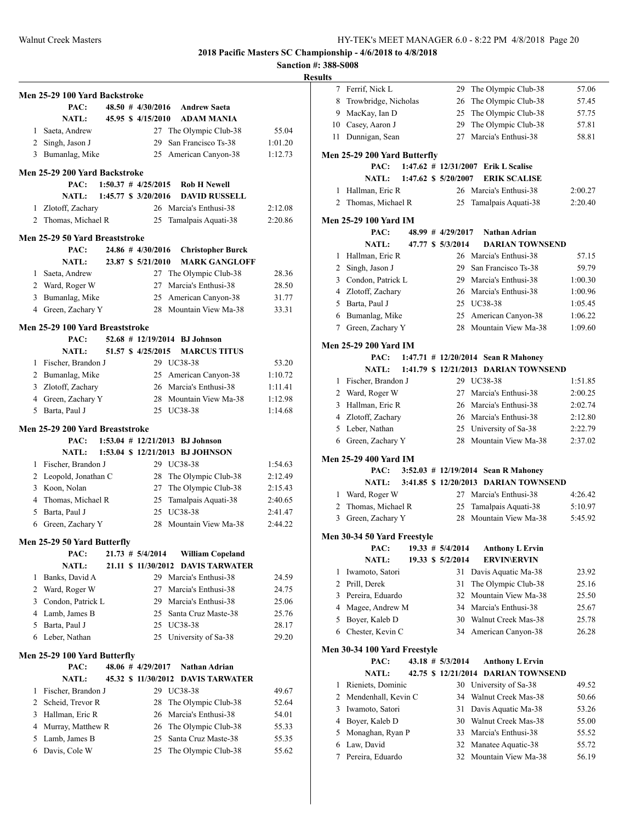**Sanction #: 388-S008**

|              | Men 25-29 100 Yard Backstroke   |  |                         |                                     |         |
|--------------|---------------------------------|--|-------------------------|-------------------------------------|---------|
|              | PAC:                            |  |                         | 48.50 # 4/30/2016 Andrew Saeta      |         |
|              | <b>NATL:</b>                    |  | 45.95 \$4/15/2010       | <b>ADAM MANIA</b>                   |         |
| $\mathbf{1}$ | Saeta, Andrew                   |  |                         | 27 The Olympic Club-38              | 55.04   |
|              | 2 Singh, Jason J                |  | 29                      | San Francisco Ts-38                 | 1:01.20 |
| 3            | Bumanlag, Mike                  |  | 25                      | American Canyon-38                  | 1:12.73 |
|              |                                 |  |                         |                                     |         |
|              | Men 25-29 200 Yard Backstroke   |  |                         |                                     |         |
|              | PAC:                            |  | $1:50.37$ # $4/25/2015$ | <b>Rob H Newell</b>                 |         |
|              | <b>NATL:</b>                    |  | 1:45.77 \$ 3/20/2016    | <b>DAVID RUSSELL</b>                |         |
| 1            | Zlotoff, Zachary                |  |                         | 26 Marcia's Enthusi-38              | 2:12.08 |
|              | 2 Thomas, Michael R             |  | 25                      | Tamalpais Aquati-38                 | 2:20.86 |
|              | Men 25-29 50 Yard Breaststroke  |  |                         |                                     |         |
|              | PAC:                            |  | $24.86$ # $4/30/2016$   | <b>Christopher Burck</b>            |         |
|              | <b>NATL:</b>                    |  | 23.87 \$ 5/21/2010      | <b>MARK GANGLOFF</b>                |         |
| 1            | Saeta, Andrew                   |  |                         | 27 The Olympic Club-38              | 28.36   |
|              | 2 Ward, Roger W                 |  | 27                      | Marcia's Enthusi-38                 | 28.50   |
|              | 3 Bumanlag, Mike                |  | 25                      | American Canyon-38                  | 31.77   |
|              | 4 Green, Zachary Y              |  |                         | 28 Mountain View Ma-38              | 33.31   |
|              | Men 25-29 100 Yard Breaststroke |  |                         |                                     |         |
|              | PAC:                            |  |                         | 52.68 # 12/19/2014 BJ Johnson       |         |
|              | <b>NATL:</b>                    |  | 51.57 \$ 4/25/2015      | <b>MARCUS TITUS</b>                 |         |
|              | 1 Fischer, Brandon J            |  |                         | 29 UC38-38                          | 53.20   |
|              | 2 Bumanlag, Mike                |  |                         | 25 American Canyon-38               | 1:10.72 |
|              | 3 Zlotoff, Zachary              |  |                         | 26 Marcia's Enthusi-38              | 1:11.41 |
|              | 4 Green, Zachary Y              |  |                         | 28 Mountain View Ma-38              | 1:12.98 |
| 5            | Barta, Paul J                   |  |                         | 25 UC38-38                          | 1:14.68 |
|              |                                 |  |                         |                                     |         |
|              | Men 25-29 200 Yard Breaststroke |  |                         |                                     |         |
|              | PAC:                            |  |                         | $1:53.04$ # $12/21/2013$ BJ Johnson |         |
|              | NATL:                           |  |                         | 1:53.04 \$ 12/21/2013 BJ JOHNSON    |         |
| 1            | Fischer, Brandon J              |  |                         | 29 UC38-38                          | 1:54.63 |
|              | 2 Leopold, Jonathan C           |  |                         | 28 The Olympic Club-38              | 2:12.49 |
|              | 3 Koon, Nolan                   |  |                         | 27 The Olympic Club-38              | 2:15.43 |
|              | 4 Thomas, Michael R             |  | 25                      | Tamalpais Aquati-38                 | 2:40.65 |
|              | 5 Barta, Paul J                 |  |                         | 25 UC38-38                          | 2:41.47 |
| 6            | Green, Zachary Y                |  | 28                      | Mountain View Ma-38                 | 2:44.22 |
|              | Men 25-29 50 Yard Butterfly     |  |                         |                                     |         |
|              | PAC:                            |  | $21.73 \# 5/4/2014$     | <b>William Copeland</b>             |         |
|              | <b>NATL:</b>                    |  | 21.11 \$ 11/30/2012     | <b>DAVIS TARWATER</b>               |         |
| 1            | Banks, David A                  |  |                         | 29 Marcia's Enthusi-38              | 24.59   |
| 2            | Ward, Roger W                   |  | 27                      | Marcia's Enthusi-38                 | 24.75   |
| 3            | Condon, Patrick L               |  |                         | 29 Marcia's Enthusi-38              | 25.06   |
|              | 4 Lamb, James B                 |  | 25                      | Santa Cruz Maste-38                 | 25.76   |
| 5            | Barta, Paul J                   |  | 25                      | UC38-38                             | 28.17   |
| 6            | Leber, Nathan                   |  | 25                      | University of Sa-38                 | 29.20   |
|              | Men 25-29 100 Yard Butterfly    |  |                         |                                     |         |
|              | PAC:                            |  | 48.06 # 4/29/2017       | Nathan Adrian                       |         |
|              | <b>NATL:</b>                    |  | 45.32 \$ 11/30/2012     | <b>DAVIS TARWATER</b>               |         |
| 1            | Fischer, Brandon J              |  |                         | 29 UC38-38                          | 49.67   |
| 2            | Scheid, Trevor R                |  | 28                      | The Olympic Club-38                 | 52.64   |
| 3            | Hallman, Eric R                 |  | 26                      | Marcia's Enthusi-38                 | 54.01   |
| 4            | Murray, Matthew R               |  | 26                      | The Olympic Club-38                 | 55.33   |
| 5            | Lamb, James B                   |  | 25                      | Santa Cruz Maste-38                 | 55.35   |
| 6            | Davis, Cole W                   |  | 25                      | The Olympic Club-38                 | 55.62   |
|              |                                 |  |                         |                                     |         |

| 7      | Ferrif, Nick L                 |  | 29                   | The Olympic Club-38                       | 57.06          |
|--------|--------------------------------|--|----------------------|-------------------------------------------|----------------|
| 8      | Trowbridge, Nicholas           |  | 26                   | The Olympic Club-38                       | 57.45          |
| 9      | MacKay, Ian D                  |  | 25                   | The Olympic Club-38                       | 57.75          |
| 10     | Casey, Aaron J                 |  | 29                   | The Olympic Club-38                       | 57.81          |
| 11     | Dunnigan, Sean                 |  | 27                   | Marcia's Enthusi-38                       | 58.81          |
|        |                                |  |                      |                                           |                |
|        | Men 25-29 200 Yard Butterfly   |  |                      |                                           |                |
|        | PAC:                           |  |                      | 1:47.62 # 12/31/2007 Erik L Scalise       |                |
|        | <b>NATL:</b>                   |  | 1:47.62 \$ 5/20/2007 | <b>ERIK SCALISE</b>                       |                |
| 1      | Hallman, Eric R                |  | 26                   | Marcia's Enthusi-38                       | 2:00.27        |
| 2      | Thomas, Michael R              |  | 25                   | Tamalpais Aquati-38                       | 2:20.40        |
|        | Men 25-29 100 Yard IM          |  |                      |                                           |                |
|        | PAC:                           |  | $48.99 \# 4/29/2017$ | Nathan Adrian                             |                |
|        | <b>NATL:</b>                   |  | 47.77 \$ 5/3/2014    | <b>DARIAN TOWNSEND</b>                    |                |
| 1      | Hallman, Eric R                |  | 26                   | Marcia's Enthusi-38                       | 57.15          |
| 2      | Singh, Jason J                 |  | 29                   | San Francisco Ts-38                       | 59.79          |
| 3      | Condon, Patrick L              |  | 29                   | Marcia's Enthusi-38                       | 1:00.30        |
| 4      | Zlotoff, Zachary               |  | 26                   | Marcia's Enthusi-38                       | 1:00.96        |
| 5      | Barta, Paul J                  |  |                      | 25 UC38-38                                | 1:05.45        |
| 6      | Bumanlag, Mike                 |  |                      | 25 American Canyon-38                     | 1:06.22        |
|        |                                |  | 28                   | Mountain View Ma-38                       |                |
| 7      | Green, Zachary Y               |  |                      |                                           | 1:09.60        |
|        | Men 25-29 200 Yard IM          |  |                      |                                           |                |
|        | PAC:                           |  |                      | 1:47.71 # 12/20/2014 Sean R Mahoney       |                |
|        | <b>NATL:</b>                   |  |                      | 1:41.79 \$ 12/21/2013 DARIAN TOWNSEND     |                |
| 1      | Fischer, Brandon J             |  |                      | 29 UC38-38                                | 1:51.85        |
| 2      | Ward, Roger W                  |  | 27                   | Marcia's Enthusi-38                       | 2:00.25        |
| 3      | Hallman, Eric R                |  | 26                   | Marcia's Enthusi-38                       | 2:02.74        |
| 4      | Zlotoff, Zachary               |  | 26                   | Marcia's Enthusi-38                       | 2:12.80        |
| 5      | Leber, Nathan                  |  | 25                   | University of Sa-38                       | 2:22.79        |
|        |                                |  |                      |                                           |                |
| 6      | Green, Zachary Y               |  | 28                   | Mountain View Ma-38                       | 2:37.02        |
|        |                                |  |                      |                                           |                |
|        | Men 25-29 400 Yard IM          |  |                      |                                           |                |
|        | PAC:                           |  |                      | 3:52.03 # 12/19/2014 Sean R Mahoney       |                |
|        | <b>NATL:</b>                   |  |                      | 3:41.85 \$12/20/2013 DARIAN TOWNSEND      |                |
| 1      | Ward, Roger W                  |  |                      | 27 Marcia's Enthusi-38                    | 4:26.42        |
| 2      | Thomas, Michael R              |  | 25                   | Tamalpais Aquati-38                       | 5:10.97        |
| 3      | Green, Zachary Y               |  | 28                   | Mountain View Ma-38                       | 5:45.92        |
|        | Men 30-34 50 Yard Freestyle    |  |                      |                                           |                |
|        | PAC: $19.33 \# 5/4/2014$       |  |                      | <b>Anthony L Ervin</b>                    |                |
|        | <b>NATL:</b>                   |  | 19.33 \$ 5/2/2014    | <b>ERVIN\ERVIN</b>                        |                |
| 1      | Iwamoto, Satori                |  | 31                   | Davis Aquatic Ma-38                       | 23.92          |
| 2      | Prill, Derek                   |  | 31                   | The Olympic Club-38                       | 25.16          |
| 3      | Pereira, Eduardo               |  | 32                   | Mountain View Ma-38                       | 25.50          |
| 4      | Magee, Andrew M                |  | 34                   | Marcia's Enthusi-38                       | 25.67          |
| 5      | Boyer, Kaleb D                 |  | 30                   | Walnut Creek Mas-38                       | 25.78          |
| 6      | Chester, Kevin C               |  | 34                   | American Canyon-38                        | 26.28          |
|        |                                |  |                      |                                           |                |
|        | Men 30-34 100 Yard Freestyle   |  |                      |                                           |                |
|        | PAC:                           |  | $43.18 \# 5/3/2014$  | <b>Anthony L Ervin</b>                    |                |
|        | <b>NATL:</b>                   |  | 42.75 \$ 12/21/2014  | <b>DARIAN TOWNSEND</b>                    |                |
| 1      | Rieniets, Dominic              |  | 30                   | University of Sa-38                       | 49.52          |
| 2      | Mendenhall, Kevin C            |  | 34                   | Walnut Creek Mas-38                       | 50.66          |
| 3      | Iwamoto, Satori                |  | 31                   | Davis Aquatic Ma-38                       | 53.26          |
| 4      | Boyer, Kaleb D                 |  | 30                   | Walnut Creek Mas-38                       | 55.00          |
| 5      | Monaghan, Ryan P               |  | 33                   | Marcia's Enthusi-38                       | 55.52          |
| 6<br>7 | Law, David<br>Pereira, Eduardo |  | 32<br>32             | Manatee Aquatic-38<br>Mountain View Ma-38 | 55.72<br>56.19 |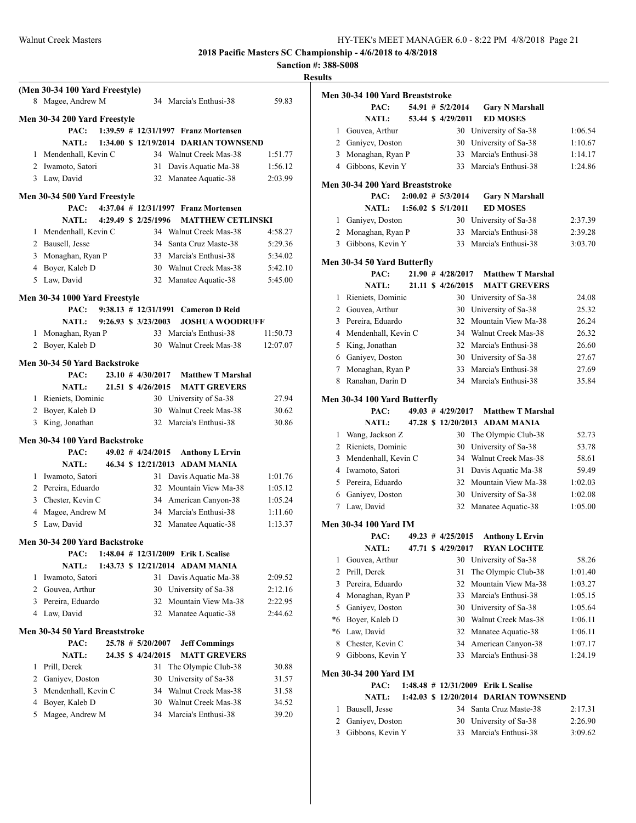**Sanction #: 388-S008**

|                | (Men 30-34 100 Yard Freestyle) |  |                                     |                                       |          |
|----------------|--------------------------------|--|-------------------------------------|---------------------------------------|----------|
|                | 8 Magee, Andrew M              |  |                                     | 34 Marcia's Enthusi-38                | 59.83    |
|                | Men 30-34 200 Yard Freestyle   |  |                                     |                                       |          |
|                | PAC:                           |  |                                     | 1:39.59 # 12/31/1997 Franz Mortensen  |          |
|                | <b>NATL:</b>                   |  |                                     | 1:34.00 \$ 12/19/2014 DARIAN TOWNSEND |          |
|                | 1 Mendenhall, Kevin C          |  |                                     | 34 Walnut Creek Mas-38                | 1:51.77  |
|                | 2 Iwamoto, Satori              |  |                                     | 31 Davis Aquatic Ma-38                | 1:56.12  |
|                | 3 Law, David                   |  |                                     | 32 Manatee Aquatic-38                 | 2:03.99  |
|                | Men 30-34 500 Yard Freestyle   |  |                                     |                                       |          |
|                | PAC:                           |  |                                     | 4:37.04 # 12/31/1997 Franz Mortensen  |          |
|                | <b>NATL:</b>                   |  | 4:29.49 \$ 2/25/1996                | <b>MATTHEW CETLINSKI</b>              |          |
|                | 1 Mendenhall, Kevin C          |  |                                     | 34 Walnut Creek Mas-38                | 4:58.27  |
|                | 2 Bausell, Jesse               |  |                                     | 34 Santa Cruz Maste-38                | 5:29.36  |
|                | 3 Monaghan, Ryan P             |  |                                     | 33 Marcia's Enthusi-38                | 5:34.02  |
|                | 4 Boyer, Kaleb D               |  |                                     | 30 Walnut Creek Mas-38                | 5:42.10  |
|                | 5 Law, David                   |  |                                     | 32 Manatee Aquatic-38                 | 5:45.00  |
|                | Men 30-34 1000 Yard Freestyle  |  |                                     |                                       |          |
|                | PAC:                           |  |                                     | 9:38.13 # 12/31/1991 Cameron D Reid   |          |
|                | NATL:                          |  | $9:26.93 \text{ s} \quad 3/23/2003$ | <b>JOSHUA WOODRUFF</b>                |          |
| 1              | Monaghan, Ryan P               |  |                                     | 33 Marcia's Enthusi-38                | 11:50.73 |
| 2              | Boyer, Kaleb D                 |  | 30                                  | Walnut Creek Mas-38                   | 12:07.07 |
|                | Men 30-34 50 Yard Backstroke   |  |                                     |                                       |          |
|                | PAC:                           |  | $23.10$ # $4/30/2017$               | <b>Matthew T Marshal</b>              |          |
|                | <b>NATL:</b>                   |  | 21.51 \$ 4/26/2015                  | <b>MATT GREVERS</b>                   |          |
|                | 1 Rieniets, Dominic            |  |                                     | 30 University of Sa-38                | 27.94    |
|                | 2 Boyer, Kaleb D               |  | 30                                  | Walnut Creek Mas-38                   | 30.62    |
|                | 3 King, Jonathan               |  |                                     | 32 Marcia's Enthusi-38                | 30.86    |
|                | Men 30-34 100 Yard Backstroke  |  |                                     |                                       |          |
|                | PAC:                           |  | 49.02 # 4/24/2015                   | <b>Anthony L Ervin</b>                |          |
|                | <b>NATL:</b>                   |  |                                     | 46.34 \$12/21/2013 ADAM MANIA         |          |
|                | 1 Iwamoto, Satori              |  | 31                                  | Davis Aquatic Ma-38                   | 1:01.76  |
|                | 2 Pereira, Eduardo             |  | 32                                  | Mountain View Ma-38                   | 1:05.12  |
|                | 3 Chester, Kevin C             |  |                                     | 34 American Canyon-38                 | 1:05.24  |
|                | 4 Magee, Andrew M              |  |                                     | 34 Marcia's Enthusi-38                | 1:11.60  |
|                | 5 Law, David                   |  | 32                                  | Manatee Aquatic-38                    | 1:13.37  |
|                | Men 30-34 200 Yard Backstroke  |  |                                     |                                       |          |
|                | PAC:                           |  |                                     | 1:48.04 # 12/31/2009 Erik L Scalise   |          |
|                | <b>NATL:</b>                   |  |                                     | 1:43.73 \$ 12/21/2014 ADAM MANIA      |          |
| 1              | Iwamoto, Satori                |  | 31                                  | Davis Aquatic Ma-38                   | 2:09.52  |
|                | 2 Gouvea, Arthur               |  | 30                                  | University of Sa-38                   | 2:12.16  |
| 3              | Pereira, Eduardo               |  | 32                                  | Mountain View Ma-38                   | 2:22.95  |
| $\overline{4}$ | Law, David                     |  | 32                                  | Manatee Aquatic-38                    | 2:44.62  |
|                | Men 30-34 50 Yard Breaststroke |  |                                     |                                       |          |
|                | PAC:                           |  | $25.78$ # $5/20/2007$               | <b>Jeff Commings</b>                  |          |
|                | <b>NATL:</b>                   |  | 24.35 \$ 4/24/2015                  | <b>MATT GREVERS</b>                   |          |
| 1              | Prill, Derek                   |  | 31                                  | The Olympic Club-38                   | 30.88    |
|                | 2 Ganiyev, Doston              |  | 30                                  | University of Sa-38                   | 31.57    |
| 3              | Mendenhall, Kevin C            |  |                                     | 34 Walnut Creek Mas-38                | 31.58    |
| $\overline{4}$ | Boyer, Kaleb D                 |  | 30                                  | Walnut Creek Mas-38                   | 34.52    |
| 5              | Magee, Andrew M                |  |                                     | 34 Marcia's Enthusi-38                | 39.20    |
|                |                                |  |                                     |                                       |          |

| 11 L J          |                                 |  |                       |                                       |         |
|-----------------|---------------------------------|--|-----------------------|---------------------------------------|---------|
|                 | Men 30-34 100 Yard Breaststroke |  |                       |                                       |         |
|                 | PAC:                            |  | 54.91 # 5/2/2014      | <b>Gary N Marshall</b>                |         |
|                 | NATL:                           |  | 53.44 \$ 4/29/2011    | <b>ED MOSES</b>                       |         |
| 1               | Gouvea, Arthur                  |  |                       | 30 University of Sa-38                | 1:06.54 |
|                 | 2 Ganiyev, Doston               |  |                       | 30 University of Sa-38                | 1:10.67 |
| 3               | Monaghan, Ryan P                |  | 33                    | Marcia's Enthusi-38                   | 1:14.17 |
|                 | 4 Gibbons, Kevin Y              |  | 33                    | Marcia's Enthusi-38                   | 1:24.86 |
|                 | Men 30-34 200 Yard Breaststroke |  |                       |                                       |         |
|                 | PAC:                            |  | $2:00.02 \# 5/3/2014$ | <b>Gary N Marshall</b>                |         |
|                 | NATL:                           |  | 1:56.02 \$ 5/1/2011   | <b>ED MOSES</b>                       |         |
| 1               | Ganiyev, Doston                 |  |                       | 30 University of Sa-38                | 2:37.39 |
|                 | 2 Monaghan, Ryan P              |  | 33                    | Marcia's Enthusi-38                   | 2:39.28 |
| 3               | Gibbons, Kevin Y                |  | 33                    | Marcia's Enthusi-38                   | 3:03.70 |
|                 | Men 30-34 50 Yard Butterfly     |  |                       |                                       |         |
|                 | PAC:                            |  | 21.90 # 4/28/2017     | <b>Matthew T Marshal</b>              |         |
|                 | <b>NATL:</b>                    |  | 21.11 \$ 4/26/2015    | <b>MATT GREVERS</b>                   |         |
| 1               | Rieniets, Dominic               |  |                       | 30 University of Sa-38                | 24.08   |
|                 | 2 Gouvea, Arthur                |  | 30                    | University of Sa-38                   | 25.32   |
|                 | 3 Pereira, Eduardo              |  | 32                    | Mountain View Ma-38                   | 26.24   |
|                 | 4 Mendenhall, Kevin C           |  |                       | 34 Walnut Creek Mas-38                | 26.32   |
|                 | 5 King, Jonathan                |  |                       | 32 Marcia's Enthusi-38                | 26.60   |
|                 | 6 Ganiyev, Doston               |  |                       | 30 University of Sa-38                | 27.67   |
| 7               | Monaghan, Ryan P                |  | 33                    | Marcia's Enthusi-38                   | 27.69   |
| 8               | Ranahan, Darin D                |  |                       | 34 Marcia's Enthusi-38                | 35.84   |
|                 |                                 |  |                       |                                       |         |
|                 | Men 30-34 100 Yard Butterfly    |  |                       |                                       |         |
|                 | PAC:                            |  | $49.03$ # $4/29/2017$ | <b>Matthew T Marshal</b>              |         |
|                 | <b>NATL:</b>                    |  |                       | 47.28 \$12/20/2013 ADAM MANIA         |         |
| 1               | Wang, Jackson Z                 |  | 30                    | The Olympic Club-38                   | 52.73   |
|                 | 2 Rieniets, Dominic             |  | 30                    | University of Sa-38                   | 53.78   |
|                 | 3 Mendenhall, Kevin C           |  | 34                    | Walnut Creek Mas-38                   | 58.61   |
|                 | 4 Iwamoto, Satori               |  | 31                    | Davis Aquatic Ma-38                   | 59.49   |
|                 | 5 Pereira, Eduardo              |  |                       | 32 Mountain View Ma-38                | 1:02.03 |
| 6               | Ganiyev, Doston                 |  |                       | 30 University of Sa-38                | 1:02.08 |
| $7\phantom{.0}$ | Law, David                      |  |                       | 32 Manatee Aquatic-38                 | 1:05.00 |
|                 | Men 30-34 100 Yard IM           |  |                       |                                       |         |
|                 | PAC:                            |  | $49.23$ # $4/25/2015$ | <b>Anthony L Ervin</b>                |         |
|                 | <b>NATL:</b>                    |  | 47.71 \$ 4/29/2017    | <b>RYAN LOCHTE</b>                    |         |
| 1               | Gouvea, Arthur                  |  | 30                    | University of Sa-38                   | 58.26   |
| 2               | Prill, Derek                    |  | 31                    | The Olympic Club-38                   | 1:01.40 |
| 3               | Pereira, Eduardo                |  | 32                    | Mountain View Ma-38                   | 1:03.27 |
| 4               | Monaghan, Ryan P                |  | 33                    | Marcia's Enthusi-38                   | 1:05.15 |
| 5               | Ganiyev, Doston                 |  | 30                    | University of Sa-38                   | 1:05.64 |
| *6              | Boyer, Kaleb D                  |  | 30                    | Walnut Creek Mas-38                   | 1:06.11 |
| *6              | Law, David                      |  | 32                    | Manatee Aquatic-38                    | 1:06.11 |
| 8               | Chester, Kevin C                |  | 34                    | American Canyon-38                    | 1:07.17 |
| 9               | Gibbons, Kevin Y                |  | 33                    | Marcia's Enthusi-38                   | 1:24.19 |
|                 | Men 30-34 200 Yard IM           |  |                       |                                       |         |
|                 | PAC:                            |  |                       | 1:48.48 # 12/31/2009 Erik L Scalise   |         |
|                 | <b>NATL:</b>                    |  |                       | 1:42.03 \$ 12/20/2014 DARIAN TOWNSEND |         |
| 1               | Bausell, Jesse                  |  | 34                    | Santa Cruz Maste-38                   | 2:17.31 |
| 2               | Ganiyev, Doston                 |  | 30                    | University of Sa-38                   | 2:26.90 |
| $\overline{3}$  | Gibbons, Kevin Y                |  | 33                    | Marcia's Enthusi-38                   | 3:09.62 |
|                 |                                 |  |                       |                                       |         |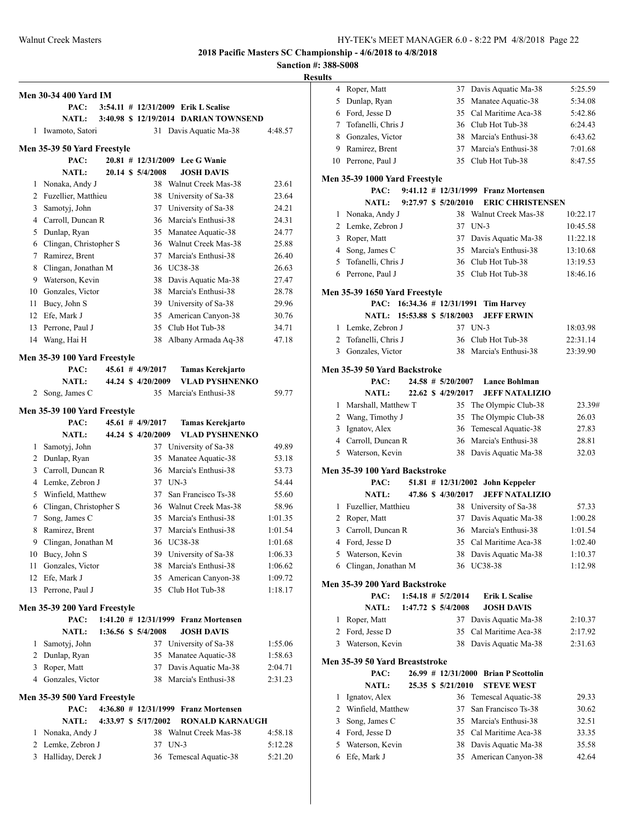# **Sanction #: 388-S008**

|          | Men 30-34 400 Yard IM                   |  |                      |        |                                                  |                    |
|----------|-----------------------------------------|--|----------------------|--------|--------------------------------------------------|--------------------|
|          | PAC:                                    |  |                      |        | 3:54.11 # 12/31/2009 Erik L Scalise              |                    |
|          | <b>NATL:</b>                            |  |                      |        | 3:40.98 \$ 12/19/2014 DARIAN TOWNSEND            |                    |
| 1        | Iwamoto, Satori                         |  |                      |        | 31 Davis Aquatic Ma-38                           | 4:48.57            |
|          | Men 35-39 50 Yard Freestyle             |  |                      |        |                                                  |                    |
|          | PAC:                                    |  |                      |        | 20.81 # 12/31/2009 Lee G Wanie                   |                    |
|          | <b>NATL:</b>                            |  | 20.14 \$ 5/4/2008    |        | <b>JOSH DAVIS</b>                                |                    |
| 1        | Nonaka, Andy J                          |  | 38                   |        | Walnut Creek Mas-38                              | 23.61              |
| 2        | Fuzellier, Matthieu                     |  |                      |        | 38 University of Sa-38                           | 23.64              |
| 3        | Samotyj, John                           |  |                      |        | 37 University of Sa-38                           | 24.21              |
| 4        | Carroll, Duncan R                       |  |                      |        | 36 Marcia's Enthusi-38                           | 24.31              |
| 5        | Dunlap, Ryan                            |  |                      |        | 35 Manatee Aquatic-38                            | 24.77              |
| 6        | Clingan, Christopher S                  |  |                      |        | 36 Walnut Creek Mas-38                           | 25.88              |
| 7        | Ramirez, Brent                          |  |                      |        | 37 Marcia's Enthusi-38                           | 26.40              |
| 8        | Clingan, Jonathan M                     |  |                      |        | 36 UC38-38                                       | 26.63              |
| 9        | Waterson, Kevin                         |  |                      |        | 38 Davis Aquatic Ma-38                           | 27.47              |
| 10       | Gonzales, Victor                        |  |                      |        | 38 Marcia's Enthusi-38                           | 28.78              |
| 11       | Bucy, John S                            |  |                      |        | 39 University of Sa-38                           | 29.96              |
| 12       | Efe, Mark J                             |  |                      |        | 35 American Canyon-38                            | 30.76              |
| 13       | Perrone, Paul J                         |  | 35                   |        | Club Hot Tub-38                                  | 34.71              |
| 14       | Wang, Hai H                             |  | 38                   |        | Albany Armada Aq-38                              | 47.18              |
|          |                                         |  |                      |        |                                                  |                    |
|          | Men 35-39 100 Yard Freestyle<br>PAC:    |  | $45.61$ # $4/9/2017$ |        |                                                  |                    |
|          | <b>NATL:</b>                            |  | 44.24 \$4/20/2009    |        | <b>Tamas Kerekjarto</b><br><b>VLAD PYSHNENKO</b> |                    |
|          | 2 Song, James C                         |  |                      |        | 35 Marcia's Enthusi-38                           | 59.77              |
|          |                                         |  |                      |        |                                                  |                    |
|          | Men 35-39 100 Yard Freestyle            |  |                      |        |                                                  |                    |
|          | PAC:                                    |  | $45.61$ # $4/9/2017$ |        | <b>Tamas Kerekjarto</b>                          |                    |
|          | <b>NATL:</b>                            |  | 44.24 \$ 4/20/2009   |        | VLAD PYSHNENKO                                   |                    |
| 1        | Samotyj, John                           |  | 37                   |        | University of Sa-38                              | 49.89              |
| 2        | Dunlap, Ryan                            |  | 35                   |        | Manatee Aquatic-38                               | 53.18              |
| 3        | Carroll, Duncan R                       |  |                      |        | 36 Marcia's Enthusi-38                           | 53.73              |
|          | 4 Lemke, Zebron J                       |  | 37 UN-3              |        |                                                  | 54.44              |
| 5        | Winfield, Matthew                       |  | 37                   |        | San Francisco Ts-38                              | 55.60              |
| 6<br>7   | Clingan, Christopher S<br>Song, James C |  |                      |        | 36 Walnut Creek Mas-38<br>35 Marcia's Enthusi-38 | 58.96              |
|          |                                         |  |                      |        |                                                  | 1:01.35            |
| 8        | Ramirez, Brent                          |  |                      |        | 37 Marcia's Enthusi-38<br>36 UC38-38             | 1:01.54            |
|          | 9 Clingan, Jonathan M<br>Bucy, John S   |  |                      |        |                                                  | 1:01.68            |
| 10       |                                         |  |                      |        | 39 University of Sa-38<br>38 Marcia's Enthusi-38 | 1:06.33            |
| 11       | Gonzales, Victor<br>Efe, Mark J         |  |                      |        |                                                  | 1:06.62            |
| 12<br>13 | Perrone, Paul J                         |  | 35                   |        | 35 American Canyon-38<br>Club Hot Tub-38         | 1:09.72<br>1:18.17 |
|          |                                         |  |                      |        |                                                  |                    |
|          | Men 35-39 200 Yard Freestyle            |  |                      |        |                                                  |                    |
|          | PAC:                                    |  | 1:41.20 # 12/31/1999 |        | <b>Franz Mortensen</b>                           |                    |
|          | <b>NATL:</b>                            |  | 1:36.56 \$ 5/4/2008  |        | <b>JOSH DAVIS</b>                                |                    |
| 1        | Samotyj, John                           |  | 37                   |        | University of Sa-38                              | 1:55.06            |
| 2        | Dunlap, Ryan                            |  | 35                   |        | Manatee Aquatic-38                               | 1:58.63            |
| 3<br>4   | Roper, Matt                             |  | 37                   |        | Davis Aquatic Ma-38<br>Marcia's Enthusi-38       | 2:04.71            |
|          | Gonzales, Victor                        |  | 38                   |        |                                                  | 2:31.23            |
|          | Men 35-39 500 Yard Freestyle            |  |                      |        |                                                  |                    |
|          | PAC:                                    |  |                      |        | 4:36.80 # 12/31/1999 Franz Mortensen             |                    |
|          | <b>NATL:</b>                            |  | 4:33.97 \$ 5/17/2002 |        | <b>RONALD KARNAUGH</b>                           |                    |
| 1        | Nonaka, Andy J                          |  | 38                   |        | Walnut Creek Mas-38                              | 4:58.18            |
| 2        | Lemke, Zebron J                         |  | 37                   | $UN-3$ |                                                  | 5:12.28            |
| 3        | Halliday, Derek J                       |  | 36                   |        | Temescal Aquatic-38                              | 5:21.20            |

| 4<br>Roper, Matt<br>37<br>5<br>Dunlap, Ryan<br>35<br>6<br>Ford, Jesse D<br>35<br>7<br>Tofanelli, Chris J<br>Gonzales, Victor<br>8<br>38<br>9<br>Ramirez, Brent<br>37<br>10<br>Perrone, Paul J<br>35<br>9:41.12 # 12/31/1999 Franz Mortensen<br>PAC:<br>$9:27.97$ \$ $5/20/2010$<br><b>NATL:</b><br>Nonaka, Andy J<br>1<br>2<br>Lemke, Zebron J<br>37<br>$UN-3$<br>Roper, Matt<br>3<br>37<br>4<br>Song, James C<br>35<br>Tofanelli, Chris J<br>5<br>Perrone, Paul J<br>6<br>35<br>PAC: 16:34.36 # 12/31/1991 Tim Harvey<br>NATL: 15:53.88 \$ 5/18/2003<br>37 UN-3<br>Lemke, Zebron J<br>1<br>Tofanelli, Chris J<br>2<br>36<br>3<br>Gonzales, Victor<br>38<br>PAC:<br>$24.58$ # $5/20/2007$<br><b>NATL:</b><br>22.62 \$ 4/29/2017<br>Marshall, Matthew T<br>35<br>1<br>2<br>Wang, Timothy J<br>35<br>Ignatov, Alex<br>36<br>3<br>4 Carroll, Duncan R<br>36<br>5 Waterson, Kevin<br>38<br>PAC:<br>$51.81$ # $12/31/2002$<br>47.86 \$4/30/2017<br><b>NATL:</b><br>Fuzellier, Matthieu<br>38<br>1<br>2<br>Roper, Matt<br>37<br>3<br>Carroll, Duncan R<br>Ford, Jesse D<br>4<br>5<br>Waterson, Kevin<br>38<br>Clingan, Jonathan M<br><b>UC38-38</b><br>6<br>36<br>$1:54.18$ # $5/2/2014$<br>PAC:<br>1:47.72 \$ 5/4/2008<br><b>NATL:</b><br>Roper, Matt<br>37<br>1<br>2<br>Ford, Jesse D<br>35<br>Waterson, Kevin<br>3<br>38 | Davis Aquatic Ma-38<br>5:25.59<br>Manatee Aquatic-38<br>5:34.08<br>Cal Maritime Aca-38<br>5:42.86<br>36 Club Hot Tub-38<br>6:24.43<br>Marcia's Enthusi-38<br>6:43.62<br>Marcia's Enthusi-38<br>7:01.68<br>Club Hot Tub-38<br>8:47.55<br><b>ERIC CHRISTENSEN</b><br>38 Walnut Creek Mas-38<br>10:22.17<br>10:45.58<br>Davis Aquatic Ma-38<br>11:22.18<br>Marcia's Enthusi-38<br>13:10.68<br>36 Club Hot Tub-38<br>13:19.53<br>Club Hot Tub-38<br>18:46.16<br><b>JEFF ERWIN</b><br>18:03.98<br>Club Hot Tub-38<br>22:31.14 |
|-----------------------------------------------------------------------------------------------------------------------------------------------------------------------------------------------------------------------------------------------------------------------------------------------------------------------------------------------------------------------------------------------------------------------------------------------------------------------------------------------------------------------------------------------------------------------------------------------------------------------------------------------------------------------------------------------------------------------------------------------------------------------------------------------------------------------------------------------------------------------------------------------------------------------------------------------------------------------------------------------------------------------------------------------------------------------------------------------------------------------------------------------------------------------------------------------------------------------------------------------------------------------------------------------------------------------|--------------------------------------------------------------------------------------------------------------------------------------------------------------------------------------------------------------------------------------------------------------------------------------------------------------------------------------------------------------------------------------------------------------------------------------------------------------------------------------------------------------------------|
|                                                                                                                                                                                                                                                                                                                                                                                                                                                                                                                                                                                                                                                                                                                                                                                                                                                                                                                                                                                                                                                                                                                                                                                                                                                                                                                       |                                                                                                                                                                                                                                                                                                                                                                                                                                                                                                                          |
|                                                                                                                                                                                                                                                                                                                                                                                                                                                                                                                                                                                                                                                                                                                                                                                                                                                                                                                                                                                                                                                                                                                                                                                                                                                                                                                       |                                                                                                                                                                                                                                                                                                                                                                                                                                                                                                                          |
|                                                                                                                                                                                                                                                                                                                                                                                                                                                                                                                                                                                                                                                                                                                                                                                                                                                                                                                                                                                                                                                                                                                                                                                                                                                                                                                       |                                                                                                                                                                                                                                                                                                                                                                                                                                                                                                                          |
|                                                                                                                                                                                                                                                                                                                                                                                                                                                                                                                                                                                                                                                                                                                                                                                                                                                                                                                                                                                                                                                                                                                                                                                                                                                                                                                       |                                                                                                                                                                                                                                                                                                                                                                                                                                                                                                                          |
| Men 35-39 1000 Yard Freestyle<br>Men 35-39 1650 Yard Freestyle<br>Men 35-39 50 Yard Backstroke<br>Men 35-39 100 Yard Backstroke<br>Men 35-39 200 Yard Backstroke<br>Men 35-39 50 Yard Breaststroke                                                                                                                                                                                                                                                                                                                                                                                                                                                                                                                                                                                                                                                                                                                                                                                                                                                                                                                                                                                                                                                                                                                    |                                                                                                                                                                                                                                                                                                                                                                                                                                                                                                                          |
|                                                                                                                                                                                                                                                                                                                                                                                                                                                                                                                                                                                                                                                                                                                                                                                                                                                                                                                                                                                                                                                                                                                                                                                                                                                                                                                       |                                                                                                                                                                                                                                                                                                                                                                                                                                                                                                                          |
|                                                                                                                                                                                                                                                                                                                                                                                                                                                                                                                                                                                                                                                                                                                                                                                                                                                                                                                                                                                                                                                                                                                                                                                                                                                                                                                       |                                                                                                                                                                                                                                                                                                                                                                                                                                                                                                                          |
|                                                                                                                                                                                                                                                                                                                                                                                                                                                                                                                                                                                                                                                                                                                                                                                                                                                                                                                                                                                                                                                                                                                                                                                                                                                                                                                       |                                                                                                                                                                                                                                                                                                                                                                                                                                                                                                                          |
|                                                                                                                                                                                                                                                                                                                                                                                                                                                                                                                                                                                                                                                                                                                                                                                                                                                                                                                                                                                                                                                                                                                                                                                                                                                                                                                       |                                                                                                                                                                                                                                                                                                                                                                                                                                                                                                                          |
|                                                                                                                                                                                                                                                                                                                                                                                                                                                                                                                                                                                                                                                                                                                                                                                                                                                                                                                                                                                                                                                                                                                                                                                                                                                                                                                       |                                                                                                                                                                                                                                                                                                                                                                                                                                                                                                                          |
|                                                                                                                                                                                                                                                                                                                                                                                                                                                                                                                                                                                                                                                                                                                                                                                                                                                                                                                                                                                                                                                                                                                                                                                                                                                                                                                       |                                                                                                                                                                                                                                                                                                                                                                                                                                                                                                                          |
|                                                                                                                                                                                                                                                                                                                                                                                                                                                                                                                                                                                                                                                                                                                                                                                                                                                                                                                                                                                                                                                                                                                                                                                                                                                                                                                       |                                                                                                                                                                                                                                                                                                                                                                                                                                                                                                                          |
|                                                                                                                                                                                                                                                                                                                                                                                                                                                                                                                                                                                                                                                                                                                                                                                                                                                                                                                                                                                                                                                                                                                                                                                                                                                                                                                       |                                                                                                                                                                                                                                                                                                                                                                                                                                                                                                                          |
|                                                                                                                                                                                                                                                                                                                                                                                                                                                                                                                                                                                                                                                                                                                                                                                                                                                                                                                                                                                                                                                                                                                                                                                                                                                                                                                       |                                                                                                                                                                                                                                                                                                                                                                                                                                                                                                                          |
|                                                                                                                                                                                                                                                                                                                                                                                                                                                                                                                                                                                                                                                                                                                                                                                                                                                                                                                                                                                                                                                                                                                                                                                                                                                                                                                       |                                                                                                                                                                                                                                                                                                                                                                                                                                                                                                                          |
|                                                                                                                                                                                                                                                                                                                                                                                                                                                                                                                                                                                                                                                                                                                                                                                                                                                                                                                                                                                                                                                                                                                                                                                                                                                                                                                       |                                                                                                                                                                                                                                                                                                                                                                                                                                                                                                                          |
|                                                                                                                                                                                                                                                                                                                                                                                                                                                                                                                                                                                                                                                                                                                                                                                                                                                                                                                                                                                                                                                                                                                                                                                                                                                                                                                       |                                                                                                                                                                                                                                                                                                                                                                                                                                                                                                                          |
|                                                                                                                                                                                                                                                                                                                                                                                                                                                                                                                                                                                                                                                                                                                                                                                                                                                                                                                                                                                                                                                                                                                                                                                                                                                                                                                       |                                                                                                                                                                                                                                                                                                                                                                                                                                                                                                                          |
|                                                                                                                                                                                                                                                                                                                                                                                                                                                                                                                                                                                                                                                                                                                                                                                                                                                                                                                                                                                                                                                                                                                                                                                                                                                                                                                       |                                                                                                                                                                                                                                                                                                                                                                                                                                                                                                                          |
|                                                                                                                                                                                                                                                                                                                                                                                                                                                                                                                                                                                                                                                                                                                                                                                                                                                                                                                                                                                                                                                                                                                                                                                                                                                                                                                       |                                                                                                                                                                                                                                                                                                                                                                                                                                                                                                                          |
|                                                                                                                                                                                                                                                                                                                                                                                                                                                                                                                                                                                                                                                                                                                                                                                                                                                                                                                                                                                                                                                                                                                                                                                                                                                                                                                       |                                                                                                                                                                                                                                                                                                                                                                                                                                                                                                                          |
|                                                                                                                                                                                                                                                                                                                                                                                                                                                                                                                                                                                                                                                                                                                                                                                                                                                                                                                                                                                                                                                                                                                                                                                                                                                                                                                       | Marcia's Enthusi-38<br>23:39.90                                                                                                                                                                                                                                                                                                                                                                                                                                                                                          |
|                                                                                                                                                                                                                                                                                                                                                                                                                                                                                                                                                                                                                                                                                                                                                                                                                                                                                                                                                                                                                                                                                                                                                                                                                                                                                                                       |                                                                                                                                                                                                                                                                                                                                                                                                                                                                                                                          |
|                                                                                                                                                                                                                                                                                                                                                                                                                                                                                                                                                                                                                                                                                                                                                                                                                                                                                                                                                                                                                                                                                                                                                                                                                                                                                                                       | <b>Lance Bohlman</b>                                                                                                                                                                                                                                                                                                                                                                                                                                                                                                     |
|                                                                                                                                                                                                                                                                                                                                                                                                                                                                                                                                                                                                                                                                                                                                                                                                                                                                                                                                                                                                                                                                                                                                                                                                                                                                                                                       | <b>JEFF NATALIZIO</b>                                                                                                                                                                                                                                                                                                                                                                                                                                                                                                    |
|                                                                                                                                                                                                                                                                                                                                                                                                                                                                                                                                                                                                                                                                                                                                                                                                                                                                                                                                                                                                                                                                                                                                                                                                                                                                                                                       | The Olympic Club-38<br>23.39#                                                                                                                                                                                                                                                                                                                                                                                                                                                                                            |
|                                                                                                                                                                                                                                                                                                                                                                                                                                                                                                                                                                                                                                                                                                                                                                                                                                                                                                                                                                                                                                                                                                                                                                                                                                                                                                                       | The Olympic Club-38<br>26.03                                                                                                                                                                                                                                                                                                                                                                                                                                                                                             |
|                                                                                                                                                                                                                                                                                                                                                                                                                                                                                                                                                                                                                                                                                                                                                                                                                                                                                                                                                                                                                                                                                                                                                                                                                                                                                                                       | Temescal Aquatic-38<br>27.83                                                                                                                                                                                                                                                                                                                                                                                                                                                                                             |
|                                                                                                                                                                                                                                                                                                                                                                                                                                                                                                                                                                                                                                                                                                                                                                                                                                                                                                                                                                                                                                                                                                                                                                                                                                                                                                                       | Marcia's Enthusi-38<br>28.81                                                                                                                                                                                                                                                                                                                                                                                                                                                                                             |
|                                                                                                                                                                                                                                                                                                                                                                                                                                                                                                                                                                                                                                                                                                                                                                                                                                                                                                                                                                                                                                                                                                                                                                                                                                                                                                                       | Davis Aquatic Ma-38<br>32.03                                                                                                                                                                                                                                                                                                                                                                                                                                                                                             |
|                                                                                                                                                                                                                                                                                                                                                                                                                                                                                                                                                                                                                                                                                                                                                                                                                                                                                                                                                                                                                                                                                                                                                                                                                                                                                                                       |                                                                                                                                                                                                                                                                                                                                                                                                                                                                                                                          |
|                                                                                                                                                                                                                                                                                                                                                                                                                                                                                                                                                                                                                                                                                                                                                                                                                                                                                                                                                                                                                                                                                                                                                                                                                                                                                                                       | <b>John Keppeler</b>                                                                                                                                                                                                                                                                                                                                                                                                                                                                                                     |
|                                                                                                                                                                                                                                                                                                                                                                                                                                                                                                                                                                                                                                                                                                                                                                                                                                                                                                                                                                                                                                                                                                                                                                                                                                                                                                                       | <b>JEFF NATALIZIO</b>                                                                                                                                                                                                                                                                                                                                                                                                                                                                                                    |
|                                                                                                                                                                                                                                                                                                                                                                                                                                                                                                                                                                                                                                                                                                                                                                                                                                                                                                                                                                                                                                                                                                                                                                                                                                                                                                                       | University of Sa-38<br>57.33                                                                                                                                                                                                                                                                                                                                                                                                                                                                                             |
|                                                                                                                                                                                                                                                                                                                                                                                                                                                                                                                                                                                                                                                                                                                                                                                                                                                                                                                                                                                                                                                                                                                                                                                                                                                                                                                       | Davis Aquatic Ma-38<br>1:00.28                                                                                                                                                                                                                                                                                                                                                                                                                                                                                           |
|                                                                                                                                                                                                                                                                                                                                                                                                                                                                                                                                                                                                                                                                                                                                                                                                                                                                                                                                                                                                                                                                                                                                                                                                                                                                                                                       | 36 Marcia's Enthusi-38<br>1:01.54                                                                                                                                                                                                                                                                                                                                                                                                                                                                                        |
|                                                                                                                                                                                                                                                                                                                                                                                                                                                                                                                                                                                                                                                                                                                                                                                                                                                                                                                                                                                                                                                                                                                                                                                                                                                                                                                       | 35 Cal Maritime Aca-38<br>1:02.40                                                                                                                                                                                                                                                                                                                                                                                                                                                                                        |
|                                                                                                                                                                                                                                                                                                                                                                                                                                                                                                                                                                                                                                                                                                                                                                                                                                                                                                                                                                                                                                                                                                                                                                                                                                                                                                                       | Davis Aquatic Ma-38<br>1:10.37                                                                                                                                                                                                                                                                                                                                                                                                                                                                                           |
|                                                                                                                                                                                                                                                                                                                                                                                                                                                                                                                                                                                                                                                                                                                                                                                                                                                                                                                                                                                                                                                                                                                                                                                                                                                                                                                       | 1:12.98                                                                                                                                                                                                                                                                                                                                                                                                                                                                                                                  |
|                                                                                                                                                                                                                                                                                                                                                                                                                                                                                                                                                                                                                                                                                                                                                                                                                                                                                                                                                                                                                                                                                                                                                                                                                                                                                                                       |                                                                                                                                                                                                                                                                                                                                                                                                                                                                                                                          |
|                                                                                                                                                                                                                                                                                                                                                                                                                                                                                                                                                                                                                                                                                                                                                                                                                                                                                                                                                                                                                                                                                                                                                                                                                                                                                                                       | <b>Erik L Scalise</b>                                                                                                                                                                                                                                                                                                                                                                                                                                                                                                    |
|                                                                                                                                                                                                                                                                                                                                                                                                                                                                                                                                                                                                                                                                                                                                                                                                                                                                                                                                                                                                                                                                                                                                                                                                                                                                                                                       | <b>JOSH DAVIS</b>                                                                                                                                                                                                                                                                                                                                                                                                                                                                                                        |
|                                                                                                                                                                                                                                                                                                                                                                                                                                                                                                                                                                                                                                                                                                                                                                                                                                                                                                                                                                                                                                                                                                                                                                                                                                                                                                                       | Davis Aquatic Ma-38<br>2:10.37                                                                                                                                                                                                                                                                                                                                                                                                                                                                                           |
|                                                                                                                                                                                                                                                                                                                                                                                                                                                                                                                                                                                                                                                                                                                                                                                                                                                                                                                                                                                                                                                                                                                                                                                                                                                                                                                       | Cal Maritime Aca-38<br>2:17.92                                                                                                                                                                                                                                                                                                                                                                                                                                                                                           |
|                                                                                                                                                                                                                                                                                                                                                                                                                                                                                                                                                                                                                                                                                                                                                                                                                                                                                                                                                                                                                                                                                                                                                                                                                                                                                                                       | Davis Aquatic Ma-38<br>2:31.63                                                                                                                                                                                                                                                                                                                                                                                                                                                                                           |
|                                                                                                                                                                                                                                                                                                                                                                                                                                                                                                                                                                                                                                                                                                                                                                                                                                                                                                                                                                                                                                                                                                                                                                                                                                                                                                                       |                                                                                                                                                                                                                                                                                                                                                                                                                                                                                                                          |
| PAC:<br>26.99 # 12/31/2000 Brian P Scottolin                                                                                                                                                                                                                                                                                                                                                                                                                                                                                                                                                                                                                                                                                                                                                                                                                                                                                                                                                                                                                                                                                                                                                                                                                                                                          |                                                                                                                                                                                                                                                                                                                                                                                                                                                                                                                          |
| <b>NATL:</b><br>25.35 \$ 5/21/2010                                                                                                                                                                                                                                                                                                                                                                                                                                                                                                                                                                                                                                                                                                                                                                                                                                                                                                                                                                                                                                                                                                                                                                                                                                                                                    | <b>STEVE WEST</b>                                                                                                                                                                                                                                                                                                                                                                                                                                                                                                        |
| 1<br>Ignatov, Alex<br>36                                                                                                                                                                                                                                                                                                                                                                                                                                                                                                                                                                                                                                                                                                                                                                                                                                                                                                                                                                                                                                                                                                                                                                                                                                                                                              | Temescal Aquatic-38<br>29.33                                                                                                                                                                                                                                                                                                                                                                                                                                                                                             |
| $\overline{2}$<br>Winfield, Matthew<br>37                                                                                                                                                                                                                                                                                                                                                                                                                                                                                                                                                                                                                                                                                                                                                                                                                                                                                                                                                                                                                                                                                                                                                                                                                                                                             | San Francisco Ts-38<br>30.62                                                                                                                                                                                                                                                                                                                                                                                                                                                                                             |
| Song, James C<br>3<br>35                                                                                                                                                                                                                                                                                                                                                                                                                                                                                                                                                                                                                                                                                                                                                                                                                                                                                                                                                                                                                                                                                                                                                                                                                                                                                              |                                                                                                                                                                                                                                                                                                                                                                                                                                                                                                                          |
|                                                                                                                                                                                                                                                                                                                                                                                                                                                                                                                                                                                                                                                                                                                                                                                                                                                                                                                                                                                                                                                                                                                                                                                                                                                                                                                       | Marcia's Enthusi-38<br>32.51                                                                                                                                                                                                                                                                                                                                                                                                                                                                                             |
| 4                                                                                                                                                                                                                                                                                                                                                                                                                                                                                                                                                                                                                                                                                                                                                                                                                                                                                                                                                                                                                                                                                                                                                                                                                                                                                                                     | 35 Cal Maritime Aca-38<br>33.35                                                                                                                                                                                                                                                                                                                                                                                                                                                                                          |
| Ford, Jesse D<br>Waterson, Kevin<br>5<br>38                                                                                                                                                                                                                                                                                                                                                                                                                                                                                                                                                                                                                                                                                                                                                                                                                                                                                                                                                                                                                                                                                                                                                                                                                                                                           | Davis Aquatic Ma-38<br>35.58                                                                                                                                                                                                                                                                                                                                                                                                                                                                                             |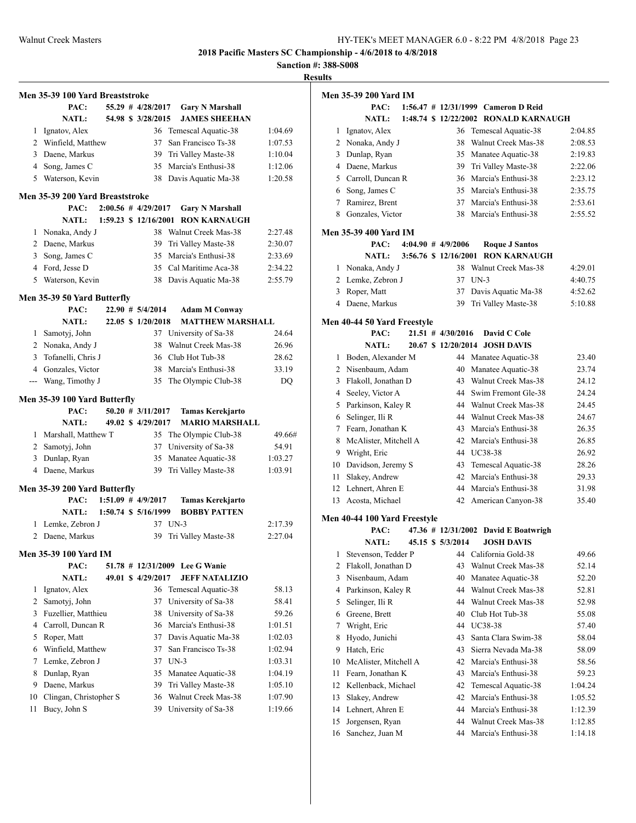**Sanction #: 388-S008**

|                | Men 35-39 100 Yard Breaststroke |  |                        |                                |         |
|----------------|---------------------------------|--|------------------------|--------------------------------|---------|
|                | PAC:                            |  | $55.29$ # $4/28/2017$  | <b>Gary N Marshall</b>         |         |
|                | NATL:                           |  | 54.98 \$ 3/28/2015     | <b>JAMES SHEEHAN</b>           |         |
|                | 1 Ignatov, Alex                 |  |                        | 36 Temescal Aquatic-38         | 1:04.69 |
|                | 2 Winfield, Matthew             |  | 37                     | San Francisco Ts-38            | 1:07.53 |
|                | 3 Daene, Markus                 |  | 39                     | Tri Valley Maste-38            | 1:10.04 |
|                | 4 Song, James C                 |  | 35                     | Marcia's Enthusi-38            | 1:12.06 |
|                | 5 Waterson, Kevin               |  | 38                     | Davis Aquatic Ma-38            | 1:20.58 |
|                | Men 35-39 200 Yard Breaststroke |  |                        |                                |         |
|                | PAC:                            |  | $2:00.56$ # 4/29/2017  | <b>Gary N Marshall</b>         |         |
|                | <b>NATL:</b>                    |  | 1:59.23 \$ 12/16/2001  | <b>RON KARNAUGH</b>            |         |
| 1              | Nonaka, Andy J                  |  | 38                     | Walnut Creek Mas-38            | 2:27.48 |
|                | 2 Daene, Markus                 |  | 39                     | Tri Valley Maste-38            | 2:30.07 |
| 3              | Song, James C                   |  | 35                     | Marcia's Enthusi-38            | 2:33.69 |
|                | 4 Ford, Jesse D                 |  |                        | 35 Cal Maritime Aca-38         | 2:34.22 |
| 5              | Waterson, Kevin                 |  | 38                     | Davis Aquatic Ma-38            | 2:55.79 |
|                |                                 |  |                        |                                |         |
|                | Men 35-39 50 Yard Butterfly     |  |                        |                                |         |
|                | PAC:                            |  | $22.90$ # $5/4/2014$   | <b>Adam M Conway</b>           |         |
|                | <b>NATL:</b>                    |  | 22.05 \$ 1/20/2018     | <b>MATTHEW MARSHALL</b>        |         |
| 1              | Samotyj, John                   |  | 37                     | University of Sa-38            | 24.64   |
|                | 2 Nonaka, Andy J                |  | 38                     | Walnut Creek Mas-38            | 26.96   |
| 3              | Tofanelli, Chris J              |  |                        | 36 Club Hot Tub-38             | 28.62   |
|                | 4 Gonzales, Victor              |  | 38                     | Marcia's Enthusi-38            | 33.19   |
| $\overline{a}$ | Wang, Timothy J                 |  | 35                     | The Olympic Club-38            | DQ      |
|                | Men 35-39 100 Yard Butterfly    |  |                        |                                |         |
|                | PAC:                            |  | $50.20$ # $3/11/2017$  | <b>Tamas Kerekjarto</b>        |         |
|                | <b>NATL:</b>                    |  | 49.02 \$4/29/2017      | <b>MARIO MARSHALL</b>          |         |
|                | 1 Marshall, Matthew T           |  |                        | 35 The Olympic Club-38         | 49.66#  |
|                | 2 Samotyj, John                 |  | 37                     | University of Sa-38            | 54.91   |
| 3              | Dunlap, Ryan                    |  | 35                     | Manatee Aquatic-38             | 1:03.27 |
|                | 4 Daene, Markus                 |  | 39                     | Tri Valley Maste-38            | 1:03.91 |
|                | Men 35-39 200 Yard Butterfly    |  |                        |                                |         |
|                | PAC:                            |  | $1:51.09$ # $4/9/2017$ | <b>Tamas Kerekjarto</b>        |         |
|                | NATL:                           |  | 1:50.74 \$ 5/16/1999   | <b>BOBBY PATTEN</b>            |         |
| 1              | Lemke, Zebron J                 |  | 37 UN-3                |                                | 2:17.39 |
|                | 2 Daene, Markus                 |  | 39                     | Tri Valley Maste-38            | 2:27.04 |
|                |                                 |  |                        |                                |         |
|                | Men 35-39 100 Yard IM           |  |                        |                                |         |
|                | PAC:                            |  |                        | 51.78 # 12/31/2009 Lee G Wanie |         |
|                | <b>NATL:</b>                    |  | 49.01 \$ 4/29/2017     | <b>JEFF NATALIZIO</b>          |         |
| 1              | Ignatov, Alex                   |  | 36                     | Temescal Aquatic-38            | 58.13   |
| 2              | Samotyj, John                   |  | 37                     | University of Sa-38            | 58.41   |
| 3              | Fuzellier, Matthieu             |  | 38                     | University of Sa-38            | 59.26   |
| 4              | Carroll, Duncan R               |  | 36                     | Marcia's Enthusi-38            | 1:01.51 |
| 5              | Roper, Matt                     |  | 37                     | Davis Aquatic Ma-38            | 1:02.03 |
| 6              | Winfield, Matthew               |  | 37                     | San Francisco Ts-38            | 1:02.94 |
| 7              | Lemke, Zebron J                 |  | 37                     | $UN-3$                         | 1:03.31 |
| 8              | Dunlap, Ryan                    |  | 35                     | Manatee Aquatic-38             | 1:04.19 |
| 9              | Daene, Markus                   |  | 39                     | Tri Valley Maste-38            | 1:05.10 |
| 10             | Clingan, Christopher S          |  | 36                     | Walnut Creek Mas-38            | 1:07.90 |
| 11             | Bucy, John S                    |  | 39                     | University of Sa-38            | 1:19.66 |
|                |                                 |  |                        |                                |         |

|    | <b>Men 35-39 200 Yard IM</b>           |  |  |                        |  |                                           |         |  |  |
|----|----------------------------------------|--|--|------------------------|--|-------------------------------------------|---------|--|--|
|    | PAC:                                   |  |  |                        |  | 1:56.47 # 12/31/1999 Cameron D Reid       |         |  |  |
|    | <b>NATL:</b>                           |  |  |                        |  | 1:48.74 \$ 12/22/2002 RONALD KARNAUGH     |         |  |  |
| 1  | Ignatov, Alex                          |  |  | 36                     |  | Temescal Aquatic-38                       | 2:04.85 |  |  |
|    | 2 Nonaka, Andy J                       |  |  | 38                     |  | Walnut Creek Mas-38                       | 2:08.53 |  |  |
| 3  | Dunlap, Ryan                           |  |  |                        |  | 35 Manatee Aquatic-38                     | 2:19.83 |  |  |
| 4  | Daene, Markus                          |  |  |                        |  | 39 Tri Valley Maste-38                    | 2:22.06 |  |  |
|    | 5 Carroll, Duncan R                    |  |  |                        |  | 36 Marcia's Enthusi-38                    | 2:23.12 |  |  |
|    | 6 Song, James C                        |  |  |                        |  | 35 Marcia's Enthusi-38                    | 2:35.75 |  |  |
| 7  | Ramirez, Brent                         |  |  |                        |  | 37 Marcia's Enthusi-38                    | 2:53.61 |  |  |
|    | 8 Gonzales, Victor                     |  |  |                        |  | 38 Marcia's Enthusi-38                    | 2:55.52 |  |  |
|    |                                        |  |  |                        |  |                                           |         |  |  |
|    | <b>Men 35-39 400 Yard IM</b>           |  |  |                        |  |                                           |         |  |  |
|    | PAC:                                   |  |  | $4:04.90$ # $4/9/2006$ |  | <b>Roque J Santos</b>                     |         |  |  |
|    | <b>NATL:</b>                           |  |  | 3:56.76 \$ 12/16/2001  |  | <b>RON KARNAUGH</b>                       |         |  |  |
| 1  | Nonaka, Andy J                         |  |  |                        |  | 38 Walnut Creek Mas-38                    | 4:29.01 |  |  |
|    | 2 Lemke, Zebron J                      |  |  | 37 UN-3                |  |                                           | 4:40.75 |  |  |
|    | 3 Roper, Matt                          |  |  |                        |  | 37 Davis Aquatic Ma-38                    | 4:52.62 |  |  |
|    | 4 Daene, Markus                        |  |  | 39                     |  | Tri Valley Maste-38                       | 5:10.88 |  |  |
|    |                                        |  |  |                        |  |                                           |         |  |  |
|    | Men 40-44 50 Yard Freestyle            |  |  |                        |  |                                           |         |  |  |
|    | PAC:                                   |  |  | $21.51$ # $4/30/2016$  |  | David C Cole                              |         |  |  |
|    | <b>NATL:</b>                           |  |  |                        |  | 20.67 \$12/20/2014 JOSH DAVIS             |         |  |  |
| 1  | Boden, Alexander M                     |  |  |                        |  | 44 Manatee Aquatic-38                     | 23.40   |  |  |
|    | 2 Nisenbaum, Adam                      |  |  | 40                     |  | Manatee Aquatic-38                        | 23.74   |  |  |
| 3  | Flakoll, Jonathan D                    |  |  |                        |  | 43 Walnut Creek Mas-38                    | 24.12   |  |  |
|    | 4 Seeley, Victor A                     |  |  |                        |  | 44 Swim Fremont Gle-38                    | 24.24   |  |  |
| 5  | Parkinson, Kaley R                     |  |  |                        |  | 44 Walnut Creek Mas-38                    | 24.45   |  |  |
|    | 6 Selinger, Ili R                      |  |  |                        |  | 44 Walnut Creek Mas-38                    | 24.67   |  |  |
| 7  | Fearn, Jonathan K                      |  |  |                        |  | 43 Marcia's Enthusi-38                    | 26.35   |  |  |
| 8  | McAlister, Mitchell A                  |  |  |                        |  | 42 Marcia's Enthusi-38                    | 26.85   |  |  |
| 9  | Wright, Eric                           |  |  |                        |  | 44 UC38-38                                | 26.92   |  |  |
|    | 10 Davidson, Jeremy S                  |  |  | 43                     |  | Temescal Aquatic-38                       | 28.26   |  |  |
| 11 | Slakey, Andrew                         |  |  | 42                     |  | Marcia's Enthusi-38                       | 29.33   |  |  |
|    | 12 Lehnert, Ahren E                    |  |  |                        |  | 44 Marcia's Enthusi-38                    | 31.98   |  |  |
|    | 13 Acosta, Michael                     |  |  | 42                     |  | American Canyon-38                        | 35.40   |  |  |
|    | Men 40-44 100 Yard Freestyle           |  |  |                        |  |                                           |         |  |  |
|    | PAC:                                   |  |  |                        |  | 47.36 # 12/31/2002 David E Boatwrigh      |         |  |  |
|    | <b>NATL:</b>                           |  |  | 45.15 \$ 5/3/2014      |  | <b>JOSH DAVIS</b>                         |         |  |  |
|    |                                        |  |  |                        |  | Stevenson, Tedder P 44 California Gold-38 |         |  |  |
|    |                                        |  |  |                        |  |                                           | 49.66   |  |  |
| 2  | Flakoll, Jonathan D<br>Nisenbaum, Adam |  |  | 43                     |  | Walnut Creek Mas-38                       | 52.14   |  |  |
| 3  |                                        |  |  | 40                     |  | Manatee Aquatic-38                        | 52.20   |  |  |
| 4  | Parkinson, Kaley R                     |  |  | 44                     |  | Walnut Creek Mas-38                       | 52.81   |  |  |
| 5  | Selinger, Ili R                        |  |  | 44                     |  | Walnut Creek Mas-38                       | 52.98   |  |  |
| 6  | Greene, Brett                          |  |  | 40                     |  | Club Hot Tub-38                           | 55.08   |  |  |
| 7  | Wright, Eric                           |  |  | 44                     |  | UC38-38                                   | 57.40   |  |  |
| 8  | Hyodo, Junichi                         |  |  | 43                     |  | Santa Clara Swim-38                       | 58.04   |  |  |
| 9  | Hatch, Eric                            |  |  | 43                     |  | Sierra Nevada Ma-38                       | 58.09   |  |  |
| 10 | McAlister, Mitchell A                  |  |  | 42                     |  | Marcia's Enthusi-38                       | 58.56   |  |  |
| 11 | Fearn, Jonathan K                      |  |  | 43                     |  | Marcia's Enthusi-38                       | 59.23   |  |  |
| 12 | Kellenback, Michael                    |  |  | 42                     |  | Temescal Aquatic-38                       | 1:04.24 |  |  |
| 13 | Slakey, Andrew                         |  |  | 42                     |  | Marcia's Enthusi-38                       | 1:05.52 |  |  |
| 14 | Lehnert, Ahren E                       |  |  | 44                     |  | Marcia's Enthusi-38                       | 1:12.39 |  |  |
| 15 | Jorgensen, Ryan                        |  |  | 44                     |  | Walnut Creek Mas-38                       | 1:12.85 |  |  |
| 16 | Sanchez, Juan M                        |  |  | 44                     |  | Marcia's Enthusi-38                       | 1:14.18 |  |  |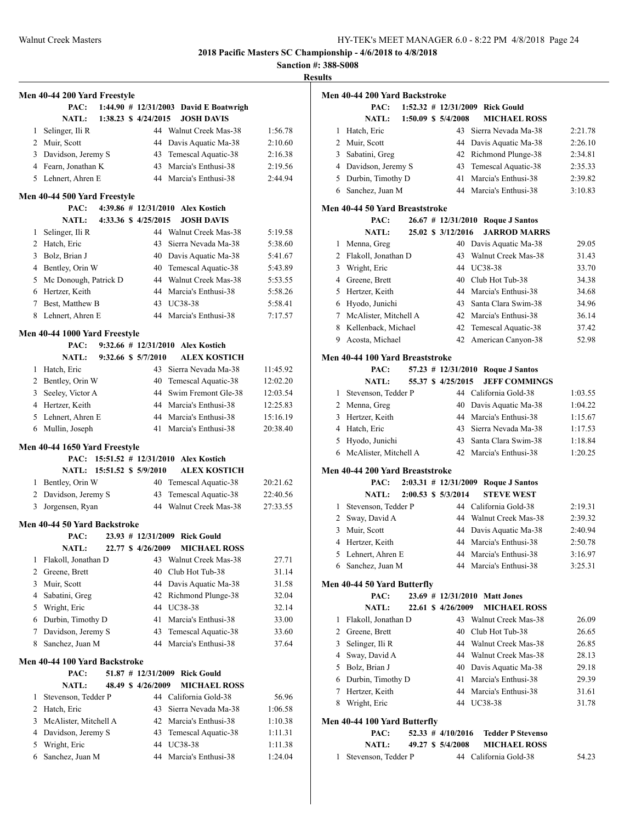**Sanction #: 388-S008**

**Results**

|                               | Men 40-44 200 Yard Freestyle  |                            |  |                      |  |                                                        |          |  |
|-------------------------------|-------------------------------|----------------------------|--|----------------------|--|--------------------------------------------------------|----------|--|
|                               | PAC:                          |                            |  |                      |  | 1:44.90 # 12/31/2003 David E Boatwrigh                 |          |  |
|                               | <b>NATL:</b>                  |                            |  | 1:38.23 \$ 4/24/2015 |  | <b>JOSH DAVIS</b>                                      |          |  |
| 1                             | Selinger, Ili R               |                            |  |                      |  | 44 Walnut Creek Mas-38                                 | 1:56.78  |  |
|                               | 2 Muir, Scott                 |                            |  |                      |  | 44 Davis Aquatic Ma-38                                 | 2:10.60  |  |
|                               | 3 Davidson, Jeremy S          |                            |  |                      |  | 43 Temescal Aquatic-38                                 | 2:16.38  |  |
|                               | 4 Fearn, Jonathan K           |                            |  | 43                   |  | Marcia's Enthusi-38                                    | 2:19.56  |  |
|                               | 5 Lehnert, Ahren E            |                            |  |                      |  | 44 Marcia's Enthusi-38                                 | 2:44.94  |  |
|                               |                               |                            |  |                      |  |                                                        |          |  |
|                               | Men 40-44 500 Yard Freestyle  |                            |  |                      |  |                                                        |          |  |
|                               | PAC:<br><b>NATL:</b>          |                            |  | 4:33.36 \$4/25/2015  |  | 4:39.86 # 12/31/2010 Alex Kostich<br><b>JOSH DAVIS</b> |          |  |
|                               |                               |                            |  |                      |  | 44 Walnut Creek Mas-38                                 |          |  |
| 1                             | Selinger, Ili R               |                            |  | 43                   |  | Sierra Nevada Ma-38                                    | 5:19.58  |  |
|                               | 2 Hatch, Eric                 |                            |  |                      |  |                                                        | 5:38.60  |  |
|                               | 3 Bolz, Brian J               |                            |  |                      |  | 40 Davis Aquatic Ma-38                                 | 5:41.67  |  |
|                               | 4 Bentley, Orin W             |                            |  | 40                   |  | Temescal Aquatic-38                                    | 5:43.89  |  |
|                               | 5 Mc Donough, Patrick D       |                            |  |                      |  | 44 Walnut Creek Mas-38                                 | 5:53.55  |  |
|                               | 6 Hertzer, Keith              |                            |  |                      |  | 44 Marcia's Enthusi-38                                 | 5:58.26  |  |
| $7^{\circ}$                   | Best, Matthew B               |                            |  |                      |  | 43 UC38-38                                             | 5:58.41  |  |
|                               | 8 Lehnert, Ahren E            |                            |  |                      |  | 44 Marcia's Enthusi-38                                 | 7:17.57  |  |
|                               | Men 40-44 1000 Yard Freestyle |                            |  |                      |  |                                                        |          |  |
|                               | PAC:                          |                            |  |                      |  | $9:32.66$ # 12/31/2010 Alex Kostich                    |          |  |
|                               | <b>NATL:</b>                  |                            |  | 9:32.66 \$ 5/7/2010  |  | <b>ALEX KOSTICH</b>                                    |          |  |
|                               | 1 Hatch, Eric                 |                            |  | 43                   |  | Sierra Nevada Ma-38                                    | 11:45.92 |  |
|                               | 2 Bentley, Orin W             |                            |  | 40                   |  | Temescal Aquatic-38                                    | 12:02.20 |  |
|                               | 3 Seeley, Victor A            |                            |  | 44                   |  | Swim Fremont Gle-38                                    | 12:03.54 |  |
|                               | 4 Hertzer, Keith              |                            |  |                      |  | 44 Marcia's Enthusi-38                                 | 12:25.83 |  |
|                               | 5 Lehnert, Ahren E            |                            |  |                      |  | 44 Marcia's Enthusi-38                                 | 15:16.19 |  |
|                               | 6 Mullin, Joseph              |                            |  | 41                   |  | Marcia's Enthusi-38                                    | 20:38.40 |  |
| Men 40-44 1650 Yard Freestyle |                               |                            |  |                      |  |                                                        |          |  |
|                               |                               |                            |  |                      |  | PAC: 15:51.52 # 12/31/2010 Alex Kostich                |          |  |
|                               |                               | NATL: 15:51.52 \$ 5/9/2010 |  |                      |  | <b>ALEX KOSTICH</b>                                    |          |  |
|                               | 1 Bentley, Orin W             |                            |  | 40                   |  | Temescal Aquatic-38                                    | 20:21.62 |  |
|                               | 2 Davidson, Jeremy S          |                            |  | 43                   |  | Temescal Aquatic-38                                    | 22:40.56 |  |
| 3                             | Jorgensen, Ryan               |                            |  | 44                   |  | Walnut Creek Mas-38                                    | 27:33.55 |  |
|                               | Men 40-44 50 Yard Backstroke  |                            |  |                      |  |                                                        |          |  |
|                               | PAC:                          |                            |  |                      |  | 23.93 # 12/31/2009 Rick Gould                          |          |  |
|                               | NATL:                         |                            |  | 22.77 \$4/26/2009    |  | <b>MICHAEL ROSS</b>                                    |          |  |
| 1                             | Flakoll, Jonathan D           |                            |  |                      |  | 43 Walnut Creek Mas-38                                 | 27.71    |  |
| $\overline{c}$                | Greene, Brett                 |                            |  | 40                   |  | Club Hot Tub-38                                        | 31.14    |  |
|                               | 3 Muir, Scott                 |                            |  |                      |  | 44 Davis Aquatic Ma-38                                 | 31.58    |  |
| 4                             | Sabatini, Greg                |                            |  |                      |  | 42 Richmond Plunge-38                                  | 32.04    |  |
| 5                             | Wright, Eric                  |                            |  |                      |  | 44 UC38-38                                             | 32.14    |  |
| 6                             | Durbin, Timothy D             |                            |  | 41                   |  | Marcia's Enthusi-38                                    | 33.00    |  |
| 7                             | Davidson, Jeremy S            |                            |  | 43                   |  | Temescal Aquatic-38                                    | 33.60    |  |
| 8                             | Sanchez, Juan M               |                            |  | 44                   |  | Marcia's Enthusi-38                                    | 37.64    |  |
|                               |                               |                            |  |                      |  |                                                        |          |  |
|                               | Men 40-44 100 Yard Backstroke |                            |  |                      |  |                                                        |          |  |
|                               | PAC:                          |                            |  |                      |  | 51.87 # 12/31/2009 Rick Gould                          |          |  |
|                               | <b>NATL:</b>                  |                            |  | 48.49 \$ 4/26/2009   |  | <b>MICHAEL ROSS</b>                                    |          |  |
| 1                             | Stevenson, Tedder P           |                            |  |                      |  | 44 California Gold-38                                  | 56.96    |  |
|                               | 2 Hatch, Eric                 |                            |  | 43                   |  | Sierra Nevada Ma-38                                    | 1:06.58  |  |
|                               | 3 McAlister, Mitchell A       |                            |  |                      |  | 42 Marcia's Enthusi-38                                 | 1:10.38  |  |
| 4                             | Davidson, Jeremy S            |                            |  | 43                   |  | Temescal Aquatic-38                                    | 1:11.31  |  |
| 5                             | Wright, Eric                  |                            |  | 44                   |  | <b>UC38-38</b>                                         | 1:11.38  |  |
| 6                             | Sanchez, Juan M               |                            |  | 44                   |  | Marcia's Enthusi-38                                    | 1:24.04  |  |

|    | Men 40-44 200 Yard Backstroke   |  |                         |                               |         |
|----|---------------------------------|--|-------------------------|-------------------------------|---------|
|    | PAC:                            |  | $1:52.32 \# 12/31/2009$ | <b>Rick Gould</b>             |         |
|    | <b>NATL:</b>                    |  | $1:50.09$ \$ $5/4/2008$ | <b>MICHAEL ROSS</b>           |         |
| 1  | Hatch, Eric                     |  | 43                      | Sierra Nevada Ma-38           | 2:21.78 |
|    | 2 Muir, Scott                   |  | 44                      | Davis Aquatic Ma-38           | 2:26.10 |
| 3  | Sabatini, Greg                  |  | 42                      | Richmond Plunge-38            | 2:34.81 |
|    | 4 Davidson, Jeremy S            |  | 43                      | Temescal Aquatic-38           | 2:35.33 |
|    | 5 Durbin, Timothy D             |  | 41                      | Marcia's Enthusi-38           | 2:39.82 |
|    | 6 Sanchez, Juan M               |  |                         | 44 Marcia's Enthusi-38        | 3:10.83 |
|    | Men 40-44 50 Yard Breaststroke  |  |                         |                               |         |
|    | PAC:                            |  | $26.67$ # 12/31/2010    | <b>Roque J Santos</b>         |         |
|    | <b>NATL:</b>                    |  | 25.02 \$ 3/12/2016      | <b>JARROD MARRS</b>           |         |
| 1  | Menna, Greg                     |  | 40                      | Davis Aquatic Ma-38           | 29.05   |
| 2  | Flakoll, Jonathan D             |  | 43                      | Walnut Creek Mas-38           | 31.43   |
| 3  | Wright, Eric                    |  |                         | 44 UC38-38                    | 33.70   |
|    | 4 Greene, Brett                 |  |                         | 40 Club Hot Tub-38            | 34.38   |
| 5. | Hertzer, Keith                  |  |                         | 44 Marcia's Enthusi-38        | 34.68   |
|    | 6 Hyodo, Junichi                |  | 43                      | Santa Clara Swim-38           | 34.96   |
|    | 7 McAlister, Mitchell A         |  |                         | 42 Marcia's Enthusi-38        | 36.14   |
| 8  | Kellenback, Michael             |  | 42                      | Temescal Aquatic-38           | 37.42   |
|    | 9 Acosta, Michael               |  | 42                      | American Canyon-38            | 52.98   |
|    | Men 40-44 100 Yard Breaststroke |  |                         |                               |         |
|    | PAC:                            |  | $57.23$ # $12/31/2010$  | <b>Roque J Santos</b>         |         |
|    | NATL:                           |  | 55.37 \$ 4/25/2015      | <b>JEFF COMMINGS</b>          |         |
|    | 1 Stevenson, Tedder P           |  |                         | 44 California Gold-38         | 1:03.55 |
|    | 2 Menna, Greg                   |  | 40                      | Davis Aquatic Ma-38           | 1:04.22 |
|    | 3 Hertzer, Keith                |  | 44                      | Marcia's Enthusi-38           | 1:15.67 |
|    | 4 Hatch, Eric                   |  | 43                      | Sierra Nevada Ma-38           | 1:17.53 |
| 5  | Hyodo, Junichi                  |  | 43                      | Santa Clara Swim-38           | 1:18.84 |
|    | 6 McAlister, Mitchell A         |  |                         | 42 Marcia's Enthusi-38        | 1:20.25 |
|    |                                 |  |                         |                               |         |
|    | Men 40-44 200 Yard Breaststroke |  |                         |                               |         |
|    | PAC:                            |  | $2:03.31 \# 12/31/2009$ | <b>Roque J Santos</b>         |         |
|    | NATL:                           |  | 2:00.53 \$ 5/3/2014     | <b>STEVE WEST</b>             |         |
|    | 1 Stevenson, Tedder P           |  |                         | 44 California Gold-38         | 2:19.31 |
|    | 2 Sway, David A                 |  |                         | 44 Walnut Creek Mas-38        | 2:39.32 |
| 3  | Muir, Scott                     |  | 44                      | Davis Aquatic Ma-38           | 2:40.94 |
| 4  | Hertzer, Keith                  |  | 44                      | Marcia's Enthusi-38           | 2:50.78 |
| 5  | Lehnert, Ahren E                |  | 44                      | Marcia's Enthusi-38           | 3:16.97 |
| 6  | Sanchez, Juan M                 |  | 44                      | Marcia's Enthusi-38           | 3:25.31 |
|    | Men 40-44 50 Yard Butterfly     |  |                         |                               |         |
|    | PAC:                            |  | 22.61 \$4/26/2009       | 23.69 # 12/31/2010 Matt Jones |         |
|    | <b>NATL:</b>                    |  |                         | <b>MICHAEL ROSS</b>           |         |
| 1  | Flakoll, Jonathan D             |  | 43                      | Walnut Creek Mas-38           | 26.09   |
|    | 2 Greene, Brett                 |  | 40                      | Club Hot Tub-38               | 26.65   |
| 3  | Selinger, Ili R                 |  |                         | 44 Walnut Creek Mas-38        | 26.85   |
| 4  | Sway, David A                   |  |                         | 44 Walnut Creek Mas-38        | 28.13   |
| 5  | Bolz, Brian J                   |  | 40                      | Davis Aquatic Ma-38           | 29.18   |
| 6  | Durbin, Timothy D               |  | 41                      | Marcia's Enthusi-38           | 29.39   |
| 7  | Hertzer, Keith                  |  | 44                      | Marcia's Enthusi-38           | 31.61   |

#### **Men 40-44 100 Yard Butterfly**

| PAC:                  |  | 52.33 $\#$ 4/10/2016 Tedder P Stevenso |       |
|-----------------------|--|----------------------------------------|-------|
| NATL:                 |  | 49.27 \$ 5/4/2008 MICHAEL ROSS         |       |
| 1 Stevenson, Tedder P |  | 44 California Gold-38                  | 54.23 |

Wright, Eric 44 UC38-38 31.78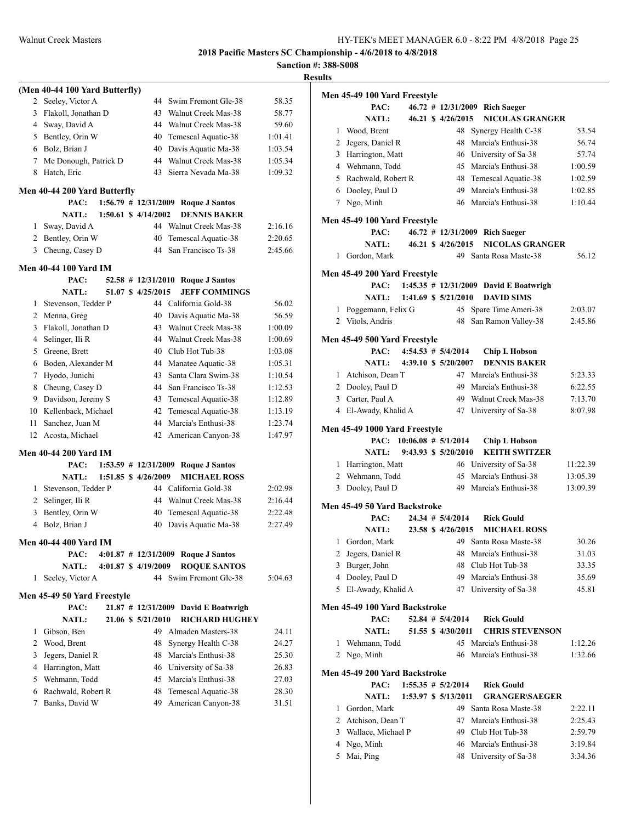**Sanction #: 388-S008 Results**

|                |                                |  |                          |                                      | oan     |
|----------------|--------------------------------|--|--------------------------|--------------------------------------|---------|
|                | (Men 40-44 100 Yard Butterfly) |  |                          |                                      |         |
| 2              | Seeley, Victor A               |  | 44                       | Swim Fremont Gle-38                  | 58.35   |
| 3              | Flakoll, Jonathan D            |  | 43                       | Walnut Creek Mas-38                  | 58.77   |
| 4              | Sway, David A                  |  | 44                       | Walnut Creek Mas-38                  | 59.60   |
| 5              | Bentley, Orin W                |  | 40                       | Temescal Aquatic-38                  | 1:01.41 |
|                | 6 Bolz, Brian J                |  | 40                       | Davis Aquatic Ma-38                  | 1:03.54 |
| 7              | Mc Donough, Patrick D          |  | 44                       | Walnut Creek Mas-38                  | 1:05.34 |
| 8              | Hatch, Eric                    |  | 43                       | Sierra Nevada Ma-38                  | 1:09.32 |
|                |                                |  |                          |                                      |         |
|                | Men 40-44 200 Yard Butterfly   |  |                          |                                      |         |
|                | PAC:                           |  | $1:56.79$ # $12/31/2009$ | <b>Roque J Santos</b>                |         |
|                | <b>NATL:</b>                   |  | $1:50.61$ \$ $4/14/2002$ | <b>DENNIS BAKER</b>                  |         |
| 1              | Sway, David A                  |  |                          | 44 Walnut Creek Mas-38               | 2:16.16 |
| $\overline{2}$ | Bentley, Orin W                |  | 40                       | Temescal Aquatic-38                  | 2:20.65 |
| 3              | Cheung, Casey D                |  | 44                       | San Francisco Ts-38                  | 2:45.66 |
|                | <b>Men 40-44 100 Yard IM</b>   |  |                          |                                      |         |
|                | PAC:                           |  | $52.58$ # 12/31/2010     | <b>Roque J Santos</b>                |         |
|                | <b>NATL:</b>                   |  | 51.07 \$ 4/25/2015       | <b>JEFF COMMINGS</b>                 |         |
| 1              | Stevenson, Tedder P            |  |                          | 44 California Gold-38                | 56.02   |
|                | 2 Menna, Greg                  |  |                          | 40 Davis Aquatic Ma-38               | 56.59   |
| 3              | Flakoll, Jonathan D            |  | 43                       | Walnut Creek Mas-38                  | 1:00.09 |
| 4              | Selinger, Ili R                |  |                          | 44 Walnut Creek Mas-38               | 1:00.69 |
| 5              | Greene, Brett                  |  |                          | 40 Club Hot Tub-38                   | 1:03.08 |
| 6              | Boden, Alexander M             |  |                          | 44 Manatee Aquatic-38                | 1:05.31 |
| 7              | Hyodo, Junichi                 |  | 43                       | Santa Clara Swim-38                  | 1:10.54 |
| 8              | Cheung, Casey D                |  | 44                       | San Francisco Ts-38                  | 1:12.53 |
| 9              | Davidson, Jeremy S             |  | 43                       | Temescal Aquatic-38                  | 1:12.89 |
| 10             | Kellenback, Michael            |  | 42                       | Temescal Aquatic-38                  | 1:13.19 |
| 11             | Sanchez, Juan M                |  | 44                       | Marcia's Enthusi-38                  | 1:23.74 |
| 12             | Acosta, Michael                |  | 42                       | American Canyon-38                   | 1:47.97 |
|                | Men 40-44 200 Yard IM          |  |                          |                                      |         |
|                | PAC:                           |  | $1:53.59$ # $12/31/2009$ | <b>Roque J Santos</b>                |         |
|                | <b>NATL:</b>                   |  | $1:51.85$ \$ $4/26/2009$ | <b>MICHAEL ROSS</b>                  |         |
| 1              | Stevenson, Tedder P            |  |                          | 44 California Gold-38                | 2:02.98 |
| $\overline{2}$ | Selinger, Ili R                |  |                          | 44 Walnut Creek Mas-38               | 2:16.44 |
| 3              | Bentley, Orin W                |  | 40                       | Temescal Aquatic-38                  | 2:22.48 |
| 4              | Bolz, Brian J                  |  | 40                       | Davis Aquatic Ma-38                  | 2:27.49 |
|                |                                |  |                          |                                      |         |
|                | Men 40-44 400 Yard IM          |  |                          |                                      |         |
|                | PAC:                           |  |                          | 4:01.87 # 12/31/2009 Roque J Santos  |         |
|                | <b>NATL:</b>                   |  | 4:01.87 \$ 4/19/2009     | <b>ROQUE SANTOS</b>                  |         |
| 1              | Seeley, Victor A               |  |                          | 44 Swim Fremont Gle-38               | 5:04.63 |
|                | Men 45-49 50 Yard Freestyle    |  |                          |                                      |         |
|                | PAC:                           |  |                          | 21.87 # 12/31/2009 David E Boatwrigh |         |
|                | <b>NATL:</b>                   |  | 21.06 \$ 5/21/2010       | <b>RICHARD HUGHEY</b>                |         |
| 1              | Gibson, Ben                    |  |                          | 49 Almaden Masters-38                | 24.11   |
| $\overline{2}$ | Wood, Brent                    |  | 48                       | Synergy Health C-38                  | 24.27   |
| 3              | Jegers, Daniel R               |  |                          | 48 Marcia's Enthusi-38               | 25.30   |
| 4              | Harrington, Matt               |  |                          | 46 University of Sa-38               | 26.83   |
|                | 5 Wehmann, Todd                |  |                          | 45 Marcia's Enthusi-38               | 27.03   |
| 6              | Rachwald, Robert R             |  | 48                       | Temescal Aquatic-38                  | 28.30   |
| 7              | Banks, David W                 |  | 49                       | American Canyon-38                   | 31.51   |
|                |                                |  |                          |                                      |         |
|                |                                |  |                          |                                      |         |
|                |                                |  |                          |                                      |         |

|   | Men 45-49 100 Yard Freestyle         |  |                       |                                        |          |
|---|--------------------------------------|--|-----------------------|----------------------------------------|----------|
|   | PAC:                                 |  |                       | 46.72 # 12/31/2009 Rich Saeger         |          |
|   | <b>NATL:</b>                         |  | 46.21 \$ 4/26/2015    | <b>NICOLAS GRANGER</b>                 |          |
|   | 1 Wood, Brent                        |  |                       | 48 Synergy Health C-38                 | 53.54    |
|   | 2 Jegers, Daniel R                   |  |                       | 48 Marcia's Enthusi-38                 | 56.74    |
|   | 3 Harrington, Matt                   |  |                       | 46 University of Sa-38                 | 57.74    |
|   | 4 Wehmann, Todd                      |  |                       | 45 Marcia's Enthusi-38                 | 1:00.59  |
|   | 5 Rachwald, Robert R                 |  |                       | 48 Temescal Aquatic-38                 | 1:02.59  |
|   | 6 Dooley, Paul D                     |  |                       | 49 Marcia's Enthusi-38                 | 1:02.85  |
|   | 7 Ngo, Minh                          |  |                       | 46 Marcia's Enthusi-38                 | 1:10.44  |
|   | Men 45-49 100 Yard Freestyle         |  |                       |                                        |          |
|   | PAC:                                 |  |                       | 46.72 # 12/31/2009 Rich Saeger         |          |
|   | <b>NATL:</b>                         |  | 46.21 \$4/26/2015     | <b>NICOLAS GRANGER</b>                 |          |
|   | 1 Gordon, Mark                       |  |                       | 49 Santa Rosa Maste-38                 | 56.12    |
|   | Men 45-49 200 Yard Freestyle         |  |                       |                                        |          |
|   | PAC:                                 |  |                       | 1:45.35 # 12/31/2009 David E Boatwrigh |          |
|   | NATL:                                |  | 1:41.69 \$ 5/21/2010  | <b>DAVID SIMS</b>                      |          |
|   | 1 Poggemann, Felix G                 |  |                       | 45 Spare Time Ameri-38                 | 2:03.07  |
|   | 2 Vitols, Andris                     |  |                       | 48 San Ramon Valley-38                 | 2:45.86  |
|   |                                      |  |                       |                                        |          |
|   | Men 45-49 500 Yard Freestyle<br>PAC: |  | $4:54.53 \# 5/4/2014$ | <b>Chip L Hobson</b>                   |          |
|   | NATL: 4:39.10 \$ 5/20/2007           |  |                       | <b>DENNIS BAKER</b>                    |          |
|   | 1 Atchison, Dean T                   |  |                       | 47 Marcia's Enthusi-38                 | 5:23.33  |
|   | 2 Dooley, Paul D                     |  |                       | 49 Marcia's Enthusi-38                 | 6:22.55  |
|   | 3 Carter, Paul A                     |  |                       | 49 Walnut Creek Mas-38                 | 7:13.70  |
|   | 4 El-Awady, Khalid A                 |  |                       | 47 University of Sa-38                 | 8:07.98  |
|   |                                      |  |                       |                                        |          |
|   | Men 45-49 1000 Yard Freestyle        |  |                       |                                        |          |
|   | PAC: $10:06.08 \# 5/1/2014$          |  |                       | <b>Chip L Hobson</b>                   |          |
|   | NATL: 9:43.93 \$ 5/20/2010           |  |                       | <b>KEITH SWITZER</b>                   |          |
|   | 1 Harrington, Matt                   |  |                       | 46 University of Sa-38                 | 11:22.39 |
|   | 2 Wehmann, Todd                      |  |                       | 45 Marcia's Enthusi-38                 | 13:05.39 |
|   | 3 Dooley, Paul D                     |  |                       | 49 Marcia's Enthusi-38                 | 13:09.39 |
|   | Men 45-49 50 Yard Backstroke         |  |                       |                                        |          |
|   | PAC:                                 |  |                       | 24.34 # 5/4/2014 Rick Gould            |          |
|   | NATL:                                |  | 23.58 \$4/26/2015     | <b>MICHAEL ROSS</b>                    |          |
| 1 | Gordon, Mark                         |  |                       | 49 Santa Rosa Maste-38                 | 30.26    |
| 2 | Jegers, Daniel R                     |  |                       | 48 Marcia's Enthusi-38                 | 31.03    |
|   | 3 Burger, John                       |  |                       | 48 Club Hot Tub-38                     | 33.35    |
|   | 4 Dooley, Paul D                     |  |                       | 49 Marcia's Enthusi-38                 | 35.69    |
|   | 5 El-Awady, Khalid A                 |  |                       | 47 University of Sa-38                 | 45.81    |
|   | Men 45-49 100 Yard Backstroke        |  |                       |                                        |          |
|   | PAC:                                 |  | 52.84 # 5/4/2014      | <b>Rick Gould</b>                      |          |
|   | <b>NATL:</b>                         |  | 51.55 \$ 4/30/2011    | <b>CHRIS STEVENSON</b>                 |          |
|   | 1 Wehmann, Todd                      |  |                       | 45 Marcia's Enthusi-38                 | 1:12.26  |
|   | 2 Ngo, Minh                          |  |                       | 46 Marcia's Enthusi-38                 | 1:32.66  |
|   | Men 45-49 200 Yard Backstroke        |  |                       |                                        |          |
|   | PAC:                                 |  | $1:55.35 \# 5/2/2014$ | <b>Rick Gould</b>                      |          |
|   | <b>NATL:</b>                         |  | 1:53.97 \$ 5/13/2011  | <b>GRANGER\SAEGER</b>                  |          |
|   | 1 Gordon, Mark                       |  |                       | 49 Santa Rosa Maste-38                 | 2:22.11  |
|   | 2 Atchison, Dean T                   |  |                       | 47 Marcia's Enthusi-38                 | 2:25.43  |
|   | 3 Wallace, Michael P                 |  |                       | 49 Club Hot Tub-38                     | 2:59.79  |
|   | 4 Ngo, Minh                          |  |                       | 46 Marcia's Enthusi-38                 | 3:19.84  |
| 5 | Mai, Ping                            |  |                       | 48 University of Sa-38                 | 3:34.36  |
|   |                                      |  |                       |                                        |          |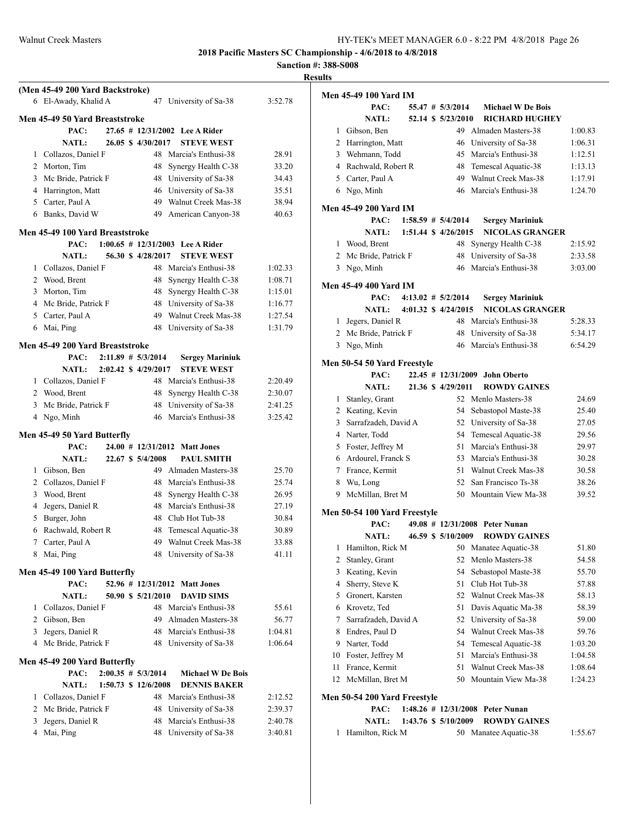|   | (Men 45-49 200 Yard Backstroke)      |                        |                                               |                    |
|---|--------------------------------------|------------------------|-----------------------------------------------|--------------------|
|   | 6 El-Awady, Khalid A                 |                        | 47 University of Sa-38                        | 3:52.78            |
|   | Men 45-49 50 Yard Breaststroke       |                        |                                               |                    |
|   | PAC:                                 |                        | 27.65 # 12/31/2002 Lee A Rider                |                    |
|   | <b>NATL:</b>                         | 26.05 \$ 4/30/2017     | <b>STEVE WEST</b>                             |                    |
|   | 1 Collazos, Daniel F                 |                        | 48 Marcia's Enthusi-38                        | 28.91              |
|   | 2 Morton, Tim                        |                        | 48 Synergy Health C-38                        | 33.20              |
| 3 | Mc Bride, Patrick F                  |                        | 48 University of Sa-38                        | 34.43              |
|   | 4 Harrington, Matt                   |                        | 46 University of Sa-38                        | 35.51              |
|   | 5 Carter, Paul A                     |                        | 49 Walnut Creek Mas-38                        | 38.94              |
|   | 6 Banks, David W                     |                        | 49 American Canyon-38                         | 40.63              |
|   | Men 45-49 100 Yard Breaststroke      |                        |                                               |                    |
|   | PAC:                                 |                        | $1:00.65 \# 12/31/2003$ Lee A Rider           |                    |
|   | <b>NATL:</b>                         | 56.30 \$ 4/28/2017     | <b>STEVE WEST</b>                             |                    |
|   | 1 Collazos, Daniel F                 |                        | 48 Marcia's Enthusi-38                        | 1:02.33            |
|   | 2 Wood, Brent                        |                        | 48 Synergy Health C-38                        | 1:08.71            |
| 3 | Morton, Tim                          |                        | 48 Synergy Health C-38                        | 1:15.01            |
|   | 4 Mc Bride, Patrick F                |                        | 48 University of Sa-38                        | 1:16.77            |
|   | 5 Carter, Paul A                     |                        | 49 Walnut Creek Mas-38                        | 1:27.54            |
|   | 6 Mai, Ping                          |                        | 48 University of Sa-38                        | 1:31.79            |
|   | Men 45-49 200 Yard Breaststroke      |                        |                                               |                    |
|   | PAC:                                 | $2:11.89$ # $5/3/2014$ | <b>Sergey Mariniuk</b>                        |                    |
|   | <b>NATL:</b>                         | 2:02.42 \$ 4/29/2017   | <b>STEVE WEST</b>                             |                    |
|   | 1 Collazos, Daniel F                 |                        | 48 Marcia's Enthusi-38                        | 2:20.49            |
|   | 2 Wood, Brent                        |                        | 48 Synergy Health C-38                        | 2:30.07            |
| 3 | Mc Bride, Patrick F                  |                        | 48 University of Sa-38                        | 2:41.25            |
|   | 4 Ngo, Minh                          |                        | 46 Marcia's Enthusi-38                        | 3:25.42            |
|   | Men 45-49 50 Yard Butterfly          |                        |                                               |                    |
|   | PAC:                                 |                        | 24.00 # 12/31/2012 Matt Jones                 |                    |
|   | <b>NATL:</b>                         | 22.67 \$ 5/4/2008      | <b>PAUL SMITH</b>                             |                    |
|   | 1 Gibson, Ben                        |                        | 49 Almaden Masters-38                         | 25.70              |
|   | 2 Collazos, Daniel F                 |                        | 48 Marcia's Enthusi-38                        | 25.74              |
|   | 3 Wood, Brent                        |                        | 48 Synergy Health C-38                        | 26.95              |
| 4 | Jegers, Daniel R                     |                        | 48 Marcia's Enthusi-38                        | 27.19              |
|   | 5 Burger, John                       |                        | 48 Club Hot Tub-38                            | 30.84              |
| 6 | Rachwald, Robert R                   |                        | 48 Temescal Aquatic-38                        | 30.89              |
| 7 | Carter, Paul A                       | 49                     | Walnut Creek Mas-38                           | 33.88              |
| 8 | Mai, Ping                            |                        | 48 University of Sa-38                        | 41.11              |
|   | Men 45-49 100 Yard Butterfly         |                        |                                               |                    |
|   | PAC:                                 | 52.96 # 12/31/2012     | <b>Matt Jones</b>                             |                    |
|   | <b>NATL:</b>                         | 50.90 \$ 5/21/2010     | <b>DAVID SIMS</b>                             |                    |
| 1 | Collazos, Daniel F                   |                        | 48 Marcia's Enthusi-38                        | 55.61              |
|   | 2 Gibson, Ben                        |                        | 49 Almaden Masters-38                         | 56.77              |
|   | 3 Jegers, Daniel R                   |                        | 48 Marcia's Enthusi-38                        | 1:04.81            |
|   | 4 Mc Bride, Patrick F                |                        | 48 University of Sa-38                        | 1:06.64            |
|   |                                      |                        |                                               |                    |
|   | Men 45-49 200 Yard Butterfly         |                        |                                               |                    |
|   | PAC:                                 | $2:00.35 \# 5/3/2014$  | <b>Michael W De Bois</b>                      |                    |
|   | <b>NATL:</b><br>1 Collazos, Daniel F | 1:50.73 \$ 12/6/2008   | <b>DENNIS BAKER</b><br>48 Marcia's Enthusi-38 |                    |
|   | 2 Mc Bride, Patrick F                |                        | 48 University of Sa-38                        | 2:12.52            |
| 3 | Jegers, Daniel R                     | 48                     | Marcia's Enthusi-38                           | 2:39.37<br>2:40.78 |
| 4 | Mai, Ping                            | 48                     | University of Sa-38                           | 3:40.81            |
|   |                                      |                        |                                               |                    |

| uits |                              |  |                        |                                     |                    |
|------|------------------------------|--|------------------------|-------------------------------------|--------------------|
|      | <b>Men 45-49 100 Yard IM</b> |  |                        |                                     |                    |
|      | PAC:                         |  | 55.47 # 5/3/2014       | <b>Michael W De Bois</b>            |                    |
|      | <b>NATL:</b>                 |  | 52.14 \$ 5/23/2010     | <b>RICHARD HUGHEY</b>               |                    |
| 1    | Gibson, Ben                  |  |                        | 49 Almaden Masters-38               | 1:00.83            |
|      | 2 Harrington, Matt           |  |                        | 46 University of Sa-38              | 1:06.31            |
|      | 3 Wehmann, Todd              |  |                        | 45 Marcia's Enthusi-38              | 1:12.51            |
|      | 4 Rachwald, Robert R         |  |                        | 48 Temescal Aquatic-38              | 1:13.13            |
|      | 5 Carter, Paul A             |  |                        | 49 Walnut Creek Mas-38              | 1:17.91            |
| 6    | Ngo, Minh                    |  |                        | 46 Marcia's Enthusi-38              | 1:24.70            |
|      |                              |  |                        |                                     |                    |
|      | <b>Men 45-49 200 Yard IM</b> |  |                        |                                     |                    |
|      | PAC:                         |  | $1:58.59$ # $5/4/2014$ | <b>Sergey Mariniuk</b>              |                    |
|      | <b>NATL:</b>                 |  | 1:51.44 \$ 4/26/2015   | <b>NICOLAS GRANGER</b>              |                    |
|      | 1 Wood, Brent                |  | 48                     | Synergy Health C-38                 | 2:15.92            |
|      | 2 Mc Bride, Patrick F        |  | 48                     | University of Sa-38                 | 2:33.58            |
|      | 3 Ngo, Minh                  |  |                        | 46 Marcia's Enthusi-38              | 3:03.00            |
|      | <b>Men 45-49 400 Yard IM</b> |  |                        |                                     |                    |
|      | PAC:                         |  | $4:13.02 \# 5/2/2014$  | <b>Sergey Mariniuk</b>              |                    |
|      | <b>NATL:</b>                 |  | 4:01.32 \$ 4/24/2015   | <b>NICOLAS GRANGER</b>              |                    |
| 1    | Jegers, Daniel R             |  |                        | 48 Marcia's Enthusi-38              | 5:28.33            |
|      | 2 Mc Bride, Patrick F        |  | 48                     | University of Sa-38                 | 5:34.17            |
|      | 3 Ngo, Minh                  |  | 46                     | Marcia's Enthusi-38                 | 6:54.29            |
|      |                              |  |                        |                                     |                    |
|      | Men 50-54 50 Yard Freestyle  |  |                        |                                     |                    |
|      | PAC:                         |  | 22.45 # 12/31/2009     | <b>John Oberto</b>                  |                    |
|      | <b>NATL:</b>                 |  | 21.36 \$ 4/29/2011     | <b>ROWDY GAINES</b>                 |                    |
| 1    | Stanley, Grant               |  |                        | 52 Menlo Masters-38                 | 24.69              |
|      | 2 Keating, Kevin             |  | 54                     | Sebastopol Maste-38                 | 25.40              |
| 3    | Sarrafzadeh, David A         |  | 52                     | University of Sa-38                 | 27.05              |
|      | 4 Narter, Todd               |  | 54                     | Temescal Aquatic-38                 | 29.56              |
|      | 5 Foster, Jeffrey M          |  | 51                     | Marcia's Enthusi-38                 | 29.97              |
|      | 6 Ardourel, Franck S         |  |                        | 53 Marcia's Enthusi-38              | 30.28              |
| 7    | France, Kermit               |  | 51                     | Walnut Creek Mas-38                 | 30.58              |
| 8    | Wu, Long                     |  |                        | 52 San Francisco Ts-38              | 38.26              |
| 9    | McMillan, Bret M             |  |                        | 50 Mountain View Ma-38              | 39.52              |
|      | Men 50-54 100 Yard Freestyle |  |                        |                                     |                    |
|      | PAC:                         |  |                        | 49.08 # 12/31/2008 Peter Nunan      |                    |
|      | NATL:                        |  | 46.59 \$ 5/10/2009     | <b>ROWDY GAINES</b>                 |                    |
| 1    | Hamilton, Rick M             |  | 50                     | Manatee Aquatic-38                  | 51.80              |
| 2    | Stanley, Grant               |  | 52                     | Menlo Masters-38                    | 54.58              |
| 3    | Keating, Kevin               |  | 54                     | Sebastopol Maste-38                 | 55.70              |
| 4    | Sherry, Steve K              |  | 51                     | Club Hot Tub-38                     | 57.88              |
| 5    | Gronert, Karsten             |  | 52                     | Walnut Creek Mas-38                 | 58.13              |
| 6    | Krovetz, Ted                 |  | 51                     | Davis Aquatic Ma-38                 | 58.39              |
| 7    | Sarrafzadeh, David A         |  | 52                     | University of Sa-38                 | 59.00              |
| 8    | Endres, Paul D               |  | 54                     | Walnut Creek Mas-38                 | 59.76              |
| 9    | Narter, Todd                 |  | 54                     | Temescal Aquatic-38                 | 1:03.20            |
| 10   | Foster, Jeffrey M            |  | 51                     | Marcia's Enthusi-38                 |                    |
| 11   | France, Kermit               |  | 51                     | Walnut Creek Mas-38                 | 1:04.58<br>1:08.64 |
|      |                              |  | 50                     | Mountain View Ma-38                 |                    |
| 12   | McMillan, Bret M             |  |                        |                                     | 1:24.23            |
|      | Men 50-54 200 Yard Freestyle |  |                        |                                     |                    |
|      | PAC:                         |  |                        | 1:48.26 $\#$ 12/31/2008 Peter Nunan |                    |
|      | NATL:                        |  | 1:43.76 \$ 5/10/2009   | <b>ROWDY GAINES</b>                 |                    |
| 1    | Hamilton, Rick M             |  |                        | 50 Manatee Aquatic-38               | 1:55.67            |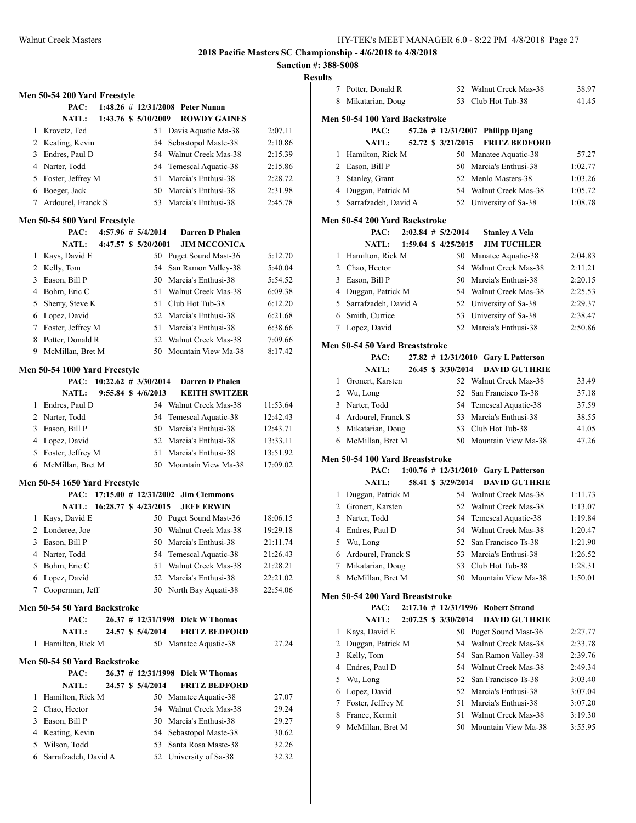| Results |
|---------|
|---------|

|                | Men 50-54 200 Yard Freestyle         |  |                                |                                            |                |
|----------------|--------------------------------------|--|--------------------------------|--------------------------------------------|----------------|
|                | PAC:                                 |  |                                | 1:48.26 # 12/31/2008 Peter Nunan           |                |
|                | <b>NATL:</b>                         |  | 1:43.76 \$ 5/10/2009           | <b>ROWDY GAINES</b>                        |                |
| 1              | Krovetz, Ted                         |  | 51                             | Davis Aquatic Ma-38                        | 2:07.11        |
|                | 2 Keating, Kevin                     |  | 54                             | Sebastopol Maste-38                        | 2:10.86        |
|                | 3 Endres, Paul D                     |  | 54                             | Walnut Creek Mas-38                        | 2:15.39        |
|                | 4 Narter, Todd                       |  | 54                             | Temescal Aquatic-38                        | 2:15.86        |
|                | 5 Foster, Jeffrey M                  |  | 51                             | Marcia's Enthusi-38                        | 2:28.72        |
| 6              | Boeger, Jack                         |  | 50                             | Marcia's Enthusi-38                        | 2:31.98        |
| 7              | Ardourel, Franck S                   |  | 53                             | Marcia's Enthusi-38                        | 2:45.78        |
|                |                                      |  |                                |                                            |                |
|                | Men 50-54 500 Yard Freestyle<br>PAC: |  | $4:57.96 \# 5/4/2014$          | Darren D Phalen                            |                |
|                | <b>NATL:</b>                         |  | 4:47.57 \$ 5/20/2001           | <b>JIM MCCONICA</b>                        |                |
| 1              | Kays, David E                        |  | 50                             | Puget Sound Mast-36                        | 5:12.70        |
|                | 2 Kelly, Tom                         |  | 54                             | San Ramon Valley-38                        | 5:40.04        |
|                | 3 Eason, Bill P                      |  | 50                             | Marcia's Enthusi-38                        | 5:54.52        |
|                | 4 Bohm, Eric C                       |  | 51                             | Walnut Creek Mas-38                        | 6:09.38        |
| 5              | Sherry, Steve K                      |  | 51                             | Club Hot Tub-38                            | 6:12.20        |
|                | 6 Lopez, David                       |  | 52                             | Marcia's Enthusi-38                        | 6:21.68        |
|                | 7 Foster, Jeffrey M                  |  | 51                             | Marcia's Enthusi-38                        | 6:38.66        |
| 8              | Potter, Donald R                     |  | 52                             | Walnut Creek Mas-38                        | 7:09.66        |
|                | 9 McMillan, Bret M                   |  | 50                             | Mountain View Ma-38                        | 8:17.42        |
|                |                                      |  |                                |                                            |                |
|                | Men 50-54 1000 Yard Freestyle        |  |                                |                                            |                |
|                |                                      |  | PAC: $10:22.62 \neq 3/30/2014$ | Darren D Phalen                            |                |
|                | <b>NATL:</b>                         |  | 9:55.84 \$ 4/6/2013            | <b>KEITH SWITZER</b>                       |                |
|                | 1 Endres, Paul D                     |  |                                | 54 Walnut Creek Mas-38                     | 11:53.64       |
|                | 2 Narter, Todd                       |  | 54                             | Temescal Aquatic-38                        | 12:42.43       |
|                | 3 Eason, Bill P                      |  | 50                             | Marcia's Enthusi-38                        | 12:43.71       |
|                | 4 Lopez, David                       |  | 52                             | Marcia's Enthusi-38                        | 13:33.11       |
|                | 5 Foster, Jeffrey M                  |  | 51                             | Marcia's Enthusi-38                        | 13:51.92       |
| 6              | McMillan, Bret M                     |  | 50                             | Mountain View Ma-38                        | 17:09.02       |
|                | Men 50-54 1650 Yard Freestyle        |  |                                |                                            |                |
|                |                                      |  |                                | PAC: 17:15.00 # 12/31/2002 Jim Clemmons    |                |
|                | NATL: 16:28.77 \$ 4/23/2015          |  |                                | <b>JEFF ERWIN</b>                          |                |
| 1              | Kays, David E                        |  | 50                             | Puget Sound Mast-36                        | 18:06.15       |
| $\overline{2}$ | Londeree, Joe                        |  | 50                             | Walnut Creek Mas-38                        | 19:29.18       |
| 3              | Eason, Bill P                        |  | 50                             | Marcia's Enthusi-38                        | 21:11.74       |
| 4              | Narter, Todd                         |  | 54                             | Temescal Aquatic-38                        | 21:26.43       |
| 5              | Bohm, Eric C                         |  | 51                             | Walnut Creek Mas-38                        | 21:28.21       |
|                | 6 Lopez, David                       |  | 52                             | Marcia's Enthusi-38                        | 22:21.02       |
| 7              | Cooperman, Jeff                      |  | 50                             | North Bay Aquati-38                        | 22:54.06       |
|                | Men 50-54 50 Yard Backstroke         |  |                                |                                            |                |
|                | PAC:                                 |  |                                | 26.37 # 12/31/1998 Dick W Thomas           |                |
|                | <b>NATL:</b>                         |  | 24.57 \$ 5/4/2014              | <b>FRITZ BEDFORD</b>                       |                |
| 1              | Hamilton, Rick M                     |  |                                | 50 Manatee Aquatic-38                      | 27.24          |
|                |                                      |  |                                |                                            |                |
|                | Men 50-54 50 Yard Backstroke         |  |                                |                                            |                |
|                | PAC:                                 |  | 26.37 # 12/31/1998             | <b>Dick W Thomas</b>                       |                |
|                | <b>NATL:</b>                         |  | 24.57 \$ 5/4/2014              | <b>FRITZ BEDFORD</b>                       |                |
| 1              | Hamilton, Rick M                     |  | 50                             | Manatee Aquatic-38                         | 27.07          |
| 2              | Chao, Hector                         |  | 54                             | Walnut Creek Mas-38                        | 29.24          |
| 3              | Eason, Bill P                        |  | 50                             | Marcia's Enthusi-38                        | 29.27          |
|                | 4 Keating, Kevin<br>Wilson, Todd     |  | 54                             | Sebastopol Maste-38<br>Santa Rosa Maste-38 | 30.62          |
| 5<br>6         | Sarrafzadeh, David A                 |  | 53<br>52                       | University of Sa-38                        | 32.26<br>32.32 |
|                |                                      |  |                                |                                            |                |

|              | 7 Potter, Donald R              |  | 52                     | Walnut Creek Mas-38                   | 38.97   |
|--------------|---------------------------------|--|------------------------|---------------------------------------|---------|
|              | 8 Mikatarian, Doug              |  | 53                     | Club Hot Tub-38                       | 41.45   |
|              |                                 |  |                        |                                       |         |
|              | Men 50-54 100 Yard Backstroke   |  |                        |                                       |         |
|              | PAC:                            |  |                        | 57.26 # 12/31/2007 Philipp Djang      |         |
|              | <b>NATL:</b>                    |  | 52.72 \$ 3/21/2015     | <b>FRITZ BEDFORD</b>                  |         |
| 1            | Hamilton, Rick M                |  |                        | 50 Manatee Aquatic-38                 | 57.27   |
|              | 2 Eason, Bill P                 |  | 50                     | Marcia's Enthusi-38                   | 1:02.77 |
| 3            | Stanley, Grant                  |  |                        | 52 Menlo Masters-38                   | 1:03.26 |
| 4            | Duggan, Patrick M               |  |                        | 54 Walnut Creek Mas-38                | 1:05.72 |
| 5            | Sarrafzadeh, David A            |  |                        | 52 University of Sa-38                | 1:08.78 |
|              | Men 50-54 200 Yard Backstroke   |  |                        |                                       |         |
|              | PAC:                            |  | $2:02.84$ # $5/2/2014$ | <b>Stanley A Vela</b>                 |         |
|              | <b>NATL:</b>                    |  | 1:59.04 \$ 4/25/2015   | <b>JIM TUCHLER</b>                    |         |
| 1            | Hamilton, Rick M                |  |                        | 50 Manatee Aquatic-38                 | 2:04.83 |
| 2            | Chao, Hector                    |  | 54                     | Walnut Creek Mas-38                   | 2:11.21 |
| 3            | Eason, Bill P                   |  | 50                     | Marcia's Enthusi-38                   | 2:20.15 |
| 4            | Duggan, Patrick M               |  |                        | 54 Walnut Creek Mas-38                | 2:25.53 |
| 5            | Sarrafzadeh, David A            |  | 52                     | University of Sa-38                   | 2:29.37 |
| 6            | Smith, Curtice                  |  | 53                     | University of Sa-38                   | 2:38.47 |
|              | 7 Lopez, David                  |  | 52                     | Marcia's Enthusi-38                   | 2:50.86 |
|              |                                 |  |                        |                                       |         |
|              | Men 50-54 50 Yard Breaststroke  |  |                        |                                       |         |
|              | PAC:                            |  |                        | 27.82 # 12/31/2010 Gary L Patterson   |         |
|              | <b>NATL:</b>                    |  | 26.45 \$ 3/30/2014     | <b>DAVID GUTHRIE</b>                  |         |
| 1            | Gronert, Karsten                |  |                        | 52 Walnut Creek Mas-38                | 33.49   |
|              | 2 Wu, Long                      |  | 52                     | San Francisco Ts-38                   | 37.18   |
|              | 3 Narter, Todd                  |  | 54                     | Temescal Aquatic-38                   | 37.59   |
|              | 4 Ardourel, Franck S            |  | 53                     | Marcia's Enthusi-38                   | 38.55   |
|              | 5 Mikatarian, Doug              |  | 53                     | Club Hot Tub-38                       | 41.05   |
|              | 6 McMillan, Bret M              |  | 50                     | Mountain View Ma-38                   | 47.26   |
|              | Men 50-54 100 Yard Breaststroke |  |                        |                                       |         |
|              | PAC:                            |  |                        | 1:00.76 # 12/31/2010 Gary L Patterson |         |
|              | <b>NATL:</b>                    |  | 58.41 \$ 3/29/2014     | <b>DAVID GUTHRIE</b>                  |         |
| $\mathbf{1}$ | Duggan, Patrick M               |  |                        | 54 Walnut Creek Mas-38                | 1:11.73 |
|              | 2 Gronert, Karsten              |  | 52                     | Walnut Creek Mas-38                   | 1:13.07 |
| 3            | Narter, Todd                    |  | 54                     | Temescal Aquatic-38                   | 1:19.84 |
| 4            | Endres, Paul D                  |  | 54                     | Walnut Creek Mas-38                   | 1:20.47 |
| 5            | Wu, Long                        |  | 52                     | San Francisco Ts-38                   | 1:21.90 |
| 6            | Ardourel, Franck S              |  | 53                     | Marcia's Enthusi-38                   | 1:26.52 |
| 7            | Mikatarian, Doug                |  | 53                     | Club Hot Tub-38                       | 1:28.31 |
| 8            | McMillan, Bret M                |  | 50                     | Mountain View Ma-38                   | 1:50.01 |
|              |                                 |  |                        |                                       |         |
|              | Men 50-54 200 Yard Breaststroke |  |                        |                                       |         |
|              | PAC:                            |  |                        | 2:17.16 # 12/31/1996 Robert Strand    |         |
|              | <b>NATL:</b>                    |  | 2:07.25 \$ 3/30/2014   | <b>DAVID GUTHRIE</b>                  |         |
| 1            | Kays, David E                   |  |                        | 50 Puget Sound Mast-36                | 2:27.77 |
| 2            | Duggan, Patrick M               |  | 54                     | Walnut Creek Mas-38                   | 2:33.78 |
| 3            | Kelly, Tom                      |  | 54                     | San Ramon Valley-38                   | 2:39.76 |
| 4            | Endres, Paul D                  |  | 54                     | Walnut Creek Mas-38                   | 2:49.34 |
| 5            | Wu, Long                        |  | 52                     | San Francisco Ts-38                   | 3:03.40 |
| 6            | Lopez, David                    |  | 52                     | Marcia's Enthusi-38                   | 3:07.04 |
| 7            | Foster, Jeffrey M               |  | 51                     | Marcia's Enthusi-38                   | 3:07.20 |
| 8            | France, Kermit                  |  | 51                     | Walnut Creek Mas-38                   | 3:19.30 |
| 9            | McMillan, Bret M                |  | 50                     | Mountain View Ma-38                   | 3:55.95 |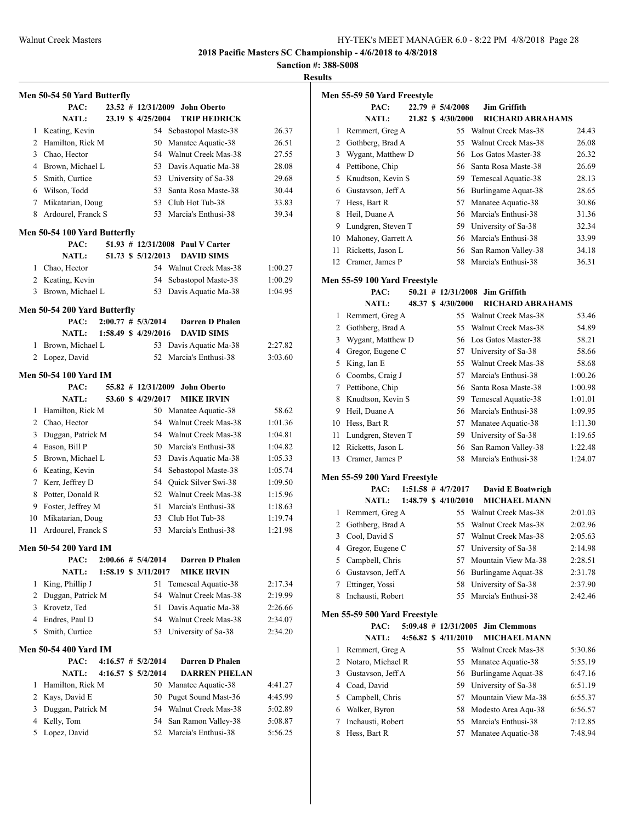**Sanction #: 388-S008**

|                | Men 50-54 50 Yard Butterfly          |  |                        |                                  |         |
|----------------|--------------------------------------|--|------------------------|----------------------------------|---------|
|                | PAC:                                 |  |                        | 23.52 # 12/31/2009 John Oberto   |         |
|                | <b>NATL:</b>                         |  | 23.19 \$4/25/2004      | <b>TRIP HEDRICK</b>              |         |
| 1              | Keating, Kevin                       |  | 54                     | Sebastopol Maste-38              | 26.37   |
|                | 2 Hamilton, Rick M                   |  | 50                     | Manatee Aquatic-38               | 26.51   |
|                | 3 Chao, Hector                       |  |                        | 54 Walnut Creek Mas-38           | 27.55   |
|                | 4 Brown, Michael L                   |  |                        | 53 Davis Aquatic Ma-38           | 28.08   |
|                | 5 Smith, Curtice                     |  |                        | 53 University of Sa-38           | 29.68   |
|                | 6 Wilson, Todd                       |  | 53                     | Santa Rosa Maste-38              | 30.44   |
| 7              | Mikatarian, Doug                     |  |                        | 53 Club Hot Tub-38               | 33.83   |
| 8              | Ardourel, Franck S                   |  |                        | 53 Marcia's Enthusi-38           | 39.34   |
|                |                                      |  |                        |                                  |         |
|                | Men 50-54 100 Yard Butterfly<br>PAC: |  |                        | 51.93 # 12/31/2008 Paul V Carter |         |
|                | <b>NATL:</b>                         |  | 51.73 \$ 5/12/2013     | <b>DAVID SIMS</b>                |         |
| $\mathbf{1}$   | Chao, Hector                         |  |                        | 54 Walnut Creek Mas-38           | 1:00.27 |
|                | 2 Keating, Kevin                     |  | 54                     | Sebastopol Maste-38              | 1:00.29 |
| 3              | Brown, Michael L                     |  | 53                     | Davis Aquatic Ma-38              | 1:04.95 |
|                |                                      |  |                        |                                  |         |
|                | Men 50-54 200 Yard Butterfly         |  |                        |                                  |         |
|                | PAC:                                 |  | $2:00.77$ # $5/3/2014$ | Darren D Phalen                  |         |
|                | NATL:                                |  | 1:58.49 \$ 4/29/2016   | <b>DAVID SIMS</b>                |         |
| 1              | Brown, Michael L                     |  |                        | 53 Davis Aquatic Ma-38           | 2:27.82 |
|                | 2 Lopez, David                       |  | 52                     | Marcia's Enthusi-38              | 3:03.60 |
|                | <b>Men 50-54 100 Yard IM</b>         |  |                        |                                  |         |
|                | PAC:                                 |  | 55.82 # 12/31/2009     | <b>John Oberto</b>               |         |
|                | <b>NATL:</b>                         |  | 53.60 \$4/29/2017      | <b>MIKE IRVIN</b>                |         |
| $\mathbf{1}$   | Hamilton, Rick M                     |  | 50 -                   | Manatee Aquatic-38               | 58.62   |
|                | 2 Chao, Hector                       |  | 54                     | Walnut Creek Mas-38              | 1:01.36 |
|                | 3 Duggan, Patrick M                  |  |                        | 54 Walnut Creek Mas-38           | 1:04.81 |
|                | 4 Eason, Bill P                      |  |                        | 50 Marcia's Enthusi-38           | 1:04.82 |
|                | 5 Brown, Michael L                   |  |                        | 53 Davis Aquatic Ma-38           | 1:05.33 |
|                | 6 Keating, Kevin                     |  | 54                     | Sebastopol Maste-38              | 1:05.74 |
| 7              | Kerr, Jeffrey D                      |  |                        | 54 Quick Silver Swi-38           | 1:09.50 |
| 8              | Potter, Donald R                     |  |                        | 52 Walnut Creek Mas-38           | 1:15.96 |
|                | 9 Foster, Jeffrey M                  |  | 51                     | Marcia's Enthusi-38              | 1:18.63 |
| 10             | Mikatarian, Doug                     |  |                        | 53 Club Hot Tub-38               | 1:19.74 |
| 11             | Ardourel, Franck S                   |  |                        | 53 Marcia's Enthusi-38           | 1:21.98 |
|                |                                      |  |                        |                                  |         |
|                | Men 50-54 200 Yard IM                |  |                        |                                  |         |
|                | PAC:                                 |  | $2:00.66 \# 5/4/2014$  | Darren D Phalen                  |         |
|                | <b>NATL:</b>                         |  | 1:58.19 \$ 3/11/2017   | <b>MIKE IRVIN</b>                |         |
| 1              | King, Phillip J                      |  | 51<br>54               | Temescal Aquatic-38              | 2:17.34 |
|                | 2 Duggan, Patrick M                  |  |                        | Walnut Creek Mas-38              | 2:19.99 |
|                | 3 Krovetz, Ted                       |  | 51                     | Davis Aquatic Ma-38              | 2:26.66 |
|                | 4 Endres, Paul D                     |  |                        | 54 Walnut Creek Mas-38           | 2:34.07 |
| 5              | Smith, Curtice                       |  |                        | 53 University of Sa-38           | 2:34.20 |
|                | Men 50-54 400 Yard IM                |  |                        |                                  |         |
|                | PAC:                                 |  | $4:16.57$ # $5/2/2014$ | <b>Darren D Phalen</b>           |         |
|                | <b>NATL:</b>                         |  | 4:16.57 \$ 5/2/2014    | <b>DARREN PHELAN</b>             |         |
| 1              | Hamilton, Rick M                     |  | 50                     | Manatee Aquatic-38               | 4:41.27 |
| $\overline{2}$ | Kays, David E                        |  | 50                     | Puget Sound Mast-36              | 4:45.99 |
| 3              | Duggan, Patrick M                    |  | 54                     | Walnut Creek Mas-38              | 5:02.89 |
| 4              | Kelly, Tom                           |  | 54                     | San Ramon Valley-38              | 5:08.87 |
| 5              | Lopez, David                         |  | 52                     | Marcia's Enthusi-38              | 5:56.25 |
|                |                                      |  |                        |                                  |         |

|                | Men 55-59 50 Yard Freestyle          |  |                        |                                                          |                    |
|----------------|--------------------------------------|--|------------------------|----------------------------------------------------------|--------------------|
|                | PAC:                                 |  | 22.79 # 5/4/2008       | <b>Jim Griffith</b>                                      |                    |
|                | <b>NATL:</b>                         |  | 21.82 \$ 4/30/2000     | <b>RICHARD ABRAHAMS</b>                                  |                    |
| 1              | Remmert, Greg A                      |  | 55                     | Walnut Creek Mas-38                                      | 24.43              |
| $\overline{2}$ | Gothberg, Brad A                     |  | 55                     | Walnut Creek Mas-38                                      | 26.08              |
| 3              | Wygant, Matthew D                    |  | 56                     | Los Gatos Master-38                                      | 26.32              |
| 4              | Pettibone, Chip                      |  |                        | 56 Santa Rosa Maste-38                                   | 26.69              |
| 5              | Knudtson, Kevin S                    |  | 59                     | Temescal Aquatic-38                                      | 28.13              |
|                | 6 Gustavson, Jeff A                  |  | 56                     | Burlingame Aquat-38                                      | 28.65              |
| 7              | Hess, Bart R                         |  | 57                     | Manatee Aquatic-38                                       | 30.86              |
| 8              | Heil, Duane A                        |  | 56                     | Marcia's Enthusi-38                                      | 31.36              |
|                | 9 Lundgren, Steven T                 |  |                        | 59 University of Sa-38                                   | 32.34              |
|                | 10 Mahoney, Garrett A                |  | 56                     | Marcia's Enthusi-38                                      | 33.99              |
| 11             | Ricketts, Jason L                    |  | 56                     | San Ramon Valley-38                                      | 34.18              |
| 12             | Cramer, James P                      |  | 58                     | Marcia's Enthusi-38                                      | 36.31              |
|                | Men 55-59 100 Yard Freestyle         |  |                        |                                                          |                    |
|                | PAC:                                 |  |                        | 50.21 # 12/31/2008 Jim Griffith                          |                    |
|                | <b>NATL:</b>                         |  | 48.37 \$ 4/30/2000     | <b>RICHARD ABRAHAMS</b>                                  |                    |
| 1              | Remmert, Greg A                      |  | 55                     | Walnut Creek Mas-38                                      | 53.46              |
|                | 2 Gothberg, Brad A                   |  | 55                     | Walnut Creek Mas-38                                      | 54.89              |
| 3              | Wygant, Matthew D                    |  | 56                     | Los Gatos Master-38                                      | 58.21              |
|                | 4 Gregor, Eugene C                   |  | 57                     | University of Sa-38                                      | 58.66              |
| 5              | King, Ian E                          |  | 55                     | Walnut Creek Mas-38                                      | 58.68              |
|                | 6 Coombs, Craig J                    |  | 57                     | Marcia's Enthusi-38                                      | 1:00.26            |
| 7              | Pettibone, Chip                      |  | 56                     | Santa Rosa Maste-38                                      | 1:00.98            |
| 8              | Knudtson, Kevin S                    |  | 59                     | Temescal Aquatic-38                                      | 1:01.01            |
| 9              | Heil, Duane A                        |  | 56                     | Marcia's Enthusi-38                                      | 1:09.95            |
| 10             | Hess, Bart R                         |  | 57                     | Manatee Aquatic-38                                       | 1:11.30            |
| 11             | Lundgren, Steven T                   |  | 59                     | University of Sa-38                                      | 1:19.65            |
| 12             | Ricketts, Jason L                    |  | 56                     | San Ramon Valley-38                                      | 1:22.48            |
| 13             | Cramer, James P                      |  | 58                     | Marcia's Enthusi-38                                      | 1:24.07            |
|                | Men 55-59 200 Yard Freestyle         |  |                        |                                                          |                    |
|                | PAC:                                 |  | $1:51.58$ # $4/7/2017$ | David E Boatwrigh                                        |                    |
|                | <b>NATL:</b>                         |  | 1:48.79 \$ 4/10/2010   | <b>MICHAEL MANN</b>                                      |                    |
| 1              | Remmert, Greg A                      |  | 55                     | Walnut Creek Mas-38                                      | 2:01.03            |
|                | 2 Gothberg, Brad A                   |  | 55                     | Walnut Creek Mas-38                                      | 2:02.96            |
|                | 3 Cool, David S                      |  | 57                     | Walnut Creek Mas-38                                      | 2:05.63            |
| 4              | Gregor, Eugene C                     |  | 57                     | University of Sa-38                                      | 2:14.98            |
| 5              | Campbell, Chris                      |  | 57                     | Mountain View Ma-38                                      | 2:28.51            |
| 6              | Gustavson, Jeff A                    |  | 56                     | Burlingame Aquat-38                                      | 2:31.78            |
| 7              | Ettinger, Yossi                      |  | 58                     | University of Sa-38                                      | 2:37.90            |
| 8              | Inchausti, Robert                    |  | 55                     | Marcia's Enthusi-38                                      | 2:42.46            |
|                |                                      |  |                        |                                                          |                    |
|                | Men 55-59 500 Yard Freestyle         |  |                        |                                                          |                    |
|                | PAC:<br><b>NATL:</b>                 |  | 4:56.82 \$ 4/11/2010   | 5:09.48 # 12/31/2005 Jim Clemmons<br><b>MICHAEL MANN</b> |                    |
|                |                                      |  |                        |                                                          |                    |
| 1<br>2         | Remmert, Greg A<br>Notaro, Michael R |  | 55<br>55               | Walnut Creek Mas-38<br>Manatee Aquatic-38                | 5:30.86<br>5:55.19 |
| 3              | Gustavson, Jeff A                    |  | 56                     | Burlingame Aquat-38                                      | 6:47.16            |
| 4              | Coad, David                          |  | 59                     | University of Sa-38                                      | 6:51.19            |
| 5              | Campbell, Chris                      |  | 57                     | Mountain View Ma-38                                      | 6:55.37            |
|                |                                      |  |                        |                                                          |                    |
| 6<br>7         | Walker, Byron<br>Inchausti, Robert   |  | 58<br>55               | Modesto Area Aqu-38<br>Marcia's Enthusi-38               | 6:56.57<br>7:12.85 |
| 8              | Hess, Bart R                         |  | 57                     | Manatee Aquatic-38                                       | 7:48.94            |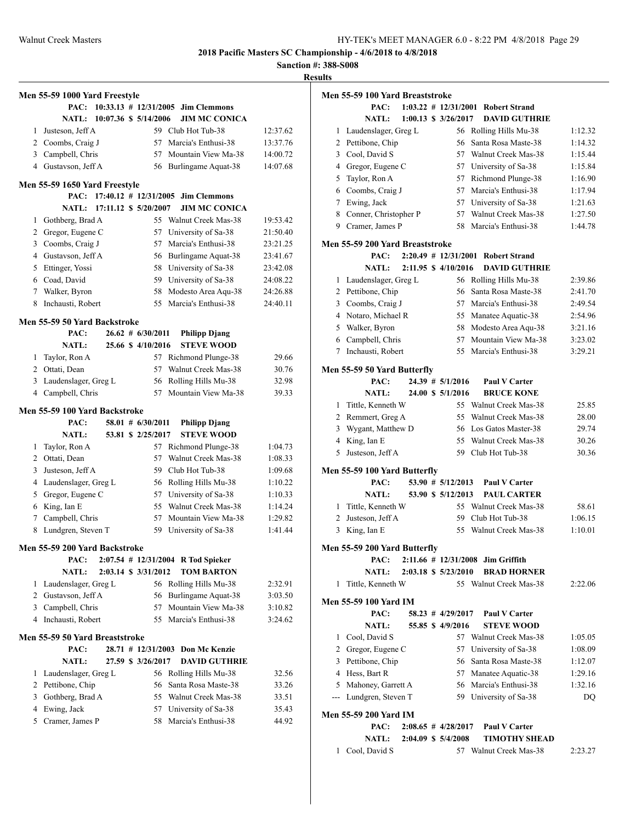**Sanction #: 388-S008**

|   | Men 55-59 1000 Yard Freestyle  |                             |                       |                                    |          |
|---|--------------------------------|-----------------------------|-----------------------|------------------------------------|----------|
|   | PAC:                           | $10:33.13$ # $12/31/2005$   |                       | <b>Jim Clemmons</b>                |          |
|   | <b>NATL:</b>                   | 10:07.36 \$ 5/14/2006       |                       | <b>JIM MC CONICA</b>               |          |
| 1 | Justeson, Jeff A               |                             |                       | 59 Club Hot Tub-38                 | 12:37.62 |
|   | 2 Coombs, Craig J              |                             | 57                    | Marcia's Enthusi-38                | 13:37.76 |
|   | 3 Campbell, Chris              |                             | 57                    | Mountain View Ma-38                | 14:00.72 |
| 4 | Gustavson, Jeff A              |                             | 56                    | Burlingame Aquat-38                | 14:07.68 |
|   | Men 55-59 1650 Yard Freestyle  |                             |                       |                                    |          |
|   | PAC:                           |                             |                       | 17:40.12 # 12/31/2005 Jim Clemmons |          |
|   |                                | NATL: 17:11.12 \$ 5/20/2007 |                       | <b>JIM MC CONICA</b>               |          |
| 1 | Gothberg, Brad A               |                             |                       | 55 Walnut Creek Mas-38             | 19:53.42 |
|   | 2 Gregor, Eugene C             |                             | 57                    | University of Sa-38                | 21:50.40 |
| 3 | Coombs, Craig J                |                             | 57                    | Marcia's Enthusi-38                | 23:21.25 |
|   | 4 Gustavson, Jeff A            |                             | 56                    | Burlingame Aquat-38                | 23:41.67 |
| 5 | Ettinger, Yossi                |                             | 58                    | University of Sa-38                | 23:42.08 |
|   | 6 Coad, David                  |                             |                       | 59 University of Sa-38             | 24:08.22 |
| 7 | Walker, Byron                  |                             | 58                    | Modesto Area Aqu-38                | 24:26.88 |
| 8 | Inchausti, Robert              |                             | 55                    | Marcia's Enthusi-38                | 24:40.11 |
|   | Men 55-59 50 Yard Backstroke   |                             |                       |                                    |          |
|   | PAC:                           |                             | $26.62 \pm 6/30/2011$ | <b>Philipp Djang</b>               |          |
|   | <b>NATL:</b>                   |                             | 25.66 \$ 4/10/2016    | <b>STEVE WOOD</b>                  |          |
| 1 | Taylor, Ron A                  |                             | 57                    | Richmond Plunge-38                 | 29.66    |
|   | 2 Ottati, Dean                 |                             | 57                    | Walnut Creek Mas-38                | 30.76    |
| 3 | Laudenslager, Greg L           |                             | 56                    | Rolling Hills Mu-38                | 32.98    |
| 4 | Campbell, Chris                |                             | 57                    | Mountain View Ma-38                | 39.33    |
|   | Men 55-59 100 Yard Backstroke  |                             |                       |                                    |          |
|   | PAC:                           |                             | $58.01$ # $6/30/2011$ | <b>Philipp Djang</b>               |          |
|   | <b>NATL:</b>                   |                             | 53.81 \$ 2/25/2017    | <b>STEVE WOOD</b>                  |          |
| 1 | Taylor, Ron A                  |                             |                       | 57 Richmond Plunge-38              | 1:04.73  |
|   | 2 Ottati, Dean                 |                             | 57                    | Walnut Creek Mas-38                | 1:08.33  |
| 3 | Justeson, Jeff A               |                             | 59                    | Club Hot Tub-38                    | 1:09.68  |
| 4 | Laudenslager, Greg L           |                             | 56                    | Rolling Hills Mu-38                | 1:10.22  |
| 5 | Gregor, Eugene C               |                             | 57                    | University of Sa-38                | 1:10.33  |
| 6 | King, Ian E                    |                             | 55                    | Walnut Creek Mas-38                | 1:14.24  |
| 7 | Campbell, Chris                |                             | 57                    | Mountain View Ma-38                | 1:29.82  |
| 8 | Lundgren, Steven T             |                             | 59                    | University of Sa-38                | 1:41.44  |
|   | Men 55-59 200 Yard Backstroke  |                             |                       |                                    |          |
|   | PAC:                           |                             |                       | 2:07.54 # 12/31/2004 R Tod Spieker |          |
|   | <b>NATL:</b>                   |                             | 2:03.14 \$ 3/31/2012  | <b>TOM BARTON</b>                  |          |
| 1 | Laudenslager, Greg L           |                             |                       | 56 Rolling Hills Mu-38             | 2:32.91  |
|   | 2 Gustavson, Jeff A            |                             | 56                    | Burlingame Aquat-38                | 3:03.50  |
|   | 3 Campbell, Chris              |                             | 57                    | Mountain View Ma-38                | 3:10.82  |
| 4 | Inchausti, Robert              |                             | 55                    | Marcia's Enthusi-38                | 3:24.62  |
|   | Men 55-59 50 Yard Breaststroke |                             |                       |                                    |          |
|   | PAC:                           |                             | 28.71 # 12/31/2003    | Don Mc Kenzie                      |          |
|   | <b>NATL:</b>                   |                             | 27.59 \$ 3/26/2017    | <b>DAVID GUTHRIE</b>               |          |
| 1 | Laudenslager, Greg L           |                             | 56                    | Rolling Hills Mu-38                | 32.56    |
| 2 | Pettibone, Chip                |                             | 56                    | Santa Rosa Maste-38                | 33.26    |
| 3 | Gothberg, Brad A               |                             | 55                    | Walnut Creek Mas-38                | 33.51    |
| 4 | Ewing, Jack                    |                             | 57                    | University of Sa-38                | 35.43    |
| 5 | Cramer, James P                |                             | 58                    | Marcia's Enthusi-38                | 44.92    |
|   |                                |                             |                       |                                    |          |

|   | Men 55-59 100 Yard Breaststroke      |  |                          |                                      |         |
|---|--------------------------------------|--|--------------------------|--------------------------------------|---------|
|   | PAC:                                 |  | $1:03.22$ # $12/31/2001$ | <b>Robert Strand</b>                 |         |
|   | <b>NATL:</b>                         |  | 1:00.13 \$ 3/26/2017     | <b>DAVID GUTHRIE</b>                 |         |
| 1 | Laudenslager, Greg L                 |  |                          | 56 Rolling Hills Mu-38               | 1:12.32 |
| 2 | Pettibone, Chip                      |  | 56                       | Santa Rosa Maste-38                  | 1:14.32 |
| 3 | Cool, David S                        |  |                          | 57 Walnut Creek Mas-38               | 1:15.44 |
| 4 | Gregor, Eugene C                     |  |                          | 57 University of Sa-38               | 1:15.84 |
| 5 | Taylor, Ron A                        |  | 57                       | Richmond Plunge-38                   | 1:16.90 |
|   | 6 Coombs, Craig J                    |  | 57                       | Marcia's Enthusi-38                  | 1:17.94 |
|   | 7 Ewing, Jack                        |  | 57                       | University of Sa-38                  | 1:21.63 |
| 8 | Conner, Christopher P                |  | 57                       | Walnut Creek Mas-38                  | 1:27.50 |
|   | 9 Cramer, James P                    |  | 58                       | Marcia's Enthusi-38                  | 1:44.78 |
|   | Men 55-59 200 Yard Breaststroke      |  |                          |                                      |         |
|   | PAC:                                 |  |                          | 2:20.49 # 12/31/2001 Robert Strand   |         |
|   | NATL:                                |  | 2:11.95 \$ 4/10/2016     | <b>DAVID GUTHRIE</b>                 |         |
| 1 | Laudenslager, Greg L                 |  | 56                       | Rolling Hills Mu-38                  | 2:39.86 |
| 2 | Pettibone, Chip                      |  | 56                       | Santa Rosa Maste-38                  | 2:41.70 |
| 3 | Coombs, Craig J                      |  |                          | 57 Marcia's Enthusi-38               | 2:49.54 |
|   | 4 Notaro, Michael R                  |  |                          | 55 Manatee Aquatic-38                | 2:54.96 |
| 5 | Walker, Byron                        |  | 58                       | Modesto Area Aqu-38                  | 3:21.16 |
| 6 | Campbell, Chris                      |  | 57                       | Mountain View Ma-38                  | 3:23.02 |
| 7 | Inchausti, Robert                    |  | 55                       | Marcia's Enthusi-38                  | 3:29.21 |
|   | Men 55-59 50 Yard Butterfly          |  |                          |                                      |         |
|   | PAC:                                 |  | $24.39$ # $5/1/2016$     | <b>Paul V Carter</b>                 |         |
|   | <b>NATL:</b>                         |  | 24.00 \$ 5/1/2016        | <b>BRUCE KONE</b>                    |         |
| 1 | Tittle, Kenneth W                    |  |                          | 55 Walnut Creek Mas-38               | 25.85   |
| 2 | Remmert, Greg A                      |  |                          | 55 Walnut Creek Mas-38               | 28.00   |
| 3 | Wygant, Matthew D                    |  |                          | 56 Los Gatos Master-38               | 29.74   |
| 4 | King, Ian E                          |  | 55                       | Walnut Creek Mas-38                  | 30.26   |
| 5 | Justeson, Jeff A                     |  | 59                       | Club Hot Tub-38                      | 30.36   |
|   | Men 55-59 100 Yard Butterfly         |  |                          |                                      |         |
|   | PAC:                                 |  | 53.90 # 5/12/2013        | <b>Paul V Carter</b>                 |         |
|   | <b>NATL:</b>                         |  | 53.90 \$ 5/12/2013       | <b>PAUL CARTER</b>                   |         |
| 1 | Tittle, Kenneth W                    |  |                          | 55 Walnut Creek Mas-38               | 58.61   |
| 2 | Justeson, Jeff A                     |  | 59                       | Club Hot Tub-38                      | 1:06.15 |
| 3 | King, Ian E                          |  | 55                       | Walnut Creek Mas-38                  | 1:10.01 |
|   |                                      |  |                          |                                      |         |
|   | Men 55-59 200 Yard Butterfly<br>PAC: |  |                          | $2:11.66 \# 12/31/2008$ Jim Griffith |         |
|   | <b>NATL:</b>                         |  | 2:03.18 \$ 5/23/2010     | <b>BRAD HORNER</b>                   |         |
| 1 | Tittle, Kenneth W                    |  |                          | 55 Walnut Creek Mas-38               | 2:22.06 |
|   | Men 55-59 100 Yard IM                |  |                          |                                      |         |
|   | PAC:                                 |  | $58.23 \# 4/29/2017$     | Paul V Carter                        |         |
|   | <b>NATL:</b>                         |  | 55.85 \$4/9/2016         | <b>STEVE WOOD</b>                    |         |
|   | 1 Cool, David S                      |  |                          | 57 Walnut Creek Mas-38               | 1:05.05 |
|   | 2 Gregor, Eugene C                   |  |                          | 57 University of Sa-38               | 1:08.09 |
|   | 3 Pettibone, Chip                    |  |                          | 56 Santa Rosa Maste-38               | 1:12.07 |
|   | 4 Hess, Bart R                       |  |                          | 57 Manatee Aquatic-38                | 1:29.16 |
|   | 5 Mahoney, Garrett A                 |  |                          | 56 Marcia's Enthusi-38               | 1:32.16 |
|   | --- Lundgren, Steven T               |  |                          | 59 University of Sa-38               | DQ      |
|   |                                      |  |                          |                                      |         |
|   | Men 55-59 200 Yard IM<br>PAC:        |  | $2:08.65 \# 4/28/2017$   | Paul V Carter                        |         |
|   | <b>NATL:</b>                         |  | 2:04.09 \$ 5/4/2008      | <b>TIMOTHY SHEAD</b>                 |         |
|   | 1 Cool, David S                      |  |                          | 57 Walnut Creek Mas-38               | 2:23.27 |
|   |                                      |  |                          |                                      |         |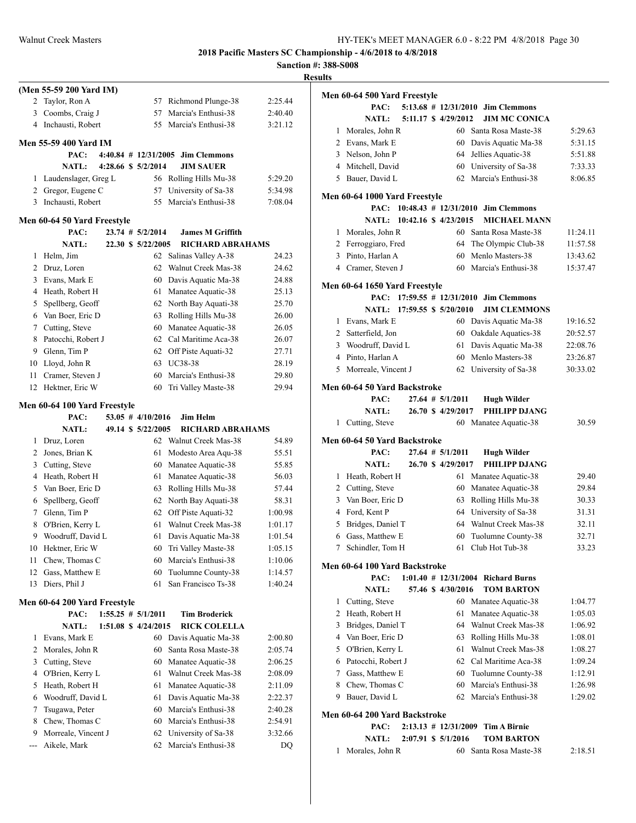|                                                         |      |  |                        |                                            |                | R |
|---------------------------------------------------------|------|--|------------------------|--------------------------------------------|----------------|---|
| (Men 55-59 200 Yard IM)                                 |      |  |                        |                                            |                |   |
| Taylor, Ron A<br>2                                      |      |  | 57                     | Richmond Plunge-38                         | 2:25.44        |   |
| 3<br>Coombs, Craig J                                    |      |  | 57                     | Marcia's Enthusi-38                        | 2:40.40        |   |
| Inchausti, Robert<br>4                                  |      |  | 55                     | Marcia's Enthusi-38                        | 3:21.12        |   |
| <b>Men 55-59 400 Yard IM</b>                            |      |  |                        |                                            |                |   |
|                                                         | PAC: |  |                        | $4:40.84$ # $12/31/2005$ Jim Clemmons      |                |   |
| <b>NATL:</b>                                            |      |  | 4:28.66 \$ 5/2/2014    | <b>JIM SAUER</b>                           |                |   |
| Laudenslager, Greg L<br>1                               |      |  |                        | 56 Rolling Hills Mu-38                     | 5:29.20        |   |
| 2 Gregor, Eugene C                                      |      |  | 57                     | University of Sa-38                        | 5:34.98        |   |
| Inchausti, Robert<br>3                                  |      |  | 55                     | Marcia's Enthusi-38                        | 7:08.04        |   |
| Men 60-64 50 Yard Freestyle                             |      |  |                        |                                            |                |   |
|                                                         | PAC: |  | 23.74 # 5/2/2014       | <b>James M Griffith</b>                    |                |   |
| <b>NATL:</b>                                            |      |  | 22.30 \$ 5/22/2005     | <b>RICHARD ABRAHAMS</b>                    |                |   |
| Helm, Jim<br>1                                          |      |  | 62                     | Salinas Valley A-38                        | 24.23          |   |
| 2 Druz, Loren                                           |      |  | 62                     | Walnut Creek Mas-38                        | 24.62          |   |
| 3 Evans, Mark E                                         |      |  |                        | 60 Davis Aquatic Ma-38                     | 24.88          |   |
| 4 Heath, Robert H                                       |      |  |                        | 61 Manatee Aquatic-38                      | 25.13          |   |
| Spellberg, Geoff<br>5                                   |      |  |                        | 62 North Bay Aquati-38                     | 25.70          |   |
| 6 Van Boer, Eric D                                      |      |  | 63                     | Rolling Hills Mu-38                        | 26.00          |   |
| 7<br>Cutting, Steve                                     |      |  | 60                     | Manatee Aquatic-38                         | 26.05          |   |
| Patocchi, Robert J<br>8<br>9 Glenn, Tim P               |      |  | 62                     | Cal Maritime Aca-38                        | 26.07          |   |
| Lloyd, John R<br>10                                     |      |  |                        | 62 Off Piste Aquati-32<br>63 UC38-38       | 27.71<br>28.19 |   |
| Cramer, Steven J<br>11                                  |      |  | 60                     | Marcia's Enthusi-38                        | 29.80          |   |
| 12<br>Hektner, Eric W                                   |      |  | 60                     | Tri Valley Maste-38                        | 29.94          |   |
|                                                         |      |  |                        |                                            |                |   |
| Men 60-64 100 Yard Freestyle                            |      |  |                        |                                            |                |   |
|                                                         | PAC: |  | $53.05$ # 4/10/2016    | Jim Helm                                   |                |   |
| <b>NATL:</b>                                            |      |  | 49.14 \$ 5/22/2005     | <b>RICHARD ABRAHAMS</b>                    |                |   |
| Druz, Loren<br>1                                        |      |  | 61                     | 62 Walnut Creek Mas-38                     | 54.89          |   |
| Jones, Brian K<br>$\overline{2}$<br>3<br>Cutting, Steve |      |  | 60                     | Modesto Area Aqu-38<br>Manatee Aquatic-38  | 55.51<br>55.85 |   |
| 4 Heath, Robert H                                       |      |  | 61                     | Manatee Aquatic-38                         | 56.03          |   |
| 5<br>Van Boer, Eric D                                   |      |  | 63                     | Rolling Hills Mu-38                        | 57.44          |   |
| Spellberg, Geoff<br>6                                   |      |  | 62                     | North Bay Aquati-38                        | 58.31          |   |
| Glenn, Tim P<br>$7^{\circ}$                             |      |  | 62                     | Off Piste Aquati-32                        | 1:00.98        |   |
| O'Brien, Kerry L<br>8                                   |      |  | 61                     | Walnut Creek Mas-38                        | 1:01.17        |   |
| Woodruff, David L<br>9                                  |      |  |                        | 61 Davis Aquatic Ma-38                     | 1:01.54        |   |
| Hektner, Eric W<br>10                                   |      |  | 60                     | Tri Valley Maste-38                        | 1:05.15        |   |
| Chew, Thomas C<br>11                                    |      |  | 60                     | Marcia's Enthusi-38                        | 1:10.06        |   |
| Gass, Matthew E<br>12                                   |      |  | 60                     | Tuolumne County-38                         | 1:14.57        |   |
|                                                         |      |  | 61                     | San Francisco Ts-38                        | 1:40.24        |   |
| Diers, Phil J<br>13                                     |      |  |                        |                                            |                |   |
| Men 60-64 200 Yard Freestyle                            |      |  |                        |                                            |                |   |
|                                                         | PAC: |  | $1:55.25$ # $5/1/2011$ | <b>Tim Broderick</b>                       |                |   |
| NATL:                                                   |      |  | 1:51.08 \$ 4/24/2015   | <b>RICK COLELLA</b>                        |                |   |
| Evans, Mark E<br>1                                      |      |  | 60                     | Davis Aquatic Ma-38                        | 2:00.80        |   |
| Morales, John R<br>2                                    |      |  | 60                     | Santa Rosa Maste-38                        | 2:05.74        |   |
| Cutting, Steve<br>3                                     |      |  | 60                     | Manatee Aquatic-38                         | 2:06.25        |   |
| O'Brien, Kerry L<br>4                                   |      |  | 61                     | Walnut Creek Mas-38                        | 2:08.09        |   |
| Heath, Robert H<br>5                                    |      |  | 61                     | Manatee Aquatic-38                         | 2:11.09        |   |
| Woodruff, David L<br>6                                  |      |  | 61                     | Davis Aquatic Ma-38                        | 2:22.37        |   |
| Tsugawa, Peter<br>7                                     |      |  | 60                     | Marcia's Enthusi-38                        | 2:40.28        |   |
| Chew, Thomas C<br>8                                     |      |  | 60                     | Marcia's Enthusi-38                        | 2:54.91        |   |
| Morreale, Vincent J<br>9<br>Aikele, Mark<br>$---$       |      |  | 62<br>62               | University of Sa-38<br>Marcia's Enthusi-38 | 3:32.66<br>DQ  |   |

| <b>desults</b>                  |                                              |          |
|---------------------------------|----------------------------------------------|----------|
| Men 60-64 500 Yard Freestyle    |                                              |          |
| PAC:                            | 5:13.68 # 12/31/2010 Jim Clemmons            |          |
| <b>NATL:</b>                    | 5:11.17 \$ 4/29/2012<br><b>JIM MC CONICA</b> |          |
| Morales, John R<br>$\mathbf{1}$ | 60 Santa Rosa Maste-38                       | 5:29.63  |
| 2 Evans, Mark E                 | 60 Davis Aquatic Ma-38                       | 5:31.15  |
| 3 Nelson, John P                | 64<br>Jellies Aquatic-38                     | 5:51.88  |
| 4 Mitchell, David               | 60 University of Sa-38                       | 7:33.33  |
| 5 Bauer, David L                | 62 Marcia's Enthusi-38                       | 8:06.85  |
| Men 60-64 1000 Yard Freestyle   |                                              |          |
|                                 | PAC: 10:48.43 # 12/31/2010 Jim Clemmons      |          |
| NATL: 10:42.16 \$ 4/23/2015     | <b>MICHAEL MANN</b>                          |          |
| 1 Morales, John R               | 60 Santa Rosa Maste-38                       | 11:24.11 |
| 2 Ferroggiaro, Fred             | 64<br>The Olympic Club-38                    | 11:57.58 |
| 3 Pinto, Harlan A               | Menlo Masters-38<br>60                       | 13:43.62 |
| 4 Cramer, Steven J              | 60 Marcia's Enthusi-38                       | 15:37.47 |
| Men 60-64 1650 Yard Freestyle   |                                              |          |
| PAC:                            | $17:59.55$ # $12/31/2010$ Jim Clemmons       |          |
| NATL: 17:59.55 \$ 5/20/2010     | <b>JIM CLEMMONS</b>                          |          |
| 1 Evans, Mark E                 | 60 Davis Aquatic Ma-38                       | 19:16.52 |
| 2 Satterfield, Jon              | 60 Oakdale Aquatics-38                       | 20:52.57 |
| 3 Woodruff, David L             | Davis Aquatic Ma-38<br>61                    | 22:08.76 |
| 4 Pinto, Harlan A               | 60 Menlo Masters-38                          | 23:26.87 |
| Morreale, Vincent J<br>5.       | 62 University of Sa-38                       | 30:33.02 |
| Men 60-64 50 Yard Backstroke    |                                              |          |
| PAC:                            | $27.64$ # $5/1/2011$<br><b>Hugh Wilder</b>   |          |
| <b>NATL:</b>                    | 26.70 \$ 4/29/2017<br><b>PHILIPP DJANG</b>   |          |
| 1 Cutting, Steve                | 60 Manatee Aquatic-38                        | 30.59    |
| Men 60-64 50 Yard Backstroke    |                                              |          |
| PAC:                            | $27.64$ # $5/1/2011$<br><b>Hugh Wilder</b>   |          |
| <b>NATL:</b>                    | 26.70 \$ 4/29/2017<br>PHILIPP DJANG          |          |
| 1 Heath, Robert H               | 61 Manatee Aquatic-38                        | 29.40    |
| 2 Cutting, Steve                | 60<br>Manatee Aquatic-38                     | 29.84    |
| 3 Van Boer, Eric D              | Rolling Hills Mu-38<br>63                    | 30.33    |
| Ford, Kent P<br>$\overline{4}$  | 64<br>University of Sa-38                    | 31.31    |
| 5<br>Bridges, Daniel T          | Walnut Creek Mas-38<br>64                    | 32.11    |
| 6 Gass, Matthew E               | 60 Tuolumne County-38                        | 32.71    |
| 7 Schindler, Tom H              | 61 Club Hot Tub-38                           | 33.23    |
| Men 60-64 100 Yard Backstroke   |                                              |          |
| PAC:                            | $1:01.40 \# 12/31/2004$ Richard Burns        |          |
| <b>NATL:</b>                    | 57.46 \$4/30/2016<br><b>TOM BARTON</b>       |          |
| Cutting, Steve<br>1             | 60 Manatee Aquatic-38                        | 1:04.77  |
| 2 Heath, Robert H               | 61<br>Manatee Aquatic-38                     | 1:05.03  |
| 3 Bridges, Daniel T             | Walnut Creek Mas-38<br>64                    | 1:06.92  |
| 4 Van Boer, Eric D              | Rolling Hills Mu-38<br>63                    | 1:08.01  |
| 5<br>O'Brien, Kerry L           | Walnut Creek Mas-38<br>61                    | 1:08.27  |
| 6 Patocchi, Robert J            | Cal Maritime Aca-38<br>62                    | 1:09.24  |
| Gass, Matthew E<br>7            | 60<br>Tuolumne County-38                     | 1:12.91  |
| 8 Chew, Thomas C                | Marcia's Enthusi-38<br>60                    | 1:26.98  |
| Bauer, David L<br>9.            | Marcia's Enthusi-38<br>62                    | 1:29.02  |
| Men 60-64 200 Yard Backstroke   |                                              |          |
| PAC:                            | $2:13.13 \# 12/31/2009$ Tim A Birnie         |          |
| <b>NATL:</b>                    | <b>TOM BARTON</b><br>2:07.91 \$ 5/1/2016     |          |
| Morales, John R<br>1            | 60 Santa Rosa Maste-38                       | 2:18.51  |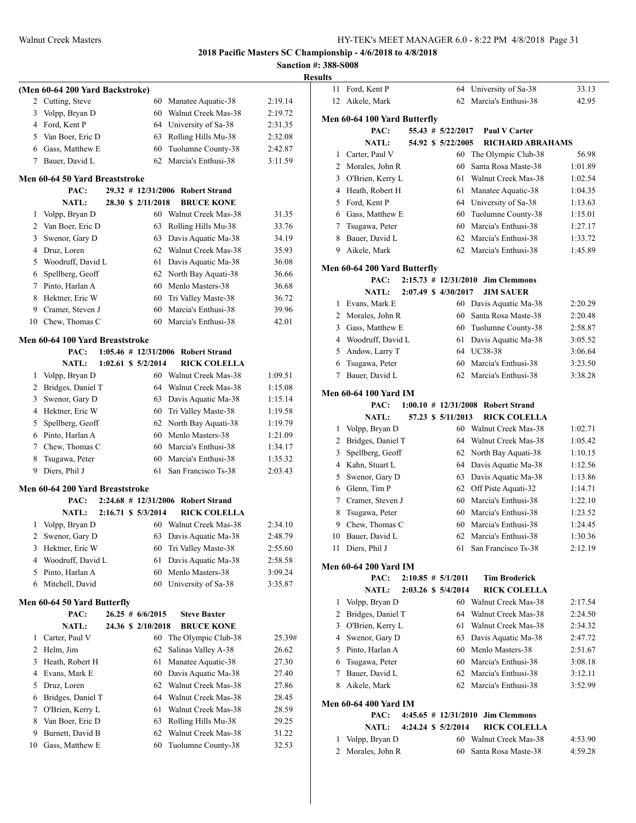**Sanction #: 388-S008 Results**

|                |                                 |  |                          |                        | R       |
|----------------|---------------------------------|--|--------------------------|------------------------|---------|
|                | (Men 60-64 200 Yard Backstroke) |  |                          |                        |         |
| 2              | Cutting, Steve                  |  | 60                       | Manatee Aquatic-38     | 2:19.14 |
| 3              | Volpp, Bryan D                  |  | 60                       | Walnut Creek Mas-38    | 2:19.72 |
| 4              | Ford, Kent P                    |  |                          | 64 University of Sa-38 | 2:31.35 |
| 5              | Van Boer, Eric D                |  | 63                       | Rolling Hills Mu-38    | 2:32.08 |
| 6              | Gass, Matthew E                 |  | 60                       | Tuolumne County-38     | 2:42.87 |
| 7              | Bauer, David L                  |  | 62                       | Marcia's Enthusi-38    | 3:11.59 |
|                | Men 60-64 50 Yard Breaststroke  |  |                          |                        |         |
|                | PAC:                            |  | $29.32$ # 12/31/2006     | <b>Robert Strand</b>   |         |
|                | <b>NATL:</b>                    |  | 28.30 \$ 2/11/2018       | <b>BRUCE KONE</b>      |         |
| 1              | Volpp, Bryan D                  |  | 60                       | Walnut Creek Mas-38    | 31.35   |
| 2              | Van Boer, Eric D                |  | 63                       | Rolling Hills Mu-38    | 33.76   |
| 3              | Swenor, Gary D                  |  | 63                       | Davis Aquatic Ma-38    | 34.19   |
| 4              | Druz, Loren                     |  | 62                       | Walnut Creek Mas-38    | 35.93   |
| 5              | Woodruff, David L               |  |                          | 61 Davis Aquatic Ma-38 | 36.08   |
| 6              | Spellberg, Geoff                |  |                          | 62 North Bay Aquati-38 | 36.66   |
| 7              | Pinto, Harlan A                 |  |                          | 60 Menlo Masters-38    | 36.68   |
| 8              | Hektner, Eric W                 |  |                          | 60 Tri Valley Maste-38 | 36.72   |
| 9              | Cramer, Steven J                |  | 60                       | Marcia's Enthusi-38    | 39.96   |
| 10             | Chew, Thomas C                  |  | 60                       | Marcia's Enthusi-38    | 42.01   |
|                | Men 60-64 100 Yard Breaststroke |  |                          |                        |         |
|                | PAC:                            |  | $1:05.46$ # $12/31/2006$ | <b>Robert Strand</b>   |         |
|                | <b>NATL:</b>                    |  | $1:02.61$ \$ $5/2/2014$  | <b>RICK COLELLA</b>    |         |
| 1              | Volpp, Bryan D                  |  | 60                       | Walnut Creek Mas-38    | 1:09.51 |
| 2              | Bridges, Daniel T               |  | 64                       | Walnut Creek Mas-38    | 1:15.08 |
| 3              | Swenor, Gary D                  |  |                          | 63 Davis Aquatic Ma-38 | 1:15.14 |
| 4              | Hektner, Eric W                 |  |                          | 60 Tri Valley Maste-38 | 1:19.58 |
| 5              | Spellberg, Geoff                |  |                          | 62 North Bay Aquati-38 | 1:19.79 |
| 6              | Pinto, Harlan A                 |  |                          | 60 Menlo Masters-38    | 1:21.09 |
| 7              | Chew, Thomas C                  |  | 60                       | Marcia's Enthusi-38    | 1:34.17 |
| 8              | Tsugawa, Peter                  |  | 60                       | Marcia's Enthusi-38    | 1:35.32 |
| 9              | Diers, Phil J                   |  | 61                       | San Francisco Ts-38    | 2:03.43 |
|                | Men 60-64 200 Yard Breaststroke |  |                          |                        |         |
|                | PAC:                            |  | $2:24.68$ # 12/31/2006   | <b>Robert Strand</b>   |         |
|                | <b>NATL:</b>                    |  | 2:16.71 \$ 5/3/2014      | <b>RICK COLELLA</b>    |         |
| 1              | Volpp, Bryan D                  |  |                          | 60 Walnut Creek Mas-38 | 2:34.10 |
|                | 2 Swenor, Gary D                |  |                          | 63 Davis Aquatic Ma-38 | 2:48.79 |
| 3              | Hektner, Eric W                 |  | 60                       | Tri Valley Maste-38    | 2:55.60 |
| 4              | Woodruff, David L               |  | 61                       | Davis Aquatic Ma-38    | 2:58.58 |
| 5              | Pinto, Harlan A                 |  | 60                       | Menlo Masters-38       | 3:09.24 |
| 6              | Mitchell, David                 |  | 60                       | University of Sa-38    | 3:35.87 |
|                | Men 60-64 50 Yard Butterfly     |  |                          |                        |         |
|                | PAC:                            |  | $26.25 \# 6/6/2015$      | <b>Steve Baxter</b>    |         |
|                | <b>NATL:</b>                    |  | 24.36 \$ 2/10/2018       | <b>BRUCE KONE</b>      |         |
| 1              | Carter, Paul V                  |  | 60                       | The Olympic Club-38    | 25.39#  |
| $\overline{2}$ | Helm, Jim                       |  | 62                       | Salinas Valley A-38    | 26.62   |
| 3              | Heath, Robert H                 |  | 61                       | Manatee Aquatic-38     | 27.30   |
| 4              | Evans, Mark E                   |  | 60                       | Davis Aquatic Ma-38    | 27.40   |
| 5              | Druz, Loren                     |  | 62                       | Walnut Creek Mas-38    | 27.86   |
| 6              | Bridges, Daniel T               |  | 64                       | Walnut Creek Mas-38    | 28.45   |
| 7              | O'Brien, Kerry L                |  | 61                       | Walnut Creek Mas-38    | 28.59   |
| 8              | Van Boer, Eric D                |  | 63                       | Rolling Hills Mu-38    | 29.25   |
| 9              | Burnett, David B                |  | 62                       | Walnut Creek Mas-38    | 31.22   |
| 10             | Gass, Matthew E                 |  | 60                       | Tuolumne County-38     | 32.53   |
|                |                                 |  |                          |                        |         |

| 11 | Ford, Kent P                 |  | 64                       | University of Sa-38                    | 33.13   |
|----|------------------------------|--|--------------------------|----------------------------------------|---------|
| 12 | Aikele, Mark                 |  | 62                       | Marcia's Enthusi-38                    | 42.95   |
|    |                              |  |                          |                                        |         |
|    | Men 60-64 100 Yard Butterfly |  |                          |                                        |         |
|    | PAC:                         |  | 55.43 # 5/22/2017        | Paul V Carter                          |         |
|    | <b>NATL:</b>                 |  | 54.92 \$ 5/22/2005       | <b>RICHARD ABRAHAMS</b>                |         |
| 1  | Carter, Paul V               |  | 60                       | The Olympic Club-38                    | 56.98   |
| 2  | Morales, John R              |  | 60                       | Santa Rosa Maste-38                    | 1:01.89 |
| 3  | O'Brien, Kerry L             |  | 61                       | Walnut Creek Mas-38                    | 1:02.54 |
| 4  | Heath, Robert H              |  | 61                       | Manatee Aquatic-38                     | 1:04.35 |
| 5  | Ford, Kent P                 |  | 64                       | University of Sa-38                    | 1:13.63 |
| 6  | Gass, Matthew E              |  | 60                       | Tuolumne County-38                     | 1:15.01 |
| 7  | Tsugawa, Peter               |  | 60                       | Marcia's Enthusi-38                    | 1:27.17 |
| 8  | Bauer, David L               |  | 62                       | Marcia's Enthusi-38                    | 1:33.72 |
| 9. | Aikele, Mark                 |  | 62                       | Marcia's Enthusi-38                    | 1:45.89 |
|    | Men 60-64 200 Yard Butterfly |  |                          |                                        |         |
|    | PAC:                         |  | $2:15.73$ # $12/31/2010$ | <b>Jim Clemmons</b>                    |         |
|    | <b>NATL:</b>                 |  | 2:07.49 \$ 4/30/2017     | <b>JIM SAUER</b>                       |         |
| 1  | Evans, Mark E                |  | 60                       | Davis Aquatic Ma-38                    | 2:20.29 |
| 2  | Morales, John R              |  | 60                       | Santa Rosa Maste-38                    | 2:20.48 |
| 3  | Gass, Matthew E              |  | 60                       | Tuolumne County-38                     | 2:58.87 |
| 4  | Woodruff, David L            |  | 61                       | Davis Aquatic Ma-38                    | 3:05.52 |
| 5  | Andow, Larry T               |  | 64                       | UC38-38                                | 3:06.64 |
| 6  | Tsugawa, Peter               |  | 60                       | Marcia's Enthusi-38                    | 3:23.50 |
| 7  | Bauer, David L               |  | 62                       | Marcia's Enthusi-38                    | 3:38.28 |
|    | <b>Men 60-64 100 Yard IM</b> |  |                          |                                        |         |
|    | PAC:                         |  |                          | $1:00.10$ # $12/31/2008$ Robert Strand |         |
|    | NATL:                        |  | 57.23 \$ 5/11/2013       | <b>RICK COLELLA</b>                    |         |
| 1  | Volpp, Bryan D               |  | 60                       | Walnut Creek Mas-38                    | 1:02.71 |
| 2  | Bridges, Daniel T            |  | 64                       | Walnut Creek Mas-38                    | 1:05.42 |
| 3  | Spellberg, Geoff             |  | 62                       | North Bay Aquati-38                    | 1:10.15 |
| 4  | Kahn, Stuart L               |  | 64                       | Davis Aquatic Ma-38                    | 1:12.56 |
| 5  | Swenor, Gary D               |  | 63                       | Davis Aquatic Ma-38                    | 1:13.86 |
| 6  | Glenn, Tim P                 |  | 62                       | Off Piste Aquati-32                    | 1:14.71 |
| 7  | Cramer, Steven J             |  | 60                       | Marcia's Enthusi-38                    | 1:22.10 |
| 8  | Tsugawa, Peter               |  | 60                       | Marcia's Enthusi-38                    | 1:23.52 |
| 9  | Chew, Thomas C               |  | 60                       | Marcia's Enthusi-38                    | 1:24.45 |
|    | 10 Bauer, David L            |  | 62                       | Marcia's Enthusi-38                    | 1:30.36 |
|    | 11 Diers, Phil J             |  | 61                       | San Francisco Ts-38                    | 2:12.19 |
|    | Men 60-64 200 Yard IM        |  |                          |                                        |         |
|    | PAC:                         |  | $2:10.85 \# 5/1/2011$    | <b>Tim Broderick</b>                   |         |
|    | <b>NATL:</b>                 |  | 2:03.26 \$ 5/4/2014      | <b>RICK COLELLA</b>                    |         |
| 1  | Volpp, Bryan D               |  |                          | 60 Walnut Creek Mas-38                 | 2:17.54 |
| 2  | Bridges, Daniel T            |  | 64                       | Walnut Creek Mas-38                    | 2:24.50 |
| 3  | O'Brien, Kerry L             |  | 61                       | Walnut Creek Mas-38                    | 2:34.32 |
| 4  | Swenor, Gary D               |  | 63                       | Davis Aquatic Ma-38                    | 2:47.72 |
| 5  | Pinto, Harlan A              |  | 60                       | Menlo Masters-38                       | 2:51.67 |
| 6  | Tsugawa, Peter               |  |                          | 60 Marcia's Enthusi-38                 | 3:08.18 |
| 7  | Bauer, David L               |  |                          | 62 Marcia's Enthusi-38                 | 3:12.11 |
| 8  | Aikele, Mark                 |  |                          | 62 Marcia's Enthusi-38                 | 3:52.99 |
|    |                              |  |                          |                                        |         |
|    | <b>Men 60-64 400 Yard IM</b> |  |                          |                                        |         |
|    | PAC:                         |  | $4:45.65 \# 12/31/2010$  | <b>Jim Clemmons</b>                    |         |
|    | <b>NATL:</b>                 |  | 4:24.24 \$ 5/2/2014      | <b>RICK COLELLA</b>                    |         |
| 1  | Volpp, Bryan D               |  |                          | 60 Walnut Creek Mas-38                 | 4:53.90 |
| 2  | Morales, John R              |  | 60                       | Santa Rosa Maste-38                    | 4:59.28 |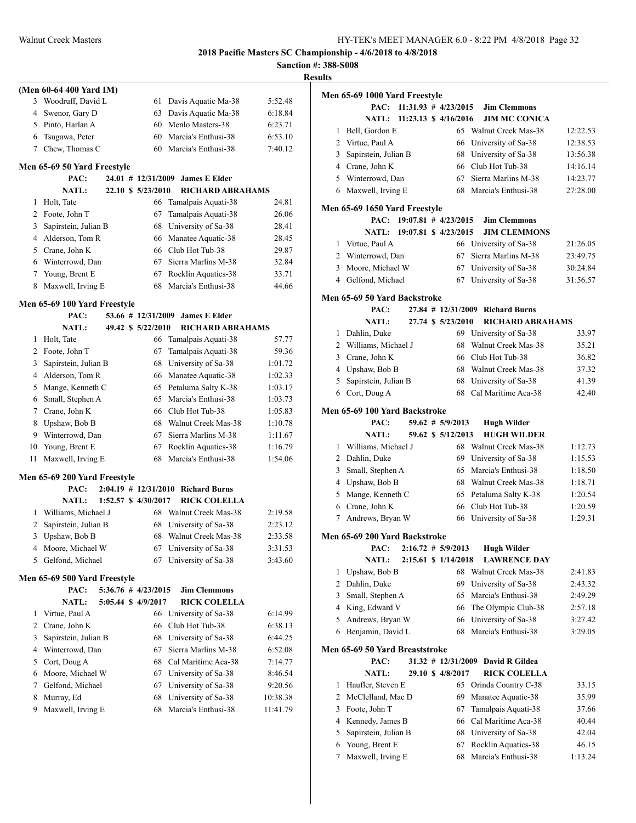**Sanction #: 388-S008**

|                     |                              |                      |                                        |          | <b>Results</b> |
|---------------------|------------------------------|----------------------|----------------------------------------|----------|----------------|
|                     | (Men 60-64 400 Yard IM)      |                      |                                        |          | Mer            |
|                     | 3 Woodruff, David L          | 61                   | Davis Aquatic Ma-38                    | 5:52.48  |                |
| 4                   | Swenor, Gary D               |                      | 63 Davis Aquatic Ma-38                 | 6:18.84  |                |
|                     | 5 Pinto, Harlan A            |                      | 60 Menlo Masters-38                    | 6:23.71  |                |
| 6                   | Tsugawa, Peter               |                      | 60 Marcia's Enthusi-38                 | 6:53.10  |                |
| 7                   | Chew, Thomas C               |                      | 60 Marcia's Enthusi-38                 | 7:40.12  |                |
|                     |                              |                      |                                        |          |                |
|                     | Men 65-69 50 Yard Freestyle  |                      |                                        |          |                |
|                     | PAC:                         |                      | 24.01 # 12/31/2009 James E Elder       |          |                |
|                     | <b>NATL:</b>                 | 22.10 \$ 5/23/2010   | <b>RICHARD ABRAHAMS</b>                |          |                |
| 1                   | Holt, Tate                   |                      | 66 Tamalpais Aquati-38                 | 24.81    | Mer            |
| $\mathbf{2}$        | Foote, John T                | 67                   | Tamalpais Aquati-38                    | 26.06    |                |
| 3                   | Sapirstein, Julian B         |                      | 68 University of Sa-38                 | 28.41    |                |
|                     | 4 Alderson, Tom R            |                      | 66 Manatee Aquatic-38                  | 28.45    |                |
|                     | 5 Crane, John K              |                      | 66 Club Hot Tub-38                     | 29.87    |                |
|                     | 6 Winterrowd, Dan            |                      | 67 Sierra Marlins M-38                 | 32.84    |                |
| 7                   | Young, Brent E               |                      | 67 Rocklin Aquatics-38                 | 33.71    |                |
| 8                   | Maxwell, Irving E            |                      | 68 Marcia's Enthusi-38                 | 44.66    |                |
|                     | Men 65-69 100 Yard Freestyle |                      |                                        |          | Mer            |
|                     | PAC:                         | 53.66 # 12/31/2009   | <b>James E Elder</b>                   |          |                |
|                     | <b>NATL:</b>                 | 49.42 \$ 5/22/2010   | <b>RICHARD ABRAHAMS</b>                |          |                |
| 1                   | Holt, Tate                   |                      | 66 Tamalpais Aquati-38                 | 57.77    |                |
| $\overline{2}$      | Foote, John T                | 67                   | Tamalpais Aquati-38                    | 59.36    |                |
| 3                   | Sapirstein, Julian B         |                      | 68 University of Sa-38                 | 1:01.72  |                |
|                     | 4 Alderson, Tom R            |                      | 66 Manatee Aquatic-38                  | 1:02.33  |                |
| 5                   | Mange, Kenneth C             |                      | 65 Petaluma Salty K-38                 | 1:03.17  |                |
| 6                   | Small, Stephen A             |                      | 65 Marcia's Enthusi-38                 | 1:03.73  |                |
| 7                   | Crane, John K                |                      | 66 Club Hot Tub-38                     | 1:05.83  | Mer            |
| 8                   | Upshaw, Bob B                |                      | 68 Walnut Creek Mas-38                 | 1:10.78  |                |
|                     | 9 Winterrowd, Dan            |                      | 67 Sierra Marlins M-38                 | 1:11.67  |                |
| 10                  | Young, Brent E               |                      | 67 Rocklin Aquatics-38                 | 1:16.79  |                |
| 11                  | Maxwell, Irving E            |                      | 68 Marcia's Enthusi-38                 | 1:54.06  |                |
|                     |                              |                      |                                        |          |                |
|                     | Men 65-69 200 Yard Freestyle |                      |                                        |          |                |
|                     | PAC:                         |                      | $2:04.19$ # $12/31/2010$ Richard Burns |          |                |
|                     | <b>NATL:</b>                 | 1:52.57 \$ 4/30/2017 | <b>RICK COLELLA</b>                    |          |                |
| 1                   | Williams, Michael J          |                      | 68 Walnut Creek Mas-38                 | 2:19.58  |                |
| 2                   | Sapirstein, Julian B         |                      | 68 University of Sa-38                 | 2:23.12  |                |
|                     | 3 Upshaw, Bob B              |                      | 68 Walnut Creek Mas-38                 | 2:33.58  | Mer            |
|                     | 4 Moore, Michael W           | 67                   | University of Sa-38                    | 3:31.53  |                |
| 5                   | Gelfond, Michael             | 67                   | University of Sa-38                    | 3:43.60  |                |
|                     | Men 65-69 500 Yard Freestyle |                      |                                        |          |                |
|                     | PAC:                         | 5:36.76 # 4/23/2015  | <b>Jim Clemmons</b>                    |          |                |
|                     | <b>NATL:</b>                 | 5:05.44 \$ 4/9/2017  | <b>RICK COLELLA</b>                    |          |                |
|                     | Virtue, Paul A               | 66                   |                                        |          |                |
| 1<br>$\overline{2}$ | Crane, John K                | 66                   | University of Sa-38<br>Club Hot Tub-38 | 6:14.99  |                |
|                     |                              |                      |                                        | 6:38.13  |                |
| 3                   | Sapirstein, Julian B         | 68                   | University of Sa-38                    | 6:44.25  |                |
| 4                   | Winterrowd, Dan              | 67                   | Sierra Marlins M-38                    | 6:52.08  | Mer            |
| 5                   | Cort, Doug A                 |                      | 68 Cal Maritime Aca-38                 | 7:14.77  |                |
| 6                   | Moore, Michael W             |                      | 67 University of Sa-38                 | 8:46.54  |                |
| 7                   | Gelfond, Michael             | 67                   | University of Sa-38                    | 9:20.56  |                |
| 8                   | Murray, Ed                   | 68                   | University of Sa-38                    | 10:38.38 |                |
| 9                   | Maxwell, Irving E            | 68                   | Marcia's Enthusi-38                    | 11:41.79 |                |

| ults |                                |                          |                       |                         |          |
|------|--------------------------------|--------------------------|-----------------------|-------------------------|----------|
|      | Men 65-69 1000 Yard Freestyle  |                          |                       |                         |          |
|      | PAC:                           | $11:31.93$ # $4/23/2015$ |                       | <b>Jim Clemmons</b>     |          |
|      | <b>NATL:</b>                   |                          | 11:23.13 \$ 4/16/2016 | <b>JIM MC CONICA</b>    |          |
| 1    | Bell, Gordon E                 |                          | 65                    | Walnut Creek Mas-38     | 12:22.53 |
|      | 2 Virtue, Paul A               |                          | 66                    | University of Sa-38     | 12:38.53 |
| 3    | Sapirstein, Julian B           |                          |                       | 68 University of Sa-38  | 13:56.38 |
|      | 4 Crane, John K                |                          |                       | 66 Club Hot Tub-38      | 14:16.14 |
|      | 5 Winterrowd, Dan              |                          | 67                    | Sierra Marlins M-38     | 14:23.77 |
|      | 6 Maxwell, Irving E            |                          | 68                    | Marcia's Enthusi-38     | 27:28.00 |
|      |                                |                          |                       |                         |          |
|      | Men 65-69 1650 Yard Freestyle  |                          |                       |                         |          |
|      | PAC:                           | $19:07.81$ # $4/23/2015$ |                       | <b>Jim Clemmons</b>     |          |
|      | <b>NATL:</b>                   | 19:07.81 \$ 4/23/2015    |                       | <b>JIM CLEMMONS</b>     |          |
|      | 1 Virtue, Paul A               |                          |                       | 66 University of Sa-38  | 21:26.05 |
| 2    | Winterrowd, Dan                |                          | 67                    | Sierra Marlins M-38     | 23:49.75 |
| 3    | Moore, Michael W               |                          | 67                    | University of Sa-38     | 30:24.84 |
|      | 4 Gelfond, Michael             |                          | 67                    | University of Sa-38     | 31:56.57 |
|      |                                |                          |                       |                         |          |
|      | Men 65-69 50 Yard Backstroke   |                          |                       |                         |          |
|      | PAC:                           |                          | 27.84 # 12/31/2009    | <b>Richard Burns</b>    |          |
|      | <b>NATL:</b>                   |                          | 27.74 \$ 5/23/2010    | <b>RICHARD ABRAHAMS</b> |          |
| 1    | Dahlin, Duke                   |                          |                       | 69 University of Sa-38  | 33.97    |
|      | 2 Williams, Michael J          |                          | 68                    | Walnut Creek Mas-38     | 35.21    |
|      | 3 Crane, John K                |                          |                       | 66 Club Hot Tub-38      | 36.82    |
|      | 4 Upshaw, Bob B                |                          |                       | 68 Walnut Creek Mas-38  | 37.32    |
| 5    | Sapirstein, Julian B           |                          |                       | 68 University of Sa-38  | 41.39    |
|      | 6 Cort, Doug A                 |                          | 68                    | Cal Maritime Aca-38     | 42.40    |
|      | Men 65-69 100 Yard Backstroke  |                          |                       |                         |          |
|      | PAC:                           |                          | $59.62$ # $5/9/2013$  | <b>Hugh Wilder</b>      |          |
|      | <b>NATL:</b>                   |                          | 59.62 \$ 5/12/2013    | <b>HUGH WILDER</b>      |          |
|      | 1 Williams, Michael J          |                          | 68                    | Walnut Creek Mas-38     | 1:12.73  |
| 2    | Dahlin, Duke                   |                          | 69                    | University of Sa-38     | 1:15.53  |
| 3    | Small, Stephen A               |                          | 65                    | Marcia's Enthusi-38     | 1:18.50  |
|      | 4 Upshaw, Bob B                |                          |                       | 68 Walnut Creek Mas-38  | 1:18.71  |
| 5    | Mange, Kenneth C               |                          | 65                    | Petaluma Salty K-38     | 1:20.54  |
| 6    | Crane, John K                  |                          | 66                    | Club Hot Tub-38         | 1:20.59  |
| 7    | Andrews, Bryan W               |                          | 66                    | University of Sa-38     | 1:29.31  |
|      |                                |                          |                       |                         |          |
|      | Men 65-69 200 Yard Backstroke  |                          |                       |                         |          |
|      | PAC:                           |                          | $2:16.72 \# 5/9/2013$ | <b>Hugh Wilder</b>      |          |
|      | <b>NATL:</b>                   |                          | 2:15.61 \$ 1/14/2018  | <b>LAWRENCE DAY</b>     |          |
| 1    | Upshaw, Bob B                  |                          | 68                    | Walnut Creek Mas-38     | 2:41.83  |
| 2    | Dahlin, Duke                   |                          | 69                    | University of Sa-38     | 2:43.32  |
| 3    | Small, Stephen A               |                          | 65                    | Marcia's Enthusi-38     | 2:49.29  |
| 4    | King, Edward V                 |                          | 66                    | The Olympic Club-38     | 2:57.18  |
| 5    | Andrews, Bryan W               |                          | 66                    | University of Sa-38     | 3:27.42  |
| 6    | Benjamin, David L              |                          | 68                    | Marcia's Enthusi-38     | 3:29.05  |
|      | Men 65-69 50 Yard Breaststroke |                          |                       |                         |          |
|      | PAC:                           |                          | 31.32 # 12/31/2009    | David R Gildea          |          |
|      | <b>NATL:</b>                   |                          | 29.10 \$ 4/8/2017     | <b>RICK COLELLA</b>     |          |
| 1    | Haufler, Steven E              |                          | 65                    | Orinda Country C-38     | 33.15    |
| 2    | McClelland, Mac D              |                          | 69                    | Manatee Aquatic-38      | 35.99    |
| 3    | Foote, John T                  |                          | 67                    | Tamalpais Aquati-38     | 37.66    |
| 4    | Kennedy, James B               |                          | 66                    | Cal Maritime Aca-38     | 40.44    |
|      |                                |                          |                       |                         |          |
| 5    | Sapirstein, Julian B           |                          | 68                    | University of Sa-38     | 42.04    |

7 Maxwell, Irving E 68 Marcia's Enthusi-38 1:13.24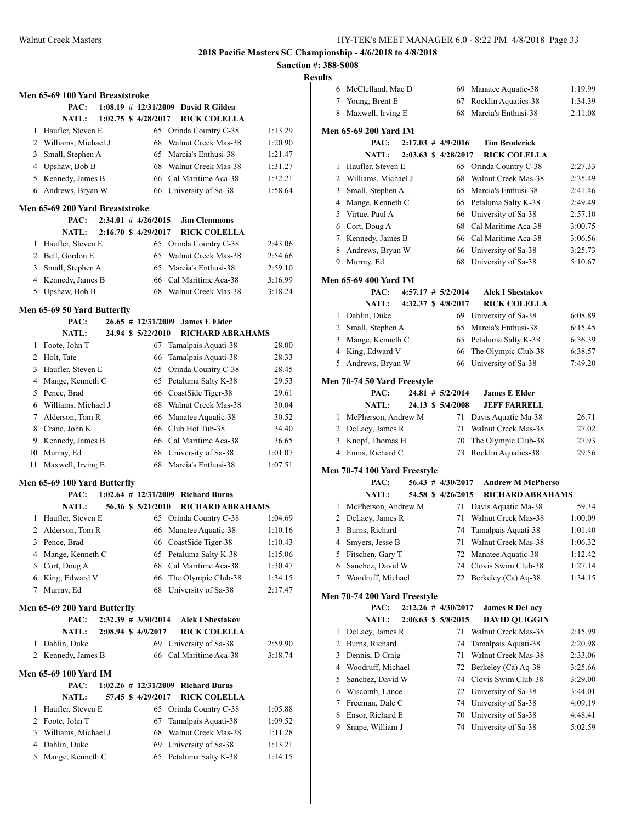| Results |
|---------|
|---------|

|    | Men 65-69 100 Yard Breaststroke |  |                          |                                        |         |
|----|---------------------------------|--|--------------------------|----------------------------------------|---------|
|    | PAC:                            |  | $1:08.19 \# 12/31/2009$  | David R Gildea                         |         |
|    | <b>NATL:</b>                    |  | 1:02.75 \$ 4/28/2017     | <b>RICK COLELLA</b>                    |         |
| 1  | Haufler, Steven E               |  | 65                       | Orinda Country C-38                    | 1:13.29 |
|    | 2 Williams, Michael J           |  | 68                       | Walnut Creek Mas-38                    | 1:20.90 |
|    | 3 Small, Stephen A              |  | 65                       | Marcia's Enthusi-38                    | 1:21.47 |
|    | 4 Upshaw, Bob B                 |  | 68                       | Walnut Creek Mas-38                    |         |
|    |                                 |  |                          | 66 Cal Maritime Aca-38                 | 1:31.27 |
|    | 5 Kennedy, James B              |  |                          |                                        | 1:32.21 |
| 6  | Andrews, Bryan W                |  | 66                       | University of Sa-38                    | 1:58.64 |
|    | Men 65-69 200 Yard Breaststroke |  |                          |                                        |         |
|    | PAC:                            |  | $2:34.01$ # $4/26/2015$  | <b>Jim Clemmons</b>                    |         |
|    | <b>NATL:</b>                    |  | 2:16.70 \$ 4/29/2017     | <b>RICK COLELLA</b>                    |         |
| 1  | Haufler, Steven E               |  | 65                       | Orinda Country C-38                    | 2:43.06 |
|    | 2 Bell, Gordon E                |  | 65                       | Walnut Creek Mas-38                    | 2:54.66 |
|    | 3 Small, Stephen A              |  | 65                       | Marcia's Enthusi-38                    | 2:59.10 |
|    | 4 Kennedy, James B              |  | 66                       | Cal Maritime Aca-38                    | 3:16.99 |
|    | 5 Upshaw, Bob B                 |  | 68                       | Walnut Creek Mas-38                    | 3:18.24 |
|    |                                 |  |                          |                                        |         |
|    | Men 65-69 50 Yard Butterfly     |  |                          |                                        |         |
|    | PAC:                            |  | $26.65$ # 12/31/2009     | <b>James E Elder</b>                   |         |
|    | NATL:                           |  | 24.94 \$ 5/22/2010       | <b>RICHARD ABRAHAMS</b>                |         |
|    | 1 Foote, John T                 |  | 67                       | Tamalpais Aquati-38                    | 28.00   |
|    | 2 Holt, Tate                    |  | 66                       | Tamalpais Aquati-38                    | 28.33   |
| 3  | Haufler, Steven E               |  | 65                       | Orinda Country C-38                    | 28.45   |
|    | 4 Mange, Kenneth C              |  | 65                       | Petaluma Salty K-38                    | 29.53   |
|    | 5 Pence, Brad                   |  | 66                       | CoastSide Tiger-38                     | 29.61   |
|    | 6 Williams, Michael J           |  | 68                       | Walnut Creek Mas-38                    | 30.04   |
|    | 7 Alderson, Tom R               |  | 66                       | Manatee Aquatic-38                     | 30.52   |
|    | 8 Crane, John K                 |  |                          | 66 Club Hot Tub-38                     | 34.40   |
|    | 9 Kennedy, James B              |  |                          | 66 Cal Maritime Aca-38                 | 36.65   |
| 10 | Murray, Ed                      |  | 68                       | University of Sa-38                    | 1:01.07 |
| 11 | Maxwell, Irving E               |  | 68                       | Marcia's Enthusi-38                    | 1:07.51 |
|    |                                 |  |                          |                                        |         |
|    | Men 65-69 100 Yard Butterfly    |  |                          |                                        |         |
|    | PAC:                            |  | $1:02.64$ # $12/31/2009$ | <b>Richard Burns</b>                   |         |
|    | <b>NATL:</b>                    |  | 56.36 \$ 5/21/2010       | <b>RICHARD ABRAHAMS</b>                |         |
| 1  | Haufler, Steven E               |  | 65                       | Orinda Country C-38                    | 1:04.69 |
| 2  | Alderson, Tom R                 |  | 66                       | Manatee Aquatic-38                     | 1:10.16 |
| 3  | Pence, Brad                     |  | 66                       | CoastSide Tiger-38                     | 1:10.43 |
| 4  | Mange, Kenneth C                |  | 65                       | Petaluma Salty K-38                    | 1:15.06 |
| 5  | Cort, Doug A                    |  | 68                       | Cal Maritime Aca-38                    | 1:30.47 |
|    | 6 King, Edward V                |  | 66                       | The Olympic Club-38                    | 1:34.15 |
| 7  | Murray, Ed                      |  | 68                       | University of Sa-38                    | 2:17.47 |
|    | Men 65-69 200 Yard Butterfly    |  |                          |                                        |         |
|    | PAC:                            |  | 2:32.39 # 3/30/2014      | <b>Alek I Shestakov</b>                |         |
|    | <b>NATL:</b>                    |  | 2:08.94 \$ 4/9/2017      | <b>RICK COLELLA</b>                    |         |
| 1  | Dahlin. Duke                    |  | 69                       | University of Sa-38                    | 2:59.90 |
| 2  | Kennedy, James B                |  | 66                       | Cal Maritime Aca-38                    | 3:18.74 |
|    |                                 |  |                          |                                        |         |
|    | <b>Men 65-69 100 Yard IM</b>    |  |                          |                                        |         |
|    | PAC:                            |  |                          | $1:02.26$ # $12/31/2009$ Richard Burns |         |
|    | <b>NATL:</b>                    |  | 57.45 \$4/29/2017        | <b>RICK COLELLA</b>                    |         |
| 1  | Haufler, Steven E               |  | 65                       | Orinda Country C-38                    | 1:05.88 |
| 2  | Foote, John T                   |  | 67                       | Tamalpais Aquati-38                    | 1:09.52 |
| 3  | Williams, Michael J             |  | 68                       | Walnut Creek Mas-38                    | 1:11.28 |
| 4  | Dahlin, Duke                    |  | 69                       | University of Sa-38                    | 1:13.21 |
| 5  | Mange, Kenneth C                |  | 65                       | Petaluma Salty K-38                    | 1:14.15 |
|    |                                 |  |                          |                                        |         |

| 6      | McClelland, Mac D                        |  | 69                      | Manatee Aquatic-38                            | 1:19.99            |
|--------|------------------------------------------|--|-------------------------|-----------------------------------------------|--------------------|
| 7      | Young, Brent E                           |  | 67                      | Rocklin Aquatics-38                           | 1:34.39            |
| 8      | Maxwell, Irving E                        |  | 68                      | Marcia's Enthusi-38                           | 2:11.08            |
|        |                                          |  |                         |                                               |                    |
|        | Men 65-69 200 Yard IM<br>PAC:            |  | $2:17.03$ # 4/9/2016    | <b>Tim Broderick</b>                          |                    |
|        | <b>NATL:</b>                             |  | 2:03.63 \$ 4/28/2017    | <b>RICK COLELLA</b>                           |                    |
| 1      |                                          |  |                         |                                               |                    |
| 2      | Haufler, Steven E<br>Williams, Michael J |  | 68                      | 65 Orinda Country C-38<br>Walnut Creek Mas-38 | 2:27.33            |
|        |                                          |  | 65                      | Marcia's Enthusi-38                           | 2:35.49<br>2:41.46 |
| 3      | Small, Stephen A                         |  |                         |                                               |                    |
| 4<br>5 | Mange, Kenneth C                         |  | 65                      | Petaluma Salty K-38                           | 2:49.49            |
|        | Virtue, Paul A                           |  | 66<br>68                | University of Sa-38<br>Cal Maritime Aca-38    | 2:57.10            |
| 6      | Cort, Doug A                             |  | 66                      | Cal Maritime Aca-38                           | 3:00.75            |
| 8      | 7 Kennedy, James B                       |  | 66                      |                                               | 3:06.56            |
| 9      | Andrews, Bryan W                         |  |                         | University of Sa-38                           | 3:25.73            |
|        | Murray, Ed                               |  | 68                      | University of Sa-38                           | 5:10.67            |
|        | <b>Men 65-69 400 Yard IM</b>             |  |                         |                                               |                    |
|        | PAC:                                     |  | $4:57.17$ # $5/2/2014$  | <b>Alek I Shestakov</b>                       |                    |
|        | <b>NATL:</b>                             |  | 4:32.37 \$ 4/8/2017     | <b>RICK COLELLA</b>                           |                    |
| 1      | Dahlin, Duke                             |  |                         | 69 University of Sa-38                        | 6:08.89            |
| 2      | Small, Stephen A                         |  | 65                      | Marcia's Enthusi-38                           | 6:15.45            |
| 3      | Mange, Kenneth C                         |  | 65                      | Petaluma Salty K-38                           | 6:36.39            |
| 4      | King, Edward V                           |  | 66                      | The Olympic Club-38                           | 6:38.57            |
| 5      | Andrews, Bryan W                         |  | 66                      | University of Sa-38                           | 7:49.20            |
|        | Men 70-74 50 Yard Freestyle              |  |                         |                                               |                    |
|        | PAC:                                     |  | $24.81$ # $5/2/2014$    | <b>James E Elder</b>                          |                    |
|        | <b>NATL:</b>                             |  | 24.13 \$ 5/4/2008       | <b>JEFF FARRELL</b>                           |                    |
| 1      | McPherson, Andrew M                      |  | 71                      | Davis Aquatic Ma-38                           | 26.71              |
|        | 2 DeLacy, James R                        |  | 71                      | Walnut Creek Mas-38                           | 27.02              |
| 3      | Knopf, Thomas H                          |  | 70                      | The Olympic Club-38                           | 27.93              |
| 4      | Ennis, Richard C                         |  | 73                      | Rocklin Aquatics-38                           | 29.56              |
|        | Men 70-74 100 Yard Freestyle             |  |                         |                                               |                    |
|        | PAC:                                     |  | $56.43$ # $4/30/2017$   | <b>Andrew M McPherso</b>                      |                    |
|        | <b>NATL:</b>                             |  | 54.58 \$4/26/2015       | <b>RICHARD ABRAHAMS</b>                       |                    |
| 1      | McPherson, Andrew M                      |  | 71                      | Davis Aquatic Ma-38                           | 59.34              |
| 2      | DeLacy, James R                          |  | 71                      | Walnut Creek Mas-38                           | 1:00.09            |
| 3      | Burns, Richard                           |  | 74                      | Tamalpais Aquati-38                           | 1:01.40            |
| 4      | Smyers, Jesse B                          |  | 71                      | Walnut Creek Mas-38                           | 1:06.32            |
| 5      | Fitschen, Gary T                         |  | 72                      | Manatee Aquatic-38                            | 1:12.42            |
| 6      | Sanchez, David W                         |  | 74                      | Clovis Swim Club-38                           | 1:27.14            |
| 7      | Woodruff, Michael                        |  | 72                      | Berkeley (Ca) Aq-38                           | 1:34.15            |
|        |                                          |  |                         |                                               |                    |
|        | Men 70-74 200 Yard Freestyle<br>PAC:     |  | $2:12.26$ # $4/30/2017$ | <b>James R DeLacy</b>                         |                    |
|        | <b>NATL:</b>                             |  | 2:06.63 \$ 5/8/2015     | <b>DAVID QUIGGIN</b>                          |                    |
| 1      | DeLacy, James R                          |  | 71                      | Walnut Creek Mas-38                           | 2:15.99            |
| 2      | Burns, Richard                           |  | 74                      | Tamalpais Aquati-38                           | 2:20.98            |
| 3      | Dennis, D Craig                          |  | 71                      | Walnut Creek Mas-38                           | 2:33.06            |
| 4      | Woodruff, Michael                        |  | 72                      | Berkeley (Ca) Aq-38                           | 3:25.66            |
| 5      | Sanchez, David W                         |  | 74                      | Clovis Swim Club-38                           | 3:29.00            |
| 6      | Wiscomb, Lance                           |  | 72                      | University of Sa-38                           | 3:44.01            |
| 7      | Freeman, Dale C                          |  | 74                      | University of Sa-38                           | 4:09.19            |
| 8      | Ensor, Richard E                         |  | 70                      | University of Sa-38                           | 4:48.41            |
| 9      | Snape, William J                         |  | 74                      | University of Sa-38                           | 5:02.59            |
|        |                                          |  |                         |                                               |                    |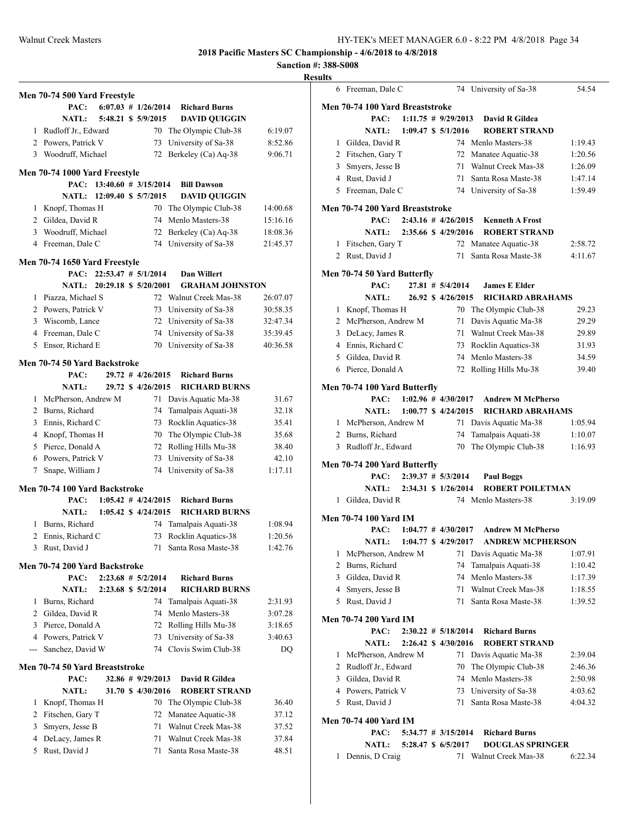**Sanction #: 388-S008**

## **Results**

|     | Men 70-74 500 Yard Freestyle          |                            |                         |                        |          |
|-----|---------------------------------------|----------------------------|-------------------------|------------------------|----------|
|     | PAC:                                  |                            | $6:07.03$ # $1/26/2014$ | <b>Richard Burns</b>   |          |
|     | NATL:                                 |                            | 5:48.21 \$ 5/9/2015     | <b>DAVID QUIGGIN</b>   |          |
| 1   | Rudloff Jr., Edward                   |                            |                         | 70 The Olympic Club-38 | 6:19.07  |
|     | 2 Powers, Patrick V                   |                            | 73                      | University of Sa-38    | 8:52.86  |
|     | 3 Woodruff, Michael                   |                            | 72                      | Berkeley (Ca) Aq-38    | 9:06.71  |
|     |                                       |                            |                         |                        |          |
|     | Men 70-74 1000 Yard Freestyle         |                            |                         |                        |          |
|     | PAC:                                  | $13:40.60$ # $3/15/2014$   |                         | <b>Bill Dawson</b>     |          |
|     |                                       | NATL: 12:09.40 \$ 5/7/2015 |                         | <b>DAVID OUIGGIN</b>   |          |
| 1   | Knopf, Thomas H                       |                            | 70                      | The Olympic Club-38    | 14:00.68 |
|     | 2 Gildea, David R                     |                            | 74                      | Menlo Masters-38       | 15:16.16 |
|     | 3 Woodruff, Michael                   |                            | 72                      | Berkeley (Ca) Aq-38    | 18:08.36 |
|     | 4 Freeman, Dale C                     |                            | 74                      | University of Sa-38    | 21:45.37 |
|     | Men 70-74 1650 Yard Freestyle         |                            |                         |                        |          |
|     | PAC:                                  | $22:53.47$ # $5/1/2014$    |                         | Dan Willert            |          |
|     | <b>NATL:</b>                          | 20:29.18 \$ 5/20/2001      |                         | <b>GRAHAM JOHNSTON</b> |          |
| 1   | Piazza, Michael S                     |                            |                         | 72 Walnut Creek Mas-38 | 26:07.07 |
|     | 2 Powers, Patrick V                   |                            |                         | 73 University of Sa-38 | 30:58.35 |
|     | 3 Wiscomb, Lance                      |                            |                         | 72 University of Sa-38 | 32:47.34 |
|     | 4 Freeman, Dale C                     |                            |                         | 74 University of Sa-38 | 35:39.45 |
| 5   | Ensor, Richard E                      |                            | 70                      | University of Sa-38    | 40:36.58 |
|     |                                       |                            |                         |                        |          |
|     | <b>Men 70-74 50 Yard Backstroke</b>   |                            |                         |                        |          |
|     | PAC:                                  |                            | $29.72$ # $4/26/2015$   | <b>Richard Burns</b>   |          |
|     | <b>NATL:</b>                          |                            | 29.72 \$ 4/26/2015      | <b>RICHARD BURNS</b>   |          |
| 1   | McPherson, Andrew M                   |                            | 71                      | Davis Aquatic Ma-38    | 31.67    |
|     | 2 Burns, Richard                      |                            | 74                      | Tamalpais Aquati-38    | 32.18    |
|     | 3 Ennis, Richard C                    |                            | 73                      | Rocklin Aquatics-38    | 35.41    |
|     | 4 Knopf, Thomas H                     |                            | 70                      | The Olympic Club-38    | 35.68    |
|     | 5 Pierce, Donald A                    |                            |                         | 72 Rolling Hills Mu-38 | 38.40    |
|     | 6 Powers, Patrick V                   |                            | 73                      | University of Sa-38    | 42.10    |
| 7   | Snape, William J                      |                            | 74                      | University of Sa-38    | 1:17.11  |
|     |                                       |                            |                         |                        |          |
|     | Men 70-74 100 Yard Backstroke<br>PAC: |                            | $1:05.42 \# 4/24/2015$  | <b>Richard Burns</b>   |          |
|     | <b>NATL:</b>                          |                            | 1:05.42 \$ 4/24/2015    | <b>RICHARD BURNS</b>   |          |
| 1   | Burns, Richard                        |                            | 74                      | Tamalpais Aquati-38    | 1:08.94  |
| 2   | Ennis, Richard C                      |                            | 73                      | Rocklin Aquatics-38    | 1:20.56  |
|     | Rust, David J                         |                            |                         | Santa Rosa Maste-38    | 1:42.76  |
|     |                                       |                            | 71                      |                        |          |
|     | Men 70-74 200 Yard Backstroke         |                            |                         |                        |          |
|     | PAC:                                  |                            | $2:23.68$ # $5/2/2014$  | <b>Richard Burns</b>   |          |
|     | <b>NATL:</b>                          |                            | 2:23.68 \$ 5/2/2014     | <b>RICHARD BURNS</b>   |          |
| 1   | Burns, Richard                        |                            | 74                      | Tamalpais Aquati-38    | 2:31.93  |
|     | 2 Gildea, David R                     |                            |                         | 74 Menlo Masters-38    | 3:07.28  |
|     | 3 Pierce, Donald A                    |                            |                         | 72 Rolling Hills Mu-38 | 3:18.65  |
|     | 4 Powers, Patrick V                   |                            | 73                      | University of Sa-38    | 3:40.63  |
| --- | Sanchez, David W                      |                            |                         | 74 Clovis Swim Club-38 | DQ       |
|     | Men 70-74 50 Yard Breaststroke        |                            |                         |                        |          |
|     |                                       |                            |                         |                        |          |
|     | PAC:                                  |                            | 32.86 # 9/29/2013       | David R Gildea         |          |
|     | <b>NATL:</b>                          |                            | 31.70 \$ 4/30/2016      | <b>ROBERT STRAND</b>   |          |
| 1   | Knopf, Thomas H                       |                            | 70                      | The Olympic Club-38    | 36.40    |
|     | 2 Fitschen, Gary T                    |                            | 72                      | Manatee Aquatic-38     | 37.12    |
|     | 3 Smyers, Jesse B                     |                            | 71                      | Walnut Creek Mas-38    | 37.52    |
| 4   | DeLacy, James R                       |                            | 71                      | Walnut Creek Mas-38    | 37.84    |
| 5   | Rust, David J                         |                            | 71                      | Santa Rosa Maste-38    | 48.51    |
|     |                                       |                            |                         |                        |          |

| . | 6 Freeman, Dale C               |  |                         | 74 University of Sa-38   | 54.54   |
|---|---------------------------------|--|-------------------------|--------------------------|---------|
|   | Men 70-74 100 Yard Breaststroke |  |                         |                          |         |
|   | PAC:                            |  | $1:11.75$ # 9/29/2013   | David R Gildea           |         |
|   | <b>NATL:</b>                    |  | 1:09.47 \$ 5/1/2016     | <b>ROBERT STRAND</b>     |         |
|   | 1 Gildea, David R               |  |                         | 74 Menlo Masters-38      | 1:19.43 |
|   | 2 Fitschen, Gary T              |  |                         | 72 Manatee Aquatic-38    | 1:20.56 |
|   | 3 Smyers, Jesse B               |  |                         | 71 Walnut Creek Mas-38   | 1:26.09 |
|   | 4 Rust, David J                 |  |                         | 71 Santa Rosa Maste-38   | 1:47.14 |
|   | 5 Freeman, Dale C               |  |                         | 74 University of Sa-38   | 1:59.49 |
|   | Men 70-74 200 Yard Breaststroke |  |                         |                          |         |
|   | PAC:                            |  | $2:43.16$ # $4/26/2015$ | <b>Kenneth A Frost</b>   |         |
|   | <b>NATL:</b>                    |  | 2:35.66 \$4/29/2016     | <b>ROBERT STRAND</b>     |         |
|   | 1 Fitschen, Gary T              |  | 72                      | Manatee Aquatic-38       | 2:58.72 |
|   | 2 Rust, David J                 |  | 71                      | Santa Rosa Maste-38      | 4:11.67 |
|   | Men 70-74 50 Yard Butterfly     |  |                         |                          |         |
|   | PAC:                            |  | $27.81$ # $5/4/2014$    | <b>James E Elder</b>     |         |
|   | <b>NATL:</b>                    |  | 26.92 \$ 4/26/2015      | <b>RICHARD ABRAHAMS</b>  |         |
|   | 1 Knopf, Thomas H               |  |                         | 70 The Olympic Club-38   | 29.23   |
|   | 2 McPherson, Andrew M           |  |                         | 71 Davis Aquatic Ma-38   | 29.29   |
|   | 3 DeLacy, James R               |  |                         | 71 Walnut Creek Mas-38   | 29.89   |
|   | 4 Ennis, Richard C              |  |                         | 73 Rocklin Aquatics-38   | 31.93   |
|   | 5 Gildea, David R               |  |                         | 74 Menlo Masters-38      | 34.59   |
|   | 6 Pierce, Donald A              |  | 72                      | Rolling Hills Mu-38      | 39.40   |
|   | Men 70-74 100 Yard Butterfly    |  |                         |                          |         |
|   | PAC:                            |  | $1:02.96$ # $4/30/2017$ | <b>Andrew M McPherso</b> |         |
|   | <b>NATL:</b>                    |  | 1:00.77 \$ 4/24/2015    | <b>RICHARD ABRAHAMS</b>  |         |
|   | 1 McPherson, Andrew M           |  |                         | 71 Davis Aquatic Ma-38   | 1:05.94 |
|   | 2 Burns, Richard                |  | 74                      | Tamalpais Aquati-38      | 1:10.07 |
|   | 3 Rudloff Jr., Edward           |  | 70                      | The Olympic Club-38      | 1:16.93 |
|   | Men 70-74 200 Yard Butterfly    |  |                         |                          |         |
|   | PAC:                            |  | $2:39.37$ # $5/3/2014$  | <b>Paul Boggs</b>        |         |
|   | NATL:                           |  | 2:34.31 \$ 1/26/2014    | <b>ROBERT POILETMAN</b>  |         |
| 1 | Gildea, David R                 |  |                         | 74 Menlo Masters-38      | 3:19.09 |
|   | Men 70-74 100 Yard IM           |  |                         |                          |         |
|   | PAC:                            |  | $1:04.77$ # $4/30/2017$ | <b>Andrew M McPherso</b> |         |
|   | <b>NATL:</b>                    |  | 1:04.77 \$ 4/29/2017    | ANDREW MCPHERSON         |         |
| 1 | McPherson, Andrew M             |  | 71                      | Davis Aquatic Ma-38      | 1:07.91 |
| 2 | Burns, Richard                  |  | 74                      | Tamalpais Aquati-38      | 1:10.42 |
|   | 3 Gildea, David R               |  | 74                      | Menlo Masters-38         | 1:17.39 |
|   | 4 Smyers, Jesse B               |  | 71                      | Walnut Creek Mas-38      | 1:18.55 |
| 5 | Rust, David J                   |  | 71                      | Santa Rosa Maste-38      | 1:39.52 |
|   | <b>Men 70-74 200 Yard IM</b>    |  |                         |                          |         |
|   | PAC:                            |  | $2:30.22 \# 5/18/2014$  | <b>Richard Burns</b>     |         |
|   | <b>NATL:</b>                    |  | 2:26.42 \$ 4/30/2016    | <b>ROBERT STRAND</b>     |         |
| 1 | McPherson, Andrew M             |  | 71                      | Davis Aquatic Ma-38      | 2:39.04 |
| 2 | Rudloff Jr., Edward             |  | 70                      | The Olympic Club-38      | 2:46.36 |
|   | 3 Gildea, David R               |  | 74                      | Menlo Masters-38         | 2:50.98 |
|   | 4 Powers, Patrick V             |  | 73                      | University of Sa-38      | 4:03.62 |
| 5 | Rust, David J                   |  | 71                      | Santa Rosa Maste-38      | 4:04.32 |
|   | <b>Men 70-74 400 Yard IM</b>    |  |                         |                          |         |
|   | PAC:                            |  | $5:34.77$ # $3/15/2014$ | <b>Richard Burns</b>     |         |
|   | <b>NATL:</b>                    |  | 5:28.47 \$ 6/5/2017     | <b>DOUGLAS SPRINGER</b>  |         |

1 Dennis, D Craig 71 Walnut Creek Mas-38 6:22.34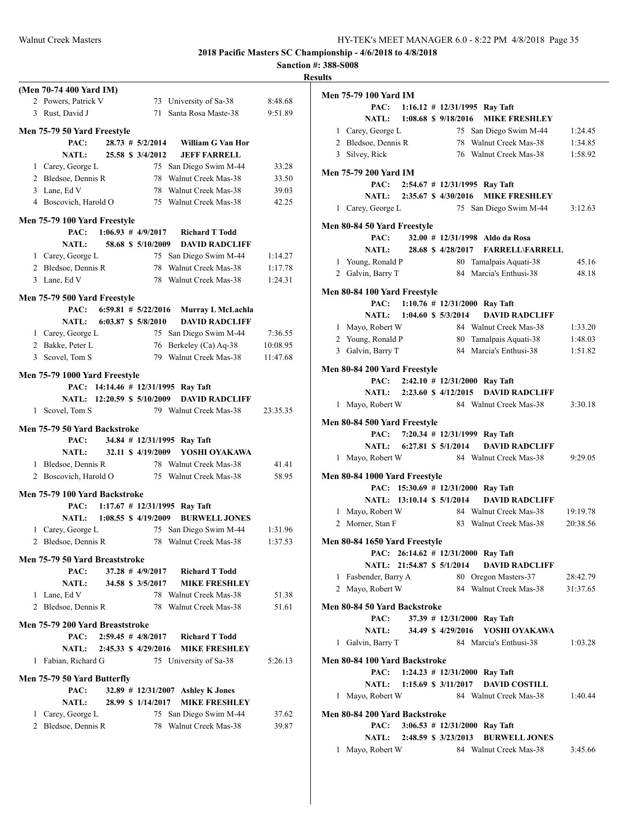|                                 |                         |                    |                                                                        |          | <b>Results</b> |
|---------------------------------|-------------------------|--------------------|------------------------------------------------------------------------|----------|----------------|
| (Men 70-74 400 Yard IM)         |                         |                    |                                                                        |          | Me             |
| 2 Powers, Patrick V             |                         |                    | 73 University of Sa-38                                                 | 8:48.68  |                |
| 3 Rust, David J                 |                         |                    | 71 Santa Rosa Maste-38                                                 | 9:51.89  |                |
| Men 75-79 50 Yard Freestyle     |                         |                    |                                                                        |          |                |
| PAC:                            |                         |                    | 28.73 # 5/2/2014 William G Van Hor                                     |          |                |
| <b>NATL:</b>                    | 25.58 \$ 3/4/2012       |                    | <b>JEFF FARRELL</b>                                                    |          |                |
| 1 Carey, George L               |                         |                    | 75 San Diego Swim M-44                                                 | 33.28    |                |
| 2 Bledsoe, Dennis R             |                         |                    | 78 Walnut Creek Mas-38                                                 | 33.50    | Me             |
| 3 Lane, Ed V                    |                         |                    | 78 Walnut Creek Mas-38                                                 | 39.03    |                |
| 4 Boscovich, Harold O           |                         |                    | 75 Walnut Creek Mas-38                                                 | 42.25    |                |
| Men 75-79 100 Yard Freestyle    |                         |                    |                                                                        |          |                |
| PAC:                            |                         |                    | $1:06.93 \# 4/9/2017$ Richard T Todd                                   |          | Me             |
| <b>NATL:</b>                    |                         |                    | 58.68 \$ 5/10/2009 DAVID RADCLIFF                                      |          |                |
| 1 Carey, George L               |                         |                    | 75 San Diego Swim M-44                                                 | 1:14.27  |                |
| 2 Bledsoe, Dennis R             |                         |                    | 78 Walnut Creek Mas-38                                                 | 1:17.78  |                |
| 3 Lane, Ed V                    |                         |                    | 78 Walnut Creek Mas-38                                                 | 1:24.31  |                |
|                                 |                         |                    |                                                                        |          | Me             |
| Men 75-79 500 Yard Freestyle    |                         |                    |                                                                        |          |                |
| PAC:                            | $6:59.81$ # $5/22/2016$ |                    | Murray L McLachla                                                      |          |                |
| NATL: 6:03.87 \$ 5/8/2010       |                         |                    | <b>DAVID RADCLIFF</b>                                                  |          |                |
| 1 Carey, George L               |                         |                    | 75 San Diego Swim M-44 7:36.55                                         |          |                |
| 2 Bakke, Peter L                |                         |                    | 76 Berkeley (Ca) Aq-38                                                 | 10:08.95 |                |
| 3 Scovel, Tom S                 |                         |                    | 79 Walnut Creek Mas-38                                                 | 11:47.68 |                |
| Men 75-79 1000 Yard Freestyle   |                         |                    |                                                                        |          | Me             |
|                                 |                         |                    | PAC: 14:14.46 # 12/31/1995 Ray Taft                                    |          |                |
| NATL: 12:20.59 \$ 5/10/2009     |                         |                    | <b>DAVID RADCLIFF</b>                                                  |          |                |
| 1 Scovel, Tom S                 |                         |                    | 79 Walnut Creek Mas-38                                                 | 23:35.35 |                |
|                                 |                         |                    |                                                                        |          | Me             |
| Men 75-79 50 Yard Backstroke    |                         |                    |                                                                        |          |                |
| PAC:                            | 32.11 \$ 4/19/2009      |                    | 34.84 # 12/31/1995 Ray Taft<br>YOSHI OYAKAWA                           |          |                |
| <b>NATL:</b>                    |                         |                    |                                                                        | 41.41    |                |
| 1 Bledsoe, Dennis R             |                         |                    | 78 Walnut Creek Mas-38<br>2 Boscovich, Harold O 75 Walnut Creek Mas-38 | 58.95    | Me             |
|                                 |                         |                    |                                                                        |          |                |
| Men 75-79 100 Yard Backstroke   |                         |                    |                                                                        |          |                |
|                                 |                         |                    | PAC: $1:17.67 \# 12/31/1995$ Ray Taft                                  |          |                |
| NATL: 1:08.55 \$ 4/19/2009      |                         |                    | <b>BURWELL JONES</b>                                                   |          |                |
| 1 Carey, George L               |                         |                    | 75 San Diego Swim M-44                                                 | 1:31.96  |                |
| 2 Bledsoe, Dennis R             |                         |                    | 78 Walnut Creek Mas-38                                                 | 1:37.53  | Me             |
| Men 75-79 50 Yard Breaststroke  |                         |                    |                                                                        |          |                |
| PAC:                            |                         | $37.28$ # 4/9/2017 | <b>Richard T Todd</b>                                                  |          |                |
| <b>NATL:</b>                    |                         | 34.58 \$ 3/5/2017  | <b>MIKE FRESHLEY</b>                                                   |          |                |
| 1 Lane, Ed V                    |                         |                    | 78 Walnut Creek Mas-38                                                 | 51.38    |                |
| 2 Bledsoe, Dennis R             |                         |                    | 78 Walnut Creek Mas-38                                                 | 51.61    | Me             |
|                                 |                         |                    |                                                                        |          |                |
| Men 75-79 200 Yard Breaststroke |                         |                    |                                                                        |          |                |
| PAC:                            |                         |                    | $2:59.45$ # $4/8/2017$ Richard T Todd                                  |          |                |
| <b>NATL:</b>                    | 2:45.33 \$ 4/29/2016    |                    | <b>MIKE FRESHLEY</b>                                                   |          |                |
| 1 Fabian, Richard G             |                         |                    | 75 University of Sa-38                                                 | 5:26.13  | Me             |
| Men 75-79 50 Yard Butterfly     |                         |                    |                                                                        |          |                |
| PAC:                            |                         |                    | 32.89 # 12/31/2007 Ashley K Jones                                      |          |                |
| <b>NATL:</b>                    |                         | 28.99 \$ 1/14/2017 | <b>MIKE FRESHLEY</b>                                                   |          |                |
| 1 Carey, George L               |                         |                    | 75 San Diego Swim M-44                                                 | 37.62    | Me             |
| 2 Bledsoe, Dennis R             |                         |                    | 78 Walnut Creek Mas-38                                                 | 39.87    |                |
|                                 |                         |                    |                                                                        |          |                |
|                                 |                         |                    |                                                                        |          |                |
|                                 |                         |                    |                                                                        |          |                |

| Men 75-79 100 Yard IM               |  |                   |                                                 |                      |
|-------------------------------------|--|-------------------|-------------------------------------------------|----------------------|
| PAC:                                |  |                   | 1:16.12 # 12/31/1995 Ray Taft                   |                      |
| NATL: 1:08.68 \$9/18/2016           |  |                   | <b>MIKE FRESHLEY</b>                            |                      |
| 1 Carey, George L                   |  |                   | 75 San Diego Swim M-44                          | 1:24.45              |
| 2 Bledsoe, Dennis R                 |  |                   | 78 Walnut Creek Mas-38                          | 1:34.85              |
| 3 Silvey, Rick                      |  |                   | 76 Walnut Creek Mas-38                          | 1:58.92              |
|                                     |  |                   |                                                 |                      |
| Men 75-79 200 Yard IM<br>PAC:       |  |                   | $2:54.67$ # 12/31/1995 Ray Taft                 |                      |
| NATL: 2:35.67 \$ 4/30/2016          |  |                   | <b>MIKE FRESHLEY</b>                            |                      |
| 1 Carey, George L                   |  |                   | 75 San Diego Swim M-44                          | 3:12.63              |
|                                     |  |                   |                                                 |                      |
| Men 80-84 50 Yard Freestyle         |  |                   |                                                 |                      |
| PAC:                                |  |                   | 32.00 # 12/31/1998 Aldo da Rosa                 |                      |
| <b>NATL:</b>                        |  | 28.68 \$4/28/2017 | <b>FARRELL\FARRELL</b>                          |                      |
| 1 Young, Ronald P                   |  |                   | 80 Tamalpais Aquati-38                          | 45.16                |
| 2 Galvin, Barry T                   |  |                   | 84 Marcia's Enthusi-38                          | 48.18                |
| Men 80-84 100 Yard Freestyle        |  |                   |                                                 |                      |
|                                     |  |                   | PAC: 1:10.76 # 12/31/2000 Ray Taft              |                      |
| NATL: 1:04.60 \$ 5/3/2014           |  |                   | <b>DAVID RADCLIFF</b>                           |                      |
| 1 Mayo, Robert W                    |  |                   | 84 Walnut Creek Mas-38                          | 1:33.20              |
| 2 Young, Ronald P                   |  |                   | 80 Tamalpais Aquati-38                          | 1:48.03              |
| 3 Galvin, Barry T                   |  |                   | 84 Marcia's Enthusi-38                          | 1:51.82              |
|                                     |  |                   |                                                 |                      |
| <b>Men 80-84 200 Yard Freestyle</b> |  |                   |                                                 |                      |
|                                     |  |                   | PAC: 2:42.10 # 12/31/2000 Ray Taft              |                      |
|                                     |  |                   | NATL: 2:23.60 \$4/12/2015 DAVID RADCLIFF        |                      |
| 1 Mayo, Robert W                    |  |                   | 84 Walnut Creek Mas-38                          | 3:30.18              |
| Men 80-84 500 Yard Freestyle        |  |                   |                                                 |                      |
|                                     |  |                   | PAC: 7:20.34 # 12/31/1999 Ray Taft              |                      |
| NATL: 6:27.81 \$ 5/1/2014           |  |                   | <b>DAVID RADCLIFF</b>                           |                      |
| 1 Mayo, Robert W                    |  |                   | 84 Walnut Creek Mas-38                          | 9:29.05              |
|                                     |  |                   |                                                 |                      |
| Men 80-84 1000 Yard Freestyle       |  |                   |                                                 |                      |
| NATL: 13:10.14 \$ 5/1/2014          |  |                   | PAC: 15:30.69 # 12/31/2000 Ray Taft             |                      |
| 1 Mayo, Robert W                    |  |                   | <b>DAVID RADCLIFF</b><br>84 Walnut Creek Mas-38 |                      |
|                                     |  |                   | 83 Walnut Creek Mas-38                          | 19:19.78<br>20:38.56 |
| 2 Morner, Stan F                    |  |                   |                                                 |                      |
| Men 80-84 1650 Yard Freestyle       |  |                   |                                                 |                      |
|                                     |  |                   | PAC: 26:14.62 # 12/31/2000 Ray Taft             |                      |
| NATL: 21:54.87 \$ 5/1/2014          |  |                   | <b>DAVID RADCLIFF</b>                           |                      |
| 1 Fasbender, Barry A                |  |                   | 80 Oregon Masters-37                            | 28:42.79             |
| 2 Mayo, Robert W                    |  |                   | 84 Walnut Creek Mas-38                          | 31:37.65             |
| Men 80-84 50 Yard Backstroke        |  |                   |                                                 |                      |
| PAC:                                |  |                   | 37.39 # 12/31/2000 Ray Taft                     |                      |
|                                     |  |                   | NATL: 34.49 \$ 4/29/2016 YOSHI OYAKAWA          |                      |
| 1 Galvin, Barry T                   |  |                   | 84 Marcia's Enthusi-38                          | 1:03.28              |
|                                     |  |                   |                                                 |                      |
| Men 80-84 100 Yard Backstroke       |  |                   |                                                 |                      |
|                                     |  |                   | PAC: 1:24.23 # 12/31/2000 Ray Taft              |                      |
|                                     |  |                   | NATL: 1:15.69 \$ 3/11/2017 DAVID COSTILL        |                      |
| 1 Mayo, Robert W                    |  |                   | 84 Walnut Creek Mas-38                          | 1:40.44              |
| Men 80-84 200 Yard Backstroke       |  |                   |                                                 |                      |
|                                     |  |                   | PAC: 3:06.53 # 12/31/2000 Ray Taft              |                      |
|                                     |  |                   | NATL: 2:48.59 \$ 3/23/2013 BURWELL JONES        |                      |
| 1 Mayo, Robert W                    |  |                   | 84 Walnut Creek Mas-38                          | 3:45.66              |
|                                     |  |                   |                                                 |                      |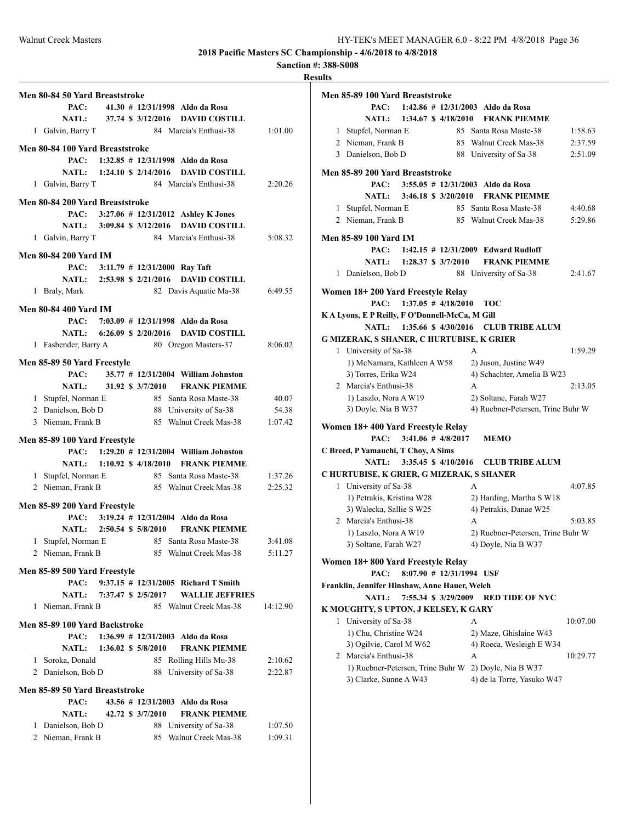| esuits<br>٦.<br>n |
|-------------------|
|-------------------|

|                                | Men 80-84 50 Yard Breaststroke                                            |  |                              |                                                  |          |
|--------------------------------|---------------------------------------------------------------------------|--|------------------------------|--------------------------------------------------|----------|
|                                | PAC:                                                                      |  |                              | 41.30 # 12/31/1998 Aldo da Rosa                  |          |
|                                |                                                                           |  |                              | NATL: 37.74 \$ 3/12/2016 DAVID COSTILL           |          |
|                                | 1 Galvin, Barry T                                                         |  |                              | 84 Marcia's Enthusi-38                           | 1:01.00  |
|                                |                                                                           |  |                              |                                                  |          |
|                                | Men 80-84 100 Yard Breaststroke<br>PAC: 1:32.85 # 12/31/1998 Aldo da Rosa |  |                              |                                                  |          |
|                                |                                                                           |  |                              | NATL: 1:24.10 \$ 2/14/2016 DAVID COSTILL         |          |
|                                |                                                                           |  |                              | 84 Marcia's Enthusi-38                           | 2:20.26  |
|                                | 1 Galvin, Barry T                                                         |  |                              |                                                  |          |
|                                | Men 80-84 200 Yard Breaststroke                                           |  |                              |                                                  |          |
|                                |                                                                           |  |                              | PAC: 3:27.06 # 12/31/2012 Ashley K Jones         |          |
|                                | NATL: 3:09.84 \$ 3/12/2016                                                |  |                              | <b>DAVID COSTILL</b>                             |          |
|                                | 1 Galvin, Barry T                                                         |  |                              | 84 Marcia's Enthusi-38                           | 5:08.32  |
|                                | <b>Men 80-84 200 Yard IM</b>                                              |  |                              |                                                  |          |
|                                | PAC: 3:11.79 # 12/31/2000 Ray Taft                                        |  |                              |                                                  |          |
|                                |                                                                           |  |                              | NATL: 2:53.98 \$ 2/21/2016 DAVID COSTILL         |          |
|                                | 1 Braly, Mark                                                             |  |                              | 82 Davis Aquatic Ma-38                           | 6:49.55  |
|                                |                                                                           |  |                              |                                                  |          |
|                                | <b>Men 80-84 400 Yard IM</b>                                              |  |                              |                                                  |          |
|                                | PAC: 7:03.09 # 12/31/1998 Aldo da Rosa                                    |  |                              |                                                  |          |
|                                |                                                                           |  |                              | NATL: 6:26.09 \$ 2/20/2016 DAVID COSTILL         |          |
|                                | 1 Fasbender, Barry A 80 Oregon Masters-37                                 |  |                              |                                                  | 8:06.02  |
|                                | Men 85-89 50 Yard Freestyle                                               |  |                              |                                                  |          |
|                                | PAC:                                                                      |  |                              | 35.77 # 12/31/2004 William Johnston              |          |
|                                | <b>NATL:</b>                                                              |  | 31.92 \$ 3/7/2010            | <b>FRANK PIEMME</b>                              |          |
|                                | 1 Stupfel, Norman E                                                       |  |                              |                                                  | 40.07    |
|                                | 2 Danielson, Bob D                                                        |  |                              | 85 Santa Rosa Maste-38<br>88 University of Sa-38 | 54.38    |
|                                | 3 Nieman, Frank B                                                         |  |                              | 85 Walnut Creek Mas-38                           | 1:07.42  |
|                                |                                                                           |  |                              |                                                  |          |
|                                | Men 85-89 100 Yard Freestyle                                              |  |                              |                                                  |          |
|                                | PAC:                                                                      |  |                              | $1:29.20$ # $12/31/2004$ William Johnston        |          |
|                                | NATL: 1:10.92 \$4/18/2010                                                 |  |                              | <b>FRANK PIEMME</b>                              |          |
|                                | 1 Stupfel, Norman E 85 Santa Rosa Maste-38                                |  |                              |                                                  | 1:37.26  |
|                                | 2 Nieman, Frank B                                                         |  |                              | 85 Walnut Creek Mas-38 2:25.32                   |          |
|                                | Men 85-89 200 Yard Freestyle                                              |  |                              |                                                  |          |
|                                | PAC: 3:19.24 # 12/31/2004 Aldo da Rosa                                    |  |                              |                                                  |          |
|                                | NATL: 2:50.54 \$ 5/8/2010                                                 |  |                              | <b>FRANK PIEMME</b>                              |          |
|                                | 1 Stupfel, Norman E                                                       |  |                              | 85 Santa Rosa Maste-38                           | 3:41.08  |
|                                | 2 Nieman, Frank B                                                         |  |                              | 85 Walnut Creek Mas-38                           | 5:11.27  |
|                                |                                                                           |  |                              |                                                  |          |
|                                | Men 85-89 500 Yard Freestyle                                              |  |                              |                                                  |          |
|                                | PAC:                                                                      |  |                              | 9:37.15 # 12/31/2005 Richard T Smith             |          |
|                                | <b>NATL:</b>                                                              |  | 7:37.47 \$ 2/5/2017          | <b>WALLIE JEFFRIES</b>                           |          |
|                                | 1 Nieman, Frank B                                                         |  |                              | 85 Walnut Creek Mas-38                           | 14:12.90 |
| Men 85-89 100 Yard Backstroke  |                                                                           |  |                              |                                                  |          |
|                                | PAC:                                                                      |  |                              | $1:36.99$ # $12/31/2003$ Aldo da Rosa            |          |
|                                | <b>NATL:</b>                                                              |  | $1:36.02 \text{ } $5/8/2010$ | <b>FRANK PIEMME</b>                              |          |
|                                | 1 Soroka, Donald                                                          |  |                              | 85 Rolling Hills Mu-38                           | 2:10.62  |
|                                | 2 Danielson, Bob D                                                        |  | 88                           | University of Sa-38                              | 2:22.87  |
|                                |                                                                           |  |                              |                                                  |          |
| Men 85-89 50 Yard Breaststroke |                                                                           |  |                              |                                                  |          |
|                                | PAC:                                                                      |  |                              | 43.56 # 12/31/2003 Aldo da Rosa                  |          |
|                                | <b>NATL:</b>                                                              |  | 42.72 \$ 3/7/2010            | <b>FRANK PIEMME</b>                              |          |
| 1                              | Danielson, Bob D                                                          |  |                              | 88 University of Sa-38                           | 1:07.50  |
|                                | 2 Nieman, Frank B                                                         |  | 85                           | Walnut Creek Mas-38                              | 1:09.31  |

| PAC:<br>1:42.86 $\#$ 12/31/2003 Aldo da Rosa<br>NATL:<br>1:34.67 \$ 4/18/2010<br><b>FRANK PIEMME</b><br>85 Santa Rosa Maste-38<br>1 Stupfel, Norman E<br>1:58.63<br>2 Nieman, Frank B<br>85 Walnut Creek Mas-38<br>2:37.59<br>3 Danielson, Bob D<br>88 University of Sa-38<br>2:51.09<br>Men 85-89 200 Yard Breaststroke<br>PAC:<br>$3:55.05$ # $12/31/2003$ Aldo da Rosa<br>$3:46.18 \text{ } $3/20/2010$<br><b>FRANK PIEMME</b><br>NATL:<br>Stupfel, Norman E<br>85 Santa Rosa Maste-38<br>4:40.68<br>1<br>2 Nieman, Frank B<br>85 Walnut Creek Mas-38<br>5:29.86<br><b>Men 85-89 100 Yard IM</b><br>PAC:<br>$1:42.15$ # $12/31/2009$ Edward Rudloff<br>NATL: 1:28.37 \$ 3/7/2010<br><b>FRANK PIEMME</b><br>1 Danielson, Bob D<br>88 University of Sa-38<br>2:41.67<br>Women 18+200 Yard Freestyle Relay<br>$1:37.05$ # $4/18/2010$<br>PAC:<br><b>TOC</b><br>K A Lyons, E P Reilly, F O'Donnell-McCa, M Gill<br><b>NATL:</b><br>1:35.66 \$4/30/2016 CLUB TRIBE ALUM<br>G MIZERAK, S SHANER, C HURTUBISE, K GRIER<br>1 University of Sa-38<br>1:59.29<br>A<br>1) McNamara, Kathleen A W58<br>2) Juson, Justine W49<br>3) Torres, Erika W24<br>4) Schachter, Amelia B W23<br>2 Marcia's Enthusi-38<br>A<br>2:13.05<br>1) Laszlo, Nora A W19<br>2) Soltane, Farah W27<br>3) Doyle, Nia B W37<br>4) Ruebner-Petersen, Trine Buhr W.<br>Women 18+400 Yard Freestyle Relay<br>$3:41.06$ # $4/8/2017$<br>PAC:<br><b>MEMO</b><br>C Breed, P Yamauchi, T Choy, A Sims<br><b>NATL:</b><br>3:35.45 \$4/10/2016<br><b>CLUB TRIBE ALUM</b><br>C HURTUBISE, K GRIER, G MIZERAK, S SHANER<br>1 University of Sa-38<br>4:07.85<br>A<br>1) Petrakis, Kristina W28<br>2) Harding, Martha S W18<br>3) Walecka, Sallie S W25<br>4) Petrakis, Danae W25<br>2 Marcia's Enthusi-38<br>A<br>5:03.85<br>1) Laszlo, Nora A W19<br>2) Ruebner-Petersen, Trine Buhr W.<br>3) Soltane, Farah W27<br>4) Doyle, Nia B W37<br>Women 18+800 Yard Freestyle Relay<br>8:07.90 # 12/31/1994 USF<br>PAC:<br>Franklin, Jennifer Hinshaw, Anne Hauer, Welch<br><b>NATL:</b><br>7:55.34 \$ 3/29/2009<br><b>RED TIDE OF NYC</b><br>K MOUGHTY, S UPTON, J KELSEY, K GARY<br>University of Sa-38<br>1<br>A<br>10:07.00 | Men 85-89 100 Yard Breaststroke |  |  |  |
|-------------------------------------------------------------------------------------------------------------------------------------------------------------------------------------------------------------------------------------------------------------------------------------------------------------------------------------------------------------------------------------------------------------------------------------------------------------------------------------------------------------------------------------------------------------------------------------------------------------------------------------------------------------------------------------------------------------------------------------------------------------------------------------------------------------------------------------------------------------------------------------------------------------------------------------------------------------------------------------------------------------------------------------------------------------------------------------------------------------------------------------------------------------------------------------------------------------------------------------------------------------------------------------------------------------------------------------------------------------------------------------------------------------------------------------------------------------------------------------------------------------------------------------------------------------------------------------------------------------------------------------------------------------------------------------------------------------------------------------------------------------------------------------------------------------------------------------------------------------------------------------------------------------------------------------------------------------------------------------------------------------------------------------------------------------------------------------------------------------------------------------------------------------------------------|---------------------------------|--|--|--|
|                                                                                                                                                                                                                                                                                                                                                                                                                                                                                                                                                                                                                                                                                                                                                                                                                                                                                                                                                                                                                                                                                                                                                                                                                                                                                                                                                                                                                                                                                                                                                                                                                                                                                                                                                                                                                                                                                                                                                                                                                                                                                                                                                                               |                                 |  |  |  |
|                                                                                                                                                                                                                                                                                                                                                                                                                                                                                                                                                                                                                                                                                                                                                                                                                                                                                                                                                                                                                                                                                                                                                                                                                                                                                                                                                                                                                                                                                                                                                                                                                                                                                                                                                                                                                                                                                                                                                                                                                                                                                                                                                                               |                                 |  |  |  |
|                                                                                                                                                                                                                                                                                                                                                                                                                                                                                                                                                                                                                                                                                                                                                                                                                                                                                                                                                                                                                                                                                                                                                                                                                                                                                                                                                                                                                                                                                                                                                                                                                                                                                                                                                                                                                                                                                                                                                                                                                                                                                                                                                                               |                                 |  |  |  |
|                                                                                                                                                                                                                                                                                                                                                                                                                                                                                                                                                                                                                                                                                                                                                                                                                                                                                                                                                                                                                                                                                                                                                                                                                                                                                                                                                                                                                                                                                                                                                                                                                                                                                                                                                                                                                                                                                                                                                                                                                                                                                                                                                                               |                                 |  |  |  |
|                                                                                                                                                                                                                                                                                                                                                                                                                                                                                                                                                                                                                                                                                                                                                                                                                                                                                                                                                                                                                                                                                                                                                                                                                                                                                                                                                                                                                                                                                                                                                                                                                                                                                                                                                                                                                                                                                                                                                                                                                                                                                                                                                                               |                                 |  |  |  |
|                                                                                                                                                                                                                                                                                                                                                                                                                                                                                                                                                                                                                                                                                                                                                                                                                                                                                                                                                                                                                                                                                                                                                                                                                                                                                                                                                                                                                                                                                                                                                                                                                                                                                                                                                                                                                                                                                                                                                                                                                                                                                                                                                                               |                                 |  |  |  |
|                                                                                                                                                                                                                                                                                                                                                                                                                                                                                                                                                                                                                                                                                                                                                                                                                                                                                                                                                                                                                                                                                                                                                                                                                                                                                                                                                                                                                                                                                                                                                                                                                                                                                                                                                                                                                                                                                                                                                                                                                                                                                                                                                                               |                                 |  |  |  |
|                                                                                                                                                                                                                                                                                                                                                                                                                                                                                                                                                                                                                                                                                                                                                                                                                                                                                                                                                                                                                                                                                                                                                                                                                                                                                                                                                                                                                                                                                                                                                                                                                                                                                                                                                                                                                                                                                                                                                                                                                                                                                                                                                                               |                                 |  |  |  |
|                                                                                                                                                                                                                                                                                                                                                                                                                                                                                                                                                                                                                                                                                                                                                                                                                                                                                                                                                                                                                                                                                                                                                                                                                                                                                                                                                                                                                                                                                                                                                                                                                                                                                                                                                                                                                                                                                                                                                                                                                                                                                                                                                                               |                                 |  |  |  |
|                                                                                                                                                                                                                                                                                                                                                                                                                                                                                                                                                                                                                                                                                                                                                                                                                                                                                                                                                                                                                                                                                                                                                                                                                                                                                                                                                                                                                                                                                                                                                                                                                                                                                                                                                                                                                                                                                                                                                                                                                                                                                                                                                                               |                                 |  |  |  |
|                                                                                                                                                                                                                                                                                                                                                                                                                                                                                                                                                                                                                                                                                                                                                                                                                                                                                                                                                                                                                                                                                                                                                                                                                                                                                                                                                                                                                                                                                                                                                                                                                                                                                                                                                                                                                                                                                                                                                                                                                                                                                                                                                                               |                                 |  |  |  |
|                                                                                                                                                                                                                                                                                                                                                                                                                                                                                                                                                                                                                                                                                                                                                                                                                                                                                                                                                                                                                                                                                                                                                                                                                                                                                                                                                                                                                                                                                                                                                                                                                                                                                                                                                                                                                                                                                                                                                                                                                                                                                                                                                                               |                                 |  |  |  |
|                                                                                                                                                                                                                                                                                                                                                                                                                                                                                                                                                                                                                                                                                                                                                                                                                                                                                                                                                                                                                                                                                                                                                                                                                                                                                                                                                                                                                                                                                                                                                                                                                                                                                                                                                                                                                                                                                                                                                                                                                                                                                                                                                                               |                                 |  |  |  |
|                                                                                                                                                                                                                                                                                                                                                                                                                                                                                                                                                                                                                                                                                                                                                                                                                                                                                                                                                                                                                                                                                                                                                                                                                                                                                                                                                                                                                                                                                                                                                                                                                                                                                                                                                                                                                                                                                                                                                                                                                                                                                                                                                                               |                                 |  |  |  |
|                                                                                                                                                                                                                                                                                                                                                                                                                                                                                                                                                                                                                                                                                                                                                                                                                                                                                                                                                                                                                                                                                                                                                                                                                                                                                                                                                                                                                                                                                                                                                                                                                                                                                                                                                                                                                                                                                                                                                                                                                                                                                                                                                                               |                                 |  |  |  |
|                                                                                                                                                                                                                                                                                                                                                                                                                                                                                                                                                                                                                                                                                                                                                                                                                                                                                                                                                                                                                                                                                                                                                                                                                                                                                                                                                                                                                                                                                                                                                                                                                                                                                                                                                                                                                                                                                                                                                                                                                                                                                                                                                                               |                                 |  |  |  |
|                                                                                                                                                                                                                                                                                                                                                                                                                                                                                                                                                                                                                                                                                                                                                                                                                                                                                                                                                                                                                                                                                                                                                                                                                                                                                                                                                                                                                                                                                                                                                                                                                                                                                                                                                                                                                                                                                                                                                                                                                                                                                                                                                                               |                                 |  |  |  |
|                                                                                                                                                                                                                                                                                                                                                                                                                                                                                                                                                                                                                                                                                                                                                                                                                                                                                                                                                                                                                                                                                                                                                                                                                                                                                                                                                                                                                                                                                                                                                                                                                                                                                                                                                                                                                                                                                                                                                                                                                                                                                                                                                                               |                                 |  |  |  |
|                                                                                                                                                                                                                                                                                                                                                                                                                                                                                                                                                                                                                                                                                                                                                                                                                                                                                                                                                                                                                                                                                                                                                                                                                                                                                                                                                                                                                                                                                                                                                                                                                                                                                                                                                                                                                                                                                                                                                                                                                                                                                                                                                                               |                                 |  |  |  |
|                                                                                                                                                                                                                                                                                                                                                                                                                                                                                                                                                                                                                                                                                                                                                                                                                                                                                                                                                                                                                                                                                                                                                                                                                                                                                                                                                                                                                                                                                                                                                                                                                                                                                                                                                                                                                                                                                                                                                                                                                                                                                                                                                                               |                                 |  |  |  |
|                                                                                                                                                                                                                                                                                                                                                                                                                                                                                                                                                                                                                                                                                                                                                                                                                                                                                                                                                                                                                                                                                                                                                                                                                                                                                                                                                                                                                                                                                                                                                                                                                                                                                                                                                                                                                                                                                                                                                                                                                                                                                                                                                                               |                                 |  |  |  |
|                                                                                                                                                                                                                                                                                                                                                                                                                                                                                                                                                                                                                                                                                                                                                                                                                                                                                                                                                                                                                                                                                                                                                                                                                                                                                                                                                                                                                                                                                                                                                                                                                                                                                                                                                                                                                                                                                                                                                                                                                                                                                                                                                                               |                                 |  |  |  |
|                                                                                                                                                                                                                                                                                                                                                                                                                                                                                                                                                                                                                                                                                                                                                                                                                                                                                                                                                                                                                                                                                                                                                                                                                                                                                                                                                                                                                                                                                                                                                                                                                                                                                                                                                                                                                                                                                                                                                                                                                                                                                                                                                                               |                                 |  |  |  |
|                                                                                                                                                                                                                                                                                                                                                                                                                                                                                                                                                                                                                                                                                                                                                                                                                                                                                                                                                                                                                                                                                                                                                                                                                                                                                                                                                                                                                                                                                                                                                                                                                                                                                                                                                                                                                                                                                                                                                                                                                                                                                                                                                                               |                                 |  |  |  |
|                                                                                                                                                                                                                                                                                                                                                                                                                                                                                                                                                                                                                                                                                                                                                                                                                                                                                                                                                                                                                                                                                                                                                                                                                                                                                                                                                                                                                                                                                                                                                                                                                                                                                                                                                                                                                                                                                                                                                                                                                                                                                                                                                                               |                                 |  |  |  |
|                                                                                                                                                                                                                                                                                                                                                                                                                                                                                                                                                                                                                                                                                                                                                                                                                                                                                                                                                                                                                                                                                                                                                                                                                                                                                                                                                                                                                                                                                                                                                                                                                                                                                                                                                                                                                                                                                                                                                                                                                                                                                                                                                                               |                                 |  |  |  |
|                                                                                                                                                                                                                                                                                                                                                                                                                                                                                                                                                                                                                                                                                                                                                                                                                                                                                                                                                                                                                                                                                                                                                                                                                                                                                                                                                                                                                                                                                                                                                                                                                                                                                                                                                                                                                                                                                                                                                                                                                                                                                                                                                                               |                                 |  |  |  |
|                                                                                                                                                                                                                                                                                                                                                                                                                                                                                                                                                                                                                                                                                                                                                                                                                                                                                                                                                                                                                                                                                                                                                                                                                                                                                                                                                                                                                                                                                                                                                                                                                                                                                                                                                                                                                                                                                                                                                                                                                                                                                                                                                                               |                                 |  |  |  |
|                                                                                                                                                                                                                                                                                                                                                                                                                                                                                                                                                                                                                                                                                                                                                                                                                                                                                                                                                                                                                                                                                                                                                                                                                                                                                                                                                                                                                                                                                                                                                                                                                                                                                                                                                                                                                                                                                                                                                                                                                                                                                                                                                                               |                                 |  |  |  |
|                                                                                                                                                                                                                                                                                                                                                                                                                                                                                                                                                                                                                                                                                                                                                                                                                                                                                                                                                                                                                                                                                                                                                                                                                                                                                                                                                                                                                                                                                                                                                                                                                                                                                                                                                                                                                                                                                                                                                                                                                                                                                                                                                                               |                                 |  |  |  |
|                                                                                                                                                                                                                                                                                                                                                                                                                                                                                                                                                                                                                                                                                                                                                                                                                                                                                                                                                                                                                                                                                                                                                                                                                                                                                                                                                                                                                                                                                                                                                                                                                                                                                                                                                                                                                                                                                                                                                                                                                                                                                                                                                                               |                                 |  |  |  |
|                                                                                                                                                                                                                                                                                                                                                                                                                                                                                                                                                                                                                                                                                                                                                                                                                                                                                                                                                                                                                                                                                                                                                                                                                                                                                                                                                                                                                                                                                                                                                                                                                                                                                                                                                                                                                                                                                                                                                                                                                                                                                                                                                                               |                                 |  |  |  |
|                                                                                                                                                                                                                                                                                                                                                                                                                                                                                                                                                                                                                                                                                                                                                                                                                                                                                                                                                                                                                                                                                                                                                                                                                                                                                                                                                                                                                                                                                                                                                                                                                                                                                                                                                                                                                                                                                                                                                                                                                                                                                                                                                                               |                                 |  |  |  |
|                                                                                                                                                                                                                                                                                                                                                                                                                                                                                                                                                                                                                                                                                                                                                                                                                                                                                                                                                                                                                                                                                                                                                                                                                                                                                                                                                                                                                                                                                                                                                                                                                                                                                                                                                                                                                                                                                                                                                                                                                                                                                                                                                                               |                                 |  |  |  |
|                                                                                                                                                                                                                                                                                                                                                                                                                                                                                                                                                                                                                                                                                                                                                                                                                                                                                                                                                                                                                                                                                                                                                                                                                                                                                                                                                                                                                                                                                                                                                                                                                                                                                                                                                                                                                                                                                                                                                                                                                                                                                                                                                                               |                                 |  |  |  |
|                                                                                                                                                                                                                                                                                                                                                                                                                                                                                                                                                                                                                                                                                                                                                                                                                                                                                                                                                                                                                                                                                                                                                                                                                                                                                                                                                                                                                                                                                                                                                                                                                                                                                                                                                                                                                                                                                                                                                                                                                                                                                                                                                                               |                                 |  |  |  |
|                                                                                                                                                                                                                                                                                                                                                                                                                                                                                                                                                                                                                                                                                                                                                                                                                                                                                                                                                                                                                                                                                                                                                                                                                                                                                                                                                                                                                                                                                                                                                                                                                                                                                                                                                                                                                                                                                                                                                                                                                                                                                                                                                                               |                                 |  |  |  |
|                                                                                                                                                                                                                                                                                                                                                                                                                                                                                                                                                                                                                                                                                                                                                                                                                                                                                                                                                                                                                                                                                                                                                                                                                                                                                                                                                                                                                                                                                                                                                                                                                                                                                                                                                                                                                                                                                                                                                                                                                                                                                                                                                                               |                                 |  |  |  |
|                                                                                                                                                                                                                                                                                                                                                                                                                                                                                                                                                                                                                                                                                                                                                                                                                                                                                                                                                                                                                                                                                                                                                                                                                                                                                                                                                                                                                                                                                                                                                                                                                                                                                                                                                                                                                                                                                                                                                                                                                                                                                                                                                                               |                                 |  |  |  |
|                                                                                                                                                                                                                                                                                                                                                                                                                                                                                                                                                                                                                                                                                                                                                                                                                                                                                                                                                                                                                                                                                                                                                                                                                                                                                                                                                                                                                                                                                                                                                                                                                                                                                                                                                                                                                                                                                                                                                                                                                                                                                                                                                                               |                                 |  |  |  |
|                                                                                                                                                                                                                                                                                                                                                                                                                                                                                                                                                                                                                                                                                                                                                                                                                                                                                                                                                                                                                                                                                                                                                                                                                                                                                                                                                                                                                                                                                                                                                                                                                                                                                                                                                                                                                                                                                                                                                                                                                                                                                                                                                                               |                                 |  |  |  |
|                                                                                                                                                                                                                                                                                                                                                                                                                                                                                                                                                                                                                                                                                                                                                                                                                                                                                                                                                                                                                                                                                                                                                                                                                                                                                                                                                                                                                                                                                                                                                                                                                                                                                                                                                                                                                                                                                                                                                                                                                                                                                                                                                                               |                                 |  |  |  |
|                                                                                                                                                                                                                                                                                                                                                                                                                                                                                                                                                                                                                                                                                                                                                                                                                                                                                                                                                                                                                                                                                                                                                                                                                                                                                                                                                                                                                                                                                                                                                                                                                                                                                                                                                                                                                                                                                                                                                                                                                                                                                                                                                                               |                                 |  |  |  |
|                                                                                                                                                                                                                                                                                                                                                                                                                                                                                                                                                                                                                                                                                                                                                                                                                                                                                                                                                                                                                                                                                                                                                                                                                                                                                                                                                                                                                                                                                                                                                                                                                                                                                                                                                                                                                                                                                                                                                                                                                                                                                                                                                                               |                                 |  |  |  |
|                                                                                                                                                                                                                                                                                                                                                                                                                                                                                                                                                                                                                                                                                                                                                                                                                                                                                                                                                                                                                                                                                                                                                                                                                                                                                                                                                                                                                                                                                                                                                                                                                                                                                                                                                                                                                                                                                                                                                                                                                                                                                                                                                                               |                                 |  |  |  |
| 1) Chu, Christine W24<br>2) Maze, Ghislaine W43                                                                                                                                                                                                                                                                                                                                                                                                                                                                                                                                                                                                                                                                                                                                                                                                                                                                                                                                                                                                                                                                                                                                                                                                                                                                                                                                                                                                                                                                                                                                                                                                                                                                                                                                                                                                                                                                                                                                                                                                                                                                                                                               |                                 |  |  |  |
| 3) Ogilvie, Carol M W62<br>4) Roeca, Wesleigh E W34                                                                                                                                                                                                                                                                                                                                                                                                                                                                                                                                                                                                                                                                                                                                                                                                                                                                                                                                                                                                                                                                                                                                                                                                                                                                                                                                                                                                                                                                                                                                                                                                                                                                                                                                                                                                                                                                                                                                                                                                                                                                                                                           |                                 |  |  |  |
| 2 Marcia's Enthusi-38<br>A<br>10:29.77                                                                                                                                                                                                                                                                                                                                                                                                                                                                                                                                                                                                                                                                                                                                                                                                                                                                                                                                                                                                                                                                                                                                                                                                                                                                                                                                                                                                                                                                                                                                                                                                                                                                                                                                                                                                                                                                                                                                                                                                                                                                                                                                        |                                 |  |  |  |
| 1) Ruebner-Petersen, Trine Buhr W. 2) Doyle, Nia B W37                                                                                                                                                                                                                                                                                                                                                                                                                                                                                                                                                                                                                                                                                                                                                                                                                                                                                                                                                                                                                                                                                                                                                                                                                                                                                                                                                                                                                                                                                                                                                                                                                                                                                                                                                                                                                                                                                                                                                                                                                                                                                                                        |                                 |  |  |  |
| 3) Clarke, Sunne A W43<br>4) de la Torre, Yasuko W47                                                                                                                                                                                                                                                                                                                                                                                                                                                                                                                                                                                                                                                                                                                                                                                                                                                                                                                                                                                                                                                                                                                                                                                                                                                                                                                                                                                                                                                                                                                                                                                                                                                                                                                                                                                                                                                                                                                                                                                                                                                                                                                          |                                 |  |  |  |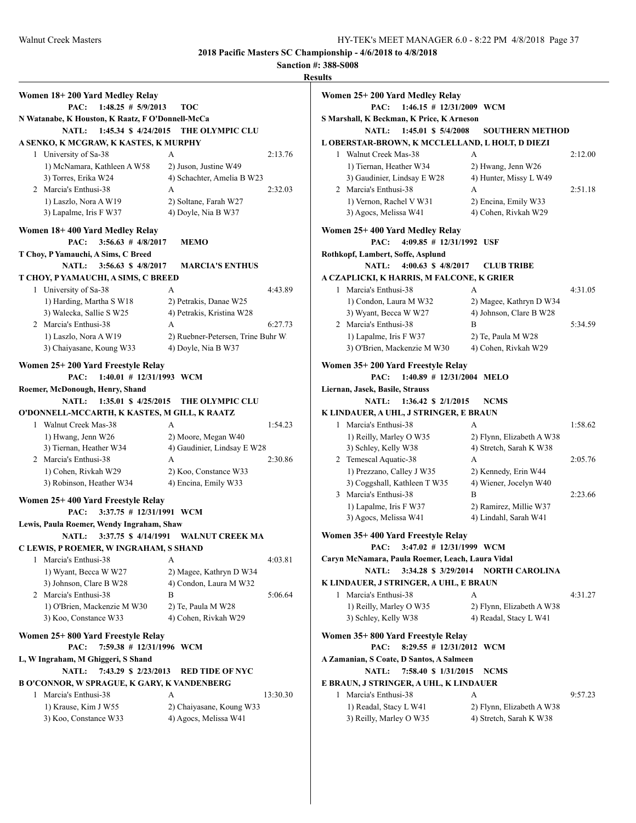**2018 band ionship - 4/6/2018 to 4/8/2018** 

| <b>Walnut Creek Masters</b>                      | 2018 Pacific Masters SC Championship - |         | HY-TI<br><b>Sanction #: 388-S008</b> |
|--------------------------------------------------|----------------------------------------|---------|--------------------------------------|
|                                                  |                                        |         | <b>Results</b>                       |
| Women 18+200 Yard Medley Relay                   |                                        |         | Women 25                             |
| PAC: $1:48.25 \# 5/9/2013$                       | <b>TOC</b>                             |         |                                      |
| N Watanabe, K Houston, K Raatz, F O'Donnell-McCa |                                        |         | <b>S</b> Marshall                    |
| NATL:<br>$1:45.34$ \$ $4/24/2015$                | THE OLYMPIC CLU                        |         |                                      |
| A SENKO, K MCGRAW, K KASTES, K MURPHY            |                                        |         | <b>LOBERST</b>                       |
| 1 University of Sa-38                            | A                                      | 2:13.76 | 1 Wal                                |
| 1) McNamara, Kathleen A W58                      | 2) Juson, Justine W49                  |         | $1)$ T                               |
| 3) Torres, Erika W24                             | 4) Schachter, Amelia B W23             |         | $3)$ G                               |
| 2 Marcia's Enthusi-38                            | $\mathsf{A}$                           | 2:32.03 | 2<br>Mar                             |
| 1) Laszlo, Nora A W19                            | 2) Soltane, Farah W27                  |         | 1)V                                  |
| 3) Lapalme, Iris F W37                           | 4) Doyle, Nia B W37                    |         | $3)$ A                               |
| Women 18+400 Yard Medley Relay                   |                                        |         | Women 25                             |
| PAC: $3:56.63 \# 4/8/2017$                       | <b>MEMO</b>                            |         |                                      |
| T Choy, P Yamauchi, A Sims, C Breed              |                                        |         | Rothkopf,                            |
| NATL: 3:56.63 \$4/8/2017                         | <b>MARCIA'S ENTHUS</b>                 |         |                                      |
| T CHOY, P YAMAUCHI, A SIMS, C BREED              |                                        |         | <b>A CZAPLI</b>                      |
| 1 University of Sa-38                            | A                                      | 4:43.89 | 1 Mar                                |
| 1) Harding, Martha S W18                         | 2) Petrakis Danae W25                  |         | $1 \vee C$                           |

#### **T CHOY, P YAMAUCHI, A SIMS** 1 University of Sa-38

| 1 University of Sa-38    |                                    | 4.43.89 |
|--------------------------|------------------------------------|---------|
| 1) Harding, Martha S W18 | 2) Petrakis, Danae W25             |         |
| 3) Walecka, Sallie S W25 | 4) Petrakis, Kristina W28          |         |
| 2 Marcia's Enthusi-38    | А                                  | 6:27.73 |
| 1) Laszlo, Nora A W19    | 2) Ruebner-Petersen, Trine Buhr W. |         |
| 3) Chaiyasane, Koung W33 | 4) Doyle, Nia B W37                |         |
|                          |                                    |         |

# **Women 25+ 200 Yard Freestyle Relay**

**PAC: 1:40.01 # 12/31/1993 WCM**

#### **Roemer, McDonough, Henry, Shand NATL: 1:35.01 \$ 4/25/2015 THE OLYMPIC CLU**

## **O'DONNELL-MCCARTH, K KASTES, M GILL, K RAATZ**

| Walnut Creek Mas-38      | А                           | 1:54.23 |
|--------------------------|-----------------------------|---------|
| 1) Hwang, Jenn W26       | 2) Moore, Megan W40         |         |
| 3) Tiernan, Heather W34  | 4) Gaudinier, Lindsay E W28 |         |
| 2 Marcia's Enthusi-38    | А                           | 2:30.86 |
| 1) Cohen, Rivkah W29     | 2) Koo, Constance W33       |         |
| 3) Robinson, Heather W34 | 4) Encina, Emily W33        |         |
|                          |                             |         |

# **Women 25+ 400 Yard Freestyle Relay**

**PAC: 3:37.75 # 12/31/1991 WCM Lewis, Paula Roemer, Wendy Ingraham, Shaw**

# **NATL: 3:37.75 \$ 4/14/1991 WALNUT CREEK MA**

**C LEWIS, P ROEMER, W INGRAHAM, S SHAND** 1 Marcia's Enthusi-38 A 4:03.81

| магсіа у Епшим-эо           |                         | 4.03.01 |
|-----------------------------|-------------------------|---------|
| 1) Wyant, Becca W W27       | 2) Magee, Kathryn D W34 |         |
| 3) Johnson, Clare B W28     | 4) Condon, Laura M W32  |         |
| 2 Marcia's Enthusi-38       | В                       | 5:06.64 |
| 1) O'Brien, Mackenzie M W30 | 2) Te, Paula M W28      |         |
| 3) Koo, Constance W33       | 4) Cohen, Rivkah W29    |         |
|                             |                         |         |

#### **Women 25+ 800 Yard Freestyle Relay**

**PAC: 7:59.38 # 12/31/1996 WCM**

# **L, W Ingraham, M Ghiggeri, S Shand**

#### **NATL: 7:43.29 \$ 2/23/2013 RED TIDE OF NYC B O'CONNOR, W SPRAGUE, K GARY, K VANDEN**

| 'CONNOR. W SPRAGUE. K GARY. K VANDENBERG |                          |          |  |  |
|------------------------------------------|--------------------------|----------|--|--|
| 1 Marcia's Enthusi-38                    | А                        | 13:30.30 |  |  |
| 1) Krause, Kim J W55                     | 2) Chaiyasane, Koung W33 |          |  |  |
| 3) Koo, Constance W33                    | 4) Agocs, Melissa W41    |          |  |  |

| <b>UILJ</b> |                                                                    |                           |         |
|-------------|--------------------------------------------------------------------|---------------------------|---------|
|             | Women 25+200 Yard Medley Relay                                     |                           |         |
|             | PAC:<br>$1:46.15 \# 12/31/2009$ WCM                                |                           |         |
|             | S Marshall, K Beckman, K Price, K Arneson                          |                           |         |
|             | <b>NATL:</b><br>1:45.01 \$ 5/4/2008                                | <b>SOUTHERN METHOD</b>    |         |
|             | L OBERSTAR-BROWN, K MCCLELLAND, L HOLT, D DIEZI                    |                           |         |
| 1           | Walnut Creek Mas-38                                                | A                         | 2:12.00 |
|             | 1) Tiernan, Heather W34                                            | 2) Hwang, Jenn W26        |         |
|             | 3) Gaudinier, Lindsay E W28                                        | 4) Hunter, Missy L W49    |         |
|             | 2 Marcia's Enthusi-38                                              | А                         | 2:51.18 |
|             | 1) Vernon, Rachel V W31                                            | 2) Encina, Emily W33      |         |
|             | 3) Agocs, Melissa W41                                              | 4) Cohen, Rivkah W29      |         |
|             |                                                                    |                           |         |
|             | Women 25+400 Yard Medley Relay<br>$4:09.85$ # $12/31/1992$<br>PAC: | USF                       |         |
|             | Rothkopf, Lambert, Soffe, Asplund                                  |                           |         |
|             | <b>NATL:</b><br>4:00.63 \$ $4/8/2017$                              | <b>CLUB TRIBE</b>         |         |
|             | A CZAPLICKI, K HARRIS, M FALCONE, K GRIER                          |                           |         |
|             | 1 Marcia's Enthusi-38                                              | A                         | 4:31.05 |
|             | 1) Condon, Laura M W32                                             | 2) Magee, Kathryn D W34   |         |
|             | 3) Wyant, Becca W W27                                              | 4) Johnson, Clare B W28   |         |
|             | 2 Marcia's Enthusi-38                                              | B                         | 5:34.59 |
|             | 1) Lapalme, Iris F W37                                             | 2) Te, Paula M W28        |         |
|             | 3) O'Brien, Mackenzie M W30                                        | 4) Cohen, Rivkah W29      |         |
|             |                                                                    |                           |         |
|             | Women 35+200 Yard Freestyle Relay                                  |                           |         |
|             | $1:40.89$ # 12/31/2004 MELO<br>PAC:                                |                           |         |
|             | Liernan, Jasek, Basile, Strauss                                    |                           |         |
|             | <b>NATL:</b><br>$1:36.42 \text{ } $2/1/2015$                       | <b>NCMS</b>               |         |
|             | K LINDAUER, A UHL, J STRINGER, E BRAUN                             |                           |         |
| 1           | Marcia's Enthusi-38                                                | A                         | 1:58.62 |
|             | 1) Reilly, Marley O W35                                            | 2) Flynn, Elizabeth A W38 |         |
|             | 3) Schley, Kelly W38                                               | 4) Stretch, Sarah K W38   |         |
|             | 2 Temescal Aquatic-38                                              | A                         | 2:05.76 |
|             | 1) Prezzano, Calley J W35                                          | 2) Kennedy, Erin W44      |         |
|             | 3) Coggshall, Kathleen T W35                                       | 4) Wiener, Jocelyn W40    |         |
|             | 3 Marcia's Enthusi-38                                              | R                         | 2:23.66 |
|             | 1) Lapalme, Iris F W37                                             | 2) Ramirez, Millie W37    |         |
|             | 3) Agocs, Melissa W41                                              | 4) Lindahl, Sarah W41     |         |
|             | Women 35+400 Yard Freestyle Relay                                  |                           |         |
|             | 3:47.02 # 12/31/1999 WCM<br>PAC:                                   |                           |         |
|             | Caryn McNamara, Paula Roemer, Leach, Laura Vidal                   |                           |         |

# **NATL: 3:34.28 \$ 3/29/2014 NORTH CAROLINA**

## **K LINDAUER, J STRINGER, A UHL, E BRAUN** 1 Marcia's Enthusi-38 A 4:31.27 1) Reilly, Marley O W35 2) Flynn, Elizabeth A W38

| 3) Schley, Kelly W38              | 4) Readal, Stacy L W41 |
|-----------------------------------|------------------------|
| Women 35+800 Yard Freestyle Relay |                        |

# **PAC: 8:29.55 # 12/31/2012 WCM**

**A Zamanian, S Coate, D Santos, A Salmeen**

- **NATL: 7:58.40 \$ 1/31/2015 NCMS**
- **E BRAUN, J STRINGER, A UHL, K LINDAUER**

|  | 1 Marcia's Enthusi-38   |                           | 9:57.23 |
|--|-------------------------|---------------------------|---------|
|  | 1) Readal, Stacy L W41  | 2) Flynn, Elizabeth A W38 |         |
|  | 3) Reilly, Marley O W35 | 4) Stretch, Sarah K W38   |         |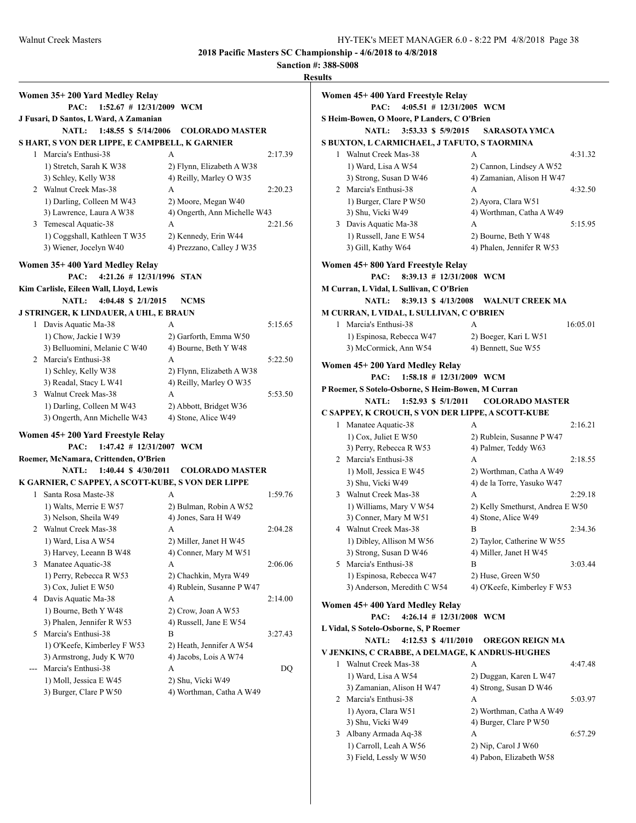$5:15.95$ 

3:03.44

6:57.29

1) Carroll, Leah A W56 2) Nip, Carol J W60 3) Field, Lessly W W50 4) Pabon, Elizabeth W58

**2018 Pacific Masters SC Championship - 4/6/2018 to 4/8/2018**

|                                                    |                                            |         | <b>Results</b>                                     |                                     |          |
|----------------------------------------------------|--------------------------------------------|---------|----------------------------------------------------|-------------------------------------|----------|
| Women 35+200 Yard Medley Relay                     |                                            |         | Women 45+400 Yard Freestyle Relay                  |                                     |          |
| PAC: 1:52.67 # 12/31/2009 WCM                      |                                            |         | PAC: 4:05.51 # 12/31/2005 WCM                      |                                     |          |
| J Fusari, D Santos, L Ward, A Zamanian             |                                            |         | S Heim-Bowen, O Moore, P Landers, C O'Brien        |                                     |          |
|                                                    | NATL: 1:48.55 \$ 5/14/2006 COLORADO MASTER |         | NATL: 3:53.33 \$ 5/9/2015                          | <b>SARASOTA YMCA</b>                |          |
| S HART, S VON DER LIPPE, E CAMPBELL, K GARNIER     |                                            |         | S BUXTON, L CARMICHAEL, J TAFUTO, S TAORMINA       |                                     |          |
| 1 Marcia's Enthusi-38                              | A                                          | 2:17.39 | 1 Walnut Creek Mas-38                              | A                                   | 4:31.32  |
| 1) Stretch, Sarah K W38                            | 2) Flynn, Elizabeth A W38                  |         | 1) Ward, Lisa A W54                                | 2) Cannon, Lindsey A W52            |          |
| 3) Schley, Kelly W38                               | 4) Reilly, Marley O W35                    |         | 3) Strong, Susan D W46                             | 4) Zamanian, Alison H W47           |          |
| 2 Walnut Creek Mas-38                              | A                                          | 2:20.23 | 2 Marcia's Enthusi-38                              | А                                   | 4:32.50  |
| 1) Darling, Colleen M W43                          | 2) Moore, Megan W40                        |         | 1) Burger, Clare P W50                             | 2) Ayora, Clara W51                 |          |
| 3) Lawrence, Laura A W38                           | 4) Ongerth, Ann Michelle W43               |         | 3) Shu, Vicki W49                                  | 4) Worthman, Catha A W49            |          |
| 3 Temescal Aquatic-38                              | А                                          | 2:21.56 | 3 Davis Aquatic Ma-38                              | А                                   | 5:15.95  |
| 1) Coggshall, Kathleen T W35                       | 2) Kennedy, Erin W44                       |         | 1) Russell, Jane E W54                             | 2) Bourne, Beth Y W48               |          |
| 3) Wiener, Jocelyn W40                             | 4) Prezzano, Calley J W35                  |         | 3) Gill, Kathy W64                                 | 4) Phalen, Jennifer R W53           |          |
| Women 35+400 Yard Medley Relay                     |                                            |         | Women 45+800 Yard Freestyle Relay                  |                                     |          |
| PAC: 4:21.26 # 12/31/1996 STAN                     |                                            |         | 8:39.13 # 12/31/2008 WCM<br>PAC:                   |                                     |          |
| Kim Carlisle, Eileen Wall, Lloyd, Lewis            |                                            |         | M Curran, L Vidal, L Sullivan, C O'Brien           |                                     |          |
| <b>NATL:</b><br>4:04.48 \$ $2/1/2015$              | <b>NCMS</b>                                |         | <b>NATL:</b>                                       | 8:39.13 \$4/13/2008 WALNUT CREEK MA |          |
| J STRINGER, K LINDAUER, A UHL, E BRAUN             |                                            |         | M CURRAN, L VIDAL, L SULLIVAN, C O'BRIEN           |                                     |          |
| 1 Davis Aquatic Ma-38                              | А                                          | 5:15.65 | 1 Marcia's Enthusi-38                              | A                                   | 16:05.01 |
| 1) Chow, Jackie I W39                              | 2) Garforth, Emma W50                      |         | 1) Espinosa, Rebecca W47                           | 2) Boeger, Kari L W51               |          |
| 3) Belluomini, Melanie C W40                       | 4) Bourne, Beth Y W48                      |         | 3) McCormick, Ann W54                              | 4) Bennett, Sue W55                 |          |
| 2 Marcia's Enthusi-38                              | A                                          | 5:22.50 | Women 45+ 200 Yard Medley Relay                    |                                     |          |
| 1) Schley, Kelly W38                               | 2) Flynn, Elizabeth A W38                  |         | PAC: 1:58.18 # 12/31/2009 WCM                      |                                     |          |
| 3) Readal, Stacy L W41                             | 4) Reilly, Marley O W35                    |         | P Roemer, S Sotelo-Osborne, S Heim-Bowen, M Curran |                                     |          |
| 3 Walnut Creek Mas-38                              | A                                          | 5:53.50 | NATL: 1:52.93 \$ 5/1/2011                          | <b>COLORADO MASTER</b>              |          |
| 1) Darling, Colleen M W43                          | 2) Abbott, Bridget W36                     |         | C SAPPEY, K CROUCH, S VON DER LIPPE, A SCOTT-KUBE  |                                     |          |
| 3) Ongerth, Ann Michelle W43                       | 4) Stone, Alice W49                        |         | 1 Manatee Aquatic-38                               | A                                   | 2:16.21  |
| Women 45+200 Yard Freestyle Relay                  |                                            |         | 1) Cox, Juliet E W50                               | 2) Rublein, Susanne P W47           |          |
| PAC:<br>$1:47.42 \# 12/31/2007$ WCM                |                                            |         | 3) Perry, Rebecca R W53                            | 4) Palmer, Teddy W63                |          |
| Roemer, McNamara, Crittenden, O'Brien              |                                            |         | 2 Marcia's Enthusi-38                              | A                                   | 2:18.55  |
|                                                    | NATL: 1:40.44 \$ 4/30/2011 COLORADO MASTER |         | 1) Moll, Jessica E W45                             | 2) Worthman, Catha A W49            |          |
| K GARNIER, C SAPPEY, A SCOTT-KUBE, S VON DER LIPPE |                                            |         | 3) Shu, Vicki W49                                  | 4) de la Torre, Yasuko W47          |          |
| 1 Santa Rosa Maste-38                              | A                                          | 1:59.76 | 3 Walnut Creek Mas-38                              | A                                   | 2:29.18  |
| 1) Walts, Merrie E W57                             | 2) Bulman, Robin A W52                     |         | 1) Williams, Mary V W54                            | 2) Kelly Smethurst, Andrea E W50    |          |
| 3) Nelson, Sheila W49                              | 4) Jones, Sara H W49                       |         | 3) Conner, Mary M W51                              | 4) Stone, Alice W49                 |          |
| 2 Walnut Creek Mas-38                              | A                                          | 2:04.28 | 4 Walnut Creek Mas-38                              | B                                   | 2:34.36  |
| 1) Ward, Lisa A W54                                | 2) Miller, Janet H W45                     |         | 1) Dibley, Allison M W56                           | 2) Taylor, Catherine W W55          |          |
| 3) Harvey, Leeann B W48                            | 4) Conner, Mary M W51                      |         | 3) Strong, Susan D W46                             | 4) Miller, Janet H W45              |          |
| 3 Manatee Aquatic-38                               | А                                          | 2:06.06 | 5 Marcia's Enthusi-38                              | B                                   | 3:03.44  |
| 1) Perry, Rebecca R W53                            | 2) Chachkin, Myra W49                      |         | 1) Espinosa, Rebecca W47                           | 2) Huse, Green W50                  |          |
| 3) Cox, Juliet E W50                               | 4) Rublein, Susanne P W47                  |         | 3) Anderson, Meredith C W54                        | 4) O'Keefe, Kimberley F W53         |          |
| 4 Davis Aquatic Ma-38                              | A                                          | 2:14.00 |                                                    |                                     |          |
| 1) Bourne, Beth Y W48                              | 2) Crow, Joan A W53                        |         | Women 45+400 Yard Medley Relay                     |                                     |          |
| 3) Phalen, Jennifer R W53                          | 4) Russell, Jane E W54                     |         | PAC:<br>4:26.14 # $12/31/2008$ WCM                 |                                     |          |
| 5 Marcia's Enthusi-38                              | B                                          | 3:27.43 | L Vidal, S Sotelo-Osborne, S, P Roemer             |                                     |          |
| 1) O'Keefe, Kimberley F W53                        | 2) Heath, Jennifer A W54                   |         | <b>NATL:</b><br>4:12.53 \$ $4/11/2010$             | OREGON REIGN MA                     |          |
| 3) Armstrong, Judy K W70                           | 4) Jacobs, Lois A W74                      |         | V JENKINS, C CRABBE, A DELMAGE, K ANDRUS-HUGHES    |                                     |          |
| Marcia's Enthusi-38<br>$---$                       | A                                          | DQ      | 1 Walnut Creek Mas-38                              | A                                   | 4:47.48  |
| 1) Moll, Jessica E W45                             | 2) Shu, Vicki W49                          |         | 1) Ward, Lisa A W54                                | 2) Duggan, Karen L W47              |          |
| 3) Burger, Clare P W50                             | 4) Worthman, Catha A W49                   |         | 3) Zamanian, Alison H W47                          | 4) Strong, Susan D W46              |          |
|                                                    |                                            |         | 2 Marcia's Enthusi-38                              | A                                   | 5:03.97  |
|                                                    |                                            |         | 1) Ayora, Clara W51                                | 2) Worthman, Catha A W49            |          |
|                                                    |                                            |         | 3) Shu, Vicki W49                                  | 4) Burger, Clare P W50              |          |
|                                                    |                                            |         | 3 Albany Armada Aq-38                              | A                                   | 6:57.29  |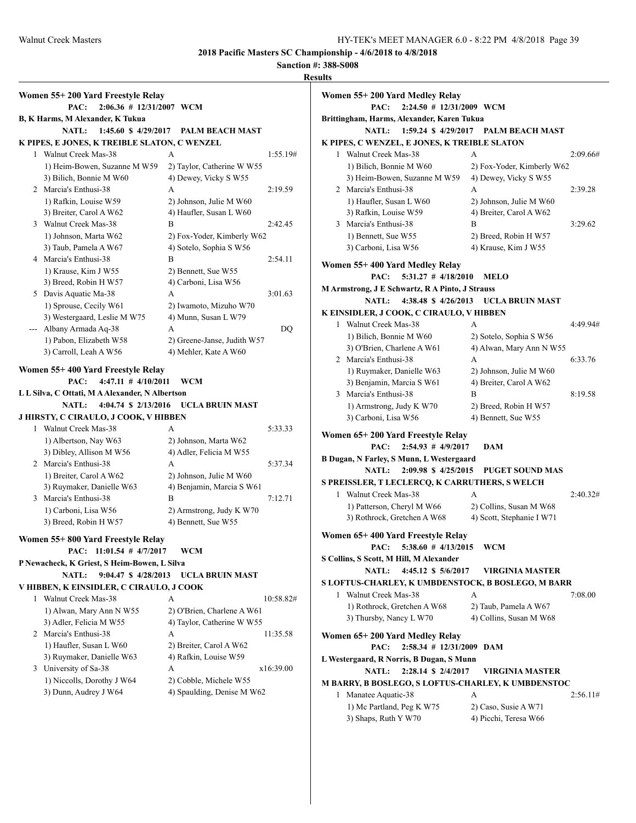#### **Sanction #: 388-S008**

Walnut Creek Masters **HY-TEK's MEET MANAGER 6.0 - 8:22 PM 4/8/2018** Page 39 **Results Women 55+ 200 Yard Freestyle Relay PAC: 2:06.36 # 12/31/2007 WCM B, K Harms, M Alexander, K Tukua NATL: 1:45.60 \$ 4/29/2017 PALM BEACH MAST K PIPES, E JONES, K TREIBLE SLATON, C WENZEL** 1 Walnut Creek Mas-38 A 1:55.19# 1) Heim-Bowen, Suzanne M W59 2) Taylor, Catherine W W55 3) Bilich, Bonnie M W60 4) Dewey, Vicky S W55 2 Marcia's Enthusi-38 A 2:19.59 1) Rafkin, Louise W59 2) Johnson, Julie M W60 3) Breiter, Carol A W62 4) Haufler, Susan L W60 3 Walnut Creek Mas-38 B 2:42.45 1) Johnson, Marta W62 2) Fox-Yoder, Kimberly W62 3) Taub, Pamela A W67 4) Sotelo, Sophia S W56 4 Marcia's Enthusi-38 B 2:54.11 1) Krause, Kim J W55 2) Bennett, Sue W55 3) Breed, Robin H W57 4) Carboni, Lisa W56 5 Davis Aquatic Ma-38 A 3:01.63 1) Sprouse, Cecily W61 2) Iwamoto, Mizuho W70 3) Westergaard, Leslie M W75 4) Munn, Susan L W79 --- Albany Armada Aq-38 A DQ 1) Pabon, Elizabeth W58 2) Greene-Janse, Judith W57 3) Carroll, Leah A W56 4) Mehler, Kate A W60 **Women 55+ 400 Yard Freestyle Relay PAC: 4:47.11 # 4/10/2011 WCM L L Silva, C Ottati, M A Alexander, N Albertson NATL: 4:04.74 \$ 2/13/2016 UCLA BRUIN MAST J HIRSTY, C CIRAULO, J COOK, V HIBBEN** 1 Walnut Creek Mas-38 A 5:33.33 1) Albertson, Nay W63 2) Johnson, Marta W62 3) Dibley, Allison M W56 4) Adler, Felicia M W55 2 Marcia's Enthusi-38 A 5:37.34 1) Breiter, Carol A W62 2) Johnson, Julie M W60 3) Ruymaker, Danielle W63 4) Benjamin, Marcia S W61 3 Marcia's Enthusi-38 B 7:12.71 1) Carboni, Lisa W56 2) Armstrong, Judy K W70 3) Breed, Robin H W57 4) Bennett, Sue W55 **Women 55+ 800 Yard Freestyle Relay PAC: 11:01.54 # 4/7/2017 WCM P Newacheck, K Griest, S Heim-Bowen, L Silva NATL: 9:04.47 \$ 4/28/2013 UCLA BRUIN MAST V HIBBEN, K EINSIDLER, C CIRAULO, J COOK** 1 Walnut Creek Mas-38 A 10:58.82# 1) Alwan, Mary Ann N W55 2) O'Brien, Charlene A W61 3) Adler, Felicia M W55 4) Taylor, Catherine W W55 2 Marcia's Enthusi-38 A 11:35.58 1) Haufler, Susan L W60 2) Breiter, Carol A W62 3) Ruymaker, Danielle W63 4) Rafkin, Louise W59 3 University of Sa-38 A x16:39.00 1) Niccolls, Dorothy J W64 2) Cobble, Michele W55

3) Dunn, Audrey J W64  $\qquad$  4) Spaulding, Denise M W62

**Women 55+ 200 Yard Medley Relay PAC: 2:24.50 # 12/31/2009 WCM Brittingham, Harms, Alexander, Karen Tukua NATL: 1:59.24 \$ 4/29/2017 PALM BEACH MAST K PIPES, C WENZEL, E JONES, K TREIBLE SLATON** 1 Walnut Creek Mas-38 A 2:09.66# 1) Bilich, Bonnie M W60 2) Fox-Yoder, Kimberly W62 3) Heim-Bowen, Suzanne M W59 4) Dewey, Vicky S W55 2 Marcia's Enthusi-38 A 2:39.28 1) Haufler, Susan L W60 2) Johnson, Julie M W60 3) Rafkin, Louise W59 4) Breiter, Carol A W62 3 Marcia's Enthusi-38 B 3:29.62 1) Bennett, Sue W55 2) Breed, Robin H W57 3) Carboni, Lisa W56 4) Krause, Kim J W55 **Women 55+ 400 Yard Medley Relay PAC: 5:31.27 # 4/18/2010 MELO M Armstrong, J E Schwartz, R A Pinto, J Strauss NATL: 4:38.48 \$ 4/26/2013 UCLA BRUIN MAST K EINSIDLER, J COOK, C CIRAULO, V HIBBEN** 1 Walnut Creek Mas-38 A 4:49.94# 1) Bilich, Bonnie M W60 2) Sotelo, Sophia S W56 3) O'Brien, Charlene A W61 4) Alwan, Mary Ann N W55 2 Marcia's Enthusi-38 A 6:33.76 1) Ruymaker, Danielle W63 2) Johnson, Julie M W60 3) Benjamin, Marcia S W61 4) Breiter, Carol A W62 3 Marcia's Enthusi-38 B 8:19.58 1) Armstrong, Judy K W70 2) Breed, Robin H W57 3) Carboni, Lisa W56 4) Bennett, Sue W55 **Women 65+ 200 Yard Freestyle Relay PAC: 2:54.93 # 4/9/2017 DAM B Dugan, N Farley, S Munn, L Westergaard NATL: 2:09.98 \$ 4/25/2015 PUGET SOUND MAS S PREISSLER, T LECLERCQ, K CARRUTHERS, S WELCH** 1 Walnut Creek Mas-38 A 2:40.32# 1) Patterson, Cheryl M W66 2) Collins, Susan M W68 3) Rothrock, Gretchen A W68 4) Scott, Stephanie I W71 **Women 65+ 400 Yard Freestyle Relay PAC: 5:38.60 # 4/13/2015 WCM S Collins, S Scott, M Hill, M Alexander NATL: 4:45.12 \$ 5/6/2017 VIRGINIA MASTER S LOFTUS-CHARLEY, K UMBDENSTOCK, B BOSLEGO, M BARR** 1 Walnut Creek Mas-38 A 7:08.00 1) Rothrock, Gretchen A W68 2) Taub, Pamela A W67 3) Thursby, Nancy L W70 4) Collins, Susan M W68 **Women 65+ 200 Yard Medley Relay PAC: 2:58.34 # 12/31/2009 DAM L Westergaard, R Norris, B Dugan, S Munn NATL: 2:28.14 \$ 2/4/2017 VIRGINIA MASTER M BARRY, B BOSLEGO, S LOFTUS-CHARLEY, K UMBDENSTOC** 1 Manatee Aquatic-38 A 2:56.11# 1) Mc Partland, Peg K W75 2) Caso, Susie A W71 3) Shaps, Ruth Y W70 4) Picchi, Teresa W66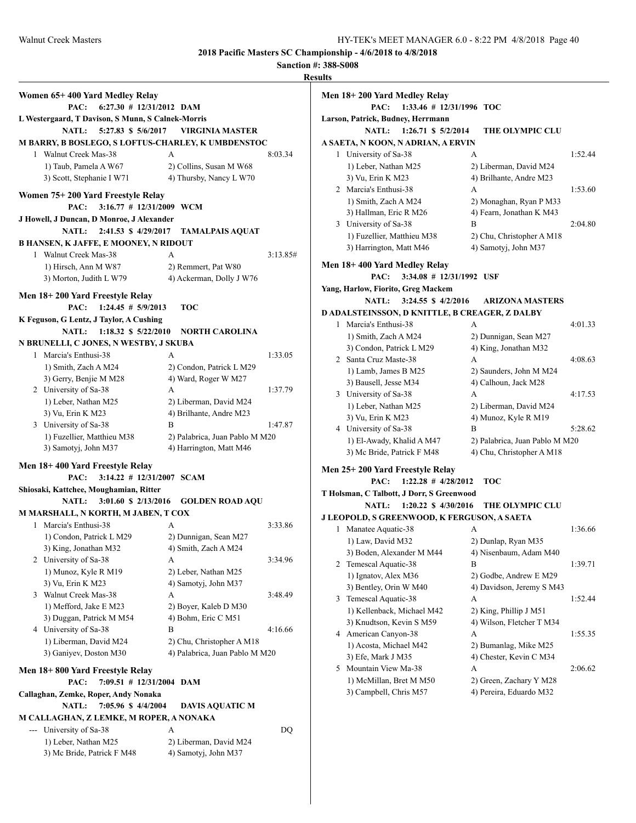**Sanction #: 388-S008 Results**

|                                                    |                                | K        |
|----------------------------------------------------|--------------------------------|----------|
| Women 65+400 Yard Medley Relay                     |                                |          |
| $6:27.30$ # 12/31/2012 DAM<br>PAC:                 |                                |          |
| L Westergaard, T Davison, S Munn, S Calnek-Morris  |                                |          |
| 5:27.83 \$ 5/6/2017<br><b>NATL:</b>                | <b>VIRGINIA MASTER</b>         |          |
| M BARRY, B BOSLEGO, S LOFTUS-CHARLEY, K UMBDENSTOC |                                |          |
| 1 Walnut Creek Mas-38                              | A                              | 8:03.34  |
| 1) Taub, Pamela A W67                              | 2) Collins, Susan M W68        |          |
| 3) Scott, Stephanie I W71                          | 4) Thursby, Nancy L W70        |          |
|                                                    |                                |          |
| Women 75+ 200 Yard Freestyle Relay                 |                                |          |
| 3:16.77 # 12/31/2009 WCM<br>PAC:                   |                                |          |
| J Howell, J Duncan, D Monroe, J Alexander          |                                |          |
| 2:41.53 \$ 4/29/2017<br><b>NATL:</b>               | <b>TAMALPAIS AQUAT</b>         |          |
| <b>B HANSEN, K JAFFE, E MOONEY, N RIDOUT</b>       |                                |          |
| 1 Walnut Creek Mas-38                              | A                              | 3:13.85# |
| 1) Hirsch, Ann M W87                               | 2) Remmert, Pat W80            |          |
| 3) Morton, Judith L W79                            | 4) Ackerman, Dolly J W76       |          |
| Men 18+200 Yard Freestyle Relay                    |                                |          |
| $1:24.45$ # $5/9/2013$<br>PAC:                     | TOC                            |          |
| K Feguson, G Lentz, J Taylor, A Cushing            |                                |          |
| NATL: 1:18.32 \$ 5/22/2010                         | <b>NORTH CAROLINA</b>          |          |
| N BRUNELLI, C JONES, N WESTBY, J SKUBA             |                                |          |
| 1 Marcia's Enthusi-38                              | A                              | 1:33.05  |
| 1) Smith, Zach A M24                               | 2) Condon, Patrick L M29       |          |
| 3) Gerry, Benjie M M28                             | 4) Ward, Roger W M27           |          |
| 2 University of Sa-38                              | A                              | 1:37.79  |
| 1) Leber, Nathan M25                               | 2) Liberman, David M24         |          |
| 3) Vu, Erin K M23                                  | 4) Brilhante, Andre M23        |          |
| 3 University of Sa-38                              | B                              | 1:47.87  |
| 1) Fuzellier, Matthieu M38                         | 2) Palabrica, Juan Pablo M M20 |          |
| 3) Samotyj, John M37                               | 4) Harrington, Matt M46        |          |
| Men 18+400 Yard Freestyle Relay                    |                                |          |
| $3:14.22 \# 12/31/2007$ SCAM<br>PAC:               |                                |          |
| Shiosaki, Kattchee, Moughamian, Ritter             |                                |          |
| <b>NATL:</b><br>3:01.60 \$ 2/13/2016               | <b>GOLDEN ROAD AQU</b>         |          |
| M MARSHALL, N KORTH, M JABEN, T COX                |                                |          |
| Marcia's Enthusi-38<br>1                           | A                              | 3:33.86  |
| 1) Condon, Patrick L M29                           | 2) Dunnigan, Sean M27          |          |
| 3) King, Jonathan M32                              | 4) Smith, Zach A M24           |          |
| 2 University of Sa-38                              | А                              | 3:34.96  |
| 1) Munoz, Kyle R M19                               | 2) Leber, Nathan M25           |          |
| 3) Vu, Erin K M23                                  | 4) Samotyj, John M37           |          |
| 3 Walnut Creek Mas-38                              | А                              | 3:48.49  |
| 1) Mefford, Jake E M23                             | 2) Boyer, Kaleb D M30          |          |
| 3) Duggan, Patrick M M54                           | 4) Bohm, Eric C M51            |          |
| 4 University of Sa-38                              | B                              | 4:16.66  |
| 1) Liberman, David M24                             | 2) Chu, Christopher A M18      |          |
| 3) Ganiyev, Doston M30                             | 4) Palabrica, Juan Pablo M M20 |          |
| Men 18+800 Yard Freestyle Relay                    |                                |          |
| PAC:<br>7:09.51 # 12/31/2004 DAM                   |                                |          |
| Callaghan, Zemke, Roper, Andy Nonaka               |                                |          |
| <b>NATL:</b><br>7:05.96 \$ 4/4/2004                | DAVIS AQUATIC M                |          |
| M CALLAGHAN, Z LEMKE, M ROPER, A NONAKA            |                                |          |
| --- University of Sa-38                            | А                              | DQ       |
|                                                    | 2) Liberman, David M24         |          |
| 1) Leber, Nathan M25<br>3) Mc Bride, Patrick F M48 | 4) Samotyj, John M37           |          |
|                                                    |                                |          |

|   | Men 18+ 200 Yard Medley Relay     |                                             |   |                                                 |         |
|---|-----------------------------------|---------------------------------------------|---|-------------------------------------------------|---------|
|   | PAC:                              | 1:33.46 # 12/31/1996 TOC                    |   |                                                 |         |
|   | Larson, Patrick, Budney, Herrmann |                                             |   |                                                 |         |
|   | <b>NATL:</b>                      | 1:26.71 \$ 5/2/2014                         |   | THE OLYMPIC CLU                                 |         |
|   |                                   | A SAETA, N KOON, N ADRIAN, A ERVIN          |   |                                                 |         |
|   | 1 University of Sa-38             |                                             | А |                                                 | 1:52.44 |
|   | 1) Leber, Nathan M25              |                                             |   | 2) Liberman, David M24                          |         |
|   | 3) Vu, Erin K M23                 |                                             |   | 4) Brilhante, Andre M23                         |         |
|   | 2 Marcia's Enthusi-38             |                                             | A |                                                 | 1:53.60 |
|   | 1) Smith, Zach A M24              |                                             |   | 2) Monaghan, Ryan P M33                         |         |
|   | 3) Hallman, Eric R M26            |                                             |   | 4) Fearn, Jonathan K M43                        |         |
|   | 3 University of Sa-38             |                                             | B |                                                 | 2:04.80 |
|   | 1) Fuzellier, Matthieu M38        |                                             |   | 2) Chu, Christopher A M18                       |         |
|   | 3) Harrington, Matt M46           |                                             |   | 4) Samotyj, John M37                            |         |
|   | Men 18+ 400 Yard Medley Relay     |                                             |   |                                                 |         |
|   | PAC:                              | 3:34.08 # 12/31/1992 USF                    |   |                                                 |         |
|   |                                   | Yang, Harlow, Fiorito, Greg Mackem          |   |                                                 |         |
|   | NATL:                             | 3:24.55 \$ 4/2/2016                         |   | <b>ARIZONA MASTERS</b>                          |         |
|   |                                   |                                             |   | D ADALSTEINSSON, D KNITTLE, B CREAGER, Z DALBY  |         |
| 1 | Marcia's Enthusi-38               |                                             | A |                                                 | 4:01.33 |
|   | 1) Smith, Zach A M24              |                                             |   | 2) Dunnigan, Sean M27                           |         |
|   | 3) Condon, Patrick L M29          |                                             |   | 4) King, Jonathan M32                           |         |
|   | 2 Santa Cruz Maste-38             |                                             | A |                                                 | 4:08.63 |
|   |                                   |                                             |   |                                                 |         |
|   | 1) Lamb, James B M25              |                                             |   | 2) Saunders, John M M24<br>4) Calhoun, Jack M28 |         |
|   | 3) Bausell, Jesse M34             |                                             |   |                                                 |         |
|   | 3 University of Sa-38             |                                             | A |                                                 | 4:17.53 |
|   | 1) Leber, Nathan M25              |                                             |   | 2) Liberman, David M24                          |         |
|   | 3) Vu, Erin K M23                 |                                             |   | 4) Munoz, Kyle R M19                            |         |
|   | 4 University of Sa-38             |                                             | B |                                                 | 5:28.62 |
|   | 1) El-Awady, Khalid A M47         |                                             |   | 2) Palabrica, Juan Pablo M M20                  |         |
|   | 3) Mc Bride, Patrick F M48        |                                             |   | 4) Chu, Christopher A M18                       |         |
|   |                                   | Men 25+ 200 Yard Freestyle Relay            |   |                                                 |         |
|   | PAC:                              | $1:22.28$ # $4/28/2012$                     |   | TOC                                             |         |
|   |                                   | T Holsman, C Talbott, J Dorr, S Greenwood   |   |                                                 |         |
|   | <b>NATL:</b>                      | $1:20.22 \text{ } $4/30/2016$               |   | <b>THE OLYMPIC CLU</b>                          |         |
|   |                                   | J LEOPOLD, S GREENWOOD, K FERGUSON, A SAETA |   |                                                 |         |
| 1 | Manatee Aquatic-38                |                                             | A |                                                 | 1:36.66 |
|   | 1) Law, David M32                 |                                             |   | 2) Dunlap, Ryan M35                             |         |
|   | 3) Boden, Alexander M M44         |                                             |   | 4) Nisenbaum, Adam M40                          |         |
| 2 | Temescal Aquatic-38               |                                             | B |                                                 | 1:39.71 |
|   | 1) Ignatov, Alex M36              |                                             |   | 2) Godbe, Andrew E M29                          |         |
|   | 3) Bentley, Orin W M40            |                                             |   | 4) Davidson, Jeremy S M43                       |         |
| 3 | Temescal Aquatic-38               |                                             | A |                                                 | 1:52.44 |
|   | 1) Kellenback, Michael M42        |                                             |   | 2) King, Phillip J M51                          |         |
|   | 3) Knudtson, Kevin S M59          |                                             |   | 4) Wilson, Fletcher T M34                       |         |
| 4 | American Canyon-38                |                                             | А |                                                 | 1:55.35 |
|   | 1) Acosta, Michael M42            |                                             |   | 2) Bumanlag, Mike M25                           |         |
|   | 3) Efe, Mark J M35                |                                             |   | 4) Chester, Kevin C M34                         |         |
| 5 | Mountain View Ma-38               |                                             | А |                                                 | 2:06.62 |
|   | 1) McMillan, Bret M M50           |                                             |   | 2) Green, Zachary Y M28                         |         |
|   | 3) Campbell, Chris M57            |                                             |   | 4) Pereira, Eduardo M32                         |         |
|   |                                   |                                             |   |                                                 |         |
|   |                                   |                                             |   |                                                 |         |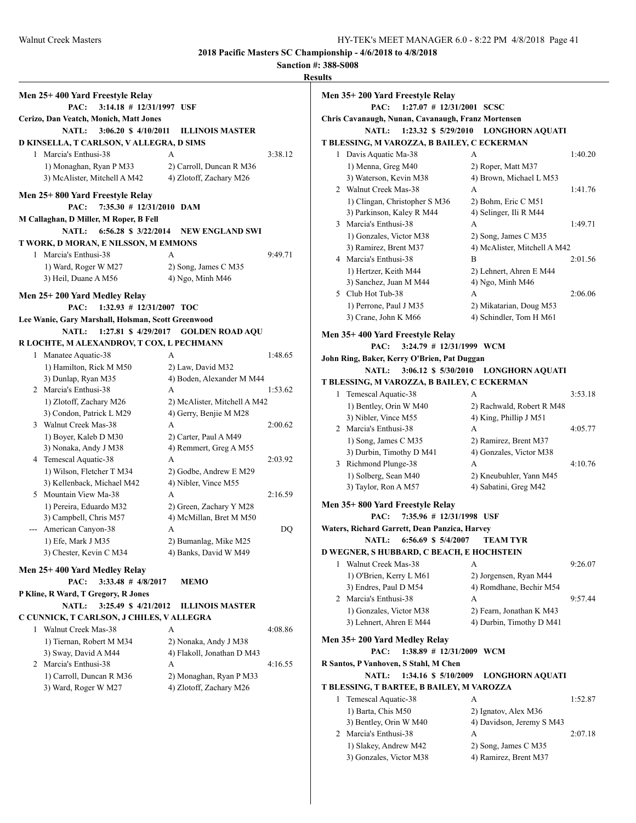**Sanction #: 388-S008 Results Men 25+ 400 Yard Freestyle Relay PAC: 3:14.18 # 12/31/1997 USF Cerizo, Dan Veatch, Monich, Matt Jones NATL: 3:06.20 \$ 4/10/2011 ILLINOIS MASTER D KINSELLA, T CARLSON, V ALLEGRA, D SIMS** 1 Marcia's Enthusi-38 A 3:38.12 1) Monaghan, Ryan P M33 2) Carroll, Duncan R M36 3) McAlister, Mitchell A M42 4) Zlotoff, Zachary M26 **Men 25+ 800 Yard Freestyle Relay PAC: 7:35.30 # 12/31/2010 DAM M Callaghan, D Miller, M Roper, B Fell NATL: 6:56.28 \$ 3/22/2014 NEW ENGLAND SWI T WORK, D MORAN, E NILSSON, M EMMONS** 1 Marcia's Enthusi-38 A 9:49.71 1) Ward, Roger W M27 2) Song, James C M35 3) Heil, Duane A M56 4) Ngo, Minh M46 **Men 25+ 200 Yard Medley Relay PAC: 1:32.93 # 12/31/2007 TOC Lee Wanie, Gary Marshall, Holsman, Scott Greenwood NATL: 1:27.81 \$ 4/29/2017 GOLDEN ROAD AQU R LOCHTE, M ALEXANDROV, T COX, L PECHMANN** 1 Manatee Aquatic-38 A 1:48.65 1) Hamilton, Rick M M50 2) Law, David M32 3) Dunlap, Ryan M35 4) Boden, Alexander M M44 2 Marcia's Enthusi-38 A 1:53.62 1) Zlotoff, Zachary M26 2) McAlister, Mitchell A M42 3) Condon, Patrick L M29 4) Gerry, Benjie M M28 3 Walnut Creek Mas-38 A 2:00.62 1) Boyer, Kaleb D M30 2) Carter, Paul A M49 3) Nonaka, Andy J M38 4) Remmert, Greg A M55 4 Temescal Aquatic-38 A 2:03.92 1) Wilson, Fletcher T M34 2) Godbe, Andrew E M29 3) Kellenback, Michael M42 4) Nibler, Vince M55 5 Mountain View Ma-38 A 2:16.59 1) Pereira, Eduardo M32 2) Green, Zachary Y M28 3) Campbell, Chris M57 4) McMillan, Bret M M50 --- American Canyon-38 A DQ 1) Efe, Mark J M35 2) Bumanlag, Mike M25 3) Chester, Kevin C M34 4) Banks, David W M49 **Men 25+ 400 Yard Medley Relay PAC: 3:33.48 # 4/8/2017 MEMO P Kline, R Ward, T Gregory, R Jones NATL: 3:25.49 \$ 4/21/2012 ILLINOIS MASTER C CUNNICK, T CARLSON, J CHILES, V ALLEGRA** 1 Walnut Creek Mas-38 A 4:08.86 1) Tiernan, Robert M M34 2) Nonaka, Andy J M38 3) Sway, David A M44 4 4) Flakoll, Jonathan D M43 2 Marcia's Enthusi-38 A 4:16.55 1) Carroll, Duncan R M36 2) Monaghan, Ryan P M33 3) Ward, Roger W M27 4) Zlotoff, Zachary M26

#### **Men 35+ 200 Yard Freestyle Relay PAC: 1:27.07 # 12/31/2001 SCSC Chris Cavanaugh, Nunan, Cavanaugh, Franz Mortensen NATL: 1:23.32 \$ 5/29/2010 LONGHORN AQUATI T BLESSING, M VAROZZA, B BAILEY, C ECKERMAN** 1 Davis Aquatic Ma-38 A 1:40.20 1) Menna, Greg M40 2) Roper, Matt M37 3) Waterson, Kevin M38 4) Brown, Michael L M53 2 Walnut Creek Mas-38 A 1:41.76 1) Clingan, Christopher S M36 2) Bohm, Eric C M51 3) Parkinson, Kaley R M44 4) Selinger, Ili R M44 3 Marcia's Enthusi-38 A 1:49.71 1) Gonzales, Victor M38 2) Song, James C M35 3) Ramirez, Brent M37 4) McAlister, Mitchell A M42 4 Marcia's Enthusi-38 B 2:01.56 1) Hertzer, Keith M44 2) Lehnert, Ahren E M44 3) Sanchez, Juan M M44  $\qquad$  4) Ngo, Minh M46 5 Club Hot Tub-38 A 2:06.06 1) Perrone, Paul J M35 2) Mikatarian, Doug M53 3) Crane, John K M66 4) Schindler, Tom H M61 **Men 35+ 400 Yard Freestyle Relay PAC: 3:24.79 # 12/31/1999 WCM John Ring, Baker, Kerry O'Brien, Pat Duggan NATL: 3:06.12 \$ 5/30/2010 LONGHORN AQUATI T BLESSING, M VAROZZA, B BAILEY, C ECKERMAN** 1 Temescal Aquatic-38 A 3:53.18 1) Bentley, Orin W M40 2) Rachwald, Robert R M48 3) Nibler, Vince  $M55$  4) King, Phillip J  $M51$ 2 Marcia's Enthusi-38 A 4:05.77 1) Song, James C M35 2) Ramirez, Brent M37 3) Durbin, Timothy D M41 4) Gonzales, Victor M38 3 Richmond Plunge-38 A 4:10.76 1) Solberg, Sean M40 2) Kneubuhler, Yann M45 3) Taylor, Ron A M57 4) Sabatini, Greg M42 **Men 35+ 800 Yard Freestyle Relay PAC: 7:35.96 # 12/31/1998 USF Waters, Richard Garrett, Dean Panzica, Harvey NATL: 6:56.69 \$ 5/4/2007 TEAM TYR D WEGNER, S HUBBARD, C BEACH, E HOCHSTEIN** 1 Walnut Creek Mas-38 A 9:26.07 1) O'Brien, Kerry L M61 2) Jorgensen, Ryan M44 3) Endres, Paul D M54 4) Romdhane, Bechir M54 2 Marcia's Enthusi-38 A 9:57.44 1) Gonzales, Victor M38 2) Fearn, Jonathan K M43 3) Lehnert, Ahren E M44 4) Durbin, Timothy D M41 **Men 35+ 200 Yard Medley Relay PAC: 1:38.89 # 12/31/2009 WCM R Santos, P Vanhoven, S Stahl, M Chen NATL: 1:34.16 \$ 5/10/2009 LONGHORN AQUATI T BLESSING, T BARTEE, B BAILEY, M VAROZZA** 1 Temescal Aquatic-38 A 1:52.87 1) Barta, Chis M50 2) Ignatov, Alex M36 3) Bentley, Orin W M40 4) Davidson, Jeremy S M43 2 Marcia's Enthusi-38 A 2:07.18 1) Slakey, Andrew M42 2) Song, James C M35

3) Gonzales, Victor M38 4) Ramirez, Brent M37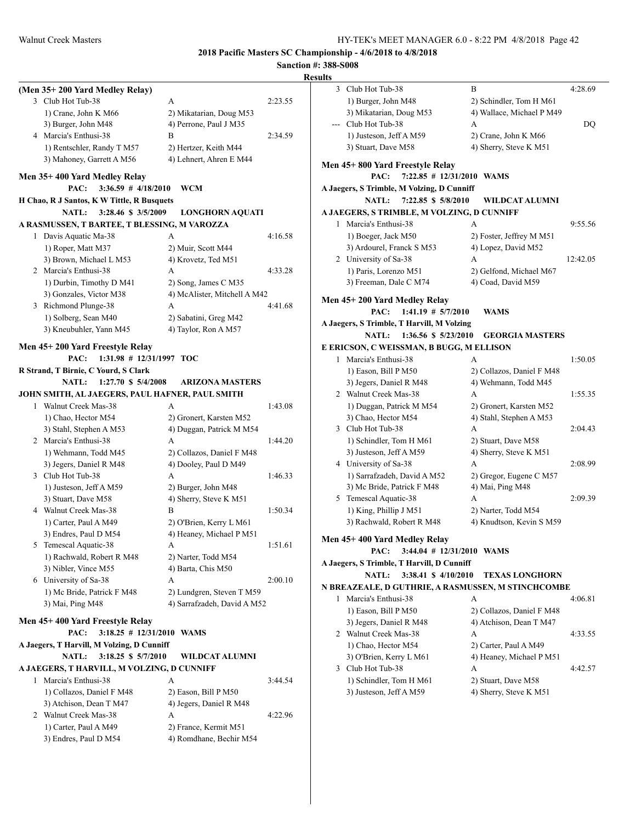|   | (Men 35+200 Yard Medley Relay)                    |                                           |         |
|---|---------------------------------------------------|-------------------------------------------|---------|
|   | 3 Club Hot Tub-38                                 | A                                         | 2:23.55 |
|   | 1) Crane, John K M66                              | 2) Mikatarian, Doug M53                   |         |
|   | 3) Burger, John M48                               | 4) Perrone, Paul J M35                    |         |
|   | 4 Marcia's Enthusi-38                             | B                                         | 2:34.59 |
|   | 1) Rentschler, Randy T M57                        | 2) Hertzer, Keith M44                     |         |
|   | 3) Mahoney, Garrett A M56                         | 4) Lehnert, Ahren E M44                   |         |
|   | Men 35+400 Yard Medley Relay                      |                                           |         |
|   | PAC:<br>$3:36.59$ # $4/18/2010$                   | <b>WCM</b>                                |         |
|   | H Chao, R J Santos, K W Tittle, R Busquets        |                                           |         |
|   | <b>NATL:</b><br>3:28.46 \$ 3/5/2009               | <b>LONGHORN AQUATI</b>                    |         |
|   | A RASMUSSEN, T BARTEE, T BLESSING, M VAROZZA      |                                           |         |
|   | 1 Davis Aquatic Ma-38                             | A                                         | 4:16.58 |
|   | 1) Roper, Matt M37                                | 2) Muir, Scott M44                        |         |
|   | 3) Brown, Michael L M53                           | 4) Krovetz, Ted M51                       |         |
|   | 2 Marcia's Enthusi-38                             | A                                         | 4:33.28 |
|   | 1) Durbin, Timothy D M41                          | 2) Song, James C M35                      |         |
|   | 3) Gonzales, Victor M38                           | 4) McAlister, Mitchell A M42              |         |
|   | 3 Richmond Plunge-38                              | A                                         | 4:41.68 |
|   | 1) Solberg, Sean M40                              | 2) Sabatini, Greg M42                     |         |
|   | 3) Kneubuhler, Yann M45                           | 4) Taylor, Ron A M57                      |         |
|   |                                                   |                                           |         |
|   | Men 45+200 Yard Freestyle Relay                   |                                           |         |
|   | PAC:<br>$1:31.98$ # $12/31/1997$ TOC              |                                           |         |
|   | R Strand, T Birnie, C Yourd, S Clark              |                                           |         |
|   | <b>NATL:</b><br>$1:27.70$ \$ $5/4/2008$           | <b>ARIZONA MASTERS</b>                    |         |
|   | JOHN SMITH, AL JAEGERS, PAUL HAFNER, PAUL SMITH   |                                           |         |
|   | 1 Walnut Creek Mas-38                             | A                                         | 1:43.08 |
|   | 1) Chao, Hector M54                               | 2) Gronert, Karsten M52                   |         |
|   | 3) Stahl, Stephen A M53                           | 4) Duggan, Patrick M M54                  |         |
|   | 2 Marcia's Enthusi-38                             | A                                         | 1:44.20 |
|   | 1) Wehmann, Todd M45                              | 2) Collazos, Daniel F M48                 |         |
|   | 3) Jegers, Daniel R M48                           | 4) Dooley, Paul D M49                     |         |
|   | 3 Club Hot Tub-38                                 | A                                         | 1:46.33 |
|   | 1) Justeson, Jeff A M59                           | 2) Burger, John M48                       |         |
|   | 3) Stuart, Dave M58                               | 4) Sherry, Steve K M51                    |         |
|   | 4 Walnut Creek Mas-38                             | В                                         | 1:50.34 |
|   | 1) Carter, Paul A M49                             | 2) O'Brien, Kerry L M61                   |         |
|   | 3) Endres, Paul D M54                             | 4) Heaney, Michael P M51                  |         |
| 5 | Temescal Aquatic-38                               | A                                         | 1:51.61 |
|   | 1) Rachwald, Robert R M48<br>3) Nibler, Vince M55 | 2) Narter, Todd M54<br>4) Barta, Chis M50 |         |
|   | 6 University of Sa-38                             | A                                         | 2:00.10 |
|   | 1) Mc Bride, Patrick F M48                        | 2) Lundgren, Steven T M59                 |         |
|   | 3) Mai, Ping M48                                  | 4) Sarrafzadeh, David A M52               |         |
|   |                                                   |                                           |         |
|   | Men 45+400 Yard Freestyle Relay                   |                                           |         |
|   | PAC:<br>$3:18.25 \# 12/31/2010$ WAMS              |                                           |         |
|   | A Jaegers, T Harvill, M Volzing, D Cunniff        |                                           |         |
|   | NATL:<br>3:18.25 \$ 5/7/2010                      | <b>WILDCAT ALUMNI</b>                     |         |
|   | A JAEGERS, T HARVILL, M VOLZING, D CUNNIFF        |                                           |         |
| 1 | Marcia's Enthusi-38                               | A                                         | 3:44.54 |
|   | 1) Collazos, Daniel F M48                         | 2) Eason, Bill P M50                      |         |
|   | 3) Atchison, Dean T M47                           | 4) Jegers, Daniel R M48                   |         |
|   | 2 Walnut Creek Mas-38                             | A                                         | 4:22.96 |
|   | 1) Carter, Paul A M49                             | 2) France, Kermit M51                     |         |
|   | 3) Endres, Paul D M54                             | 4) Romdhane, Bechir M54                   |         |
|   |                                                   |                                           |         |

|              | 3 Club Hot Tub-38                          | B                                                  | 4:28.69  |
|--------------|--------------------------------------------|----------------------------------------------------|----------|
|              | 1) Burger, John M48                        | 2) Schindler, Tom H M61                            |          |
|              | 3) Mikatarian, Doug M53                    | 4) Wallace, Michael P M49                          |          |
| $---$        | Club Hot Tub-38                            | А                                                  | DQ       |
|              | 1) Justeson, Jeff A M59                    | 2) Crane, John K M66                               |          |
|              | 3) Stuart, Dave M58                        | 4) Sherry, Steve K M51                             |          |
|              |                                            |                                                    |          |
|              | Men 45+800 Yard Freestyle Relay<br>PAC:    | 7:22.85 # 12/31/2010 WAMS                          |          |
|              | A Jaegers, S Trimble, M Volzing, D Cunniff |                                                    |          |
|              | 7:22.85 \$ 5/8/2010<br><b>NATL:</b>        | WILDCAT ALUMNI                                     |          |
|              | A JAEGERS, S TRIMBLE, M VOLZING, D CUNNIFF |                                                    |          |
|              | 1 Marcia's Enthusi-38                      | A                                                  | 9:55.56  |
|              | 1) Boeger, Jack M50                        | 2) Foster, Jeffrey M M51                           |          |
|              | 3) Ardourel, Franck S M53                  | 4) Lopez, David M52                                |          |
|              | 2 University of Sa-38                      | A                                                  | 12:42.05 |
|              | 1) Paris, Lorenzo M51                      | 2) Gelfond, Michael M67                            |          |
|              | 3) Freeman, Dale C M74                     | 4) Coad, David M59                                 |          |
|              |                                            |                                                    |          |
|              | Men 45+ 200 Yard Medley Relay              |                                                    |          |
|              | $1:41.19$ # $5/7/2010$<br>PAC:             | <b>WAMS</b>                                        |          |
|              | A Jaegers, S Trimble, T Harvill, M Volzing |                                                    |          |
|              | NATL:<br>1:36.56 \$ 5/23/2010              | <b>GEORGIA MASTERS</b>                             |          |
|              | E ERICSON, C WEISSMAN, B BUGG, M ELLISON   |                                                    |          |
| $\mathbf{1}$ | Marcia's Enthusi-38                        | А                                                  | 1:50.05  |
|              | 1) Eason, Bill P M50                       | 2) Collazos, Daniel F M48                          |          |
|              | 3) Jegers, Daniel R M48                    | 4) Wehmann, Todd M45                               |          |
|              | 2 Walnut Creek Mas-38                      | A                                                  | 1:55.35  |
|              | 1) Duggan, Patrick M M54                   | 2) Gronert, Karsten M52                            |          |
|              | 3) Chao, Hector M54                        | 4) Stahl, Stephen A M53                            |          |
|              | 3 Club Hot Tub-38                          | A                                                  | 2:04.43  |
|              | 1) Schindler, Tom H M61                    | 2) Stuart, Dave M58                                |          |
|              | 3) Justeson, Jeff A M59                    | 4) Sherry, Steve K M51                             |          |
|              | 4 University of Sa-38                      | А                                                  | 2:08.99  |
|              | 1) Sarrafzadeh, David A M52                | 2) Gregor, Eugene C M57                            |          |
|              | 3) Mc Bride, Patrick F M48                 | 4) Mai, Ping M48                                   |          |
| 5            | Temescal Aquatic-38                        | A                                                  | 2:09.39  |
|              | 1) King, Phillip J M51                     | 2) Narter, Todd M54                                |          |
|              | 3) Rachwald, Robert R M48                  | 4) Knudtson, Kevin S M59                           |          |
|              | Men 45+ 400 Yard Medley Relay              |                                                    |          |
|              | PAC: 3:44.04 # 12/31/2010 WAMS             |                                                    |          |
|              | A Jaegers, S Trimble, T Harvill, D Cunniff |                                                    |          |
|              | NATL:<br>3:38.41 \$ 4/10/2010              | <b>TEXAS LONGHORN</b>                              |          |
|              |                                            | N BREAZEALE, D GUTHRIE, A RASMUSSEN, M STINCHCOMBE |          |
| 1            | Marcia's Enthusi-38                        | А                                                  | 4:06.81  |
|              | 1) Eason, Bill P M50                       | 2) Collazos, Daniel F M48                          |          |
|              | 3) Jegers, Daniel R M48                    | 4) Atchison, Dean T M47                            |          |
| 2            | Walnut Creek Mas-38                        | А                                                  | 4:33.55  |
|              | 1) Chao, Hector M54                        | 2) Carter, Paul A M49                              |          |
|              | 3) O'Brien, Kerry L M61                    | 4) Heaney, Michael P M51                           |          |
| 3            | Club Hot Tub-38                            | А                                                  | 4:42.57  |
|              | 1) Schindler, Tom H M61                    | 2) Stuart, Dave M58                                |          |
|              | 3) Justeson, Jeff A M59                    | 4) Sherry, Steve K M51                             |          |
|              |                                            |                                                    |          |
|              |                                            |                                                    |          |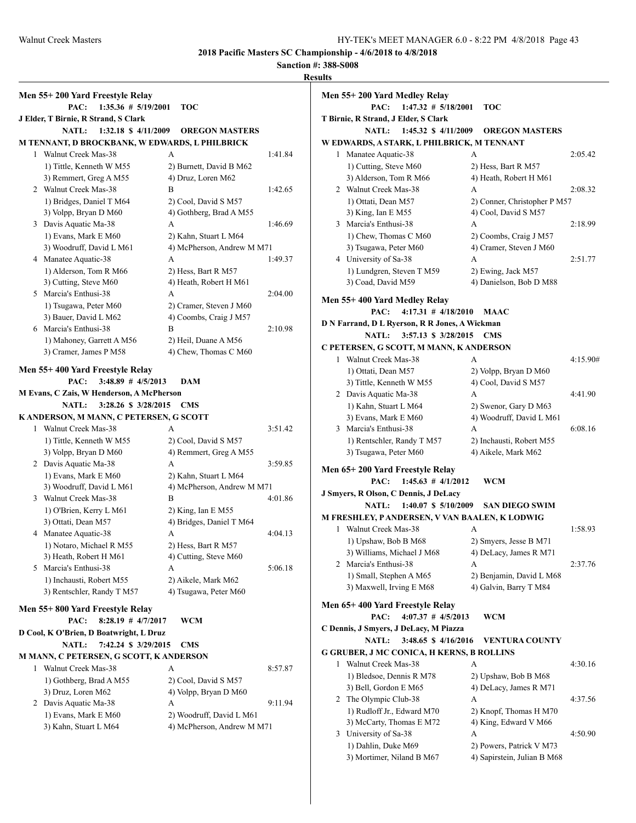|   | Men 55+200 Yard Freestyle Relay                |                            |         |
|---|------------------------------------------------|----------------------------|---------|
|   | $1:35.36 \# 5/19/2001$<br>PAC:                 | TOC                        |         |
|   | J Elder, T Birnie, R Strand, S Clark           |                            |         |
|   | <b>NATL:</b><br>$1:32.18 \text{ s } 4/11/2009$ | <b>OREGON MASTERS</b>      |         |
|   | M TENNANT, D BROCKBANK, W EDWARDS, L PHILBRICK |                            |         |
| 1 | Walnut Creek Mas-38                            | A                          | 1:41.84 |
|   | 1) Tittle, Kenneth W M55                       | 2) Burnett, David B M62    |         |
|   | 3) Remmert, Greg A M55                         | 4) Druz, Loren M62         |         |
|   | 2 Walnut Creek Mas-38                          | B                          | 1:42.65 |
|   | 1) Bridges, Daniel T M64                       | 2) Cool, David S M57       |         |
|   | 3) Volpp, Bryan D M60                          | 4) Gothberg, Brad A M55    |         |
|   | 3 Davis Aquatic Ma-38                          | A                          | 1:46.69 |
|   | 1) Evans, Mark E M60                           | 2) Kahn, Stuart L M64      |         |
|   | 3) Woodruff, David L M61                       | 4) McPherson, Andrew M M71 |         |
|   | 4 Manatee Aquatic-38                           | A                          | 1:49.37 |
|   | 1) Alderson, Tom R M66                         | 2) Hess, Bart R M57        |         |
|   | 3) Cutting, Steve M60                          | 4) Heath, Robert H M61     |         |
|   | 5 Marcia's Enthusi-38                          | A                          | 2:04.00 |
|   | 1) Tsugawa, Peter M60                          | 2) Cramer, Steven J M60    |         |
|   | 3) Bauer, David L M62                          | 4) Coombs, Craig J M57     |         |
|   | 6 Marcia's Enthusi-38                          | В                          | 2:10.98 |
|   | 1) Mahoney, Garrett A M56                      | 2) Heil, Duane A M56       |         |
|   | 3) Cramer, James P M58                         | 4) Chew, Thomas C M60      |         |
|   | Men 55+400 Yard Freestyle Relay                |                            |         |
|   | $3:48.89$ # $4/5/2013$<br>PAC:                 | <b>DAM</b>                 |         |
|   | M Evans, C Zais, W Henderson, A McPherson      |                            |         |
|   | NATL:<br>3:28.26 \$ 3/28/2015                  | <b>CMS</b>                 |         |
|   | K ANDERSON, M MANN, C PETERSEN, G SCOTT        |                            |         |
| 1 | Walnut Creek Mas-38                            | A                          | 3:51.42 |
|   | 1) Tittle, Kenneth W M55                       | 2) Cool, David S M57       |         |
|   | 3) Volpp, Bryan D M60                          | 4) Remmert, Greg A M55     |         |
|   | 2 Davis Aquatic Ma-38                          | A                          | 3:59.85 |
|   | 1) Evans, Mark E M60                           | 2) Kahn, Stuart L M64      |         |
|   | 3) Woodruff, David L M61                       | 4) McPherson, Andrew M M71 |         |
|   | 3 Walnut Creek Mas-38                          | B                          | 4:01.86 |
|   | 1) O'Brien, Kerry L M61                        | 2) King, Ian E M55         |         |
|   | 3) Ottati, Dean M57                            | 4) Bridges, Daniel T M64   |         |
|   | 4 Manatee Aquatic-38                           | А                          | 4:04.13 |
|   | 1) Notaro, Michael R M55                       | 2) Hess, Bart R M57        |         |
|   | 3) Heath, Robert H M61                         | 4) Cutting, Steve M60      |         |
|   | 5 Marcia's Enthusi-38                          | A                          | 5:06.18 |
|   | 1) Inchausti, Robert M55                       | 2) Aikele, Mark M62        |         |
|   | 3) Rentschler, Randy T M57                     | 4) Tsugawa, Peter M60      |         |
|   | Men 55+800 Yard Freestyle Relay                |                            |         |
|   | PAC:<br>$8:28.19$ # $4/7/2017$                 | WCM                        |         |
|   | D Cool, K O'Brien, D Boatwright, L Druz        |                            |         |
|   | 7:42.24 \$ 3/29/2015<br><b>NATL:</b>           | <b>CMS</b>                 |         |
|   | M MANN, C PETERSEN, G SCOTT, K ANDERSON        |                            |         |
| 1 | Walnut Creek Mas-38                            | A                          | 8:57.87 |
|   | 1) Gothberg, Brad A M55                        | 2) Cool, David S M57       |         |
|   | 3) Druz, Loren M62                             | 4) Volpp, Bryan D M60      |         |
|   | 2 Davis Aquatic Ma-38                          | A                          | 9:11.94 |
|   | 1) Evans, Mark E M60                           | 2) Woodruff, David L M61   |         |
|   | 3) Kahn, Stuart L M64                          | 4) McPherson, Andrew M M71 |         |
|   |                                                |                            |         |

|   | Men 55+ 200 Yard Medley Relay                                          |                              |          |
|---|------------------------------------------------------------------------|------------------------------|----------|
|   | PAC:<br>$1:47.32 \# 5/18/2001$<br>T Birnie, R Strand, J Elder, S Clark | <b>TOC</b>                   |          |
|   | <b>NATL:</b><br>$1:45.32 \text{ } $4/11/2009$                          | <b>OREGON MASTERS</b>        |          |
|   | W EDWARDS, A STARK, L PHILBRICK, M TENNANT                             |                              |          |
| 1 | Manatee Aquatic-38                                                     | A                            | 2:05.42  |
|   | 1) Cutting, Steve M60                                                  | 2) Hess, Bart R M57          |          |
|   | 3) Alderson, Tom R M66                                                 | 4) Heath, Robert H M61       |          |
| 2 | Walnut Creek Mas-38                                                    | A                            | 2:08.32  |
|   | 1) Ottati, Dean M57                                                    | 2) Conner, Christopher P M57 |          |
|   | 3) King, Ian E M55                                                     | 4) Cool, David S M57         |          |
|   | 3 Marcia's Enthusi-38                                                  | A                            | 2:18.99  |
|   | 1) Chew, Thomas C M60                                                  | 2) Coombs, Craig J M57       |          |
|   | 3) Tsugawa, Peter M60                                                  | 4) Cramer, Steven J M60      |          |
|   | 4 University of Sa-38                                                  | A                            | 2:51.77  |
|   | 1) Lundgren, Steven T M59                                              | 2) Ewing, Jack M57           |          |
|   | 3) Coad, David M59                                                     | 4) Danielson, Bob D M88      |          |
|   | Men 55+ 400 Yard Medley Relay                                          |                              |          |
|   | $4:17.31$ # $4/18/2010$<br>PAC:                                        | MAAC                         |          |
|   | D N Farrand, D L Ryerson, R R Jones, A Wickman                         |                              |          |
|   | NATL:<br>3:57.13 \$ 3/28/2015                                          | <b>CMS</b>                   |          |
|   | C PETERSEN, G SCOTT, M MANN, K ANDERSON                                |                              |          |
| 1 | Walnut Creek Mas-38                                                    | А                            | 4:15.90# |
|   | 1) Ottati, Dean M57                                                    | 2) Volpp, Bryan D M60        |          |
|   | 3) Tittle, Kenneth W M55                                               | 4) Cool, David S M57         |          |
|   | 2 Davis Aquatic Ma-38                                                  | A                            | 4:41.90  |
|   | 1) Kahn, Stuart L M64                                                  | 2) Swenor, Gary D M63        |          |
|   | 3) Evans, Mark E M60                                                   | 4) Woodruff, David L M61     |          |
|   | 3 Marcia's Enthusi-38                                                  | A                            | 6:08.16  |
|   | 1) Rentschler, Randy T M57                                             | 2) Inchausti, Robert M55     |          |
|   | 3) Tsugawa, Peter M60                                                  | 4) Aikele, Mark M62          |          |
|   | Men 65+ 200 Yard Freestyle Relay                                       |                              |          |
|   | $1:45.63$ # $4/1/2012$<br>PAC:                                         | <b>WCM</b>                   |          |
|   | J Smyers, R Olson, C Dennis, J DeLacy                                  |                              |          |
|   | <b>NATL:</b><br>$1:40.07 \text{ } $5/10/2009$                          | <b>SAN DIEGO SWIM</b>        |          |
|   | M FRESHLEY, PANDERSEN, V VAN BAALEN, K LODWIG                          |                              |          |
| 1 | Walnut Creek Mas-38                                                    | A                            | 1:58.93  |
|   | 1) Upshaw, Bob B M68                                                   | 2) Smyers, Jesse B M71       |          |
|   | 3) Williams, Michael J M68                                             | 4) DeLacy, James R M71       |          |
| 2 | Marcia's Enthusi-38                                                    | А                            | 2:37.76  |
|   | 1) Small, Stephen A M65                                                | 2) Benjamin, David L M68     |          |
|   | 3) Maxwell, Irving E M68                                               | 4) Galvin, Barry T M84       |          |
|   | Men 65+400 Yard Freestyle Relay                                        |                              |          |
|   | PAC:<br>$4:07.37$ # $4/5/2013$                                         | WCM                          |          |
|   | C Dennis, J Smyers, J DeLacy, M Piazza                                 |                              |          |
|   | 3:48.65 \$4/16/2016<br><b>NATL:</b>                                    | <b>VENTURA COUNTY</b>        |          |
|   | <b>G GRUBER, J MC CONICA, H KERNS, B ROLLINS</b>                       |                              |          |
| 1 | Walnut Creek Mas-38                                                    | A                            | 4:30.16  |
|   | 1) Bledsoe, Dennis R M78                                               | 2) Upshaw, Bob B M68         |          |
|   | 3) Bell, Gordon E M65                                                  | 4) DeLacy, James R M71       |          |
| 2 | The Olympic Club-38                                                    | А                            | 4:37.56  |
|   | 1) Rudloff Jr., Edward M70                                             | 2) Knopf, Thomas H M70       |          |
|   | 3) McCarty, Thomas E M72                                               | 4) King, Edward V M66        |          |
| 3 | University of Sa-38                                                    | А                            | 4:50.90  |
|   | 1) Dahlin, Duke M69                                                    | 2) Powers, Patrick V M73     |          |
|   | 3) Mortimer, Niland B M67                                              | 4) Sapirstein, Julian B M68  |          |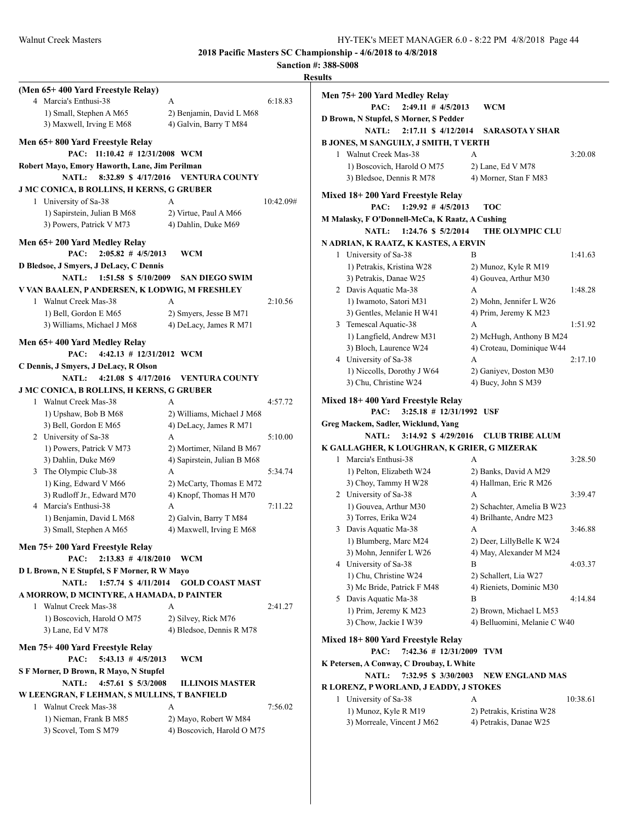|                                                  |                                     |           | <b>Sanction #: 388-S008</b>         |
|--------------------------------------------------|-------------------------------------|-----------|-------------------------------------|
|                                                  |                                     |           | <b>Results</b>                      |
| (Men 65+400 Yard Freestyle Relay)                |                                     |           | Men 75+200 Yard Medley Relay        |
| 4 Marcia's Enthusi-38                            | A                                   | 6:18.83   | PAC:<br>$2:49.11$ # 4/5             |
| 1) Small, Stephen A M65                          | 2) Benjamin, David L M68            |           | D Brown, N Stupfel, S Morner, S Pe  |
| 3) Maxwell, Irving E M68                         | 4) Galvin, Barry T M84              |           | <b>NATL:</b><br>$2:17.11$ \$ 4/1    |
| Men 65+800 Yard Freestyle Relay                  |                                     |           | <b>B JONES, M SANGUILY, J SMITH</b> |
| PAC: 11:10.42 # 12/31/2008 WCM                   |                                     |           | 1 Walnut Creek Mas-38               |
| Robert Mayo, Emory Haworth, Lane, Jim Perilman   |                                     |           | 1) Boscovich, Harold O M75          |
| <b>NATL:</b>                                     | 8:32.89 \$4/17/2016 VENTURA COUNTY  |           | 3) Bledsoe, Dennis R M78            |
| <b>J MC CONICA, B ROLLINS, H KERNS, G GRUBER</b> |                                     |           |                                     |
| 1 University of Sa-38                            | A                                   | 10:42.09# | Mixed 18+200 Yard Freestyle Re      |
| 1) Sapirstein, Julian B M68                      | 2) Virtue, Paul A M66               |           | PAC:<br>$1:29.92$ # 4/5             |
| 3) Powers, Patrick V M73                         | 4) Dahlin, Duke M69                 |           | M Malasky, F O'Donnell-McCa, K F    |
|                                                  |                                     |           | NATL:<br>1:24.76 \$ 5/2             |
| Men 65+200 Yard Medley Relay                     |                                     |           | N ADRIAN, K RAATZ, K KASTES         |
| PAC:<br>$2:05.82$ # $4/5/2013$                   | <b>WCM</b>                          |           | 1 University of Sa-38               |
| D Bledsoe, J Smyers, J DeLacy, C Dennis          |                                     |           | 1) Petrakis, Kristina W28           |
| NATL:<br>1:51.58 \$ 5/10/2009                    | <b>SAN DIEGO SWIM</b>               |           | 3) Petrakis, Danae W25              |
| V VAN BAALEN, PANDERSEN, K LODWIG, M FRESHLEY    |                                     |           | 2 Davis Aquatic Ma-38               |
| 1 Walnut Creek Mas-38                            | A                                   | 2:10.56   | 1) Iwamoto, Satori M31              |
| 1) Bell, Gordon E M65                            | 2) Smyers, Jesse B M71              |           | 3) Gentles, Melanie H W41           |
| 3) Williams, Michael J M68                       | 4) DeLacy, James R M71              |           | 3 Temescal Aquatic-38               |
| Men 65+400 Yard Medley Relay                     |                                     |           | 1) Langfield, Andrew M31            |
| PAC:<br>$4:42.13 \# 12/31/2012$ WCM              |                                     |           | 3) Bloch, Laurence W24              |
| C Dennis, J Smyers, J DeLacy, R Olson            |                                     |           | 4 University of Sa-38               |
| <b>NATL:</b><br>4:21.08 \$ 4/17/2016             | VENTURA COUNTY                      |           | 1) Niccolls, Dorothy J W64          |
| <b>J MC CONICA, B ROLLINS, H KERNS, G GRUBER</b> |                                     |           | 3) Chu, Christine W24               |
| 1 Walnut Creek Mas-38                            | A                                   | 4:57.72   | Mixed 18+400 Yard Freestyle Re      |
| 1) Upshaw, Bob B M68                             | 2) Williams, Michael J M68          |           | $3:25.18$ # 12<br>PAC:              |
| 3) Bell, Gordon E M65                            | 4) DeLacy, James R M71              |           | Greg Mackem, Sadler, Wicklund, Ya   |
| 2 University of Sa-38                            | A                                   | 5:10.00   | NATL:<br>3:14.92 \$ 4/2             |
| 1) Powers, Patrick V M73                         | 2) Mortimer, Niland B M67           |           | K GALLAGHER, K LOUGHRAN,            |
| 3) Dahlin, Duke M69                              | 4) Sapirstein, Julian B M68         |           | 1 Marcia's Enthusi-38               |
| 3 The Olympic Club-38                            | A                                   | 5:34.74   | 1) Pelton, Elizabeth W24            |
| 1) King, Edward V M66                            | 2) McCarty, Thomas E M72            |           | 3) Choy, Tammy H W28                |
| 3) Rudloff Jr., Edward M70                       | 4) Knopf, Thomas H M70              |           | 2 University of Sa-38               |
| 4 Marcia's Enthusi-38                            | A                                   | 7:11.22   | 1) Gouvea, Arthur M30               |
| 1) Benjamin, David L M68                         | 2) Galvin, Barry T M84              |           | 3) Torres, Erika W24                |
| 3) Small, Stephen A M65                          | 4) Maxwell, Irving E M68            |           | 3 Davis Aquatic Ma-38               |
|                                                  |                                     |           | 1) Blumberg, Marc M24               |
| Men 75+200 Yard Freestyle Relay                  |                                     |           | 3) Mohn, Jennifer L W26             |
| $2:13.83 \# 4/18/2010$<br>PAC:                   | <b>WCM</b>                          |           | 4 University of Sa-38               |
| D L Brown, N E Stupfel, S F Morner, R W Mayo     |                                     |           | 1) Chu, Christine W24               |
| NATL:                                            | 1:57.74 \$4/11/2014 GOLD COAST MAST |           | 3) Mc Bride, Patrick F M48          |
| A MORROW, D MCINTYRE, A HAMADA, D PAINTER        |                                     |           | 5 Davis Aquatic Ma-38               |
| 1 Walnut Creek Mas-38                            | A                                   | 2:41.27   | 1) Prim, Jeremy K M23               |
| 1) Boscovich, Harold O M75                       | 2) Silvey, Rick M76                 |           | 3) Chow, Jackie I W39               |
| 3) Lane, Ed V M78                                | 4) Bledsoe, Dennis R M78            |           |                                     |
|                                                  |                                     |           | Mixed 18+800 Yard Freestyle Re      |
| Men 75+400 Yard Freestyle Relay                  |                                     |           | PAC:<br>$7:42.36 \# 12$             |
| PAC:<br>$5:43.13$ # $4/5/2013$                   | <b>WCM</b>                          |           | K Petersen, A Conway, C Droubay, 1  |
| S F Morner, D Brown, R Mayo, N Stupfel           |                                     |           | NATL:<br>7:32.95 \$ 3/3             |
| NATL:<br>4:57.61 \$ 5/3/2008                     | <b>ILLINOIS MASTER</b>              |           | R LORENZ, P WORLAND, J EADI         |
| W LEENGRAN, F LEHMAN, S MULLINS, T BANFIELD      |                                     |           | 1 University of Sa-38               |
| 1 Walnut Creek Mas-38                            | A                                   | 7:56.02   | 1) Munoz, Kyle R M19                |
| 1) Nieman, Frank B M85                           | 2) Mayo, Robert W M84               |           | 3) Morreale, Vincent J M62          |
| 3) Scovel, Tom S M79                             | 4) Boscovich, Harold O M75          |           |                                     |

|              | МЕН 73+ 400 ТАГА МЕШЕУ КЕ1АУ                    |                               |          |
|--------------|-------------------------------------------------|-------------------------------|----------|
|              | PAC:<br>$2:49.11$ # $4/5/2013$                  | WCM                           |          |
|              | D Brown, N Stupfel, S Morner, S Pedder          |                               |          |
|              | 2:17.11 \$ 4/12/2014<br><b>NATL:</b>            | SARASOTA Y SHAR               |          |
|              | B JONES, M SANGUILY, J SMITH, T VERTH           |                               |          |
| 1            | Walnut Creek Mas-38                             | A                             | 3:20.08  |
|              | 1) Boscovich, Harold O M75                      | 2) Lane, Ed V M78             |          |
|              | 3) Bledsoe, Dennis R M78                        | 4) Morner, Stan F M83         |          |
|              |                                                 |                               |          |
|              | Mixed 18+ 200 Yard Freestyle Relay              |                               |          |
|              | $1:29.92 \# 4/5/2013$<br>PAC:                   | TOC                           |          |
|              | M Malasky, F O'Donnell-McCa, K Raatz, A Cushing |                               |          |
|              | 1:24.76 \$ 5/2/2014<br><b>NATL:</b>             | THE OLYMPIC CLU               |          |
|              | N ADRIAN, K RAATZ, K KASTES, A ERVIN            |                               |          |
| 1            | University of Sa-38                             | B                             | 1:41.63  |
|              | 1) Petrakis, Kristina W28                       | 2) Munoz, Kyle R M19          |          |
|              | 3) Petrakis, Danae W25                          | 4) Gouvea, Arthur M30         |          |
|              | 2 Davis Aquatic Ma-38                           | А                             | 1:48.28  |
|              | 1) Iwamoto, Satori M31                          | 2) Mohn, Jennifer L W26       |          |
|              | 3) Gentles, Melanie H W41                       | 4) Prim, Jeremy K M23         |          |
| 3            | Temescal Aquatic-38                             | A                             | 1:51.92  |
|              | 1) Langfield, Andrew M31                        | 2) McHugh, Anthony B M24      |          |
|              | 3) Bloch, Laurence W24                          | 4) Croteau, Dominique W44     |          |
|              | 4 University of Sa-38                           | А                             | 2:17.10  |
|              | 1) Niccolls, Dorothy J W64                      | 2) Ganiyev, Doston M30        |          |
|              | 3) Chu, Christine W24                           | 4) Bucy, John S M39           |          |
|              |                                                 |                               |          |
|              | Mixed 18+ 400 Yard Freestyle Relay              |                               |          |
|              | $3:25.18 \# 12/31/1992$ USF<br>PAC:             |                               |          |
|              |                                                 |                               |          |
|              | Greg Mackem, Sadler, Wicklund, Yang             |                               |          |
|              | 3:14.92 \$ 4/29/2016<br><b>NATL:</b>            | <b>CLUB TRIBE ALUM</b>        |          |
|              | K GALLAGHER, K LOUGHRAN, K GRIER, G MIZERAK     |                               |          |
| $\mathbf{1}$ | Marcia's Enthusi-38                             | А                             | 3:28.50  |
|              | 1) Pelton, Elizabeth W24                        | 2) Banks, David A M29         |          |
|              | 3) Choy, Tammy H W28                            | 4) Hallman, Eric R M26        |          |
|              | 2 University of Sa-38                           | A                             | 3:39.47  |
|              | 1) Gouvea, Arthur M30                           | 2) Schachter, Amelia B W23    |          |
|              | 3) Torres, Erika W24                            | 4) Brilhante, Andre M23       |          |
| 3            | Davis Aquatic Ma-38                             | A                             | 3:46.88  |
|              | 1) Blumberg, Marc M24                           | 2) Deer, LillyBelle K W24     |          |
|              | 3) Mohn, Jennifer L W26                         |                               |          |
|              |                                                 | 4) May, Alexander M M24<br>В  |          |
|              | 4 University of Sa-38                           |                               | 4:03.37  |
|              | 1) Chu, Christine W24                           | 2) Schallert, Lia W27         |          |
|              | 3) Mc Bride, Patrick F M48                      | 4) Rieniets, Dominic M30<br>B |          |
|              | 5 Davis Aquatic Ma-38                           |                               | 4:14.84  |
|              | 1) Prim, Jeremy K M23                           | 2) Brown, Michael L M53       |          |
|              | 3) Chow, Jackie I W39                           | 4) Belluomini, Melanie C W40  |          |
|              | Mixed 18+ 800 Yard Freestyle Relay              |                               |          |
|              | $7:42.36$ # $12/31/2009$<br>PAC:                | <b>TVM</b>                    |          |
|              | K Petersen, A Conway, C Droubay, L White        |                               |          |
|              | <b>NATL:</b><br>7:32.95 \$ 3/30/2003            | <b>NEW ENGLAND MAS</b>        |          |
|              | R LORENZ, P WORLAND, J EADDY, J STOKES          |                               |          |
|              | 1 University of Sa-38                           | А                             | 10:38.61 |

4) Petrakis, Danae W25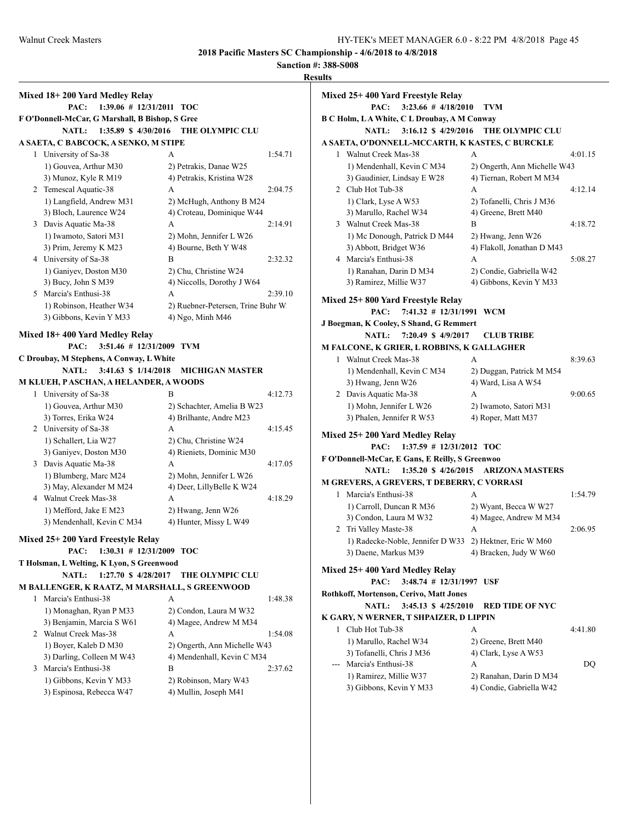**Sanction #: 388-S008 Results**

|   |                                                 |                                                   | Re |
|---|-------------------------------------------------|---------------------------------------------------|----|
|   | Mixed 18+200 Yard Medley Relay                  |                                                   |    |
|   | 1:39.06 # 12/31/2011 TOC<br>PAC:                |                                                   |    |
|   | F O'Donnell-McCar, G Marshall, B Bishop, S Gree |                                                   |    |
|   | <b>NATL:</b><br>1:35.89 \$ 4/30/2016            | <b>THE OLYMPIC CLU</b>                            |    |
|   | A SAETA, C BABCOCK, A SENKO, M STIPE            |                                                   |    |
| 1 | University of Sa-38                             | 1:54.71<br>А                                      |    |
|   | 1) Gouvea, Arthur M30                           | 2) Petrakis, Danae W25                            |    |
|   | 3) Munoz, Kyle R M19                            | 4) Petrakis, Kristina W28                         |    |
|   | 2 Temescal Aquatic-38                           | A<br>2:04.75                                      |    |
|   | 1) Langfield, Andrew M31                        | 2) McHugh, Anthony B M24                          |    |
|   | 3) Bloch, Laurence W24                          | 4) Croteau, Dominique W44                         |    |
|   | 3 Davis Aquatic Ma-38                           | A<br>2:14.91                                      |    |
|   | 1) Iwamoto, Satori M31                          | 2) Mohn, Jennifer L W26                           |    |
|   | 3) Prim, Jeremy K M23                           | 4) Bourne, Beth Y W48                             |    |
|   | 4 University of Sa-38                           | B<br>2:32.32                                      |    |
|   | 1) Ganiyev, Doston M30                          | 2) Chu, Christine W24                             |    |
|   | 3) Bucy, John S M39                             | 4) Niccolls, Dorothy J W64                        |    |
|   | 5 Marcia's Enthusi-38                           | A<br>2:39.10                                      |    |
|   | 1) Robinson, Heather W34                        | 2) Ruebner-Petersen, Trine Buhr W.                |    |
|   | 3) Gibbons, Kevin Y M33                         | 4) Ngo, Minh M46                                  |    |
|   |                                                 |                                                   |    |
|   | Mixed 18+400 Yard Medley Relay                  |                                                   |    |
|   | 3:51.46 # 12/31/2009 TVM<br>PAC:                |                                                   |    |
|   | C Droubay, M Stephens, A Conway, L White        |                                                   |    |
|   | <b>NATL:</b><br>3:41.63 \$ 1/14/2018            | <b>MICHIGAN MASTER</b>                            |    |
|   | M KLUEH, PASCHAN, A HELANDER, A WOODS           |                                                   |    |
| 1 | University of Sa-38                             | B<br>4:12.73                                      |    |
|   | 1) Gouvea, Arthur M30                           | 2) Schachter, Amelia B W23                        |    |
|   | 3) Torres, Erika W24<br>2 University of Sa-38   | 4) Brilhante, Andre M23<br>4:15.45<br>A           |    |
|   | 1) Schallert, Lia W27                           |                                                   |    |
|   | 3) Ganiyev, Doston M30                          | 2) Chu, Christine W24<br>4) Rieniets, Dominic M30 |    |
|   | 3 Davis Aquatic Ma-38                           | A<br>4:17.05                                      |    |
|   | 1) Blumberg, Marc M24                           | 2) Mohn, Jennifer L W26                           |    |
|   | 3) May, Alexander M M24                         | 4) Deer, LillyBelle K W24                         |    |
|   | 4 Walnut Creek Mas-38                           | A<br>4:18.29                                      |    |
|   | 1) Mefford, Jake E M23                          | 2) Hwang, Jenn W26                                |    |
|   | 3) Mendenhall, Kevin C M34                      | 4) Hunter, Missy L W49                            |    |
|   |                                                 |                                                   |    |
|   | Mixed 25+200 Yard Freestyle Relay               |                                                   |    |
|   | 1:30.31 # 12/31/2009 TOC<br>PAC:                |                                                   |    |
|   | T Holsman, L Welting, K Lyon, S Greenwood       |                                                   |    |
|   | <b>NATL:</b><br>1:27.70 \$ 4/28/2017            | THE OLYMPIC CLU                                   |    |
|   | M BALLENGER, K RAATZ, M MARSHALL, S GREENWOOD   |                                                   |    |
| 1 | Marcia's Enthusi-38                             | A<br>1:48.38                                      |    |
|   | 1) Monaghan, Ryan P M33                         | 2) Condon, Laura M W32                            |    |
|   | 3) Benjamin, Marcia S W61                       | 4) Magee, Andrew M M34                            |    |
|   | 2 Walnut Creek Mas-38                           | A<br>1:54.08                                      |    |
|   | 1) Boyer, Kaleb D M30                           | 2) Ongerth, Ann Michelle W43                      |    |
|   | 3) Darling, Colleen M W43                       | 4) Mendenhall, Kevin C M34                        |    |
| 3 | Marcia's Enthusi-38                             | B<br>2:37.62                                      |    |
|   | 1) Gibbons, Kevin Y M33                         | 2) Robinson, Mary W43                             |    |
|   | 3) Espinosa, Rebecca W47                        | 4) Mullin, Joseph M41                             |    |
|   |                                                 |                                                   |    |

|   | Mixed 25+ 400 Yard Freestyle Relay                      |                              |         |
|---|---------------------------------------------------------|------------------------------|---------|
|   | 3:23.66 # 4/18/2010<br>PAC:                             | TVM                          |         |
|   | <b>B C Holm, LA White, C L Droubay, A M Conway</b>      |                              |         |
|   | $3:16.12 \text{ }$ \$ 4/29/2016<br><b>NATL:</b>         | <b>THE OLYMPIC CLU</b>       |         |
|   | A SAETA, O'DONNELL-MCCARTH, K KASTES, C BURCKLE         |                              |         |
|   | 1 Walnut Creek Mas-38                                   | A                            | 4:01.15 |
|   | 1) Mendenhall, Kevin C M34                              | 2) Ongerth, Ann Michelle W43 |         |
|   | 3) Gaudinier, Lindsay E W28                             | 4) Tiernan, Robert M M34     |         |
|   | 2 Club Hot Tub-38                                       | A                            | 4:12.14 |
|   | 1) Clark, Lyse A W53                                    | 2) Tofanelli, Chris J M36    |         |
|   | 3) Marullo, Rachel W34                                  | 4) Greene, Brett M40         |         |
| 3 | Walnut Creek Mas-38                                     | B                            | 4:18.72 |
|   | 1) Mc Donough, Patrick D M44                            | 2) Hwang, Jenn W26           |         |
|   | 3) Abbott, Bridget W36                                  | 4) Flakoll, Jonathan D M43   |         |
|   | 4 Marcia's Enthusi-38                                   | A                            | 5:08.27 |
|   | 1) Ranahan, Darin D M34                                 | 2) Condie, Gabriella W42     |         |
|   | 3) Ramirez, Millie W37                                  | 4) Gibbons, Kevin Y M33      |         |
|   | Mixed 25+800 Yard Freestyle Relay                       |                              |         |
|   | $7:41.32$ # $12/31/1991$<br>PAC:                        | WCM                          |         |
|   | J Boegman, K Cooley, S Shand, G Remmert                 |                              |         |
|   | 7:20.49 \$ 4/9/2017<br><b>NATL:</b>                     | <b>CLUB TRIBE</b>            |         |
|   | M FALCONE, K GRIER, L ROBBINS, K GALLAGHER              |                              |         |
|   | 1 Walnut Creek Mas-38                                   | A                            | 8:39.63 |
|   | 1) Mendenhall, Kevin C M34                              | 2) Duggan, Patrick M M54     |         |
|   | 3) Hwang, Jenn W26                                      | 4) Ward, Lisa A W54          |         |
|   | 2 Davis Aquatic Ma-38                                   | A                            | 9:00.65 |
|   | 1) Mohn, Jennifer L W26                                 | 2) Iwamoto, Satori M31       |         |
|   | 3) Phalen, Jennifer R W53                               | 4) Roper, Matt M37           |         |
|   |                                                         |                              |         |
|   | Mixed 25+ 200 Yard Medley Relay                         |                              |         |
|   | PAC:<br>$1:37.59$ # $12/31/2012$ TOC                    |                              |         |
|   | F O'Donnell-McCar, E Gans, E Reilly, S Greenwoo         |                              |         |
|   | <b>NATL:</b><br>1:35.20 \$ 4/26/2015                    | <b>ARIZONA MASTERS</b>       |         |
|   | M GREVERS, A GREVERS, T DEBERRY, C VORRASI              |                              |         |
| 1 | Marcia's Enthusi-38                                     | A                            | 1:54.79 |
|   | 1) Carroll, Duncan R M36                                | 2) Wyant, Becca W W27        |         |
|   | 3) Condon, Laura M W32                                  | 4) Magee, Andrew M M34       |         |
| 2 | Tri Valley Maste-38                                     | A                            | 2:06.95 |
|   | 1) Radecke-Noble, Jennifer D W33 2) Hektner, Eric W M60 |                              |         |
|   | 3) Daene, Markus M39                                    | 4) Bracken, Judy W W60       |         |
|   | Mixed 25+400 Yard Medley Relay                          |                              |         |
|   | 3:48.74 # 12/31/1997 USF<br>PAC:                        |                              |         |
|   | Rothkoff, Mortenson, Cerivo, Matt Jones                 |                              |         |
|   | <b>NATL:</b><br>3:45.13 \$ 4/25/2010                    | <b>RED TIDE OF NYC</b>       |         |
|   | K GARY, N WERNER, T SHPAIZER, D LIPPIN                  |                              |         |
|   | 1 Club Hot Tub-38                                       | A                            | 4:41.80 |
|   | 1) Marullo, Rachel W34                                  | 2) Greene, Brett M40         |         |
|   | 3) Tofanelli, Chris J M36                               | 4) Clark, Lyse A W53         |         |
|   | --- Marcia's Enthusi-38                                 | A                            | DQ      |
|   | 1) Ramirez, Millie W37                                  | 2) Ranahan, Darin D M34      |         |
|   | 3) Gibbons, Kevin Y M33                                 | 4) Condie, Gabriella W42     |         |
|   |                                                         |                              |         |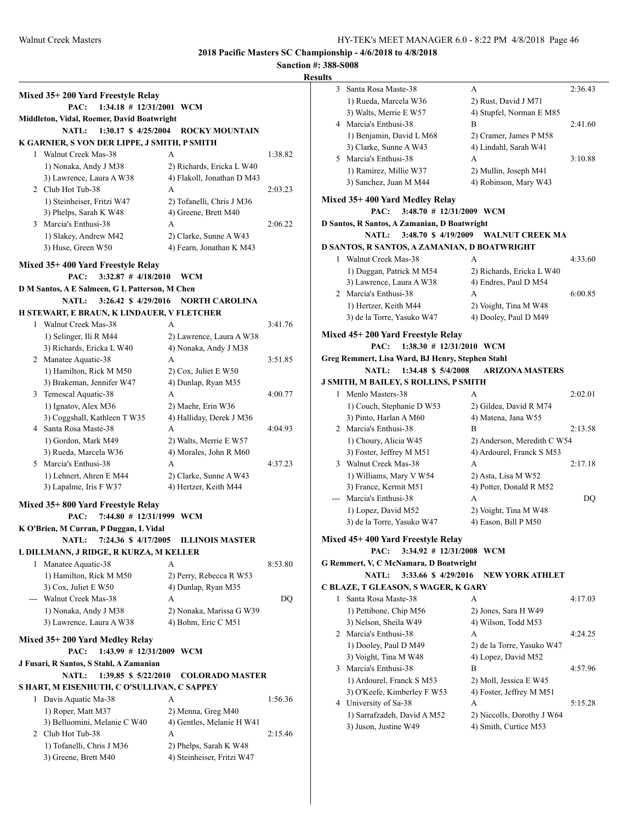| `SU lt\ |
|---------|
|---------|

|                                                |                            | R       |
|------------------------------------------------|----------------------------|---------|
| Mixed 35+200 Yard Freestyle Relay              |                            |         |
| $1:34.18 \# 12/31/2001$ WCM<br>PAC:            |                            |         |
| Middleton, Vidal, Roemer, David Boatwright     |                            |         |
| 1:30.17 \$ 4/25/2004<br><b>NATL:</b>           | <b>ROCKY MOUNTAIN</b>      |         |
| K GARNIER, S VON DER LIPPE, J SMITH, P SMITH   |                            |         |
| 1 Walnut Creek Mas-38                          | A                          | 1:38.82 |
| 1) Nonaka, Andy J M38                          | 2) Richards, Ericka L W40  |         |
| 3) Lawrence, Laura A W38                       | 4) Flakoll, Jonathan D M43 |         |
| 2 Club Hot Tub-38                              | A                          | 2:03.23 |
| 1) Steinheiser, Fritzi W47                     | 2) Tofanelli, Chris J M36  |         |
| 3) Phelps, Sarah K W48                         | 4) Greene, Brett M40       |         |
| 3 Marcia's Enthusi-38                          | A                          | 2:06.22 |
| 1) Slakey, Andrew M42                          | 2) Clarke, Sunne A W43     |         |
| 3) Huse, Green W50                             | 4) Fearn, Jonathan K M43   |         |
| Mixed 35+400 Yard Freestyle Relay              |                            |         |
| $3:32.87$ # $4/18/2010$<br>PAC:                | WCM                        |         |
| D M Santos, A E Salmeen, G L Patterson, M Chen |                            |         |
| NATL:<br>3:26.42 \$ 4/29/2016                  | <b>NORTH CAROLINA</b>      |         |
| H STEWART, E BRAUN, K LINDAUER, V FLETCHER     |                            |         |
| 1 Walnut Creek Mas-38                          | А                          | 3:41.76 |
| 1) Selinger, Ili R M44                         | 2) Lawrence, Laura A W38   |         |
| 3) Richards, Ericka L W40                      | 4) Nonaka, Andy J M38      |         |
| 2 Manatee Aquatic-38                           | A                          | 3:51.85 |
| 1) Hamilton, Rick M M50                        | $2)$ Cox, Juliet E W50     |         |
| 3) Brakeman, Jennifer W47                      | 4) Dunlap, Ryan M35        |         |
| 3 Temescal Aquatic-38                          | A                          | 4:00.77 |
| 1) Ignatov, Alex M36                           | 2) Maehr, Erin W36         |         |
| 3) Coggshall, Kathleen T W35                   | 4) Halliday, Derek J M36   |         |
| 4 Santa Rosa Maste-38                          | A                          | 4:04.93 |
| 1) Gordon, Mark M49                            | 2) Walts, Merrie E W57     |         |
| 3) Rueda, Marcela W36                          | 4) Morales, John R M60     |         |
| 5 Marcia's Enthusi-38                          | A                          | 4:37.23 |
| 1) Lehnert, Ahren E M44                        | 2) Clarke, Sunne A W43     |         |
| 3) Lapalme, Iris F W37                         | 4) Hertzer, Keith M44      |         |
| Mixed 35+800 Yard Freestyle Relay              |                            |         |
| 7:44.80 # 12/31/1999 WCM<br>PAC:               |                            |         |
| K O'Brien, M Curran, P Duggan, L Vidal         |                            |         |
| NATL: 7:24.36 \$ 4/17/2005                     | <b>ILLINOIS MASTER</b>     |         |
| L DILLMANN, J RIDGE, R KURZA, M KELLER         |                            |         |
| Manatee Aquatic-38<br>1                        | A                          | 8:53.80 |
| 1) Hamilton, Rick M M50                        | 2) Perry, Rebecca R W53    |         |
| 3) Cox, Juliet E W50                           | 4) Dunlap, Ryan M35        |         |
| --- Walnut Creek Mas-38                        | A                          | DO      |
| 1) Nonaka, Andy J M38                          | 2) Nonaka, Marissa G W39   |         |
| 3) Lawrence, Laura A W38                       | 4) Bohm, Eric C M51        |         |
| Mixed 35+200 Yard Medley Relay                 |                            |         |
| PAC:<br>1:43.99 # 12/31/2009 WCM               |                            |         |
| J Fusari, R Santos, S Stahl, A Zamanian        |                            |         |
| <b>NATL:</b><br>1:39.85 \$ 5/22/2010           | <b>COLORADO MASTER</b>     |         |
| S HART, M EISENHUTH, C O'SULLIVAN, C SAPPEY    |                            |         |
| 1 Davis Aquatic Ma-38                          | А                          | 1:56.36 |
| 1) Roper, Matt M37                             | 2) Menna, Greg M40         |         |
| 3) Belluomini, Melanie C W40                   | 4) Gentles, Melanie H W41  |         |
| 2 Club Hot Tub-38                              | A                          | 2:15.46 |
| 1) Tofanelli, Chris J M36                      | 2) Phelps, Sarah K W48     |         |
| 3) Greene, Brett M40                           | 4) Steinheiser, Fritzi W47 |         |

| 3     | Santa Rosa Maste-38                              | А                           | 2:36.43 |
|-------|--------------------------------------------------|-----------------------------|---------|
|       | 1) Rueda, Marcela W36                            | 2) Rust, David J M71        |         |
|       | 3) Walts, Merrie E W57                           | 4) Stupfel, Norman E M85    |         |
| 4     | Marcia's Enthusi-38                              | B                           | 2:41.60 |
|       | 1) Benjamin, David L M68                         | 2) Cramer, James P M58      |         |
|       | 3) Clarke, Sunne A W43                           | 4) Lindahl, Sarah W41       |         |
| 5.    | Marcia's Enthusi-38                              | A                           | 3:10.88 |
|       | 1) Ramirez, Millie W37                           | 2) Mullin, Joseph M41       |         |
|       | 3) Sanchez, Juan M M44                           | 4) Robinson, Mary W43       |         |
|       |                                                  |                             |         |
|       | Mixed 35+ 400 Yard Medley Relay                  |                             |         |
|       | PAC:<br>3:48.70 # 12/31/2009 WCM                 |                             |         |
|       | D Santos, R Santos, A Zamanian, D Boatwright     |                             |         |
|       | <b>NATL:</b><br>3:48.70 \$4/19/2009              | <b>WALNUT CREEK MA</b>      |         |
|       | D SANTOS, R SANTOS, A ZAMANIAN, D BOATWRIGHT     |                             |         |
| 1     | Walnut Creek Mas-38                              | A                           | 4:33.60 |
|       | 1) Duggan, Patrick M M54                         | 2) Richards, Ericka L W40   |         |
|       | 3) Lawrence, Laura A W38                         | 4) Endres, Paul D M54       |         |
|       | 2 Marcia's Enthusi-38                            | А                           | 6:00.85 |
|       | 1) Hertzer, Keith M44                            | 2) Voight, Tina M W48       |         |
|       | 3) de la Torre, Yasuko W47                       | 4) Dooley, Paul D M49       |         |
|       |                                                  |                             |         |
|       | Mixed 45+ 200 Yard Freestyle Relay               |                             |         |
|       | PAC:<br>$1:38.30 \# 12/31/2010$ WCM              |                             |         |
|       | Greg Remmert, Lisa Ward, BJ Henry, Stephen Stahl |                             |         |
|       | 1:34.48 \$ 5/4/2008<br><b>NATL:</b>              | <b>ARIZONA MASTERS</b>      |         |
|       | J SMITH, M BAILEY, S ROLLINS, P SMITH            |                             |         |
| 1     | Menlo Masters-38                                 | A                           | 2:02.01 |
|       | 1) Couch, Stephanie D W53                        | 2) Gildea, David R M74      |         |
|       | 3) Pinto, Harlan A M60                           | 4) Matena, Jana W55         |         |
|       | 2 Marcia's Enthusi-38                            | B                           | 2:13.58 |
|       | 1) Choury, Alicia W45                            | 2) Anderson, Meredith C W54 |         |
|       | 3) Foster, Jeffrey M M51                         | 4) Ardourel, Franck S M53   |         |
| 3     | Walnut Creek Mas-38                              | A                           | 2:17.18 |
|       | 1) Williams, Mary V W54                          | 2) Asta, Lisa M W52         |         |
|       | 3) France, Kermit M51                            | 4) Potter, Donald R M52     |         |
| $---$ | Marcia's Enthusi-38                              | А                           | DQ      |
|       | 1) Lopez, David M52                              | 2) Voight, Tina M W48       |         |
|       | 3) de la Torre, Yasuko W47                       | 4) Eason, Bill P M50        |         |
|       | Mixed 45+ 400 Yard Freestyle Relay               |                             |         |
|       | PAC: 3:34.92 # 12/31/2008 WCM                    |                             |         |
|       | G Remmert, V, C McNamara, D Boatwright           |                             |         |
|       | 3:33.66 \$4/29/2016<br><b>NATL:</b>              | <b>NEW YORK ATHLET</b>      |         |
|       | C BLAZE, T GLEASON, S WAGER, K GARY              |                             |         |
| 1     | Santa Rosa Maste-38                              | А                           | 4:17.03 |
|       | 1) Pettibone, Chip M56                           | 2) Jones, Sara H W49        |         |
|       | 3) Nelson, Sheila W49                            | 4) Wilson, Todd M53         |         |
|       | 2 Marcia's Enthusi-38                            | А                           | 4:24.25 |
|       | 1) Dooley, Paul D M49                            | 2) de la Torre, Yasuko W47  |         |
|       | 3) Voight, Tina M W48                            | 4) Lopez, David M52         |         |
|       | Marcia's Enthusi-38                              | B                           | 4:57.96 |
| 3     |                                                  |                             |         |
|       | 1) Ardourel, Franck S M53                        | 2) Moll, Jessica E W45      |         |
|       | 3) O'Keefe, Kimberley F W53                      | 4) Foster, Jeffrey M M51    |         |
| 4     | University of Sa-38                              | А                           | 5:15.28 |
|       | 1) Sarrafzadeh, David A M52                      | 2) Niccolls, Dorothy J W64  |         |
|       | 3) Juson, Justine W49                            | 4) Smith, Curtice M53       |         |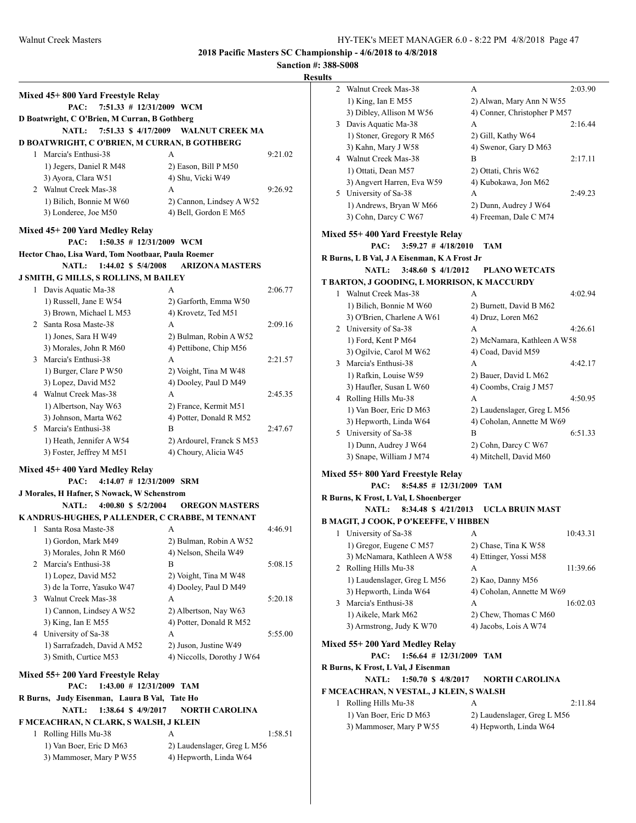## **Sanction #: 388-S008 Result**

|          | Mixed 45+800 Yard Freestyle Relay                                                                      |                                                    |         |  |
|----------|--------------------------------------------------------------------------------------------------------|----------------------------------------------------|---------|--|
|          | 7:51.33 # 12/31/2009 WCM<br>PAC:                                                                       |                                                    |         |  |
|          | D Boatwright, C O'Brien, M Curran, B Gothberg                                                          |                                                    |         |  |
|          | <b>NATL:</b>                                                                                           | 7:51.33 \$4/17/2009 WALNUT CREEK MA                |         |  |
|          | D BOATWRIGHT, C O'BRIEN, M CURRAN, B GOTHBERG                                                          |                                                    |         |  |
|          | 1 Marcia's Enthusi-38                                                                                  | A                                                  | 9:21.02 |  |
|          | 1) Jegers, Daniel R M48                                                                                | 2) Eason, Bill P M50                               |         |  |
|          | 3) Ayora, Clara W51                                                                                    | 4) Shu, Vicki W49                                  |         |  |
|          | 2 Walnut Creek Mas-38                                                                                  | A                                                  | 9:26.92 |  |
|          | 1) Bilich, Bonnie M W60                                                                                | 2) Cannon, Lindsey A W52                           |         |  |
|          | 3) Londeree, Joe M50                                                                                   | 4) Bell, Gordon E M65                              |         |  |
|          |                                                                                                        |                                                    |         |  |
|          | Mixed 45+200 Yard Medley Relay<br>1:50.35 # 12/31/2009 WCM<br>PAC:                                     |                                                    |         |  |
|          | Hector Chao, Lisa Ward, Tom Nootbaar, Paula Roemer                                                     |                                                    |         |  |
|          | <b>NATL:</b><br>1:44.02 \$ 5/4/2008                                                                    | <b>ARIZONA MASTERS</b>                             |         |  |
|          |                                                                                                        |                                                    |         |  |
|          | J SMITH, G MILLS, S ROLLINS, M BAILEY                                                                  | A                                                  |         |  |
|          | 1 Davis Aquatic Ma-38                                                                                  |                                                    | 2:06.77 |  |
|          | 1) Russell, Jane E W54<br>3) Brown, Michael L M53                                                      | 2) Garforth, Emma W50<br>4) Krovetz, Ted M51       |         |  |
|          | 2 Santa Rosa Maste-38                                                                                  |                                                    |         |  |
|          |                                                                                                        | A                                                  | 2:09.16 |  |
|          | 1) Jones, Sara H W49                                                                                   | 2) Bulman, Robin A W52<br>4) Pettibone, Chip M56   |         |  |
|          | 3) Morales, John R M60<br>3 Marcia's Enthusi-38                                                        | A                                                  | 2:21.57 |  |
|          | 1) Burger, Clare P W50                                                                                 | 2) Voight, Tina M W48                              |         |  |
|          | 3) Lopez, David M52                                                                                    | 4) Dooley, Paul D M49                              |         |  |
|          | 4 Walnut Creek Mas-38                                                                                  | A                                                  | 2:45.35 |  |
|          | 1) Albertson, Nay W63                                                                                  | 2) France, Kermit M51                              |         |  |
|          | 3) Johnson, Marta W62                                                                                  | 4) Potter, Donald R M52                            |         |  |
|          | 5 Marcia's Enthusi-38                                                                                  | B                                                  | 2:47.67 |  |
|          | 1) Heath, Jennifer A W54                                                                               |                                                    |         |  |
|          | 3) Foster, Jeffrey M M51                                                                               | 2) Ardourel, Franck S M53<br>4) Choury, Alicia W45 |         |  |
|          |                                                                                                        |                                                    |         |  |
|          | Mixed 45+400 Yard Medley Relay<br>$4:14.07$ # 12/31/2009 SRM<br>PAC:                                   |                                                    |         |  |
|          | J Morales, H Hafner, S Nowack, W Schenstrom                                                            |                                                    |         |  |
|          | 4:00.80 \$ 5/2/2004<br><b>NATL:</b>                                                                    | <b>OREGON MASTERS</b>                              |         |  |
|          | K ANDRUS-HUGHES, PALLENDER, C CRABBE, M TENNANT                                                        |                                                    |         |  |
|          | 1 Santa Rosa Maste-38                                                                                  | А                                                  | 4:46.91 |  |
|          |                                                                                                        | 2) Bulman, Robin A W52                             |         |  |
|          | 1) Gordon, Mark M49<br>3) Morales, John R M60                                                          | 4) Nelson, Sheila W49                              |         |  |
|          | 2 Marcia's Enthusi-38                                                                                  | B                                                  | 5:08.15 |  |
|          | 1) Lopez, David M52                                                                                    | 2) Voight, Tina M W48                              |         |  |
|          | 3) de la Torre, Yasuko W47                                                                             | 4) Dooley, Paul D M49                              |         |  |
|          | 3 Walnut Creek Mas-38                                                                                  | A                                                  | 5:20.18 |  |
|          | 1) Cannon, Lindsey A W52                                                                               | 2) Albertson, Nay W63                              |         |  |
|          | 3) King, Ian E M55                                                                                     | 4) Potter, Donald R M52                            |         |  |
|          | 4 University of Sa-38                                                                                  | А                                                  | 5:55.00 |  |
|          | 1) Sarrafzadeh, David A M52                                                                            | 2) Juson, Justine W49                              |         |  |
|          | 3) Smith, Curtice M53                                                                                  | 4) Niccolls, Dorothy J W64                         |         |  |
|          |                                                                                                        |                                                    |         |  |
|          | Mixed 55+200 Yard Freestyle Relay                                                                      |                                                    |         |  |
|          | 1:43.00 # 12/31/2009 TAM<br>PAC:                                                                       |                                                    |         |  |
| R Burns, | Judy Eisenman, Laura B Val, Tate Ho                                                                    |                                                    |         |  |
|          | <b>NATL:</b><br>1:38.64 \$ 4/9/2017<br><b>NORTH CAROLINA</b><br>F MCEACHRAN, N CLARK, S WALSH, J KLEIN |                                                    |         |  |
|          |                                                                                                        |                                                    |         |  |
|          | 1 Rolling Hills Mu-38                                                                                  | A                                                  | 1:58.51 |  |
|          | 1) Van Boer, Eric D M63                                                                                | 2) Laudenslager, Greg L M56                        |         |  |
|          | 3) Mammoser, Mary P W55                                                                                | 4) Hepworth, Linda W64                             |         |  |

| lts |                                              |                              |          |
|-----|----------------------------------------------|------------------------------|----------|
| 2   | Walnut Creek Mas-38                          | А                            | 2:03.90  |
|     | 1) King, Ian E M55                           | 2) Alwan, Mary Ann N W55     |          |
|     | 3) Dibley, Allison M W56                     | 4) Conner, Christopher P M57 |          |
| 3   | Davis Aquatic Ma-38                          | А                            | 2:16.44  |
|     | 1) Stoner, Gregory R M65                     | 2) Gill, Kathy W64           |          |
|     | 3) Kahn, Mary J W58                          | 4) Swenor, Gary D M63        |          |
|     | 4 Walnut Creek Mas-38                        | B                            | 2:17.11  |
|     | 1) Ottati, Dean M57                          | 2) Ottati, Chris W62         |          |
|     | 3) Angvert Harren, Eva W59                   | 4) Kubokawa, Jon M62         |          |
| 5   | University of Sa-38                          | А                            | 2:49.23  |
|     | 1) Andrews, Bryan W M66                      | 2) Dunn, Audrey J W64        |          |
|     | 3) Cohn, Darcy C W67                         | 4) Freeman, Dale C M74       |          |
|     | Mixed 55+ 400 Yard Freestyle Relay           |                              |          |
|     | $3:59.27$ # $4/18/2010$<br>PAC:              | TAM                          |          |
|     | R Burns, L B Val, J A Eisenman, K A Frost Jr |                              |          |
|     | 3:48.60 \$ 4/1/2012<br><b>NATL:</b>          | <b>PLANO WETCATS</b>         |          |
|     | T BARTON, J GOODING, L MORRISON, K MACCURDY  |                              |          |
| 1   | Walnut Creek Mas-38                          | A                            | 4:02.94  |
|     | 1) Bilich, Bonnie M W60                      | 2) Burnett, David B M62      |          |
|     | 3) O'Brien, Charlene A W61                   | 4) Druz, Loren M62           |          |
|     | 2 University of Sa-38                        | A                            | 4:26.61  |
|     | 1) Ford, Kent P M64                          | 2) McNamara, Kathleen A W58  |          |
|     | 3) Ogilvie, Carol M W62                      | 4) Coad, David M59           |          |
|     | 3 Marcia's Enthusi-38                        | A                            | 4:42.17  |
|     | 1) Rafkin, Louise W59                        | 2) Bauer, David L M62        |          |
|     | 3) Haufler, Susan L W60                      | 4) Coombs, Craig J M57       |          |
|     | 4 Rolling Hills Mu-38                        | A                            | 4:50.95  |
|     | 1) Van Boer, Eric D M63                      | 2) Laudenslager, Greg L M56  |          |
|     | 3) Hepworth, Linda W64                       | 4) Coholan, Annette M W69    |          |
|     | 5 University of Sa-38                        | B                            | 6:51.33  |
|     | 1) Dunn, Audrey J W64                        | 2) Cohn, Darcy C W67         |          |
|     | 3) Snape, William J M74                      | 4) Mitchell, David M60       |          |
|     | Mixed 55+ 800 Yard Freestyle Relay           |                              |          |
|     | 8:54.85 # 12/31/2009 TAM<br>PAC:             |                              |          |
|     | R Burns, K Frost, L Val, L Shoenberger       |                              |          |
|     | NATL:<br>8:34.48 \$ 4/21/2013                | UCLA BRUIN MAST              |          |
|     | B MAGIT, J COOK, P O'KEEFFE, V HIBBEN        |                              |          |
|     | 1 University of Sa-38                        | А                            | 10:43.31 |
|     | 1) Gregor, Eugene C M57                      | 2) Chase, Tina K W58         |          |
|     | 3) McNamara, Kathleen A W58                  | 4) Ettinger, Yossi M58       |          |
|     | 2 Rolling Hills Mu-38                        | А                            | 11:39.66 |
|     | 1) Laudenslager, Greg L M56                  | 2) Kao, Danny M56            |          |
|     | 3) Hepworth, Linda W64                       | 4) Coholan, Annette M W69    |          |
| 3   | Marcia's Enthusi-38                          | А                            | 16:02.03 |
|     | 1) Aikele, Mark M62                          | 2) Chew, Thomas C M60        |          |
|     | 3) Armstrong, Judy K W70                     | 4) Jacobs, Lois A W74        |          |
|     | Mixed 55+200 Yard Medley Relay               |                              |          |
|     | $1:56.64$ # $12/31/2009$<br>PAC:             | TAM                          |          |
|     | R Burns, K Frost, L Val, J Eisenman          |                              |          |
|     | 1:50.70 \$ 4/8/2017<br><b>NATL:</b>          | <b>NORTH CAROLINA</b>        |          |
|     | F MCEACHRAN, N VESTAL, J KLEIN, S WALSH      |                              |          |
| 1   | Rolling Hills Mu-38                          | А                            | 2:11.84  |
|     | 1) Van Boer, Eric D M63                      | 2) Laudenslager, Greg L M56  |          |
|     | 3) Mammoser, Mary P W55                      | 4) Hepworth, Linda W64       |          |
|     |                                              |                              |          |
|     |                                              |                              |          |
|     |                                              |                              |          |